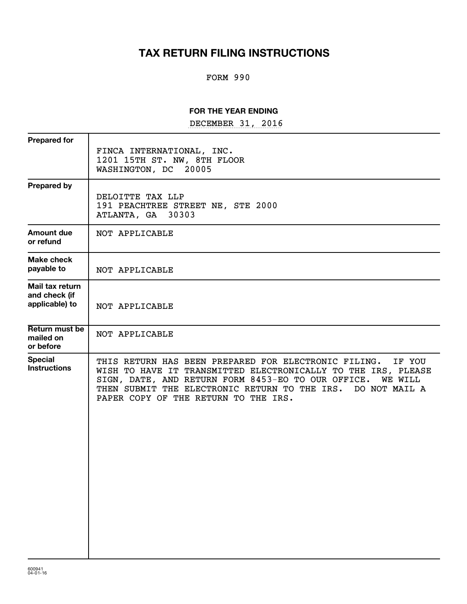# **TAX RETURN FILING INSTRUCTIONS**

## FORM 990

### **FOR THE YEAR ENDING**

DECEMBER 31, 2016

| <b>Prepared for</b>                                |                                                                                                                                                                                                                                                                                                      |
|----------------------------------------------------|------------------------------------------------------------------------------------------------------------------------------------------------------------------------------------------------------------------------------------------------------------------------------------------------------|
|                                                    | FINCA INTERNATIONAL, INC.<br>1201 15TH ST. NW, 8TH FLOOR<br>WASHINGTON, DC<br>20005                                                                                                                                                                                                                  |
| <b>Prepared by</b>                                 | DELOITTE TAX LLP<br>191 PEACHTREE STREET NE, STE 2000<br>ATLANTA, GA 30303                                                                                                                                                                                                                           |
| <b>Amount due</b><br>or refund                     | NOT APPLICABLE                                                                                                                                                                                                                                                                                       |
| Make check<br>payable to                           | NOT APPLICABLE                                                                                                                                                                                                                                                                                       |
| Mail tax return<br>and check (if<br>applicable) to | NOT APPLICABLE                                                                                                                                                                                                                                                                                       |
| Return must be<br>mailed on<br>or before           | NOT APPLICABLE                                                                                                                                                                                                                                                                                       |
| <b>Special</b><br><b>Instructions</b>              | THIS RETURN HAS BEEN PREPARED FOR ELECTRONIC FILING.<br>IF YOU<br>WISH TO HAVE IT TRANSMITTED ELECTRONICALLY TO THE IRS, PLEASE<br>SIGN, DATE, AND RETURN FORM 8453-EO TO OUR OFFICE. WE WILL<br>THEN SUBMIT THE ELECTRONIC RETURN TO THE IRS. DO NOT MAIL A<br>PAPER COPY OF THE RETURN TO THE IRS. |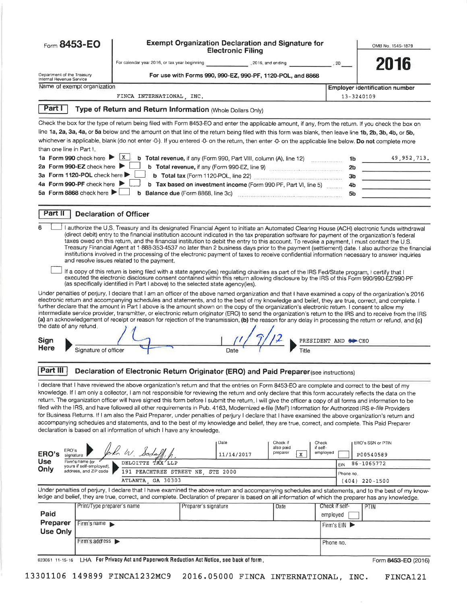| Form 8453-EO                    |                                                                      |                                                                                                                                                                                                                                                                                                                                                                                                                                                                                                                                                                                                                                                                                                                                                                                                                                                                                                                                                                                                             |                      | <b>Exempt Organization Declaration and Signature for</b><br><b>Electronic Filing</b> |                         |                      |                | OMB No. 1545-1879                                                                                                                                  |
|---------------------------------|----------------------------------------------------------------------|-------------------------------------------------------------------------------------------------------------------------------------------------------------------------------------------------------------------------------------------------------------------------------------------------------------------------------------------------------------------------------------------------------------------------------------------------------------------------------------------------------------------------------------------------------------------------------------------------------------------------------------------------------------------------------------------------------------------------------------------------------------------------------------------------------------------------------------------------------------------------------------------------------------------------------------------------------------------------------------------------------------|----------------------|--------------------------------------------------------------------------------------|-------------------------|----------------------|----------------|----------------------------------------------------------------------------------------------------------------------------------------------------|
|                                 |                                                                      |                                                                                                                                                                                                                                                                                                                                                                                                                                                                                                                                                                                                                                                                                                                                                                                                                                                                                                                                                                                                             |                      |                                                                                      |                         |                      |                | 2016                                                                                                                                               |
| Department of the Treasury      |                                                                      |                                                                                                                                                                                                                                                                                                                                                                                                                                                                                                                                                                                                                                                                                                                                                                                                                                                                                                                                                                                                             |                      | For use with Forms 990, 990-EZ, 990-PF, 1120-POL, and 8868                           |                         |                      |                |                                                                                                                                                    |
| Internal Revenue Service        | Name of exempt organization                                          |                                                                                                                                                                                                                                                                                                                                                                                                                                                                                                                                                                                                                                                                                                                                                                                                                                                                                                                                                                                                             |                      |                                                                                      |                         |                      |                | <b>Employer identification number</b>                                                                                                              |
|                                 |                                                                      | FINCA INTERNATIONAL INC.                                                                                                                                                                                                                                                                                                                                                                                                                                                                                                                                                                                                                                                                                                                                                                                                                                                                                                                                                                                    |                      |                                                                                      |                         |                      | 13-3240109     |                                                                                                                                                    |
| Part I                          |                                                                      | Type of Return and Return Information (Whole Dollars Only)                                                                                                                                                                                                                                                                                                                                                                                                                                                                                                                                                                                                                                                                                                                                                                                                                                                                                                                                                  |                      |                                                                                      |                         |                      |                |                                                                                                                                                    |
|                                 |                                                                      |                                                                                                                                                                                                                                                                                                                                                                                                                                                                                                                                                                                                                                                                                                                                                                                                                                                                                                                                                                                                             |                      |                                                                                      |                         |                      |                |                                                                                                                                                    |
|                                 |                                                                      | Check the box for the type of return being filed with Form 8453-EO and enter the applicable amount, if any, from the return. If you check the box on<br>line 1a, 2a, 3a, 4a, or 5a below and the amount on that line of the return being filed with this form was blank, then leave line 1b, 2b, 3b, 4b, or 5b,                                                                                                                                                                                                                                                                                                                                                                                                                                                                                                                                                                                                                                                                                             |                      |                                                                                      |                         |                      |                |                                                                                                                                                    |
|                                 |                                                                      | whichever is applicable, blank (do not enter -0-). If you entered -0- on the return, then enter -0- on the applicable line below. Do not complete more                                                                                                                                                                                                                                                                                                                                                                                                                                                                                                                                                                                                                                                                                                                                                                                                                                                      |                      |                                                                                      |                         |                      |                |                                                                                                                                                    |
| than one line in Part I.        |                                                                      |                                                                                                                                                                                                                                                                                                                                                                                                                                                                                                                                                                                                                                                                                                                                                                                                                                                                                                                                                                                                             |                      |                                                                                      |                         |                      |                |                                                                                                                                                    |
|                                 | 1a Form 990 check here $\triangleright$ $\boxed{\text{x}}$           |                                                                                                                                                                                                                                                                                                                                                                                                                                                                                                                                                                                                                                                                                                                                                                                                                                                                                                                                                                                                             |                      | Total revenue, if any (Form 990, Part VIII, column (A), line 12)                     |                         |                      | 1b             | 49,952,713.                                                                                                                                        |
|                                 | 2a Form 990-EZ check here<br>3a Form 1120-POL check here             |                                                                                                                                                                                                                                                                                                                                                                                                                                                                                                                                                                                                                                                                                                                                                                                                                                                                                                                                                                                                             |                      |                                                                                      |                         |                      | 2 <sub>b</sub> |                                                                                                                                                    |
|                                 | 4a Form 990-PF check here                                            |                                                                                                                                                                                                                                                                                                                                                                                                                                                                                                                                                                                                                                                                                                                                                                                                                                                                                                                                                                                                             |                      | b Tax based on investment income (Form 990-PF, Part VI, line 5) _______              |                         |                      | 3b<br>4b       | the company of the company of the                                                                                                                  |
|                                 | 5a Form 8868 check here $\blacktriangleright$                        |                                                                                                                                                                                                                                                                                                                                                                                                                                                                                                                                                                                                                                                                                                                                                                                                                                                                                                                                                                                                             |                      | Balance due (Form 8868, line 3c) [19] Manuscript (1997) 36 (1998) 1999               |                         |                      | 5b             |                                                                                                                                                    |
|                                 |                                                                      |                                                                                                                                                                                                                                                                                                                                                                                                                                                                                                                                                                                                                                                                                                                                                                                                                                                                                                                                                                                                             |                      |                                                                                      |                         |                      |                |                                                                                                                                                    |
| Part II                         | <b>Declaration of Officer</b>                                        |                                                                                                                                                                                                                                                                                                                                                                                                                                                                                                                                                                                                                                                                                                                                                                                                                                                                                                                                                                                                             |                      |                                                                                      |                         |                      |                |                                                                                                                                                    |
|                                 |                                                                      | I authorize the U.S. Treasury and its designated Financial Agent to initiate an Automated Clearing House (ACH) electronic funds withdrawal<br>(direct debit) entry to the financial institution account indicated in the tax preparation software for payment of the organization's federal<br>taxes owed on this return, and the financial institution to debit the entry to this account. To revoke a payment, I must contact the U.S.<br>institutions involved in the processing of the electronic payment of taxes to receive confidential information necessary to answer inquiries<br>and resolve issues related to the payment.                                                                                                                                                                                                                                                                                                                                                                      |                      |                                                                                      |                         |                      |                | Treasury Financial Agent at 1-888-353-4537 no later than 2 business days prior to the payment (settlement) date. I also authorize the financial    |
|                                 |                                                                      | If a copy of this return is being filed with a state agency(ies) regulating charities as part of the IRS Fed/State program, I certify that I<br>executed the electronic disclosure consent contained within this return allowing disclosure by the IRS of this Form 990/990-EZ/990-PF<br>(as specifically identified in Part I above) to the selected state agency(ies).                                                                                                                                                                                                                                                                                                                                                                                                                                                                                                                                                                                                                                    |                      |                                                                                      |                         |                      |                |                                                                                                                                                    |
| the date of any refund.<br>Sign |                                                                      | electronic return and accompanying schedules and statements, and to the best of my knowledge and belief, they are true, correct, and complete. I<br>further declare that the amount in Part I above is the amount shown on the copy of the organization's electronic return. I consent to allow my<br>intermediate service provider, transmitter, or electronic return originator (ERO) to send the organization's return to the IRS and to receive from the IRS<br>(a) an acknowledgement of receipt or reason for rejection of the transmission, (b) the reason for any delay in processing the return or refund, and (c)                                                                                                                                                                                                                                                                                                                                                                                 |                      |                                                                                      |                         | PRESIDENT AND 80 CEO |                |                                                                                                                                                    |
| Here                            | Signature of officer                                                 |                                                                                                                                                                                                                                                                                                                                                                                                                                                                                                                                                                                                                                                                                                                                                                                                                                                                                                                                                                                                             |                      | Date                                                                                 | Title                   |                      |                |                                                                                                                                                    |
| Part III                        |                                                                      | Declaration of Electronic Return Originator (ERO) and Paid Preparer (see instructions)                                                                                                                                                                                                                                                                                                                                                                                                                                                                                                                                                                                                                                                                                                                                                                                                                                                                                                                      |                      |                                                                                      |                         |                      |                |                                                                                                                                                    |
|                                 |                                                                      | I declare that I have reviewed the above organization's return and that the entries on Form 8453-EO are complete and correct to the best of my<br>knowledge. If I am only a collector, I am not responsible for reviewing the return and only declare that this form accurately reflects the data on the<br>return. The organization officer will have signed this form before I submit the return. I will give the officer a copy of all forms and information to be<br>filed with the IRS, and have followed all other requirements in Pub. 4163, Modernized e-file (MeF) Information for Authorized IRS e-file Providers<br>for Business Returns. If I am also the Paid Preparer, under penalties of perjury I declare that I have examined the above organization's return and<br>accompanying schedules and statements, and to the best of my knowledge and belief, they are true, correct, and complete. This Paid Preparer<br>declaration is based on all information of which I have any knowledge. |                      |                                                                                      |                         |                      |                |                                                                                                                                                    |
| ERO's                           |                                                                      |                                                                                                                                                                                                                                                                                                                                                                                                                                                                                                                                                                                                                                                                                                                                                                                                                                                                                                                                                                                                             |                      | Date                                                                                 | Check if<br>also paid   | Check<br>if self-    |                | ERO's SSN or PTIN                                                                                                                                  |
| ERO's<br>signature              |                                                                      | $ln$ $w$                                                                                                                                                                                                                                                                                                                                                                                                                                                                                                                                                                                                                                                                                                                                                                                                                                                                                                                                                                                                    |                      | 11/14/2017                                                                           | preparer<br>$\mathbf x$ | employed             |                | P00540589                                                                                                                                          |
| <b>Use</b><br>Only              | Firm's name (or<br>yours if self-employed),<br>address, and ZIP code | DELOITTE                                                                                                                                                                                                                                                                                                                                                                                                                                                                                                                                                                                                                                                                                                                                                                                                                                                                                                                                                                                                    |                      |                                                                                      |                         | EIN                  |                | 86-1065772                                                                                                                                         |
|                                 |                                                                      | 191 PEACHTREE STREET NE<br>ATLANTA, GA 30303                                                                                                                                                                                                                                                                                                                                                                                                                                                                                                                                                                                                                                                                                                                                                                                                                                                                                                                                                                |                      | <b>STE 2000</b>                                                                      |                         |                      | Phone no.      | $(404)$ 220-1500                                                                                                                                   |
|                                 |                                                                      | ledge and belief, they are true, correct, and complete. Declaration of preparer is based on all information of which the preparer has any knowledge.                                                                                                                                                                                                                                                                                                                                                                                                                                                                                                                                                                                                                                                                                                                                                                                                                                                        |                      |                                                                                      |                         |                      |                | Under penalties of perjury, I declare that I have examined the above return and accompanying schedules and statements, and to the best of my know- |
|                                 | Print/Type preparer's name                                           |                                                                                                                                                                                                                                                                                                                                                                                                                                                                                                                                                                                                                                                                                                                                                                                                                                                                                                                                                                                                             | Preparer's signature |                                                                                      | Date                    | Check if self-       |                | PTIN                                                                                                                                               |
| Paid                            |                                                                      |                                                                                                                                                                                                                                                                                                                                                                                                                                                                                                                                                                                                                                                                                                                                                                                                                                                                                                                                                                                                             |                      |                                                                                      |                         | employed             |                |                                                                                                                                                    |
| Preparer                        | Firm's name                                                          |                                                                                                                                                                                                                                                                                                                                                                                                                                                                                                                                                                                                                                                                                                                                                                                                                                                                                                                                                                                                             |                      |                                                                                      |                         | Firm's EIN           |                |                                                                                                                                                    |
| <b>Use Only</b>                 |                                                                      |                                                                                                                                                                                                                                                                                                                                                                                                                                                                                                                                                                                                                                                                                                                                                                                                                                                                                                                                                                                                             |                      |                                                                                      |                         |                      |                |                                                                                                                                                    |
|                                 | Firm's address $\blacktriangleright$                                 |                                                                                                                                                                                                                                                                                                                                                                                                                                                                                                                                                                                                                                                                                                                                                                                                                                                                                                                                                                                                             |                      |                                                                                      |                         | Phone no.            |                |                                                                                                                                                    |
| 623061 11-15-16                 |                                                                      | LHA For Privacy Act and Paperwork Reduction Act Notice, see back of form.                                                                                                                                                                                                                                                                                                                                                                                                                                                                                                                                                                                                                                                                                                                                                                                                                                                                                                                                   |                      |                                                                                      |                         |                      |                | Form 8453-EO (2016)                                                                                                                                |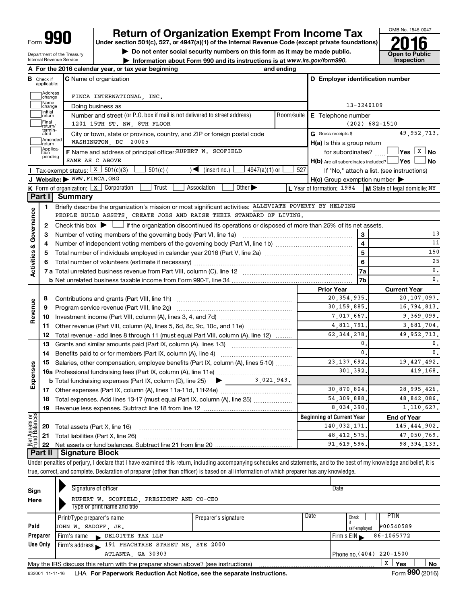Department of the Treasury Internal Revenue Service

# **Return of Organization Exempt From Income Tax**<br>r section 501(c), 527, or 4947(a)(1) of the Internal Revenue Code (except private foundations)<br>**2016**

**Under section 501(c), 527, or 4947(a)(1) of the Internal Revenue Code (except private foundations)**

▶ Do not enter social security numbers on this form as it may be made public.<br>▶ Information about Form 990 and its instructions is at www.irs.gov/form990. Inspection

**• Information about Form 990 and its instructions is at www.irs.gov/form990. and inspection** 



|                              |                         | A For the 2016 calendar year, or tax year beginning                                                                                       | and ending |                                                         |                                            |
|------------------------------|-------------------------|-------------------------------------------------------------------------------------------------------------------------------------------|------------|---------------------------------------------------------|--------------------------------------------|
| В                            | Check if<br>applicable: | <b>C</b> Name of organization                                                                                                             |            | D Employer identification number                        |                                            |
|                              | Address<br>change       | FINCA INTERNATIONAL, INC.                                                                                                                 |            |                                                         |                                            |
|                              | Name<br>change          | Doing business as                                                                                                                         |            | 13-3240109                                              |                                            |
|                              | Initial<br>return       | Number and street (or P.O. box if mail is not delivered to street address)                                                                | Room/suite | E Telephone number                                      |                                            |
|                              | Final<br>return/        | 1201 15TH ST. NW, 8TH FLOOR                                                                                                               |            | $(202)$ 682-1510                                        |                                            |
|                              | termin-<br>ated         | City or town, state or province, country, and ZIP or foreign postal code                                                                  |            | G Gross receipts \$                                     | 49, 952, 713.                              |
|                              | Amended<br>return       | WASHINGTON, DC 20005                                                                                                                      |            | H(a) Is this a group return                             |                                            |
|                              | Applica-<br>tion        | F Name and address of principal officer: RUPERT W. SCOFIELD                                                                               |            | for subordinates?                                       |                                            |
|                              | pending                 | SAME AS C ABOVE                                                                                                                           |            | $H(b)$ Are all subordinates included? $\Box$ Yes $\Box$ | J No                                       |
|                              |                         | <b>I</b> Tax-exempt status: $\boxed{\textbf{x}}$ 501(c)(3)<br>$4947(a)(1)$ or<br>$501(c)$ (<br>$\sqrt{\phantom{a}}$ (insert no.)          | 527        |                                                         | If "No," attach a list. (see instructions) |
|                              |                         | J Website: WWW.FINCA.ORG                                                                                                                  |            | $H(c)$ Group exemption number $\blacktriangleright$     |                                            |
|                              |                         | Trust<br>Other $\blacktriangleright$<br><b>K</b> Form of organization: $\boxed{x}$ Corporation<br>Association                             |            | L Year of formation: 1984                               | M State of legal domicile: NY              |
|                              | Part I                  | <b>Summary</b>                                                                                                                            |            |                                                         |                                            |
|                              | 1                       | Briefly describe the organization's mission or most significant activities: ALLEVIATE POVERTY BY HELPING                                  |            |                                                         |                                            |
|                              |                         | PEOPLE BUILD ASSETS, CREATE JOBS AND RAISE THEIR STANDARD OF LIVING.                                                                      |            |                                                         |                                            |
| Governance                   | 2                       | Check this box $\blacktriangleright \Box$ if the organization discontinued its operations or disposed of more than 25% of its net assets. |            |                                                         |                                            |
|                              | 3                       | Number of voting members of the governing body (Part VI, line 1a)                                                                         |            | 3                                                       | 13                                         |
|                              | 4                       |                                                                                                                                           |            | $\overline{\mathbf{4}}$                                 | 11                                         |
| <b>Activities &amp;</b>      | 5                       |                                                                                                                                           |            | $\overline{5}$                                          | 150                                        |
|                              | 6                       |                                                                                                                                           |            | $\overline{\mathbf{6}}$                                 | 25                                         |
|                              |                         |                                                                                                                                           | 7a         | 0.                                                      |                                            |
|                              |                         |                                                                                                                                           |            | 7b                                                      | $\mathbf{0}$ .                             |
|                              |                         |                                                                                                                                           |            | <b>Prior Year</b>                                       | <b>Current Year</b>                        |
|                              | 8                       | Contributions and grants (Part VIII, line 1h)                                                                                             |            | 20, 354, 935                                            | 20,107,097.                                |
| Revenue                      | 9                       | Program service revenue (Part VIII, line 2g)                                                                                              |            | 30,159,885.                                             | 16,794,813.                                |
|                              | 10                      |                                                                                                                                           |            | 7.017.667.                                              | 9,369,099.                                 |
|                              | 11                      | Other revenue (Part VIII, column (A), lines 5, 6d, 8c, 9c, 10c, and 11e) <i>mummumum</i>                                                  |            | 4,811,791<br>62, 344, 278                               | 3,681,704.<br>49, 952, 713.                |
|                              | 12                      | Total revenue - add lines 8 through 11 (must equal Part VIII, column (A), line 12)                                                        |            | 0.                                                      | 0.                                         |
|                              | 13<br>14                | Grants and similar amounts paid (Part IX, column (A), lines 1-3)<br>Benefits paid to or for members (Part IX, column (A), line 4)         |            | $\mathbf{0}$ .                                          | $\mathbf{0}$ .                             |
|                              | 15                      | Salaries, other compensation, employee benefits (Part IX, column (A), lines 5-10)                                                         |            | 23, 137, 692.                                           | 19,427,492.                                |
|                              |                         |                                                                                                                                           |            | 301,392                                                 | 419,168.                                   |
| Expenses                     |                         | <b>b</b> Total fundraising expenses (Part IX, column (D), line 25) $\bullet$ $\bullet$ 3, 021, 943.                                       |            |                                                         |                                            |
|                              | 17                      |                                                                                                                                           |            | 30,870,804.                                             | 28,995,426.                                |
|                              | 18                      | Total expenses. Add lines 13-17 (must equal Part IX, column (A), line 25)                                                                 |            | 54, 309, 888,                                           | 48,842,086.                                |
|                              | 19                      |                                                                                                                                           |            | 8,034,390.                                              | 1,110,627.                                 |
|                              |                         |                                                                                                                                           |            | <b>Beginning of Current Year</b>                        | <b>End of Year</b>                         |
| <b>Assets or</b><br>Balances | 20                      | Total assets (Part X, line 16)                                                                                                            |            | 140,032,171.                                            | 145, 444, 902.                             |
| ರ                            | 21                      | Total liabilities (Part X, line 26)                                                                                                       |            | 48, 412, 575,                                           | 47,050,769.                                |
|                              | 22                      |                                                                                                                                           |            | 91,619,596.                                             | 98, 394, 133.                              |
|                              | Part II                 | <b>Signature Block</b>                                                                                                                    |            |                                                         |                                            |
|                              |                         |                                                                                                                                           |            |                                                         |                                            |

Under penalties of perjury, I declare that I have examined this return, including accompanying schedules and statements, and to the best of my knowledge and belief, it is true, correct, and complete. Declaration of preparer (other than officer) is based on all information of which preparer has any knowledge.

| Sign     | Signature of officer                                                              |                      | Date                       |
|----------|-----------------------------------------------------------------------------------|----------------------|----------------------------|
| Here     | RUPERT W. SCOFIELD, PRESIDENT AND CO-CEO                                          |                      |                            |
|          | Type or print name and title                                                      |                      |                            |
|          | Print/Type preparer's name                                                        | Preparer's signature | Date<br>PIIN<br>Check      |
| Paid     | JOHN W. SADOFF, JR.                                                               |                      | P00540589<br>self-emploved |
| Preparer | Firm's name DELOITTE TAX LLP                                                      |                      | 86-1065772<br>Firm's $EIN$ |
| Use Only | Firm's address 191 PEACHTREE STREET NE, STE 2000                                  |                      |                            |
|          | ATLANTA, GA 30303                                                                 |                      | Phone no. (404) 220-1500   |
|          | May the IRS discuss this return with the preparer shown above? (see instructions) |                      | x<br>Yes<br><b>No</b>      |
|          |                                                                                   |                      | <b>AAA</b>                 |

632001 11-11-16 LHA For Paperwork Reduction Act Notice, see the separate instructions. Form 990 (2016)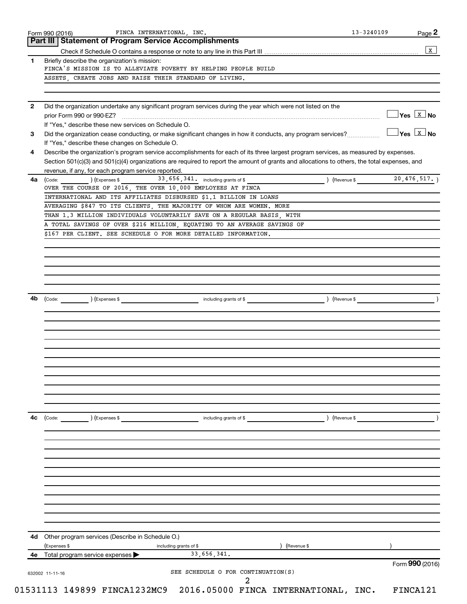|              | Form 990 (2016)<br>Part III Statement of Program Service Accomplishments | FINCA INTERNATIONAL, INC.                                                                                                                    |                               | Page 2                                                 |
|--------------|--------------------------------------------------------------------------|----------------------------------------------------------------------------------------------------------------------------------------------|-------------------------------|--------------------------------------------------------|
|              |                                                                          |                                                                                                                                              |                               | $\,$ X $\,$                                            |
| 1            | Briefly describe the organization's mission:                             |                                                                                                                                              |                               |                                                        |
|              |                                                                          | FINCA'S MISSION IS TO ALLEVIATE POVERTY BY HELPING PEOPLE BUILD                                                                              |                               |                                                        |
|              | ASSETS, CREATE JOBS AND RAISE THEIR STANDARD OF LIVING.                  |                                                                                                                                              |                               |                                                        |
|              |                                                                          |                                                                                                                                              |                               |                                                        |
| $\mathbf{2}$ |                                                                          | Did the organization undertake any significant program services during the year which were not listed on the                                 |                               |                                                        |
|              | If "Yes," describe these new services on Schedule O.                     |                                                                                                                                              |                               | $\sqrt{\mathsf{Yes}\ \boxed{\mathtt{X}\ \mathsf{No}}}$ |
| 3            |                                                                          | Did the organization cease conducting, or make significant changes in how it conducts, any program services?                                 |                               | $Yes$ $X$ No                                           |
|              | If "Yes," describe these changes on Schedule O.                          |                                                                                                                                              |                               |                                                        |
| 4            |                                                                          | Describe the organization's program service accomplishments for each of its three largest program services, as measured by expenses.         |                               |                                                        |
|              |                                                                          | Section 501(c)(3) and 501(c)(4) organizations are required to report the amount of grants and allocations to others, the total expenses, and |                               |                                                        |
|              | revenue, if any, for each program service reported.                      |                                                                                                                                              | (Revenue \$ $20, 476, 517.$ ) |                                                        |
| 4a           |                                                                          | (Code: ) (Expenses \$ 33, 656, 341. including grants of \$<br>OVER THE COURSE OF 2016, THE OVER 10,000 EMPLOYEES AT FINCA                    |                               |                                                        |
|              |                                                                          | INTERNATIONAL AND ITS AFFILIATES DISBURSED \$1.1 BILLION IN LOANS                                                                            |                               |                                                        |
|              |                                                                          | AVERAGING \$847 TO ITS CLIENTS, THE MAJORITY OF WHOM ARE WOMEN. MORE                                                                         |                               |                                                        |
|              |                                                                          | THAN 1.3 MILLION INDIVIDUALS VOLUNTARILY SAVE ON A REGULAR BASIS, WITH                                                                       |                               |                                                        |
|              |                                                                          | A TOTAL SAVINGS OF OVER \$216 MILLION, EQUATING TO AN AVERAGE SAVINGS OF                                                                     |                               |                                                        |
|              |                                                                          | \$167 PER CLIENT. SEE SCHEDULE O FOR MORE DETAILED INFORMATION.                                                                              |                               |                                                        |
|              |                                                                          |                                                                                                                                              |                               |                                                        |
|              |                                                                          |                                                                                                                                              |                               |                                                        |
|              |                                                                          |                                                                                                                                              |                               |                                                        |
|              |                                                                          |                                                                                                                                              |                               |                                                        |
|              |                                                                          |                                                                                                                                              |                               |                                                        |
| 4b           | (Code: ) (Expenses \$                                                    | including grants of \$                                                                                                                       | ) (Revenue \$                 |                                                        |
|              |                                                                          |                                                                                                                                              |                               |                                                        |
|              |                                                                          |                                                                                                                                              |                               |                                                        |
|              |                                                                          |                                                                                                                                              |                               |                                                        |
|              |                                                                          |                                                                                                                                              |                               |                                                        |
|              |                                                                          |                                                                                                                                              |                               |                                                        |
|              |                                                                          |                                                                                                                                              |                               |                                                        |
|              |                                                                          |                                                                                                                                              |                               |                                                        |
|              |                                                                          |                                                                                                                                              |                               |                                                        |
|              |                                                                          |                                                                                                                                              |                               |                                                        |
|              |                                                                          |                                                                                                                                              |                               |                                                        |
|              |                                                                          |                                                                                                                                              |                               |                                                        |
| 4c           | (Code:<br>) (Expenses \$                                                 | including grants of \$                                                                                                                       | ) (Revenue \$                 |                                                        |
|              |                                                                          |                                                                                                                                              |                               |                                                        |
|              |                                                                          |                                                                                                                                              |                               |                                                        |
|              |                                                                          |                                                                                                                                              |                               |                                                        |
|              |                                                                          |                                                                                                                                              |                               |                                                        |
|              |                                                                          |                                                                                                                                              |                               |                                                        |
|              |                                                                          |                                                                                                                                              |                               |                                                        |
|              |                                                                          |                                                                                                                                              |                               |                                                        |
|              |                                                                          |                                                                                                                                              |                               |                                                        |
|              |                                                                          |                                                                                                                                              |                               |                                                        |
|              |                                                                          |                                                                                                                                              |                               |                                                        |
| 4d           | Other program services (Describe in Schedule O.)                         |                                                                                                                                              |                               |                                                        |
|              | (Expenses \$                                                             | including grants of \$                                                                                                                       | ) (Revenue \$                 |                                                        |
|              | 4e Total program service expenses                                        | 33,656,341.                                                                                                                                  |                               |                                                        |
|              |                                                                          |                                                                                                                                              |                               | Form 990 (2016)                                        |
|              | 632002 11-11-16                                                          | SEE SCHEDULE O FOR CONTINUATION(S)                                                                                                           |                               |                                                        |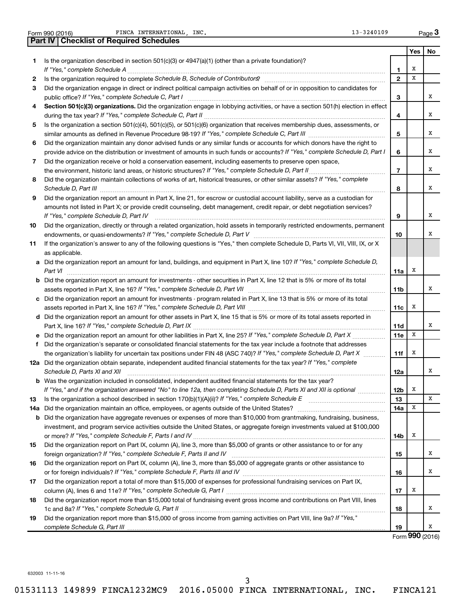| FINCA INTERNATIONAL, INC.<br>13-3240109<br>Page 3<br>Form 990 (2016) |                                                                                                                                                                                                                                     |                 |     |    |  |  |  |
|----------------------------------------------------------------------|-------------------------------------------------------------------------------------------------------------------------------------------------------------------------------------------------------------------------------------|-----------------|-----|----|--|--|--|
|                                                                      | <b>Part IV   Checklist of Required Schedules</b>                                                                                                                                                                                    |                 |     |    |  |  |  |
|                                                                      |                                                                                                                                                                                                                                     |                 | Yes | No |  |  |  |
| 1.                                                                   | Is the organization described in section 501(c)(3) or $4947(a)(1)$ (other than a private foundation)?                                                                                                                               |                 |     |    |  |  |  |
|                                                                      |                                                                                                                                                                                                                                     | 1               | х   |    |  |  |  |
| 2                                                                    | Is the organization required to complete Schedule B, Schedule of Contributors? [11] The organization required to complete Schedule B, Schedule of Contributors?                                                                     | $\overline{2}$  | x   |    |  |  |  |
| 3                                                                    | Did the organization engage in direct or indirect political campaign activities on behalf of or in opposition to candidates for                                                                                                     |                 |     |    |  |  |  |
|                                                                      |                                                                                                                                                                                                                                     | 3               |     | x  |  |  |  |
| 4                                                                    | Section 501(c)(3) organizations. Did the organization engage in lobbying activities, or have a section 501(h) election in effect                                                                                                    |                 |     |    |  |  |  |
|                                                                      |                                                                                                                                                                                                                                     | 4               |     | x  |  |  |  |
| 5                                                                    | Is the organization a section 501(c)(4), 501(c)(5), or 501(c)(6) organization that receives membership dues, assessments, or                                                                                                        | 5               |     | x  |  |  |  |
| 6                                                                    | Did the organization maintain any donor advised funds or any similar funds or accounts for which donors have the right to                                                                                                           |                 |     |    |  |  |  |
|                                                                      | provide advice on the distribution or investment of amounts in such funds or accounts? If "Yes," complete Schedule D, Part I                                                                                                        | 6               |     | x  |  |  |  |
| 7                                                                    | Did the organization receive or hold a conservation easement, including easements to preserve open space,                                                                                                                           |                 |     |    |  |  |  |
|                                                                      |                                                                                                                                                                                                                                     | $\overline{7}$  |     | x  |  |  |  |
| 8                                                                    | Did the organization maintain collections of works of art, historical treasures, or other similar assets? If "Yes," complete                                                                                                        |                 |     |    |  |  |  |
|                                                                      | Schedule D, Part III <b>Marting Community</b> Contract of the Contract of the Contract of Contract Contract of the Contract of Contract of Contract of Contract of Contract of Contract of Contract of Contract of Contract of Cont | 8               |     | x  |  |  |  |
| 9                                                                    | Did the organization report an amount in Part X, line 21, for escrow or custodial account liability, serve as a custodian for                                                                                                       |                 |     |    |  |  |  |
|                                                                      | amounts not listed in Part X; or provide credit counseling, debt management, credit repair, or debt negotiation services?                                                                                                           |                 |     |    |  |  |  |
|                                                                      | If "Yes," complete Schedule D, Part IV                                                                                                                                                                                              | 9               |     | х  |  |  |  |
| 10                                                                   | Did the organization, directly or through a related organization, hold assets in temporarily restricted endowments, permanent                                                                                                       |                 |     |    |  |  |  |
|                                                                      |                                                                                                                                                                                                                                     | 10              |     | х  |  |  |  |
| 11                                                                   | If the organization's answer to any of the following questions is "Yes," then complete Schedule D, Parts VI, VII, VIII, IX, or X                                                                                                    |                 |     |    |  |  |  |
|                                                                      | as applicable.                                                                                                                                                                                                                      |                 |     |    |  |  |  |
|                                                                      | a Did the organization report an amount for land, buildings, and equipment in Part X, line 10? If "Yes," complete Schedule D,                                                                                                       |                 |     |    |  |  |  |
|                                                                      | Part VI                                                                                                                                                                                                                             | 11a             | х   |    |  |  |  |
|                                                                      | <b>b</b> Did the organization report an amount for investments - other securities in Part X, line 12 that is 5% or more of its total                                                                                                |                 |     |    |  |  |  |
|                                                                      |                                                                                                                                                                                                                                     | 11b             |     | х  |  |  |  |
| c                                                                    | Did the organization report an amount for investments - program related in Part X, line 13 that is 5% or more of its total                                                                                                          |                 |     |    |  |  |  |
|                                                                      |                                                                                                                                                                                                                                     | 11c             | х   |    |  |  |  |
|                                                                      | d Did the organization report an amount for other assets in Part X, line 15 that is 5% or more of its total assets reported in                                                                                                      |                 |     |    |  |  |  |
|                                                                      |                                                                                                                                                                                                                                     | <b>11d</b>      |     | х  |  |  |  |
| e                                                                    |                                                                                                                                                                                                                                     | 11e             | X   |    |  |  |  |
| f                                                                    | Did the organization's separate or consolidated financial statements for the tax year include a footnote that addresses                                                                                                             |                 |     |    |  |  |  |
|                                                                      | the organization's liability for uncertain tax positions under FIN 48 (ASC 740)? If "Yes," complete Schedule D, Part X                                                                                                              | 11f             | х   |    |  |  |  |
|                                                                      | 12a Did the organization obtain separate, independent audited financial statements for the tax year? If "Yes," complete                                                                                                             |                 |     |    |  |  |  |
|                                                                      | Schedule D, Parts XI and XII                                                                                                                                                                                                        | 12a             |     | x  |  |  |  |
|                                                                      | Was the organization included in consolidated, independent audited financial statements for the tax year?                                                                                                                           |                 |     |    |  |  |  |
|                                                                      | If "Yes," and if the organization answered "No" to line 12a, then completing Schedule D, Parts XI and XII is optional <i>manum</i>                                                                                                  | 12 <sub>b</sub> | х   |    |  |  |  |
| 13                                                                   | Is the organization a school described in section 170(b)(1)(A)(ii)? If "Yes," complete Schedule E manual content content of the organization a school described in section 170(b)(1)(A)(ii)? If "Yes," complete Schedule E          | 13              |     | х  |  |  |  |
| 14a                                                                  | Did the organization maintain an office, employees, or agents outside of the United States? [[[[[[[[[[[[[[[[[                                                                                                                       | 14a             | х   |    |  |  |  |
| b                                                                    | Did the organization have aggregate revenues or expenses of more than \$10,000 from grantmaking, fundraising, business,                                                                                                             |                 |     |    |  |  |  |
|                                                                      | investment, and program service activities outside the United States, or aggregate foreign investments valued at \$100,000                                                                                                          |                 |     |    |  |  |  |
|                                                                      |                                                                                                                                                                                                                                     | 14b             | х   |    |  |  |  |
| 15                                                                   | Did the organization report on Part IX, column (A), line 3, more than \$5,000 of grants or other assistance to or for any                                                                                                           |                 |     | х  |  |  |  |
|                                                                      | Did the organization report on Part IX, column (A), line 3, more than \$5,000 of aggregate grants or other assistance to                                                                                                            | 15              |     |    |  |  |  |
| 16                                                                   |                                                                                                                                                                                                                                     | 16              |     | х  |  |  |  |
|                                                                      | Did the organization report a total of more than \$15,000 of expenses for professional fundraising services on Part IX,                                                                                                             |                 |     |    |  |  |  |
| 17                                                                   |                                                                                                                                                                                                                                     | 17              | х   |    |  |  |  |
|                                                                      | Did the organization report more than \$15,000 total of fundraising event gross income and contributions on Part VIII, lines                                                                                                        |                 |     |    |  |  |  |
| 18                                                                   |                                                                                                                                                                                                                                     | 18              |     | х  |  |  |  |
| 19                                                                   | Did the organization report more than \$15,000 of gross income from gaming activities on Part VIII, line 9a? If "Yes,"                                                                                                              |                 |     |    |  |  |  |
|                                                                      |                                                                                                                                                                                                                                     | 19              |     | х  |  |  |  |

Form (2016) **990**

632003 11-11-16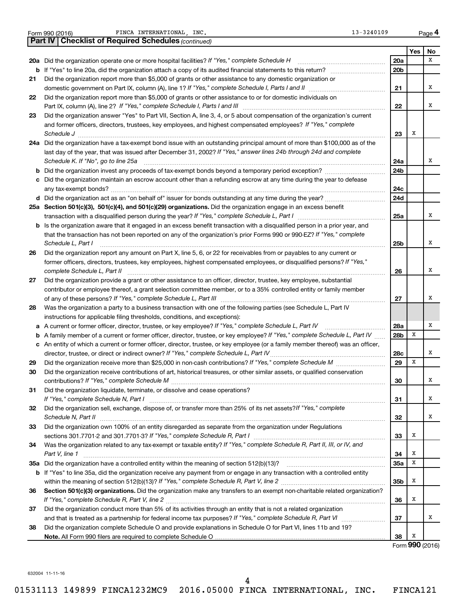|    | Part IV   Checklist of Required Schedules (continued)                                                                                                                                                                                                                                                                                                                                                                                                     |                 |     |                 |
|----|-----------------------------------------------------------------------------------------------------------------------------------------------------------------------------------------------------------------------------------------------------------------------------------------------------------------------------------------------------------------------------------------------------------------------------------------------------------|-----------------|-----|-----------------|
|    |                                                                                                                                                                                                                                                                                                                                                                                                                                                           |                 | Yes | No              |
|    | 20a Did the organization operate one or more hospital facilities? If "Yes," complete Schedule H                                                                                                                                                                                                                                                                                                                                                           | 20a             |     | X               |
| b  |                                                                                                                                                                                                                                                                                                                                                                                                                                                           | 20b             |     |                 |
| 21 | Did the organization report more than \$5,000 of grants or other assistance to any domestic organization or                                                                                                                                                                                                                                                                                                                                               |                 |     |                 |
|    |                                                                                                                                                                                                                                                                                                                                                                                                                                                           | 21              |     | X               |
| 22 | Did the organization report more than \$5,000 of grants or other assistance to or for domestic individuals on                                                                                                                                                                                                                                                                                                                                             |                 |     |                 |
|    |                                                                                                                                                                                                                                                                                                                                                                                                                                                           | 22              |     | x               |
| 23 | Did the organization answer "Yes" to Part VII, Section A, line 3, 4, or 5 about compensation of the organization's current                                                                                                                                                                                                                                                                                                                                |                 |     |                 |
|    | and former officers, directors, trustees, key employees, and highest compensated employees? If "Yes," complete                                                                                                                                                                                                                                                                                                                                            |                 |     |                 |
|    | $\textit{Schedule J} \textit{ \textbf{}} \textit{ \textbf{}} \textit{ \textbf{}} \textit{ \textbf{}} \textit{ \textbf{}} \textit{ \textbf{}} \textit{ \textbf{}} \textit{ \textbf{}} \textit{ \textbf{}} \textit{ \textbf{}} \textit{ \textbf{}} \textit{ \textbf{}} \textit{ \textbf{}} \textit{ \textbf{}} \textit{ \textbf{}} \textit{ \textbf{}} \textit{ \textbf{}} \textit{ \textbf{}} \textit{ \textbf{}} \textit{ \textbf{}} \textit{ \textbf{}}$ | 23              | х   |                 |
|    | 24a Did the organization have a tax-exempt bond issue with an outstanding principal amount of more than \$100,000 as of the                                                                                                                                                                                                                                                                                                                               |                 |     |                 |
|    | last day of the year, that was issued after December 31, 2002? If "Yes," answer lines 24b through 24d and complete                                                                                                                                                                                                                                                                                                                                        |                 |     |                 |
|    | Schedule K. If "No", go to line 25a                                                                                                                                                                                                                                                                                                                                                                                                                       | 24a             |     | x               |
| b  |                                                                                                                                                                                                                                                                                                                                                                                                                                                           | 24 <sub>b</sub> |     |                 |
|    | c Did the organization maintain an escrow account other than a refunding escrow at any time during the year to defease                                                                                                                                                                                                                                                                                                                                    |                 |     |                 |
|    |                                                                                                                                                                                                                                                                                                                                                                                                                                                           | 24c             |     |                 |
|    |                                                                                                                                                                                                                                                                                                                                                                                                                                                           | 24d             |     |                 |
|    | 25a Section 501(c)(3), 501(c)(4), and 501(c)(29) organizations. Did the organization engage in an excess benefit                                                                                                                                                                                                                                                                                                                                          |                 |     |                 |
|    |                                                                                                                                                                                                                                                                                                                                                                                                                                                           | 25a             |     | x               |
|    | <b>b</b> Is the organization aware that it engaged in an excess benefit transaction with a disqualified person in a prior year, and                                                                                                                                                                                                                                                                                                                       |                 |     |                 |
|    | that the transaction has not been reported on any of the organization's prior Forms 990 or 990-EZ? If "Yes," complete                                                                                                                                                                                                                                                                                                                                     |                 |     |                 |
|    | Schedule L, Part I                                                                                                                                                                                                                                                                                                                                                                                                                                        | 25b             |     | x               |
| 26 | Did the organization report any amount on Part X, line 5, 6, or 22 for receivables from or payables to any current or                                                                                                                                                                                                                                                                                                                                     |                 |     |                 |
|    | former officers, directors, trustees, key employees, highest compensated employees, or disqualified persons? If "Yes,"                                                                                                                                                                                                                                                                                                                                    |                 |     |                 |
|    | complete Schedule L, Part II                                                                                                                                                                                                                                                                                                                                                                                                                              | 26              |     | x               |
| 27 | Did the organization provide a grant or other assistance to an officer, director, trustee, key employee, substantial                                                                                                                                                                                                                                                                                                                                      |                 |     |                 |
|    | contributor or employee thereof, a grant selection committee member, or to a 35% controlled entity or family member                                                                                                                                                                                                                                                                                                                                       |                 |     |                 |
|    |                                                                                                                                                                                                                                                                                                                                                                                                                                                           | 27              |     | x               |
| 28 | Was the organization a party to a business transaction with one of the following parties (see Schedule L, Part IV                                                                                                                                                                                                                                                                                                                                         |                 |     |                 |
|    | instructions for applicable filing thresholds, conditions, and exceptions):                                                                                                                                                                                                                                                                                                                                                                               |                 |     |                 |
| а  | A current or former officer, director, trustee, or key employee? If "Yes," complete Schedule L, Part IV                                                                                                                                                                                                                                                                                                                                                   | 28a             |     | х               |
| b  | A family member of a current or former officer, director, trustee, or key employee? If "Yes," complete Schedule L, Part IV                                                                                                                                                                                                                                                                                                                                | 28b             | х   |                 |
|    | c An entity of which a current or former officer, director, trustee, or key employee (or a family member thereof) was an officer,                                                                                                                                                                                                                                                                                                                         |                 |     |                 |
|    | director, trustee, or direct or indirect owner? If "Yes," complete Schedule L, Part IV                                                                                                                                                                                                                                                                                                                                                                    | 28c             |     | x               |
| 29 |                                                                                                                                                                                                                                                                                                                                                                                                                                                           | 29              | X   |                 |
| 30 | Did the organization receive contributions of art, historical treasures, or other similar assets, or qualified conservation                                                                                                                                                                                                                                                                                                                               |                 |     |                 |
|    |                                                                                                                                                                                                                                                                                                                                                                                                                                                           | 30              |     | A               |
| 31 | Did the organization liquidate, terminate, or dissolve and cease operations?                                                                                                                                                                                                                                                                                                                                                                              |                 |     |                 |
|    |                                                                                                                                                                                                                                                                                                                                                                                                                                                           | 31              |     | x               |
| 32 | Did the organization sell, exchange, dispose of, or transfer more than 25% of its net assets? If "Yes," complete                                                                                                                                                                                                                                                                                                                                          |                 |     |                 |
|    | Schedule N, Part II                                                                                                                                                                                                                                                                                                                                                                                                                                       | 32              |     | x               |
| 33 | Did the organization own 100% of an entity disregarded as separate from the organization under Regulations                                                                                                                                                                                                                                                                                                                                                |                 |     |                 |
|    |                                                                                                                                                                                                                                                                                                                                                                                                                                                           | 33              | х   |                 |
| 34 | Was the organization related to any tax-exempt or taxable entity? If "Yes," complete Schedule R, Part II, III, or IV, and                                                                                                                                                                                                                                                                                                                                 |                 |     |                 |
|    | Part V, line 1                                                                                                                                                                                                                                                                                                                                                                                                                                            | 34              | X   |                 |
|    |                                                                                                                                                                                                                                                                                                                                                                                                                                                           | 35а             | х   |                 |
| b  | If "Yes" to line 35a, did the organization receive any payment from or engage in any transaction with a controlled entity                                                                                                                                                                                                                                                                                                                                 |                 |     |                 |
|    |                                                                                                                                                                                                                                                                                                                                                                                                                                                           | 35b             | х   |                 |
| 36 | Section 501(c)(3) organizations. Did the organization make any transfers to an exempt non-charitable related organization?                                                                                                                                                                                                                                                                                                                                |                 |     |                 |
|    |                                                                                                                                                                                                                                                                                                                                                                                                                                                           | 36              | х   |                 |
| 37 | Did the organization conduct more than 5% of its activities through an entity that is not a related organization                                                                                                                                                                                                                                                                                                                                          |                 |     |                 |
|    |                                                                                                                                                                                                                                                                                                                                                                                                                                                           | 37              |     | x               |
| 38 | Did the organization complete Schedule O and provide explanations in Schedule O for Part VI, lines 11b and 19?                                                                                                                                                                                                                                                                                                                                            |                 |     |                 |
|    |                                                                                                                                                                                                                                                                                                                                                                                                                                                           | 38              | х   |                 |
|    |                                                                                                                                                                                                                                                                                                                                                                                                                                                           |                 |     | Form 990 (2016) |

Form 990 (2016) **PERIOU PE EXECUTE EXECUTE EXECUTE A PAGE 13-3240109** Page

**4**

632004 11-11-16

4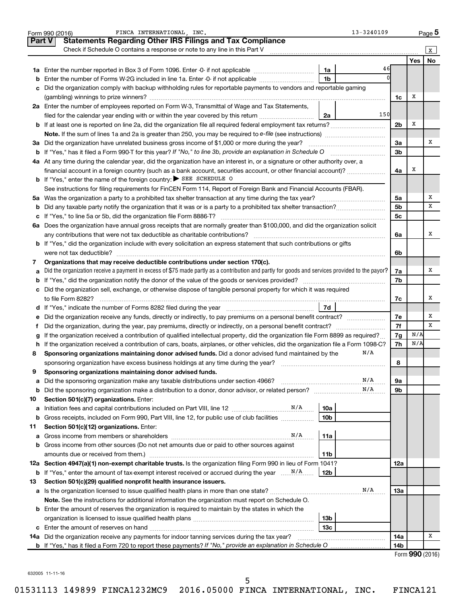| <b>Statements Regarding Other IRS Filings and Tax Compliance</b><br><b>Part V</b><br>Check if Schedule O contains a response or note to any line in this Part V<br>X<br><b>No</b><br><b>Yes</b><br>46<br>1a<br>1 <sub>b</sub><br>Enter the number of Forms W-2G included in line 1a. Enter -0- if not applicable<br>b<br>Did the organization comply with backup withholding rules for reportable payments to vendors and reportable gaming<br>c<br>х<br>1c<br>2a Enter the number of employees reported on Form W-3, Transmittal of Wage and Tax Statements,<br>150<br>filed for the calendar year ending with or within the year covered by this return<br>2a<br>Х<br>2 <sub>b</sub><br>х<br>3a Did the organization have unrelated business gross income of \$1,000 or more during the year?<br>3a<br>3 <sub>b</sub><br>b<br>4a At any time during the calendar year, did the organization have an interest in, or a signature or other authority over, a<br>financial account in a foreign country (such as a bank account, securities account, or other financial account)?<br>х<br>4a<br><b>b</b> If "Yes," enter the name of the foreign country: SEE SCHEDULE O<br>See instructions for filing requirements for FinCEN Form 114, Report of Foreign Bank and Financial Accounts (FBAR).<br>х<br>5a<br>5а<br>x<br>5 <sub>b</sub><br>b<br>5 <sub>c</sub><br>с<br>Does the organization have annual gross receipts that are normally greater than \$100,000, and did the organization solicit<br>6a<br>х<br>any contributions that were not tax deductible as charitable contributions?<br>6a<br>b If "Yes," did the organization include with every solicitation an express statement that such contributions or gifts<br>were not tax deductible?<br>6b<br>Organizations that may receive deductible contributions under section 170(c).<br>7<br>Did the organization receive a payment in excess of \$75 made partly as a contribution and partly for goods and services provided to the payor?<br>х<br>7a<br>а<br>7b<br>b<br>Did the organization sell, exchange, or otherwise dispose of tangible personal property for which it was required<br>с<br>х<br>7c<br>7d<br>d If "Yes," indicate the number of Forms 8282 filed during the year manufactured in the set of the number of Forms 8282 filed during the year manufactured in the substitution.<br>x<br>7e<br>е<br>7f<br>x<br>N/A<br>If the organization received a contribution of qualified intellectual property, did the organization file Form 8899 as required?<br>7g<br>N/A<br>If the organization received a contribution of cars, boats, airplanes, or other vehicles, did the organization file a Form 1098-C?<br>7h<br>h<br>N/A<br>Sponsoring organizations maintaining donor advised funds. Did a donor advised fund maintained by the<br>8<br>sponsoring organization have excess business holdings at any time during the year?<br>8<br>Sponsoring organizations maintaining donor advised funds.<br>9<br>N/A<br>Did the sponsoring organization make any taxable distributions under section 4966?<br>9а<br>а<br>N/A<br>9b<br>b<br>Section 501(c)(7) organizations. Enter:<br>10<br>10a<br>а<br>Gross receipts, included on Form 990, Part VIII, line 12, for public use of club facilities<br>10 <sub>b</sub><br>b<br>Section 501(c)(12) organizations. Enter:<br>11<br>N/A<br>11a<br>а<br>Gross income from other sources (Do not net amounts due or paid to other sources against<br>b<br>amounts due or received from them.)<br>11b<br>12a Section 4947(a)(1) non-exempt charitable trusts. Is the organization filing Form 990 in lieu of Form 1041?<br>12a<br>12 <sub>b</sub><br>b<br>Section 501(c)(29) qualified nonprofit health insurance issuers.<br>13<br>N/A<br>Is the organization licensed to issue qualified health plans in more than one state?<br>13a<br>а<br>Note. See the instructions for additional information the organization must report on Schedule O.<br><b>b</b> Enter the amount of reserves the organization is required to maintain by the states in which the<br>13 <sub>b</sub><br>13 <sub>c</sub><br>c<br>14a Did the organization receive any payments for indoor tanning services during the tax year?<br>x<br>14a<br><b>b</b> If "Yes," has it filed a Form 720 to report these payments? If "No," provide an explanation in Schedule O<br>14b | FINCA INTERNATIONAL INC.<br>13-3240109<br>Form 990 (2016) |  | Page 5 |
|----------------------------------------------------------------------------------------------------------------------------------------------------------------------------------------------------------------------------------------------------------------------------------------------------------------------------------------------------------------------------------------------------------------------------------------------------------------------------------------------------------------------------------------------------------------------------------------------------------------------------------------------------------------------------------------------------------------------------------------------------------------------------------------------------------------------------------------------------------------------------------------------------------------------------------------------------------------------------------------------------------------------------------------------------------------------------------------------------------------------------------------------------------------------------------------------------------------------------------------------------------------------------------------------------------------------------------------------------------------------------------------------------------------------------------------------------------------------------------------------------------------------------------------------------------------------------------------------------------------------------------------------------------------------------------------------------------------------------------------------------------------------------------------------------------------------------------------------------------------------------------------------------------------------------------------------------------------------------------------------------------------------------------------------------------------------------------------------------------------------------------------------------------------------------------------------------------------------------------------------------------------------------------------------------------------------------------------------------------------------------------------------------------------------------------------------------------------------------------------------------------------------------------------------------------------------------------------------------------------------------------------------------------------------------------------------------------------------------------------------------------------------------------------------------------------------------------------------------------------------------------------------------------------------------------------------------------------------------------------------------------------------------------------------------------------------------------------------------------------------------------------------------------------------------------------------------------------------------------------------------------------------------------------------------------------------------------------------------------------------------------------------------------------------------------------------------------------------------------------------------------------------------------------------------------------------------------------------------------------------------------------------------------------------------------------------------------------------------------------------------------------------------------------------------------------------------------------------------------------------------------------------------------------------------------------------------------------------------------------------------------------------------------------------------------------------------------------------------------------------------------------------------------------------------------------------------------------------------------------------------------------------------------------------------------------------------------------------------------------------|-----------------------------------------------------------|--|--------|
|                                                                                                                                                                                                                                                                                                                                                                                                                                                                                                                                                                                                                                                                                                                                                                                                                                                                                                                                                                                                                                                                                                                                                                                                                                                                                                                                                                                                                                                                                                                                                                                                                                                                                                                                                                                                                                                                                                                                                                                                                                                                                                                                                                                                                                                                                                                                                                                                                                                                                                                                                                                                                                                                                                                                                                                                                                                                                                                                                                                                                                                                                                                                                                                                                                                                                                                                                                                                                                                                                                                                                                                                                                                                                                                                                                                                                                                                                                                                                                                                                                                                                                                                                                                                                                                                                                                                                                      |                                                           |  |        |
|                                                                                                                                                                                                                                                                                                                                                                                                                                                                                                                                                                                                                                                                                                                                                                                                                                                                                                                                                                                                                                                                                                                                                                                                                                                                                                                                                                                                                                                                                                                                                                                                                                                                                                                                                                                                                                                                                                                                                                                                                                                                                                                                                                                                                                                                                                                                                                                                                                                                                                                                                                                                                                                                                                                                                                                                                                                                                                                                                                                                                                                                                                                                                                                                                                                                                                                                                                                                                                                                                                                                                                                                                                                                                                                                                                                                                                                                                                                                                                                                                                                                                                                                                                                                                                                                                                                                                                      |                                                           |  |        |
|                                                                                                                                                                                                                                                                                                                                                                                                                                                                                                                                                                                                                                                                                                                                                                                                                                                                                                                                                                                                                                                                                                                                                                                                                                                                                                                                                                                                                                                                                                                                                                                                                                                                                                                                                                                                                                                                                                                                                                                                                                                                                                                                                                                                                                                                                                                                                                                                                                                                                                                                                                                                                                                                                                                                                                                                                                                                                                                                                                                                                                                                                                                                                                                                                                                                                                                                                                                                                                                                                                                                                                                                                                                                                                                                                                                                                                                                                                                                                                                                                                                                                                                                                                                                                                                                                                                                                                      |                                                           |  |        |
|                                                                                                                                                                                                                                                                                                                                                                                                                                                                                                                                                                                                                                                                                                                                                                                                                                                                                                                                                                                                                                                                                                                                                                                                                                                                                                                                                                                                                                                                                                                                                                                                                                                                                                                                                                                                                                                                                                                                                                                                                                                                                                                                                                                                                                                                                                                                                                                                                                                                                                                                                                                                                                                                                                                                                                                                                                                                                                                                                                                                                                                                                                                                                                                                                                                                                                                                                                                                                                                                                                                                                                                                                                                                                                                                                                                                                                                                                                                                                                                                                                                                                                                                                                                                                                                                                                                                                                      |                                                           |  |        |
|                                                                                                                                                                                                                                                                                                                                                                                                                                                                                                                                                                                                                                                                                                                                                                                                                                                                                                                                                                                                                                                                                                                                                                                                                                                                                                                                                                                                                                                                                                                                                                                                                                                                                                                                                                                                                                                                                                                                                                                                                                                                                                                                                                                                                                                                                                                                                                                                                                                                                                                                                                                                                                                                                                                                                                                                                                                                                                                                                                                                                                                                                                                                                                                                                                                                                                                                                                                                                                                                                                                                                                                                                                                                                                                                                                                                                                                                                                                                                                                                                                                                                                                                                                                                                                                                                                                                                                      |                                                           |  |        |
|                                                                                                                                                                                                                                                                                                                                                                                                                                                                                                                                                                                                                                                                                                                                                                                                                                                                                                                                                                                                                                                                                                                                                                                                                                                                                                                                                                                                                                                                                                                                                                                                                                                                                                                                                                                                                                                                                                                                                                                                                                                                                                                                                                                                                                                                                                                                                                                                                                                                                                                                                                                                                                                                                                                                                                                                                                                                                                                                                                                                                                                                                                                                                                                                                                                                                                                                                                                                                                                                                                                                                                                                                                                                                                                                                                                                                                                                                                                                                                                                                                                                                                                                                                                                                                                                                                                                                                      |                                                           |  |        |
|                                                                                                                                                                                                                                                                                                                                                                                                                                                                                                                                                                                                                                                                                                                                                                                                                                                                                                                                                                                                                                                                                                                                                                                                                                                                                                                                                                                                                                                                                                                                                                                                                                                                                                                                                                                                                                                                                                                                                                                                                                                                                                                                                                                                                                                                                                                                                                                                                                                                                                                                                                                                                                                                                                                                                                                                                                                                                                                                                                                                                                                                                                                                                                                                                                                                                                                                                                                                                                                                                                                                                                                                                                                                                                                                                                                                                                                                                                                                                                                                                                                                                                                                                                                                                                                                                                                                                                      |                                                           |  |        |
|                                                                                                                                                                                                                                                                                                                                                                                                                                                                                                                                                                                                                                                                                                                                                                                                                                                                                                                                                                                                                                                                                                                                                                                                                                                                                                                                                                                                                                                                                                                                                                                                                                                                                                                                                                                                                                                                                                                                                                                                                                                                                                                                                                                                                                                                                                                                                                                                                                                                                                                                                                                                                                                                                                                                                                                                                                                                                                                                                                                                                                                                                                                                                                                                                                                                                                                                                                                                                                                                                                                                                                                                                                                                                                                                                                                                                                                                                                                                                                                                                                                                                                                                                                                                                                                                                                                                                                      |                                                           |  |        |
|                                                                                                                                                                                                                                                                                                                                                                                                                                                                                                                                                                                                                                                                                                                                                                                                                                                                                                                                                                                                                                                                                                                                                                                                                                                                                                                                                                                                                                                                                                                                                                                                                                                                                                                                                                                                                                                                                                                                                                                                                                                                                                                                                                                                                                                                                                                                                                                                                                                                                                                                                                                                                                                                                                                                                                                                                                                                                                                                                                                                                                                                                                                                                                                                                                                                                                                                                                                                                                                                                                                                                                                                                                                                                                                                                                                                                                                                                                                                                                                                                                                                                                                                                                                                                                                                                                                                                                      |                                                           |  |        |
|                                                                                                                                                                                                                                                                                                                                                                                                                                                                                                                                                                                                                                                                                                                                                                                                                                                                                                                                                                                                                                                                                                                                                                                                                                                                                                                                                                                                                                                                                                                                                                                                                                                                                                                                                                                                                                                                                                                                                                                                                                                                                                                                                                                                                                                                                                                                                                                                                                                                                                                                                                                                                                                                                                                                                                                                                                                                                                                                                                                                                                                                                                                                                                                                                                                                                                                                                                                                                                                                                                                                                                                                                                                                                                                                                                                                                                                                                                                                                                                                                                                                                                                                                                                                                                                                                                                                                                      |                                                           |  |        |
|                                                                                                                                                                                                                                                                                                                                                                                                                                                                                                                                                                                                                                                                                                                                                                                                                                                                                                                                                                                                                                                                                                                                                                                                                                                                                                                                                                                                                                                                                                                                                                                                                                                                                                                                                                                                                                                                                                                                                                                                                                                                                                                                                                                                                                                                                                                                                                                                                                                                                                                                                                                                                                                                                                                                                                                                                                                                                                                                                                                                                                                                                                                                                                                                                                                                                                                                                                                                                                                                                                                                                                                                                                                                                                                                                                                                                                                                                                                                                                                                                                                                                                                                                                                                                                                                                                                                                                      |                                                           |  |        |
|                                                                                                                                                                                                                                                                                                                                                                                                                                                                                                                                                                                                                                                                                                                                                                                                                                                                                                                                                                                                                                                                                                                                                                                                                                                                                                                                                                                                                                                                                                                                                                                                                                                                                                                                                                                                                                                                                                                                                                                                                                                                                                                                                                                                                                                                                                                                                                                                                                                                                                                                                                                                                                                                                                                                                                                                                                                                                                                                                                                                                                                                                                                                                                                                                                                                                                                                                                                                                                                                                                                                                                                                                                                                                                                                                                                                                                                                                                                                                                                                                                                                                                                                                                                                                                                                                                                                                                      |                                                           |  |        |
|                                                                                                                                                                                                                                                                                                                                                                                                                                                                                                                                                                                                                                                                                                                                                                                                                                                                                                                                                                                                                                                                                                                                                                                                                                                                                                                                                                                                                                                                                                                                                                                                                                                                                                                                                                                                                                                                                                                                                                                                                                                                                                                                                                                                                                                                                                                                                                                                                                                                                                                                                                                                                                                                                                                                                                                                                                                                                                                                                                                                                                                                                                                                                                                                                                                                                                                                                                                                                                                                                                                                                                                                                                                                                                                                                                                                                                                                                                                                                                                                                                                                                                                                                                                                                                                                                                                                                                      |                                                           |  |        |
|                                                                                                                                                                                                                                                                                                                                                                                                                                                                                                                                                                                                                                                                                                                                                                                                                                                                                                                                                                                                                                                                                                                                                                                                                                                                                                                                                                                                                                                                                                                                                                                                                                                                                                                                                                                                                                                                                                                                                                                                                                                                                                                                                                                                                                                                                                                                                                                                                                                                                                                                                                                                                                                                                                                                                                                                                                                                                                                                                                                                                                                                                                                                                                                                                                                                                                                                                                                                                                                                                                                                                                                                                                                                                                                                                                                                                                                                                                                                                                                                                                                                                                                                                                                                                                                                                                                                                                      |                                                           |  |        |
|                                                                                                                                                                                                                                                                                                                                                                                                                                                                                                                                                                                                                                                                                                                                                                                                                                                                                                                                                                                                                                                                                                                                                                                                                                                                                                                                                                                                                                                                                                                                                                                                                                                                                                                                                                                                                                                                                                                                                                                                                                                                                                                                                                                                                                                                                                                                                                                                                                                                                                                                                                                                                                                                                                                                                                                                                                                                                                                                                                                                                                                                                                                                                                                                                                                                                                                                                                                                                                                                                                                                                                                                                                                                                                                                                                                                                                                                                                                                                                                                                                                                                                                                                                                                                                                                                                                                                                      |                                                           |  |        |
|                                                                                                                                                                                                                                                                                                                                                                                                                                                                                                                                                                                                                                                                                                                                                                                                                                                                                                                                                                                                                                                                                                                                                                                                                                                                                                                                                                                                                                                                                                                                                                                                                                                                                                                                                                                                                                                                                                                                                                                                                                                                                                                                                                                                                                                                                                                                                                                                                                                                                                                                                                                                                                                                                                                                                                                                                                                                                                                                                                                                                                                                                                                                                                                                                                                                                                                                                                                                                                                                                                                                                                                                                                                                                                                                                                                                                                                                                                                                                                                                                                                                                                                                                                                                                                                                                                                                                                      |                                                           |  |        |
|                                                                                                                                                                                                                                                                                                                                                                                                                                                                                                                                                                                                                                                                                                                                                                                                                                                                                                                                                                                                                                                                                                                                                                                                                                                                                                                                                                                                                                                                                                                                                                                                                                                                                                                                                                                                                                                                                                                                                                                                                                                                                                                                                                                                                                                                                                                                                                                                                                                                                                                                                                                                                                                                                                                                                                                                                                                                                                                                                                                                                                                                                                                                                                                                                                                                                                                                                                                                                                                                                                                                                                                                                                                                                                                                                                                                                                                                                                                                                                                                                                                                                                                                                                                                                                                                                                                                                                      |                                                           |  |        |
|                                                                                                                                                                                                                                                                                                                                                                                                                                                                                                                                                                                                                                                                                                                                                                                                                                                                                                                                                                                                                                                                                                                                                                                                                                                                                                                                                                                                                                                                                                                                                                                                                                                                                                                                                                                                                                                                                                                                                                                                                                                                                                                                                                                                                                                                                                                                                                                                                                                                                                                                                                                                                                                                                                                                                                                                                                                                                                                                                                                                                                                                                                                                                                                                                                                                                                                                                                                                                                                                                                                                                                                                                                                                                                                                                                                                                                                                                                                                                                                                                                                                                                                                                                                                                                                                                                                                                                      |                                                           |  |        |
|                                                                                                                                                                                                                                                                                                                                                                                                                                                                                                                                                                                                                                                                                                                                                                                                                                                                                                                                                                                                                                                                                                                                                                                                                                                                                                                                                                                                                                                                                                                                                                                                                                                                                                                                                                                                                                                                                                                                                                                                                                                                                                                                                                                                                                                                                                                                                                                                                                                                                                                                                                                                                                                                                                                                                                                                                                                                                                                                                                                                                                                                                                                                                                                                                                                                                                                                                                                                                                                                                                                                                                                                                                                                                                                                                                                                                                                                                                                                                                                                                                                                                                                                                                                                                                                                                                                                                                      |                                                           |  |        |
|                                                                                                                                                                                                                                                                                                                                                                                                                                                                                                                                                                                                                                                                                                                                                                                                                                                                                                                                                                                                                                                                                                                                                                                                                                                                                                                                                                                                                                                                                                                                                                                                                                                                                                                                                                                                                                                                                                                                                                                                                                                                                                                                                                                                                                                                                                                                                                                                                                                                                                                                                                                                                                                                                                                                                                                                                                                                                                                                                                                                                                                                                                                                                                                                                                                                                                                                                                                                                                                                                                                                                                                                                                                                                                                                                                                                                                                                                                                                                                                                                                                                                                                                                                                                                                                                                                                                                                      |                                                           |  |        |
|                                                                                                                                                                                                                                                                                                                                                                                                                                                                                                                                                                                                                                                                                                                                                                                                                                                                                                                                                                                                                                                                                                                                                                                                                                                                                                                                                                                                                                                                                                                                                                                                                                                                                                                                                                                                                                                                                                                                                                                                                                                                                                                                                                                                                                                                                                                                                                                                                                                                                                                                                                                                                                                                                                                                                                                                                                                                                                                                                                                                                                                                                                                                                                                                                                                                                                                                                                                                                                                                                                                                                                                                                                                                                                                                                                                                                                                                                                                                                                                                                                                                                                                                                                                                                                                                                                                                                                      |                                                           |  |        |
|                                                                                                                                                                                                                                                                                                                                                                                                                                                                                                                                                                                                                                                                                                                                                                                                                                                                                                                                                                                                                                                                                                                                                                                                                                                                                                                                                                                                                                                                                                                                                                                                                                                                                                                                                                                                                                                                                                                                                                                                                                                                                                                                                                                                                                                                                                                                                                                                                                                                                                                                                                                                                                                                                                                                                                                                                                                                                                                                                                                                                                                                                                                                                                                                                                                                                                                                                                                                                                                                                                                                                                                                                                                                                                                                                                                                                                                                                                                                                                                                                                                                                                                                                                                                                                                                                                                                                                      |                                                           |  |        |
|                                                                                                                                                                                                                                                                                                                                                                                                                                                                                                                                                                                                                                                                                                                                                                                                                                                                                                                                                                                                                                                                                                                                                                                                                                                                                                                                                                                                                                                                                                                                                                                                                                                                                                                                                                                                                                                                                                                                                                                                                                                                                                                                                                                                                                                                                                                                                                                                                                                                                                                                                                                                                                                                                                                                                                                                                                                                                                                                                                                                                                                                                                                                                                                                                                                                                                                                                                                                                                                                                                                                                                                                                                                                                                                                                                                                                                                                                                                                                                                                                                                                                                                                                                                                                                                                                                                                                                      |                                                           |  |        |
|                                                                                                                                                                                                                                                                                                                                                                                                                                                                                                                                                                                                                                                                                                                                                                                                                                                                                                                                                                                                                                                                                                                                                                                                                                                                                                                                                                                                                                                                                                                                                                                                                                                                                                                                                                                                                                                                                                                                                                                                                                                                                                                                                                                                                                                                                                                                                                                                                                                                                                                                                                                                                                                                                                                                                                                                                                                                                                                                                                                                                                                                                                                                                                                                                                                                                                                                                                                                                                                                                                                                                                                                                                                                                                                                                                                                                                                                                                                                                                                                                                                                                                                                                                                                                                                                                                                                                                      |                                                           |  |        |
| Form 990 (2016)                                                                                                                                                                                                                                                                                                                                                                                                                                                                                                                                                                                                                                                                                                                                                                                                                                                                                                                                                                                                                                                                                                                                                                                                                                                                                                                                                                                                                                                                                                                                                                                                                                                                                                                                                                                                                                                                                                                                                                                                                                                                                                                                                                                                                                                                                                                                                                                                                                                                                                                                                                                                                                                                                                                                                                                                                                                                                                                                                                                                                                                                                                                                                                                                                                                                                                                                                                                                                                                                                                                                                                                                                                                                                                                                                                                                                                                                                                                                                                                                                                                                                                                                                                                                                                                                                                                                                      |                                                           |  |        |
|                                                                                                                                                                                                                                                                                                                                                                                                                                                                                                                                                                                                                                                                                                                                                                                                                                                                                                                                                                                                                                                                                                                                                                                                                                                                                                                                                                                                                                                                                                                                                                                                                                                                                                                                                                                                                                                                                                                                                                                                                                                                                                                                                                                                                                                                                                                                                                                                                                                                                                                                                                                                                                                                                                                                                                                                                                                                                                                                                                                                                                                                                                                                                                                                                                                                                                                                                                                                                                                                                                                                                                                                                                                                                                                                                                                                                                                                                                                                                                                                                                                                                                                                                                                                                                                                                                                                                                      |                                                           |  |        |
|                                                                                                                                                                                                                                                                                                                                                                                                                                                                                                                                                                                                                                                                                                                                                                                                                                                                                                                                                                                                                                                                                                                                                                                                                                                                                                                                                                                                                                                                                                                                                                                                                                                                                                                                                                                                                                                                                                                                                                                                                                                                                                                                                                                                                                                                                                                                                                                                                                                                                                                                                                                                                                                                                                                                                                                                                                                                                                                                                                                                                                                                                                                                                                                                                                                                                                                                                                                                                                                                                                                                                                                                                                                                                                                                                                                                                                                                                                                                                                                                                                                                                                                                                                                                                                                                                                                                                                      |                                                           |  |        |
|                                                                                                                                                                                                                                                                                                                                                                                                                                                                                                                                                                                                                                                                                                                                                                                                                                                                                                                                                                                                                                                                                                                                                                                                                                                                                                                                                                                                                                                                                                                                                                                                                                                                                                                                                                                                                                                                                                                                                                                                                                                                                                                                                                                                                                                                                                                                                                                                                                                                                                                                                                                                                                                                                                                                                                                                                                                                                                                                                                                                                                                                                                                                                                                                                                                                                                                                                                                                                                                                                                                                                                                                                                                                                                                                                                                                                                                                                                                                                                                                                                                                                                                                                                                                                                                                                                                                                                      |                                                           |  |        |
|                                                                                                                                                                                                                                                                                                                                                                                                                                                                                                                                                                                                                                                                                                                                                                                                                                                                                                                                                                                                                                                                                                                                                                                                                                                                                                                                                                                                                                                                                                                                                                                                                                                                                                                                                                                                                                                                                                                                                                                                                                                                                                                                                                                                                                                                                                                                                                                                                                                                                                                                                                                                                                                                                                                                                                                                                                                                                                                                                                                                                                                                                                                                                                                                                                                                                                                                                                                                                                                                                                                                                                                                                                                                                                                                                                                                                                                                                                                                                                                                                                                                                                                                                                                                                                                                                                                                                                      |                                                           |  |        |
|                                                                                                                                                                                                                                                                                                                                                                                                                                                                                                                                                                                                                                                                                                                                                                                                                                                                                                                                                                                                                                                                                                                                                                                                                                                                                                                                                                                                                                                                                                                                                                                                                                                                                                                                                                                                                                                                                                                                                                                                                                                                                                                                                                                                                                                                                                                                                                                                                                                                                                                                                                                                                                                                                                                                                                                                                                                                                                                                                                                                                                                                                                                                                                                                                                                                                                                                                                                                                                                                                                                                                                                                                                                                                                                                                                                                                                                                                                                                                                                                                                                                                                                                                                                                                                                                                                                                                                      |                                                           |  |        |
|                                                                                                                                                                                                                                                                                                                                                                                                                                                                                                                                                                                                                                                                                                                                                                                                                                                                                                                                                                                                                                                                                                                                                                                                                                                                                                                                                                                                                                                                                                                                                                                                                                                                                                                                                                                                                                                                                                                                                                                                                                                                                                                                                                                                                                                                                                                                                                                                                                                                                                                                                                                                                                                                                                                                                                                                                                                                                                                                                                                                                                                                                                                                                                                                                                                                                                                                                                                                                                                                                                                                                                                                                                                                                                                                                                                                                                                                                                                                                                                                                                                                                                                                                                                                                                                                                                                                                                      |                                                           |  |        |
|                                                                                                                                                                                                                                                                                                                                                                                                                                                                                                                                                                                                                                                                                                                                                                                                                                                                                                                                                                                                                                                                                                                                                                                                                                                                                                                                                                                                                                                                                                                                                                                                                                                                                                                                                                                                                                                                                                                                                                                                                                                                                                                                                                                                                                                                                                                                                                                                                                                                                                                                                                                                                                                                                                                                                                                                                                                                                                                                                                                                                                                                                                                                                                                                                                                                                                                                                                                                                                                                                                                                                                                                                                                                                                                                                                                                                                                                                                                                                                                                                                                                                                                                                                                                                                                                                                                                                                      |                                                           |  |        |
|                                                                                                                                                                                                                                                                                                                                                                                                                                                                                                                                                                                                                                                                                                                                                                                                                                                                                                                                                                                                                                                                                                                                                                                                                                                                                                                                                                                                                                                                                                                                                                                                                                                                                                                                                                                                                                                                                                                                                                                                                                                                                                                                                                                                                                                                                                                                                                                                                                                                                                                                                                                                                                                                                                                                                                                                                                                                                                                                                                                                                                                                                                                                                                                                                                                                                                                                                                                                                                                                                                                                                                                                                                                                                                                                                                                                                                                                                                                                                                                                                                                                                                                                                                                                                                                                                                                                                                      |                                                           |  |        |
|                                                                                                                                                                                                                                                                                                                                                                                                                                                                                                                                                                                                                                                                                                                                                                                                                                                                                                                                                                                                                                                                                                                                                                                                                                                                                                                                                                                                                                                                                                                                                                                                                                                                                                                                                                                                                                                                                                                                                                                                                                                                                                                                                                                                                                                                                                                                                                                                                                                                                                                                                                                                                                                                                                                                                                                                                                                                                                                                                                                                                                                                                                                                                                                                                                                                                                                                                                                                                                                                                                                                                                                                                                                                                                                                                                                                                                                                                                                                                                                                                                                                                                                                                                                                                                                                                                                                                                      |                                                           |  |        |
|                                                                                                                                                                                                                                                                                                                                                                                                                                                                                                                                                                                                                                                                                                                                                                                                                                                                                                                                                                                                                                                                                                                                                                                                                                                                                                                                                                                                                                                                                                                                                                                                                                                                                                                                                                                                                                                                                                                                                                                                                                                                                                                                                                                                                                                                                                                                                                                                                                                                                                                                                                                                                                                                                                                                                                                                                                                                                                                                                                                                                                                                                                                                                                                                                                                                                                                                                                                                                                                                                                                                                                                                                                                                                                                                                                                                                                                                                                                                                                                                                                                                                                                                                                                                                                                                                                                                                                      |                                                           |  |        |
|                                                                                                                                                                                                                                                                                                                                                                                                                                                                                                                                                                                                                                                                                                                                                                                                                                                                                                                                                                                                                                                                                                                                                                                                                                                                                                                                                                                                                                                                                                                                                                                                                                                                                                                                                                                                                                                                                                                                                                                                                                                                                                                                                                                                                                                                                                                                                                                                                                                                                                                                                                                                                                                                                                                                                                                                                                                                                                                                                                                                                                                                                                                                                                                                                                                                                                                                                                                                                                                                                                                                                                                                                                                                                                                                                                                                                                                                                                                                                                                                                                                                                                                                                                                                                                                                                                                                                                      |                                                           |  |        |
|                                                                                                                                                                                                                                                                                                                                                                                                                                                                                                                                                                                                                                                                                                                                                                                                                                                                                                                                                                                                                                                                                                                                                                                                                                                                                                                                                                                                                                                                                                                                                                                                                                                                                                                                                                                                                                                                                                                                                                                                                                                                                                                                                                                                                                                                                                                                                                                                                                                                                                                                                                                                                                                                                                                                                                                                                                                                                                                                                                                                                                                                                                                                                                                                                                                                                                                                                                                                                                                                                                                                                                                                                                                                                                                                                                                                                                                                                                                                                                                                                                                                                                                                                                                                                                                                                                                                                                      |                                                           |  |        |
|                                                                                                                                                                                                                                                                                                                                                                                                                                                                                                                                                                                                                                                                                                                                                                                                                                                                                                                                                                                                                                                                                                                                                                                                                                                                                                                                                                                                                                                                                                                                                                                                                                                                                                                                                                                                                                                                                                                                                                                                                                                                                                                                                                                                                                                                                                                                                                                                                                                                                                                                                                                                                                                                                                                                                                                                                                                                                                                                                                                                                                                                                                                                                                                                                                                                                                                                                                                                                                                                                                                                                                                                                                                                                                                                                                                                                                                                                                                                                                                                                                                                                                                                                                                                                                                                                                                                                                      |                                                           |  |        |
|                                                                                                                                                                                                                                                                                                                                                                                                                                                                                                                                                                                                                                                                                                                                                                                                                                                                                                                                                                                                                                                                                                                                                                                                                                                                                                                                                                                                                                                                                                                                                                                                                                                                                                                                                                                                                                                                                                                                                                                                                                                                                                                                                                                                                                                                                                                                                                                                                                                                                                                                                                                                                                                                                                                                                                                                                                                                                                                                                                                                                                                                                                                                                                                                                                                                                                                                                                                                                                                                                                                                                                                                                                                                                                                                                                                                                                                                                                                                                                                                                                                                                                                                                                                                                                                                                                                                                                      |                                                           |  |        |
|                                                                                                                                                                                                                                                                                                                                                                                                                                                                                                                                                                                                                                                                                                                                                                                                                                                                                                                                                                                                                                                                                                                                                                                                                                                                                                                                                                                                                                                                                                                                                                                                                                                                                                                                                                                                                                                                                                                                                                                                                                                                                                                                                                                                                                                                                                                                                                                                                                                                                                                                                                                                                                                                                                                                                                                                                                                                                                                                                                                                                                                                                                                                                                                                                                                                                                                                                                                                                                                                                                                                                                                                                                                                                                                                                                                                                                                                                                                                                                                                                                                                                                                                                                                                                                                                                                                                                                      |                                                           |  |        |
|                                                                                                                                                                                                                                                                                                                                                                                                                                                                                                                                                                                                                                                                                                                                                                                                                                                                                                                                                                                                                                                                                                                                                                                                                                                                                                                                                                                                                                                                                                                                                                                                                                                                                                                                                                                                                                                                                                                                                                                                                                                                                                                                                                                                                                                                                                                                                                                                                                                                                                                                                                                                                                                                                                                                                                                                                                                                                                                                                                                                                                                                                                                                                                                                                                                                                                                                                                                                                                                                                                                                                                                                                                                                                                                                                                                                                                                                                                                                                                                                                                                                                                                                                                                                                                                                                                                                                                      |                                                           |  |        |
|                                                                                                                                                                                                                                                                                                                                                                                                                                                                                                                                                                                                                                                                                                                                                                                                                                                                                                                                                                                                                                                                                                                                                                                                                                                                                                                                                                                                                                                                                                                                                                                                                                                                                                                                                                                                                                                                                                                                                                                                                                                                                                                                                                                                                                                                                                                                                                                                                                                                                                                                                                                                                                                                                                                                                                                                                                                                                                                                                                                                                                                                                                                                                                                                                                                                                                                                                                                                                                                                                                                                                                                                                                                                                                                                                                                                                                                                                                                                                                                                                                                                                                                                                                                                                                                                                                                                                                      |                                                           |  |        |
|                                                                                                                                                                                                                                                                                                                                                                                                                                                                                                                                                                                                                                                                                                                                                                                                                                                                                                                                                                                                                                                                                                                                                                                                                                                                                                                                                                                                                                                                                                                                                                                                                                                                                                                                                                                                                                                                                                                                                                                                                                                                                                                                                                                                                                                                                                                                                                                                                                                                                                                                                                                                                                                                                                                                                                                                                                                                                                                                                                                                                                                                                                                                                                                                                                                                                                                                                                                                                                                                                                                                                                                                                                                                                                                                                                                                                                                                                                                                                                                                                                                                                                                                                                                                                                                                                                                                                                      |                                                           |  |        |
|                                                                                                                                                                                                                                                                                                                                                                                                                                                                                                                                                                                                                                                                                                                                                                                                                                                                                                                                                                                                                                                                                                                                                                                                                                                                                                                                                                                                                                                                                                                                                                                                                                                                                                                                                                                                                                                                                                                                                                                                                                                                                                                                                                                                                                                                                                                                                                                                                                                                                                                                                                                                                                                                                                                                                                                                                                                                                                                                                                                                                                                                                                                                                                                                                                                                                                                                                                                                                                                                                                                                                                                                                                                                                                                                                                                                                                                                                                                                                                                                                                                                                                                                                                                                                                                                                                                                                                      |                                                           |  |        |
|                                                                                                                                                                                                                                                                                                                                                                                                                                                                                                                                                                                                                                                                                                                                                                                                                                                                                                                                                                                                                                                                                                                                                                                                                                                                                                                                                                                                                                                                                                                                                                                                                                                                                                                                                                                                                                                                                                                                                                                                                                                                                                                                                                                                                                                                                                                                                                                                                                                                                                                                                                                                                                                                                                                                                                                                                                                                                                                                                                                                                                                                                                                                                                                                                                                                                                                                                                                                                                                                                                                                                                                                                                                                                                                                                                                                                                                                                                                                                                                                                                                                                                                                                                                                                                                                                                                                                                      |                                                           |  |        |
|                                                                                                                                                                                                                                                                                                                                                                                                                                                                                                                                                                                                                                                                                                                                                                                                                                                                                                                                                                                                                                                                                                                                                                                                                                                                                                                                                                                                                                                                                                                                                                                                                                                                                                                                                                                                                                                                                                                                                                                                                                                                                                                                                                                                                                                                                                                                                                                                                                                                                                                                                                                                                                                                                                                                                                                                                                                                                                                                                                                                                                                                                                                                                                                                                                                                                                                                                                                                                                                                                                                                                                                                                                                                                                                                                                                                                                                                                                                                                                                                                                                                                                                                                                                                                                                                                                                                                                      |                                                           |  |        |
|                                                                                                                                                                                                                                                                                                                                                                                                                                                                                                                                                                                                                                                                                                                                                                                                                                                                                                                                                                                                                                                                                                                                                                                                                                                                                                                                                                                                                                                                                                                                                                                                                                                                                                                                                                                                                                                                                                                                                                                                                                                                                                                                                                                                                                                                                                                                                                                                                                                                                                                                                                                                                                                                                                                                                                                                                                                                                                                                                                                                                                                                                                                                                                                                                                                                                                                                                                                                                                                                                                                                                                                                                                                                                                                                                                                                                                                                                                                                                                                                                                                                                                                                                                                                                                                                                                                                                                      |                                                           |  |        |
|                                                                                                                                                                                                                                                                                                                                                                                                                                                                                                                                                                                                                                                                                                                                                                                                                                                                                                                                                                                                                                                                                                                                                                                                                                                                                                                                                                                                                                                                                                                                                                                                                                                                                                                                                                                                                                                                                                                                                                                                                                                                                                                                                                                                                                                                                                                                                                                                                                                                                                                                                                                                                                                                                                                                                                                                                                                                                                                                                                                                                                                                                                                                                                                                                                                                                                                                                                                                                                                                                                                                                                                                                                                                                                                                                                                                                                                                                                                                                                                                                                                                                                                                                                                                                                                                                                                                                                      |                                                           |  |        |
|                                                                                                                                                                                                                                                                                                                                                                                                                                                                                                                                                                                                                                                                                                                                                                                                                                                                                                                                                                                                                                                                                                                                                                                                                                                                                                                                                                                                                                                                                                                                                                                                                                                                                                                                                                                                                                                                                                                                                                                                                                                                                                                                                                                                                                                                                                                                                                                                                                                                                                                                                                                                                                                                                                                                                                                                                                                                                                                                                                                                                                                                                                                                                                                                                                                                                                                                                                                                                                                                                                                                                                                                                                                                                                                                                                                                                                                                                                                                                                                                                                                                                                                                                                                                                                                                                                                                                                      |                                                           |  |        |
|                                                                                                                                                                                                                                                                                                                                                                                                                                                                                                                                                                                                                                                                                                                                                                                                                                                                                                                                                                                                                                                                                                                                                                                                                                                                                                                                                                                                                                                                                                                                                                                                                                                                                                                                                                                                                                                                                                                                                                                                                                                                                                                                                                                                                                                                                                                                                                                                                                                                                                                                                                                                                                                                                                                                                                                                                                                                                                                                                                                                                                                                                                                                                                                                                                                                                                                                                                                                                                                                                                                                                                                                                                                                                                                                                                                                                                                                                                                                                                                                                                                                                                                                                                                                                                                                                                                                                                      |                                                           |  |        |
|                                                                                                                                                                                                                                                                                                                                                                                                                                                                                                                                                                                                                                                                                                                                                                                                                                                                                                                                                                                                                                                                                                                                                                                                                                                                                                                                                                                                                                                                                                                                                                                                                                                                                                                                                                                                                                                                                                                                                                                                                                                                                                                                                                                                                                                                                                                                                                                                                                                                                                                                                                                                                                                                                                                                                                                                                                                                                                                                                                                                                                                                                                                                                                                                                                                                                                                                                                                                                                                                                                                                                                                                                                                                                                                                                                                                                                                                                                                                                                                                                                                                                                                                                                                                                                                                                                                                                                      |                                                           |  |        |
|                                                                                                                                                                                                                                                                                                                                                                                                                                                                                                                                                                                                                                                                                                                                                                                                                                                                                                                                                                                                                                                                                                                                                                                                                                                                                                                                                                                                                                                                                                                                                                                                                                                                                                                                                                                                                                                                                                                                                                                                                                                                                                                                                                                                                                                                                                                                                                                                                                                                                                                                                                                                                                                                                                                                                                                                                                                                                                                                                                                                                                                                                                                                                                                                                                                                                                                                                                                                                                                                                                                                                                                                                                                                                                                                                                                                                                                                                                                                                                                                                                                                                                                                                                                                                                                                                                                                                                      |                                                           |  |        |
|                                                                                                                                                                                                                                                                                                                                                                                                                                                                                                                                                                                                                                                                                                                                                                                                                                                                                                                                                                                                                                                                                                                                                                                                                                                                                                                                                                                                                                                                                                                                                                                                                                                                                                                                                                                                                                                                                                                                                                                                                                                                                                                                                                                                                                                                                                                                                                                                                                                                                                                                                                                                                                                                                                                                                                                                                                                                                                                                                                                                                                                                                                                                                                                                                                                                                                                                                                                                                                                                                                                                                                                                                                                                                                                                                                                                                                                                                                                                                                                                                                                                                                                                                                                                                                                                                                                                                                      |                                                           |  |        |
|                                                                                                                                                                                                                                                                                                                                                                                                                                                                                                                                                                                                                                                                                                                                                                                                                                                                                                                                                                                                                                                                                                                                                                                                                                                                                                                                                                                                                                                                                                                                                                                                                                                                                                                                                                                                                                                                                                                                                                                                                                                                                                                                                                                                                                                                                                                                                                                                                                                                                                                                                                                                                                                                                                                                                                                                                                                                                                                                                                                                                                                                                                                                                                                                                                                                                                                                                                                                                                                                                                                                                                                                                                                                                                                                                                                                                                                                                                                                                                                                                                                                                                                                                                                                                                                                                                                                                                      |                                                           |  |        |
|                                                                                                                                                                                                                                                                                                                                                                                                                                                                                                                                                                                                                                                                                                                                                                                                                                                                                                                                                                                                                                                                                                                                                                                                                                                                                                                                                                                                                                                                                                                                                                                                                                                                                                                                                                                                                                                                                                                                                                                                                                                                                                                                                                                                                                                                                                                                                                                                                                                                                                                                                                                                                                                                                                                                                                                                                                                                                                                                                                                                                                                                                                                                                                                                                                                                                                                                                                                                                                                                                                                                                                                                                                                                                                                                                                                                                                                                                                                                                                                                                                                                                                                                                                                                                                                                                                                                                                      |                                                           |  |        |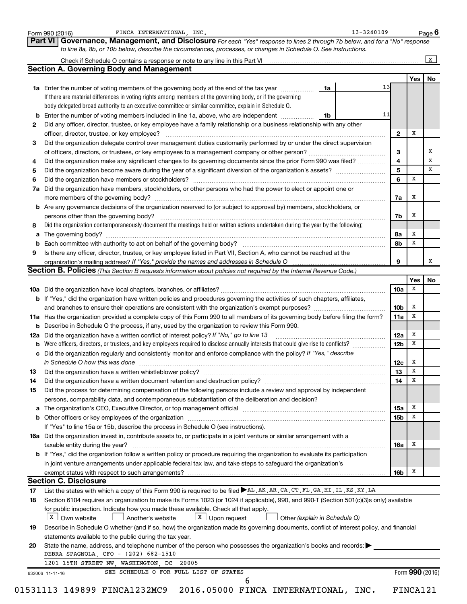|     | FINCA INTERNATIONAL, INC.<br>Form 990 (2016)                                                                                                                                                                                                                           |    | 13-3240109 |                         |                  | Page 6 |
|-----|------------------------------------------------------------------------------------------------------------------------------------------------------------------------------------------------------------------------------------------------------------------------|----|------------|-------------------------|------------------|--------|
|     | Governance, Management, and Disclosure For each "Yes" response to lines 2 through 7b below, and for a "No" response<br>Part VI<br>to line 8a, 8b, or 10b below, describe the circumstances, processes, or changes in Schedule O. See instructions.                     |    |            |                         |                  |        |
|     |                                                                                                                                                                                                                                                                        |    |            |                         |                  | X      |
|     | <b>Section A. Governing Body and Management</b>                                                                                                                                                                                                                        |    |            |                         |                  |        |
|     |                                                                                                                                                                                                                                                                        |    |            |                         | Yes              | No     |
|     | <b>1a</b> Enter the number of voting members of the governing body at the end of the tax year <i>manumum</i>                                                                                                                                                           | 1a | 13         |                         |                  |        |
|     | If there are material differences in voting rights among members of the governing body, or if the governing                                                                                                                                                            |    |            |                         |                  |        |
|     | body delegated broad authority to an executive committee or similar committee, explain in Schedule O.                                                                                                                                                                  |    |            |                         |                  |        |
| b   | Enter the number of voting members included in line 1a, above, who are independent                                                                                                                                                                                     | 1b | 11         |                         |                  |        |
| 2   | Did any officer, director, trustee, or key employee have a family relationship or a business relationship with any other                                                                                                                                               |    |            |                         |                  |        |
|     | officer, director, trustee, or key employee?                                                                                                                                                                                                                           |    |            | $\mathbf{2}$            | х                |        |
| 3   | Did the organization delegate control over management duties customarily performed by or under the direct supervision                                                                                                                                                  |    |            |                         |                  |        |
|     |                                                                                                                                                                                                                                                                        |    |            | 3                       |                  | х      |
| 4   | Did the organization make any significant changes to its governing documents since the prior Form 990 was filed?                                                                                                                                                       |    |            | $\overline{\mathbf{4}}$ |                  | x      |
| 5   |                                                                                                                                                                                                                                                                        |    |            | 5                       |                  | x      |
| 6   |                                                                                                                                                                                                                                                                        |    |            | 6                       | X                |        |
| 7a  | Did the organization have members, stockholders, or other persons who had the power to elect or appoint one or                                                                                                                                                         |    |            |                         |                  |        |
|     |                                                                                                                                                                                                                                                                        |    |            | 7a                      | x                |        |
| b   | Are any governance decisions of the organization reserved to (or subject to approval by) members, stockholders, or                                                                                                                                                     |    |            |                         |                  |        |
|     | persons other than the governing body?                                                                                                                                                                                                                                 |    |            | 7b                      | x                |        |
| 8   | Did the organization contemporaneously document the meetings held or written actions undertaken during the year by the following:                                                                                                                                      |    |            |                         |                  |        |
| а   |                                                                                                                                                                                                                                                                        |    |            | 8а                      | x                |        |
| b   |                                                                                                                                                                                                                                                                        |    |            | 8b                      | x                |        |
| 9   | Is there any officer, director, trustee, or key employee listed in Part VII, Section A, who cannot be reached at the                                                                                                                                                   |    |            |                         |                  |        |
|     |                                                                                                                                                                                                                                                                        |    |            | 9                       |                  | х      |
|     | <b>Section B. Policies</b> (This Section B requests information about policies not required by the Internal Revenue Code.)                                                                                                                                             |    |            |                         |                  |        |
|     |                                                                                                                                                                                                                                                                        |    |            |                         | Yes<br>х         | No     |
|     |                                                                                                                                                                                                                                                                        |    |            | 10a                     |                  |        |
|     | b If "Yes," did the organization have written policies and procedures governing the activities of such chapters, affiliates,                                                                                                                                           |    |            |                         | x                |        |
|     |                                                                                                                                                                                                                                                                        |    |            | 10 <sub>b</sub>         | x                |        |
|     | 11a Has the organization provided a complete copy of this Form 990 to all members of its governing body before filing the form?                                                                                                                                        |    |            | 11a                     |                  |        |
|     | <b>b</b> Describe in Schedule O the process, if any, used by the organization to review this Form 990.                                                                                                                                                                 |    |            |                         | x                |        |
| 12a | Did the organization have a written conflict of interest policy? If "No," go to line 13<br>Were officers, directors, or trustees, and key employees required to disclose annually interests that could give rise to conflicts?                                         |    |            | 12a                     | x                |        |
| b   |                                                                                                                                                                                                                                                                        |    |            | 12 <sub>b</sub>         |                  |        |
|     | c Did the organization regularly and consistently monitor and enforce compliance with the policy? If "Yes," describe                                                                                                                                                   |    |            |                         |                  |        |
|     | in Schedule O how this was done encourance and an according to the state of the state of the state of the state of the state of the state of the state of the state of the state of the state of the state of the state of the                                         |    |            | 12c                     | x<br>$\mathbf x$ |        |
| 13  |                                                                                                                                                                                                                                                                        |    |            | 13 <sup>13</sup>        | х                |        |
| 14  | Did the organization have a written document retention and destruction policy? [11] manufaction manufaction in                                                                                                                                                         |    |            | 14                      |                  |        |
| 15  | Did the process for determining compensation of the following persons include a review and approval by independent                                                                                                                                                     |    |            |                         |                  |        |
|     | persons, comparability data, and contemporaneous substantiation of the deliberation and decision?                                                                                                                                                                      |    |            |                         |                  |        |
| a   | The organization's CEO, Executive Director, or top management official manufactured content of the organization's CEO, Executive Director, or top management official manufactured content of the organization's CEO, Executiv                                         |    |            | 15a                     | х                |        |
| b   |                                                                                                                                                                                                                                                                        |    |            | 15 <sub>b</sub>         | X                |        |
|     | If "Yes" to line 15a or 15b, describe the process in Schedule O (see instructions).                                                                                                                                                                                    |    |            |                         |                  |        |
|     | 16a Did the organization invest in, contribute assets to, or participate in a joint venture or similar arrangement with a                                                                                                                                              |    |            |                         |                  |        |
|     | taxable entity during the year?                                                                                                                                                                                                                                        |    |            | 16a                     | Х                |        |
|     | b If "Yes," did the organization follow a written policy or procedure requiring the organization to evaluate its participation                                                                                                                                         |    |            |                         |                  |        |
|     | in joint venture arrangements under applicable federal tax law, and take steps to safequard the organization's                                                                                                                                                         |    |            |                         |                  |        |
|     | exempt status with respect to such arrangements?<br><b>Section C. Disclosure</b>                                                                                                                                                                                       |    |            | 16b                     | x                |        |
|     |                                                                                                                                                                                                                                                                        |    |            |                         |                  |        |
| 17  | List the states with which a copy of this Form 990 is required to be filed >AL, AK, AR, CA, CT, FL, GA, HI, IL, KS, KY, LA<br>Section 6104 requires an organization to make its Forms 1023 (or 1024 if applicable), 990, and 990-T (Section 501(c)(3)s only) available |    |            |                         |                  |        |
| 18  | for public inspection. Indicate how you made these available. Check all that apply.                                                                                                                                                                                    |    |            |                         |                  |        |
|     | $X$ Own website<br>Another's website<br>$\lfloor x \rfloor$ Upon request<br>Other (explain in Schedule O)                                                                                                                                                              |    |            |                         |                  |        |
|     |                                                                                                                                                                                                                                                                        |    |            |                         |                  |        |
| 19  | Describe in Schedule O whether (and if so, how) the organization made its governing documents, conflict of interest policy, and financial                                                                                                                              |    |            |                         |                  |        |
|     | statements available to the public during the tax year.                                                                                                                                                                                                                |    |            |                         |                  |        |
| 20  | State the name, address, and telephone number of the person who possesses the organization's books and records:                                                                                                                                                        |    |            |                         |                  |        |
|     | DEBRA SPAGNOLA, CFO - (202) 682-1510<br>1201 15TH STREET NW, WASHINGTON, DC<br>20005                                                                                                                                                                                   |    |            |                         |                  |        |
|     |                                                                                                                                                                                                                                                                        |    |            |                         |                  |        |
|     | SEE SCHEDULE O FOR FULL LIST OF STATES<br>632006 11-11-16<br>6                                                                                                                                                                                                         |    |            |                         | Form 990 (2016)  |        |
|     | 01531113 149899 FINCA1232MC9 2016.05000 FINCA INTERNATIONAL, INC.                                                                                                                                                                                                      |    |            |                         | FINCA121         |        |
|     |                                                                                                                                                                                                                                                                        |    |            |                         |                  |        |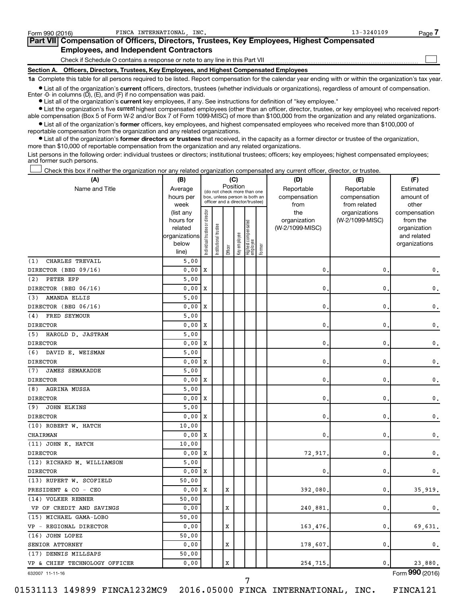| Form 990 (2016) | FINCA INTERNATIONAL INC.                                                                   | $13 - 3240109$ | Page. |
|-----------------|--------------------------------------------------------------------------------------------|----------------|-------|
|                 | Part VII Compensation of Officers, Directors, Trustees, Key Employees, Highest Compensated |                |       |
|                 | <b>Employees, and Independent Contractors</b>                                              |                |       |
|                 | Check if Schedule O contains a response or note to any line in this Part VII               |                |       |
|                 | Section A. Officers, Directors, Trustees, Key Employees, and Highest Compensated Employees |                |       |

**1a**  Complete this table for all persons required to be listed. Report compensation for the calendar year ending with or within the organization's tax year.

**•** List all of the organization's current officers, directors, trustees (whether individuals or organizations), regardless of amount of compensation. Enter -0- in columns (D), (E), and (F) if no compensation was paid.

**•** List all of the organization's **current** key employees, if any. See instructions for definition of "key employee."

**•** List the organization's five current highest compensated employees (other than an officer, director, trustee, or key employee) who received reportable compensation (Box 5 of Form W-2 and/or Box 7 of Form 1099-MISC) of more than \$100,000 from the organization and any related organizations.

**•** List all of the organization's former officers, key employees, and highest compensated employees who received more than \$100,000 of reportable compensation from the organization and any related organizations.

**•** List all of the organization's former directors or trustees that received, in the capacity as a former director or trustee of the organization, more than \$10,000 of reportable compensation from the organization and any related organizations.

List persons in the following order: individual trustees or directors; institutional trustees; officers; key employees; highest compensated employees; and former such persons.

Check this box if neither the organization nor any related organization compensated any current officer, director, or trustee. †

| (A)                           | (B)               |                                                                                                                          |                 |         | (C)          |                                 |        | (D)             | (E)                           | (F)                   |
|-------------------------------|-------------------|--------------------------------------------------------------------------------------------------------------------------|-----------------|---------|--------------|---------------------------------|--------|-----------------|-------------------------------|-----------------------|
| Name and Title                | Average           | Position<br>(do not check more than one<br>hours per<br>box, unless person is both an<br>officer and a director/trustee) |                 |         |              |                                 |        | Reportable      | Reportable                    | Estimated             |
|                               |                   |                                                                                                                          |                 |         |              |                                 |        | compensation    | compensation                  | amount of             |
|                               | week<br>(list any |                                                                                                                          |                 |         |              |                                 |        | from<br>the     | from related<br>organizations | other<br>compensation |
|                               | hours for         |                                                                                                                          |                 |         |              |                                 |        | organization    | (W-2/1099-MISC)               | from the              |
|                               | related           |                                                                                                                          | trustee         |         |              |                                 |        | (W-2/1099-MISC) |                               | organization          |
|                               | organizations     |                                                                                                                          |                 |         |              |                                 |        |                 |                               | and related           |
|                               | below             | Individual trustee or director                                                                                           | Institutional t | Officer | Key employee | Highest compensated<br>employee | Former |                 |                               | organizations         |
|                               | line)             |                                                                                                                          |                 |         |              |                                 |        |                 |                               |                       |
| (1)<br>CHARLES TREVAIL        | 5,00              |                                                                                                                          |                 |         |              |                                 |        |                 |                               |                       |
| DIRECTOR (BEG 09/16)          | 0.00              | X                                                                                                                        |                 |         |              |                                 |        | 0.              | 0                             | 0.                    |
| PETER EPP<br>(2)              | 5.00              |                                                                                                                          |                 |         |              |                                 |        |                 |                               |                       |
| DIRECTOR (BEG 06/16)          | 0.00              | X                                                                                                                        |                 |         |              |                                 |        | $\mathbf{0}$    | 0                             | $\mathbf 0$ .         |
| AMANDA ELLIS<br>(3)           | 5.00              |                                                                                                                          |                 |         |              |                                 |        |                 |                               |                       |
| DIRECTOR (BEG 06/16)          | 0.00              | X                                                                                                                        |                 |         |              |                                 |        | 0               | 0                             | $\mathsf{0}\,.$       |
| FRED SEYMOUR<br>(4)           | 5,00              |                                                                                                                          |                 |         |              |                                 |        |                 |                               |                       |
| <b>DIRECTOR</b>               | 0.00              | X                                                                                                                        |                 |         |              |                                 |        | $\mathbf{0}$    | 0                             | $\mathbf 0$ .         |
| (5) HAROLD D. JASTRAM         | 5.00              |                                                                                                                          |                 |         |              |                                 |        |                 |                               |                       |
| <b>DIRECTOR</b>               | 0.00              | X                                                                                                                        |                 |         |              |                                 |        | 0.              | 0                             | 0.                    |
| (6)<br>DAVID E. WEISMAN       | 5.00              |                                                                                                                          |                 |         |              |                                 |        |                 |                               |                       |
| <b>DIRECTOR</b>               | 0.00              | X                                                                                                                        |                 |         |              |                                 |        | $\mathbf{0}$ .  | 0                             | 0.                    |
| (7)<br><b>JAMES SEMAKADDE</b> | 5.00              |                                                                                                                          |                 |         |              |                                 |        |                 |                               |                       |
| <b>DIRECTOR</b>               | 0.00              | X                                                                                                                        |                 |         |              |                                 |        | 0.              | 0                             | 0.                    |
| (8)<br><b>AGRINA MUSSA</b>    | 5.00              |                                                                                                                          |                 |         |              |                                 |        |                 |                               |                       |
| <b>DIRECTOR</b>               | 0.00              | X                                                                                                                        |                 |         |              |                                 |        | 0.              | 0                             | $\mathbf{0}$ .        |
| (9)<br><b>JOHN ELKINS</b>     | 5.00              |                                                                                                                          |                 |         |              |                                 |        |                 |                               |                       |
| <b>DIRECTOR</b>               | 0.00              | X                                                                                                                        |                 |         |              |                                 |        | 0.              | 0                             | 0.                    |
| (10) ROBERT W. HATCH          | 10.00             |                                                                                                                          |                 |         |              |                                 |        |                 |                               |                       |
| CHAIRMAN                      | 0.00              | X                                                                                                                        |                 |         |              |                                 |        | 0.              | 0                             | 0.                    |
| (11) JOHN K. HATCH            | 10.00             |                                                                                                                          |                 |         |              |                                 |        |                 |                               |                       |
| <b>DIRECTOR</b>               | 0.00              | X                                                                                                                        |                 |         |              |                                 |        | 72,917          | 0                             | $\mathbf{0}$ .        |
| (12) RICHARD M. WILLIAMSON    | 5,00              |                                                                                                                          |                 |         |              |                                 |        |                 |                               |                       |
| <b>DIRECTOR</b>               | 0.00              | X                                                                                                                        |                 |         |              |                                 |        | 0               | 0                             | $\mathbf{0}$ .        |
| (13) RUPERT W. SCOFIELD       | 50.00             |                                                                                                                          |                 |         |              |                                 |        |                 |                               |                       |
| PRESIDENT & CO - CEO          | 0.00              | X                                                                                                                        |                 | X       |              |                                 |        | 392,080.        | 0                             | 35,919.               |
| (14) VOLKER RENNER            | 50.00             |                                                                                                                          |                 |         |              |                                 |        |                 |                               |                       |
| VP OF CREDIT AND SAVINGS      | 0.00              |                                                                                                                          |                 | X       |              |                                 |        | 240,881         | 0                             | 0.                    |
| (15) MICHAEL GAMA-LOBO        | 50.00             |                                                                                                                          |                 |         |              |                                 |        |                 |                               |                       |
| VP - REGIONAL DIRECTOR        | 0.00              |                                                                                                                          |                 | X       |              |                                 |        | 163,476         | 0                             | 69.631.               |
| (16) JOHN LOPEZ               | 50.00             |                                                                                                                          |                 |         |              |                                 |        |                 |                               |                       |
| SENIOR ATTORNEY               | 0.00              |                                                                                                                          |                 | X       |              |                                 |        | 178,607.        | 0                             | 0.                    |
| (17) DENNIS MILLSAPS          | 50.00             |                                                                                                                          |                 |         |              |                                 |        |                 |                               |                       |
| VP & CHIEF TECHNOLOGY OFFICER | 0.00              |                                                                                                                          |                 | X       |              |                                 |        | 254,715         | 0                             | 23,880.               |
|                               |                   |                                                                                                                          |                 |         |              |                                 |        |                 |                               |                       |

632007 11-11-16

01531113 149899 FINCA1232MC9 2016.05000 FINCA INTERNATIONAL, INC. FINCA121

Form (2016) **990**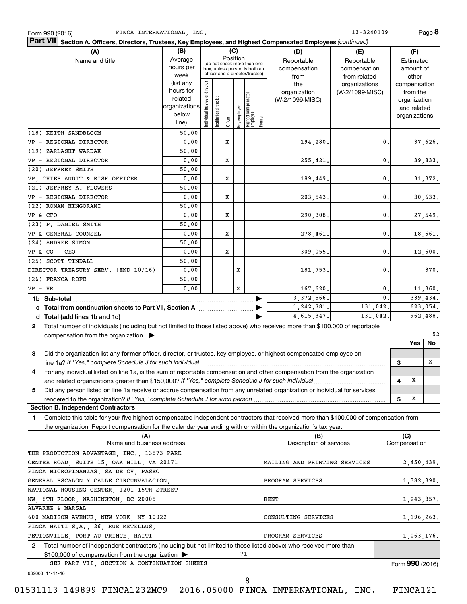| FINCA INTERNATIONAL, INC.<br>Form 990 (2016)                                                                                                                                                                                   |               |                                |                       |          |              |                                                              |        |                                | 13-3240109      |              |                 |              | Page 8     |
|--------------------------------------------------------------------------------------------------------------------------------------------------------------------------------------------------------------------------------|---------------|--------------------------------|-----------------------|----------|--------------|--------------------------------------------------------------|--------|--------------------------------|-----------------|--------------|-----------------|--------------|------------|
| Part VII Section A. Officers, Directors, Trustees, Key Employees, and Highest Compensated Employees (continued)                                                                                                                |               |                                |                       |          |              |                                                              |        |                                |                 |              |                 |              |            |
| (A)                                                                                                                                                                                                                            | (B)           |                                |                       |          | (C)          |                                                              |        | (D)                            | (E)             |              |                 | (F)          |            |
| Name and title                                                                                                                                                                                                                 | Average       |                                |                       | Position |              |                                                              |        | Reportable                     | Reportable      |              |                 | Estimated    |            |
|                                                                                                                                                                                                                                | hours per     |                                |                       |          |              | (do not check more than one<br>box, unless person is both an |        | compensation                   | compensation    |              |                 | amount of    |            |
|                                                                                                                                                                                                                                | week          |                                |                       |          |              | officer and a director/trustee)                              |        | from                           | from related    |              |                 | other        |            |
|                                                                                                                                                                                                                                | (list any     |                                |                       |          |              |                                                              |        | the                            | organizations   |              | compensation    |              |            |
|                                                                                                                                                                                                                                | hours for     |                                |                       |          |              |                                                              |        | organization                   | (W-2/1099-MISC) |              |                 | from the     |            |
|                                                                                                                                                                                                                                | related       |                                |                       |          |              |                                                              |        | (W-2/1099-MISC)                |                 |              |                 | organization |            |
|                                                                                                                                                                                                                                | organizations |                                |                       |          |              |                                                              |        |                                |                 |              |                 | and related  |            |
|                                                                                                                                                                                                                                | below         | Individual trustee or director | Institutional trustee |          | Key employee |                                                              |        |                                |                 |              | organizations   |              |            |
|                                                                                                                                                                                                                                | line)         |                                |                       | Officer  |              | Highest compensated<br>  employee                            | Former |                                |                 |              |                 |              |            |
| (18) KEITH SANDBLOOM                                                                                                                                                                                                           | 50.00         |                                |                       |          |              |                                                              |        |                                |                 |              |                 |              |            |
| VP - REGIONAL DIRECTOR                                                                                                                                                                                                         | 0.00          |                                |                       | X        |              |                                                              |        | 194,280.                       |                 | 0.           |                 |              | 37,626.    |
| (19) ZARLASHT WARDAK                                                                                                                                                                                                           | 50.00         |                                |                       |          |              |                                                              |        |                                |                 |              |                 |              |            |
| VP - REGIONAL DIRECTOR                                                                                                                                                                                                         | 0.00          |                                |                       | X        |              |                                                              |        | 255,421.                       |                 | 0.           |                 |              | 39,833.    |
| (20) JEFFREY SMITH                                                                                                                                                                                                             | 50.00         |                                |                       |          |              |                                                              |        |                                |                 |              |                 |              |            |
| VP, CHIEF AUDIT & RISK OFFICER                                                                                                                                                                                                 | 0.00          |                                |                       | X        |              |                                                              |        | 189,449.                       |                 | $\mathbf{0}$ |                 |              | 31,372.    |
| (21) JEFFREY A. FLOWERS                                                                                                                                                                                                        | 50.00         |                                |                       |          |              |                                                              |        |                                |                 |              |                 |              |            |
| VP - REGIONAL DIRECTOR                                                                                                                                                                                                         | 0.00          |                                |                       | X        |              |                                                              |        |                                |                 | $\mathbf{0}$ |                 |              |            |
|                                                                                                                                                                                                                                |               |                                |                       |          |              |                                                              |        | 203,543.                       |                 |              |                 |              | 30,633.    |
| (22) ROMAN HINGORANI                                                                                                                                                                                                           | 50.00         |                                |                       |          |              |                                                              |        |                                |                 |              |                 |              |            |
| VP & CFO                                                                                                                                                                                                                       | 0.00          |                                |                       | X        |              |                                                              |        | 290,308.                       |                 | 0.           |                 |              | 27,549.    |
| (23) P. DANIEL SMITH                                                                                                                                                                                                           | 50.00         |                                |                       |          |              |                                                              |        |                                |                 |              |                 |              |            |
| VP & GENERAL COUNSEL                                                                                                                                                                                                           | 0.00          |                                |                       | X        |              |                                                              |        | 278,461.                       |                 | $\mathbf{0}$ |                 |              | 18,661.    |
| (24) ANDREE SIMON                                                                                                                                                                                                              | 50.00         |                                |                       |          |              |                                                              |        |                                |                 |              |                 |              |            |
| $VP & CO - CEO$                                                                                                                                                                                                                | 0.00          |                                |                       | X        |              |                                                              |        | 309,055.                       |                 | $\mathbf{0}$ |                 |              | 12,600.    |
| (25) SCOTT TINDALL                                                                                                                                                                                                             | 50.00         |                                |                       |          |              |                                                              |        |                                |                 |              |                 |              |            |
| DIRECTOR TREASURY SERV. (END 10/16)                                                                                                                                                                                            | 0.00          |                                |                       |          | х            |                                                              |        | 181,753.                       |                 | $\mathbf{0}$ |                 |              | 370.       |
| (26) FRANCA ROFE                                                                                                                                                                                                               | 50.00         |                                |                       |          |              |                                                              |        |                                |                 |              |                 |              |            |
| $VP$ – $HR$                                                                                                                                                                                                                    | 0.00          |                                |                       |          | x            |                                                              |        | 167,620.                       |                 | 0.           |                 |              | 11,360.    |
|                                                                                                                                                                                                                                |               |                                |                       |          |              |                                                              |        | 3, 372, 566.                   |                 | $\mathbf{0}$ |                 |              | 339,434.   |
|                                                                                                                                                                                                                                |               |                                |                       |          |              |                                                              |        |                                |                 |              |                 |              |            |
|                                                                                                                                                                                                                                |               |                                |                       |          |              |                                                              |        | 1,242,781.                     | 131,042.        |              |                 |              | 623,054.   |
|                                                                                                                                                                                                                                |               |                                |                       |          |              |                                                              |        | 4,615,347.                     | 131.042.        |              |                 |              | 962,488.   |
| Total number of individuals (including but not limited to those listed above) who received more than \$100,000 of reportable<br>$\mathbf{2}$                                                                                   |               |                                |                       |          |              |                                                              |        |                                |                 |              |                 |              |            |
| compensation from the organization $\blacktriangleright$                                                                                                                                                                       |               |                                |                       |          |              |                                                              |        |                                |                 |              |                 |              | 52         |
|                                                                                                                                                                                                                                |               |                                |                       |          |              |                                                              |        |                                |                 |              |                 | Yes          | No         |
| 3<br>Did the organization list any former officer, director, or trustee, key employee, or highest compensated employee on                                                                                                      |               |                                |                       |          |              |                                                              |        |                                |                 |              |                 |              |            |
| line 1a? If "Yes," complete Schedule J for such individual manufacture content to the set of the set of the such that the set of the set of the set of the set of the set of the set of the set of the set of the set of the s |               |                                |                       |          |              |                                                              |        |                                |                 |              | 3               |              | x          |
| For any individual listed on line 1a, is the sum of reportable compensation and other compensation from the organization                                                                                                       |               |                                |                       |          |              |                                                              |        |                                |                 |              |                 |              |            |
| and related organizations greater than \$150,000? If "Yes," complete Schedule J for such individual                                                                                                                            |               |                                |                       |          |              |                                                              |        |                                |                 |              | 4               | X            |            |
| Did any person listed on line 1a receive or accrue compensation from any unrelated organization or individual for services<br>5                                                                                                |               |                                |                       |          |              |                                                              |        |                                |                 |              |                 |              |            |
|                                                                                                                                                                                                                                |               |                                |                       |          |              |                                                              |        |                                |                 |              | 5               | X            |            |
| <b>Section B. Independent Contractors</b>                                                                                                                                                                                      |               |                                |                       |          |              |                                                              |        |                                |                 |              |                 |              |            |
| Complete this table for your five highest compensated independent contractors that received more than \$100,000 of compensation from<br>1.                                                                                     |               |                                |                       |          |              |                                                              |        |                                |                 |              |                 |              |            |
| the organization. Report compensation for the calendar year ending with or within the organization's tax year.                                                                                                                 |               |                                |                       |          |              |                                                              |        |                                |                 |              |                 |              |            |
|                                                                                                                                                                                                                                |               |                                |                       |          |              |                                                              |        |                                |                 |              | (C)             |              |            |
| (A)<br>Name and business address                                                                                                                                                                                               |               |                                |                       |          |              |                                                              |        | (B)<br>Description of services |                 |              | Compensation    |              |            |
|                                                                                                                                                                                                                                |               |                                |                       |          |              |                                                              |        |                                |                 |              |                 |              |            |
| THE PRODUCTION ADVANTAGE, INC., 13873 PARK                                                                                                                                                                                     |               |                                |                       |          |              |                                                              |        |                                |                 |              |                 |              |            |
| CENTER ROAD, SUITE 15, OAK HILL, VA 20171                                                                                                                                                                                      |               |                                |                       |          |              |                                                              |        | MAILING AND PRINTING SERVICES  |                 |              |                 |              | 2,450,439. |
| FINCA MICROFINANZAS, SA DE CV, PASEO                                                                                                                                                                                           |               |                                |                       |          |              |                                                              |        |                                |                 |              |                 |              |            |
| GENERAL ESCALON Y CALLE CIRCUNVALACION,                                                                                                                                                                                        |               |                                |                       |          |              |                                                              |        | PROGRAM SERVICES               |                 |              |                 |              | 1,382,390. |
| NATIONAL HOUSING CENTER, 1201 15TH STREET                                                                                                                                                                                      |               |                                |                       |          |              |                                                              |        |                                |                 |              |                 |              |            |
| NW, 8TH FLOOR, WASHINGTON, DC 20005                                                                                                                                                                                            |               |                                |                       |          |              |                                                              |        | RENT                           |                 |              |                 |              | 1,243,357. |
| ALVAREZ & MARSAL                                                                                                                                                                                                               |               |                                |                       |          |              |                                                              |        |                                |                 |              |                 |              |            |
| 600 MADISON AVENUE, NEW YORK, NY 10022                                                                                                                                                                                         |               |                                |                       |          |              |                                                              |        | CONSULTING SERVICES            |                 |              |                 |              | 1,196,263. |
| FINCA HAITI S.A., 26, RUE METELLUS,                                                                                                                                                                                            |               |                                |                       |          |              |                                                              |        |                                |                 |              |                 |              |            |
| PETIONVILLE, PORT-AU-PRINCE, HAITI<br>PROGRAM SERVICES<br>1,063,176.                                                                                                                                                           |               |                                |                       |          |              |                                                              |        |                                |                 |              |                 |              |            |
| Total number of independent contractors (including but not limited to those listed above) who received more than<br>2                                                                                                          |               |                                |                       |          |              |                                                              |        |                                |                 |              |                 |              |            |
|                                                                                                                                                                                                                                |               |                                |                       |          | 71           |                                                              |        |                                |                 |              |                 |              |            |
| \$100,000 of compensation from the organization                                                                                                                                                                                |               |                                |                       |          |              |                                                              |        |                                |                 |              |                 |              |            |
| SEE PART VII, SECTION A CONTINUATION SHEETS                                                                                                                                                                                    |               |                                |                       |          |              |                                                              |        |                                |                 |              | Form 990 (2016) |              |            |
| 632008 11-11-16                                                                                                                                                                                                                |               |                                |                       |          |              |                                                              |        |                                |                 |              |                 |              |            |
|                                                                                                                                                                                                                                |               |                                |                       |          |              | 8                                                            |        |                                |                 |              |                 |              |            |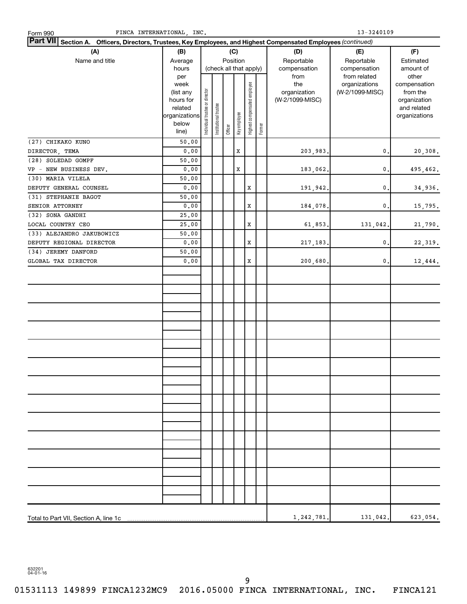| $13 - 3240109$<br>FINCA INTERNATIONAL, INC.<br>Form 990                                                                       |                                 |                                |                       |                        |              |                              |        |                 |                 |                              |  |
|-------------------------------------------------------------------------------------------------------------------------------|---------------------------------|--------------------------------|-----------------------|------------------------|--------------|------------------------------|--------|-----------------|-----------------|------------------------------|--|
| Part VII Section A. Officers, Directors, Trustees, Key Employees, and Highest Compensated Employees (continued)<br>(B)<br>(C) |                                 |                                |                       |                        |              |                              |        |                 |                 |                              |  |
| (A)                                                                                                                           |                                 | (D)                            | (E)                   | (F)                    |              |                              |        |                 |                 |                              |  |
| Name and title                                                                                                                | Average                         |                                |                       | Position               |              |                              |        | Reportable      | Reportable      | Estimated                    |  |
|                                                                                                                               | hours                           |                                |                       | (check all that apply) |              |                              |        | compensation    | compensation    | amount of                    |  |
|                                                                                                                               | per                             |                                |                       |                        |              |                              |        | from            | from related    | other                        |  |
|                                                                                                                               | week                            |                                |                       |                        |              |                              |        | the             | organizations   | compensation                 |  |
|                                                                                                                               | (list any                       |                                |                       |                        |              |                              |        | organization    | (W-2/1099-MISC) | from the                     |  |
|                                                                                                                               | hours for                       |                                |                       |                        |              |                              |        | (W-2/1099-MISC) |                 | organization                 |  |
|                                                                                                                               | related<br>organizations        |                                |                       |                        |              |                              |        |                 |                 | and related<br>organizations |  |
|                                                                                                                               | below                           |                                |                       |                        |              |                              |        |                 |                 |                              |  |
|                                                                                                                               | line)                           | Individual trustee or director | Institutional trustee | Officer                | Key employee | Highest compensated employee | Former |                 |                 |                              |  |
| (27) CHIKAKO KUNO                                                                                                             | 50.00                           |                                |                       |                        |              |                              |        |                 |                 |                              |  |
| DIRECTOR, TEMA                                                                                                                | ${\bf 0}$ , ${\bf 0}$ ${\bf 0}$ |                                |                       |                        | $\mathbf x$  |                              |        | 203,983.        | $\mathbf 0$ .   | 20,308.                      |  |
| (28) SOLEDAD GOMPF                                                                                                            | 50.00                           |                                |                       |                        |              |                              |        |                 |                 |                              |  |
| VP - NEW BUSINESS DEV.                                                                                                        | ${\bf 0}$ , ${\bf 0}$ ${\bf 0}$ |                                |                       |                        | X            |                              |        | 183,062.        | $\mathbf 0$ .   | 495,462.                     |  |
| (30) MARIA VILELA                                                                                                             | 50.00                           |                                |                       |                        |              |                              |        |                 |                 |                              |  |
| DEPUTY GENERAL COUNSEL                                                                                                        | 0.00                            |                                |                       |                        |              | X                            |        | 191,942.        | $\mathbf{0}$    | 34,936.                      |  |
| (31) STEPHANIE BAGOT                                                                                                          | 50.00                           |                                |                       |                        |              |                              |        |                 |                 |                              |  |
| SENIOR ATTORNEY                                                                                                               | 0.00                            |                                |                       |                        |              | X                            |        | 184,078.        | $\mathbf 0$ .   | 15,795.                      |  |
| (32) SONA GANDHI                                                                                                              | 25.00                           |                                |                       |                        |              |                              |        |                 |                 |                              |  |
| LOCAL COUNTRY CEO                                                                                                             | 25.00                           |                                |                       |                        |              | X                            |        | 61,853.         | 131,042.        | 21,790.                      |  |
| (33) ALEJANDRO JAKUBOWICZ                                                                                                     | 50.00                           |                                |                       |                        |              |                              |        |                 | 0.              |                              |  |
| DEPUTY REGIONAL DIRECTOR<br>(34) JEREMY DANFORD                                                                               | 0.00<br>50.00                   |                                |                       |                        |              | X                            |        | 217, 183.       |                 | 22,319.                      |  |
| GLOBAL TAX DIRECTOR                                                                                                           | 0.00                            |                                |                       |                        |              | X                            |        | 200,680.        | $\mathbf{0}$ .  | 12,444.                      |  |
|                                                                                                                               |                                 |                                |                       |                        |              |                              |        |                 |                 |                              |  |
|                                                                                                                               |                                 |                                |                       |                        |              |                              |        |                 |                 |                              |  |
|                                                                                                                               |                                 |                                |                       |                        |              |                              |        |                 |                 |                              |  |
|                                                                                                                               |                                 |                                |                       |                        |              |                              |        |                 |                 |                              |  |
|                                                                                                                               |                                 |                                |                       |                        |              |                              |        |                 |                 |                              |  |
|                                                                                                                               |                                 |                                |                       |                        |              |                              |        |                 |                 |                              |  |
|                                                                                                                               |                                 |                                |                       |                        |              |                              |        |                 |                 |                              |  |
|                                                                                                                               |                                 |                                |                       |                        |              |                              |        |                 |                 |                              |  |
|                                                                                                                               |                                 |                                |                       |                        |              |                              |        |                 |                 |                              |  |
|                                                                                                                               |                                 |                                |                       |                        |              |                              |        |                 |                 |                              |  |
|                                                                                                                               |                                 |                                |                       |                        |              |                              |        |                 |                 |                              |  |
|                                                                                                                               |                                 |                                |                       |                        |              |                              |        |                 |                 |                              |  |
|                                                                                                                               |                                 |                                |                       |                        |              |                              |        |                 |                 |                              |  |
|                                                                                                                               |                                 |                                |                       |                        |              |                              |        |                 |                 |                              |  |
|                                                                                                                               |                                 |                                |                       |                        |              |                              |        |                 |                 |                              |  |
|                                                                                                                               |                                 |                                |                       |                        |              |                              |        |                 |                 |                              |  |
|                                                                                                                               |                                 |                                |                       |                        |              |                              |        |                 |                 |                              |  |
|                                                                                                                               |                                 |                                |                       |                        |              |                              |        |                 |                 |                              |  |
|                                                                                                                               |                                 |                                |                       |                        |              |                              |        |                 |                 |                              |  |
|                                                                                                                               |                                 |                                |                       |                        |              |                              |        |                 |                 |                              |  |
|                                                                                                                               |                                 |                                |                       |                        |              |                              |        |                 |                 |                              |  |
|                                                                                                                               |                                 |                                |                       |                        |              |                              |        |                 |                 |                              |  |
|                                                                                                                               |                                 |                                |                       |                        |              |                              |        |                 |                 |                              |  |
|                                                                                                                               |                                 |                                |                       |                        |              |                              |        |                 |                 |                              |  |
|                                                                                                                               |                                 |                                |                       |                        |              |                              |        |                 |                 |                              |  |
|                                                                                                                               |                                 |                                |                       |                        |              |                              |        | 1,242,781.      | 131,042.        | 623,054.                     |  |
|                                                                                                                               |                                 |                                |                       |                        |              |                              |        |                 |                 |                              |  |

632201 04-01-16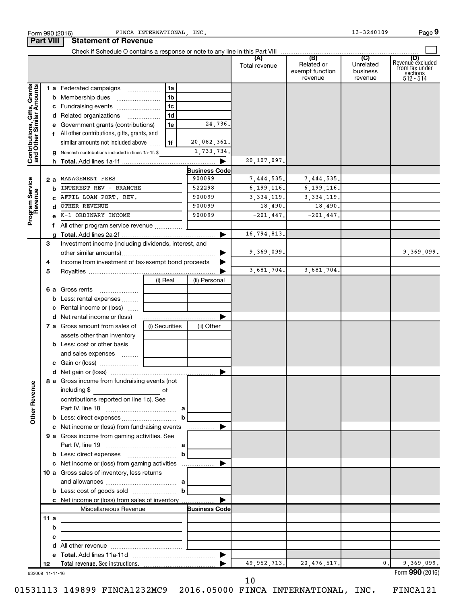|                                                           | <b>Part VIII</b> | <b>Statement of Revenue</b>                                                               |                |                |                                |                              |                                          |                                  |                                                                    |
|-----------------------------------------------------------|------------------|-------------------------------------------------------------------------------------------|----------------|----------------|--------------------------------|------------------------------|------------------------------------------|----------------------------------|--------------------------------------------------------------------|
|                                                           |                  |                                                                                           |                |                |                                | Total revenue                | Related or<br>exempt function<br>revenue | Unrelated<br>business<br>revenue | (D)<br>Revenue excluded<br>from tax under<br>sections<br>512 - 514 |
|                                                           |                  | 1 a Federated campaigns                                                                   |                | 1a             |                                |                              |                                          |                                  |                                                                    |
| Contributions, Gifts, Grants<br>and Other Similar Amounts |                  | <b>b</b> Membership dues                                                                  |                | 1 <sub>b</sub> |                                |                              |                                          |                                  |                                                                    |
|                                                           |                  | c Fundraising events                                                                      |                | 1 <sub>c</sub> |                                |                              |                                          |                                  |                                                                    |
|                                                           | d                | Related organizations                                                                     |                | 1d             |                                |                              |                                          |                                  |                                                                    |
|                                                           |                  | Government grants (contributions)                                                         |                | 1e             | 24,736.                        |                              |                                          |                                  |                                                                    |
|                                                           |                  | f All other contributions, gifts, grants, and                                             |                |                |                                |                              |                                          |                                  |                                                                    |
|                                                           |                  | similar amounts not included above                                                        |                | 1f             | 20,082,361.                    |                              |                                          |                                  |                                                                    |
|                                                           |                  | Noncash contributions included in lines 1a-1f: \$                                         |                |                | 1,733,734.                     |                              |                                          |                                  |                                                                    |
|                                                           |                  |                                                                                           |                |                |                                | 20,107,097.                  |                                          |                                  |                                                                    |
|                                                           |                  |                                                                                           |                |                | <b>Business Code</b><br>900099 |                              |                                          |                                  |                                                                    |
|                                                           | 2а               | MANAGEMENT FEES<br>INTEREST REV - BRANCHE                                                 |                |                | 522298                         | 7,444,535.                   | 7,444,535.                               |                                  |                                                                    |
|                                                           | b                | AFFIL LOAN PORT. REV.                                                                     |                |                | 900099                         | 6, 199, 116.<br>3, 334, 119. | 6, 199, 116.<br>3, 334, 119.             |                                  |                                                                    |
|                                                           | c<br>d           | OTHER REVENUE                                                                             |                |                | 900099                         | 18,490.                      | 18,490.                                  |                                  |                                                                    |
| Program Service<br>Revenue                                |                  | K-1 ORDINARY INCOME                                                                       |                |                | 900099                         | $-201, 447.$                 | $-201, 447.$                             |                                  |                                                                    |
|                                                           | f.               |                                                                                           |                |                |                                |                              |                                          |                                  |                                                                    |
|                                                           |                  |                                                                                           |                |                |                                | 16,794,813.                  |                                          |                                  |                                                                    |
|                                                           | З                | Investment income (including dividends, interest, and                                     |                |                |                                |                              |                                          |                                  |                                                                    |
|                                                           |                  |                                                                                           |                |                |                                | 9,369,099.                   |                                          |                                  | 9,369,099.                                                         |
|                                                           | 4                | Income from investment of tax-exempt bond proceeds                                        |                |                |                                |                              |                                          |                                  |                                                                    |
|                                                           | 5                |                                                                                           |                |                |                                | 3,681,704.                   | 3,681,704.                               |                                  |                                                                    |
|                                                           |                  |                                                                                           | (i) Real       |                | (ii) Personal                  |                              |                                          |                                  |                                                                    |
|                                                           |                  | <b>6 a</b> Gross rents                                                                    |                |                |                                |                              |                                          |                                  |                                                                    |
|                                                           | b                | Less: rental expenses                                                                     |                |                |                                |                              |                                          |                                  |                                                                    |
|                                                           | с                | Rental income or (loss)                                                                   |                |                |                                |                              |                                          |                                  |                                                                    |
|                                                           | d                |                                                                                           |                |                |                                |                              |                                          |                                  |                                                                    |
|                                                           |                  | 7 a Gross amount from sales of                                                            | (i) Securities |                | (ii) Other                     |                              |                                          |                                  |                                                                    |
|                                                           |                  | assets other than inventory                                                               |                |                |                                |                              |                                          |                                  |                                                                    |
|                                                           |                  | <b>b</b> Less: cost or other basis                                                        |                |                |                                |                              |                                          |                                  |                                                                    |
|                                                           |                  | and sales expenses                                                                        |                |                |                                |                              |                                          |                                  |                                                                    |
|                                                           |                  |                                                                                           |                |                |                                |                              |                                          |                                  |                                                                    |
|                                                           |                  | 8 a Gross income from fundraising events (not                                             |                |                |                                |                              |                                          |                                  |                                                                    |
| <b>Other Revenue</b>                                      |                  | including \$<br><u> 1990 - John Barn Barn, amerikansk politiker</u>                       | of             |                |                                |                              |                                          |                                  |                                                                    |
|                                                           |                  | contributions reported on line 1c). See                                                   |                |                |                                |                              |                                          |                                  |                                                                    |
|                                                           |                  |                                                                                           |                |                |                                |                              |                                          |                                  |                                                                    |
|                                                           |                  |                                                                                           |                | $\mathbf{b}$   |                                |                              |                                          |                                  |                                                                    |
|                                                           |                  | c Net income or (loss) from fundraising events                                            |                |                |                                |                              |                                          |                                  |                                                                    |
|                                                           |                  | 9 a Gross income from gaming activities. See                                              |                |                |                                |                              |                                          |                                  |                                                                    |
|                                                           |                  |                                                                                           |                |                |                                |                              |                                          |                                  |                                                                    |
|                                                           |                  |                                                                                           |                | $\mathbf{b}$   |                                |                              |                                          |                                  |                                                                    |
|                                                           |                  |                                                                                           |                |                |                                |                              |                                          |                                  |                                                                    |
|                                                           |                  | 10 a Gross sales of inventory, less returns                                               |                |                |                                |                              |                                          |                                  |                                                                    |
|                                                           |                  | and allowances $\ldots$ , $a$ [                                                           |                |                |                                |                              |                                          |                                  |                                                                    |
|                                                           |                  | <b>b</b> Less: cost of goods sold $\ldots$ <b>b</b>                                       |                |                |                                |                              |                                          |                                  |                                                                    |
|                                                           |                  | c Net income or (loss) from sales of inventory<br>Miscellaneous Revenue                   |                |                | <b>Business Code</b>           |                              |                                          |                                  |                                                                    |
|                                                           | 11a              |                                                                                           |                |                |                                |                              |                                          |                                  |                                                                    |
|                                                           | b                | the control of the control of the control of the control of the control of the control of |                |                |                                |                              |                                          |                                  |                                                                    |
|                                                           | с                | <u> 1989 - Johann Barbara, martin a</u>                                                   |                |                |                                |                              |                                          |                                  |                                                                    |
|                                                           | d                |                                                                                           |                |                |                                |                              |                                          |                                  |                                                                    |
|                                                           | е                |                                                                                           |                |                |                                |                              |                                          |                                  |                                                                    |
|                                                           | 12               |                                                                                           |                |                |                                | 49, 952, 713.                | 20, 476, 517.                            | 0.                               | 9,369,099.                                                         |
|                                                           | 632009 11-11-16  |                                                                                           |                |                |                                |                              |                                          |                                  | Form 990 (2016)                                                    |

Form 990 (2016) **PERICA INTERNATIONAL, INC.** Port 13-3240109 Page

01531113 149899 FINCA1232MC9 2016.05000 FINCA INTERNATIONAL, INC. FINCA121

 <sup>10</sup>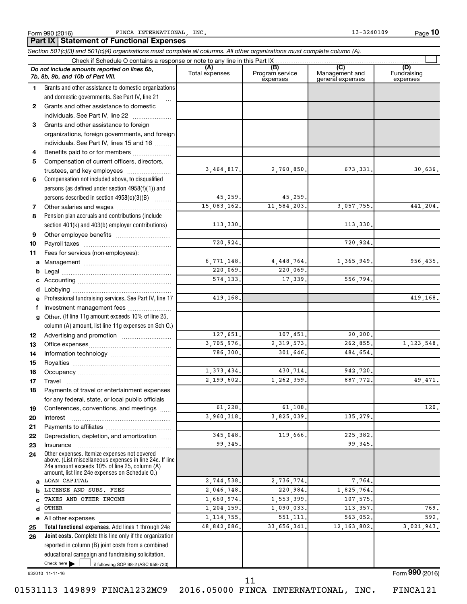**10**

|          | Part IX   Statement of Functional Expenses                                                                                                                |                            |                                    |                                           |                                |
|----------|-----------------------------------------------------------------------------------------------------------------------------------------------------------|----------------------------|------------------------------------|-------------------------------------------|--------------------------------|
|          | Section 501(c)(3) and 501(c)(4) organizations must complete all columns. All other organizations must complete column (A).                                |                            |                                    |                                           |                                |
|          | Check if Schedule O contains a response or note to any line in this Part IX                                                                               |                            |                                    |                                           |                                |
|          | Do not include amounts reported on lines 6b,<br>7b, 8b, 9b, and 10b of Part VIII.                                                                         | (A)<br>Total expenses      | (B)<br>Program service<br>expenses | (C)<br>Management and<br>general expenses | (D)<br>Fundraising<br>expenses |
| 1.       | Grants and other assistance to domestic organizations                                                                                                     |                            |                                    |                                           |                                |
|          | and domestic governments. See Part IV, line 21                                                                                                            |                            |                                    |                                           |                                |
| 2        | Grants and other assistance to domestic                                                                                                                   |                            |                                    |                                           |                                |
|          | individuals. See Part IV, line 22                                                                                                                         |                            |                                    |                                           |                                |
| 3        | Grants and other assistance to foreign                                                                                                                    |                            |                                    |                                           |                                |
|          | organizations, foreign governments, and foreign                                                                                                           |                            |                                    |                                           |                                |
|          | individuals. See Part IV, lines 15 and 16                                                                                                                 |                            |                                    |                                           |                                |
| 4        | Benefits paid to or for members                                                                                                                           |                            |                                    |                                           |                                |
| 5        | Compensation of current officers, directors,                                                                                                              | 3,464,817.                 |                                    |                                           | 30,636.                        |
|          | trustees, and key employees<br>Compensation not included above, to disqualified                                                                           |                            | 2,760,850.                         | 673,331.                                  |                                |
| 6        | persons (as defined under section 4958(f)(1)) and                                                                                                         |                            |                                    |                                           |                                |
|          | persons described in section 4958(c)(3)(B)                                                                                                                | 45,259.                    | 45,259.                            |                                           |                                |
| 7        |                                                                                                                                                           | 15,083,162.                | 11,584,203.                        | 3,057,755.                                | 441,204.                       |
| 8        | Pension plan accruals and contributions (include                                                                                                          |                            |                                    |                                           |                                |
|          | section 401(k) and 403(b) employer contributions)                                                                                                         | 113,330.                   |                                    | 113,330.                                  |                                |
| 9        |                                                                                                                                                           |                            |                                    |                                           |                                |
| 10       |                                                                                                                                                           | 720,924.                   |                                    | 720,924.                                  |                                |
| 11       | Fees for services (non-employees):                                                                                                                        |                            |                                    |                                           |                                |
| a        |                                                                                                                                                           | 6,771,148.                 | 4,448,764.                         | 1,365,949.                                | 956,435.                       |
| b        |                                                                                                                                                           | 220,069.                   | 220,069.                           |                                           |                                |
|          |                                                                                                                                                           | 574,133.                   | 17,339.                            | 556,794.                                  |                                |
| d        |                                                                                                                                                           |                            |                                    |                                           |                                |
|          | Professional fundraising services. See Part IV, line 17                                                                                                   | 419,168.                   |                                    |                                           | 419,168.                       |
| f        | Investment management fees                                                                                                                                |                            |                                    |                                           |                                |
| g        | Other. (If line 11g amount exceeds 10% of line 25,                                                                                                        |                            |                                    |                                           |                                |
|          | column (A) amount, list line 11g expenses on Sch O.)                                                                                                      |                            |                                    |                                           |                                |
| 12       |                                                                                                                                                           | 127,651.                   | 107,451.                           | 20, 200.                                  |                                |
| 13       |                                                                                                                                                           | 3,705,976.                 | 2, 319, 573.                       | 262,855.                                  | 1, 123, 548.                   |
| 14       |                                                                                                                                                           | 786,300.                   | 301,646.                           | 484,654.                                  |                                |
| 15       |                                                                                                                                                           |                            |                                    |                                           |                                |
| 16       |                                                                                                                                                           | 1,373,434.                 | 430,714.                           | 942,720.                                  |                                |
| 17       | Travel                                                                                                                                                    | 2,199,602.                 | 1,262,359.                         | 887,772.                                  | 49,471.                        |
| 18       | Payments of travel or entertainment expenses                                                                                                              |                            |                                    |                                           |                                |
|          | for any federal, state, or local public officials                                                                                                         |                            |                                    |                                           |                                |
| 19       | Conferences, conventions, and meetings                                                                                                                    | 61,228.<br>3,960,318.      | 61,108.                            |                                           | 120.                           |
| 20       | Interest                                                                                                                                                  |                            | 3,825,039.                         | 135, 279.                                 |                                |
| 21<br>22 | Depreciation, depletion, and amortization                                                                                                                 | 345,048.                   | 119,666.                           | 225, 382.                                 |                                |
| 23       | Insurance                                                                                                                                                 | 99.345.                    |                                    | 99,345.                                   |                                |
| 24       | Other expenses. Itemize expenses not covered<br>above. (List miscellaneous expenses in line 24e. If line<br>24e amount exceeds 10% of line 25, column (A) |                            |                                    |                                           |                                |
|          | amount, list line 24e expenses on Schedule O.)                                                                                                            |                            |                                    | 7,764.                                    |                                |
| a        | LOAN CAPITAL                                                                                                                                              | 2,744,538.                 | 2,736,774.                         |                                           |                                |
| b        | LICENSE AND SUBS. FEES<br>TAXES AND OTHER INCOME                                                                                                          | 2,046,748.<br>1,660,974.   | 220,984.<br>1,553,399.             | 1,825,764.<br>107,575.                    |                                |
|          | OTHER                                                                                                                                                     |                            |                                    | 113, 357.                                 | 769.                           |
| d        |                                                                                                                                                           | 1,204,159.<br>1, 114, 755. | 1,090,033.<br>551, 111.            | 563,052.                                  | 592.                           |
| 25       | e All other expenses<br>Total functional expenses. Add lines 1 through 24e                                                                                | 48,842,086.                | 33,656,341.                        | 12, 163, 802.                             | 3,021,943.                     |
| 26       | Joint costs. Complete this line only if the organization                                                                                                  |                            |                                    |                                           |                                |
|          | reported in column (B) joint costs from a combined                                                                                                        |                            |                                    |                                           |                                |
|          | educational campaign and fundraising solicitation.                                                                                                        |                            |                                    |                                           |                                |
|          | Check here $\blacktriangleright$<br>if following SOP 98-2 (ASC 958-720)                                                                                   |                            |                                    |                                           |                                |

632010 11-11-16

Form (2016) **990**

01531113 149899 FINCA1232MC9 2016.05000 FINCA INTERNATIONAL, INC. FINCA121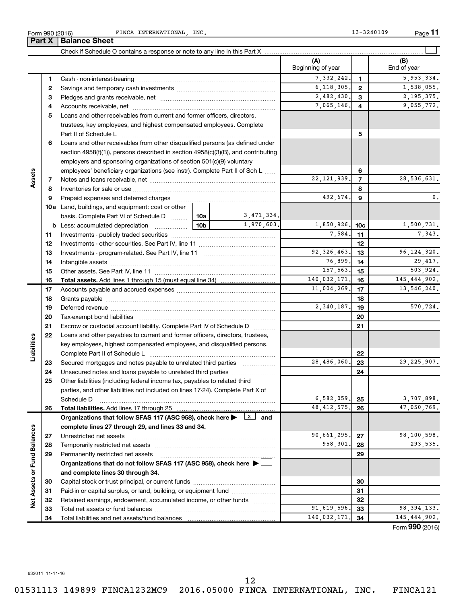632011 11-11-16 01531113 149899 FINCA1232MC9 2016.05000 FINCA INTERNATIONAL, INC. FINCA121 12

**1 2 3 4 5 6 7 8 9 10 a b 10a 10b** Check if Schedule O contains a response or note to any line in this Part X Cash - non-interest-bearing Savings and temporary cash investments Pledges and grants receivable, net ~~~~~~~~~~~~~~~~~~~~~~~~~ ~~~~~~~~~~~~~~~~~~ ~~~~~~~~~~~~~~~~~~~~~ Accounts receivable, net ~~~~~~~~~~~~~~~~~~~~~~~~~~ Loans and other receivables from current and former officers, directors, trustees, key employees, and highest compensated employees. Complete Part II of Schedule L ~~~~~~~~~~~~~~~~~~~~~~~~~~~~ Loans and other receivables from other disqualified persons (as defined under section 4958(f)(1)), persons described in section 4958(c)(3)(B), and contributing employers and sponsoring organizations of section 501(c)(9) voluntary employees' beneficiary organizations (see instr). Complete Part II of Sch L ...... Notes and loans receivable, net Inventories for sale or use Prepaid expenses and deferred charges ~~~~~~~~~~~~~~~~~~~~~~~ ~~~~~~~~~~~~~~~~~~~~~~~~~~ ~~~~~~~~~~~~~~~~~~ Land, buildings, and equipment: cost or other basis. Complete Part VI of Schedule D Less: accumulated depreciation ~~~~~~~~ ~~~~~~ **Part X** | Balance Sheet 3,471,334.

Form 990 (2016) FINCA INTERNATIONAL, INC. The extended of the contract of the contract of the Page

**11**

 $\perp$ 

Form (2016) **990**

|                   |    |                                                                                                                         |                 |               | (A)<br>Beginning of year |                | (B)<br>End of year |
|-------------------|----|-------------------------------------------------------------------------------------------------------------------------|-----------------|---------------|--------------------------|----------------|--------------------|
|                   | 1  |                                                                                                                         |                 |               | 7,332,242.               | 1.             | 5,953,334.         |
|                   | 2  |                                                                                                                         |                 |               | 6,118,305.               | $\mathbf{2}$   | 1,538,055.         |
|                   | З  |                                                                                                                         |                 |               | 2,482,430.               | 3              | 2, 195, 375.       |
|                   | 4  |                                                                                                                         |                 |               | 7,065,146.               | 4              | 9,055,772.         |
|                   | 5  | Loans and other receivables from current and former officers, directors,                                                |                 |               |                          |                |                    |
|                   |    | trustees, key employees, and highest compensated employees. Complete                                                    |                 |               |                          |                |                    |
|                   |    | Part II of Schedule L                                                                                                   |                 |               |                          | 5              |                    |
|                   | 6  | Loans and other receivables from other disqualified persons (as defined under                                           |                 |               |                          |                |                    |
|                   |    | section 4958(f)(1)), persons described in section 4958(c)(3)(B), and contributing                                       |                 |               |                          |                |                    |
|                   |    | employers and sponsoring organizations of section 501(c)(9) voluntary                                                   |                 |               |                          |                |                    |
|                   |    | employees' beneficiary organizations (see instr). Complete Part II of Sch L                                             |                 |               |                          | 6              |                    |
| Assets            | 7  |                                                                                                                         |                 |               | 22, 121, 939.            | $\overline{7}$ | 28,536,631.        |
|                   | 8  |                                                                                                                         |                 |               | 8                        |                |                    |
|                   | 9  |                                                                                                                         |                 |               | 492,674.                 | 9              | 0.                 |
|                   |    | <b>10a</b> Land, buildings, and equipment: cost or other                                                                |                 |               |                          |                |                    |
|                   |    | basis. Complete Part VI of Schedule D    10a   3,471,334.                                                               |                 |               |                          |                |                    |
|                   |    |                                                                                                                         | 10 <sub>b</sub> | 1,970,603.    | 1,850,926. 10c           |                | 1,500,731.         |
|                   | 11 |                                                                                                                         |                 |               | 7,584.                   | 11             | 7,343.             |
|                   | 12 |                                                                                                                         |                 |               |                          | 12             |                    |
|                   | 13 |                                                                                                                         |                 | 92, 326, 463. | 13                       | 96, 124, 320.  |                    |
|                   | 14 |                                                                                                                         |                 | 76,899.       | 14                       | 29,417.        |                    |
|                   | 15 |                                                                                                                         |                 | 157,563.      | 15                       | 503,924.       |                    |
|                   | 16 |                                                                                                                         |                 |               | 140,032,171.             | 16             | 145, 444, 902.     |
|                   | 17 |                                                                                                                         |                 |               | 11,004,269.              | 17             | 13,546,240.        |
|                   | 18 |                                                                                                                         |                 | 18            |                          |                |                    |
|                   | 19 |                                                                                                                         | 2,340,187.      | 19            | 570,724.                 |                |                    |
|                   | 20 |                                                                                                                         |                 |               |                          | 20             |                    |
|                   | 21 | Escrow or custodial account liability. Complete Part IV of Schedule D                                                   |                 |               |                          | 21             |                    |
|                   | 22 | Loans and other payables to current and former officers, directors, trustees,                                           |                 |               |                          |                |                    |
| Liabilities       |    | key employees, highest compensated employees, and disqualified persons.                                                 |                 |               |                          |                |                    |
|                   |    |                                                                                                                         |                 |               |                          | 22             |                    |
|                   | 23 | Secured mortgages and notes payable to unrelated third parties <i>manumum</i>                                           |                 |               | 28,486,060.              | 23             | 29, 225, 907.      |
|                   | 24 | Unsecured notes and loans payable to unrelated third parties                                                            |                 |               |                          | 24             |                    |
|                   | 25 | Other liabilities (including federal income tax, payables to related third                                              |                 |               |                          |                |                    |
|                   |    | parties, and other liabilities not included on lines 17-24). Complete Part X of                                         |                 |               |                          |                |                    |
|                   |    | Schedule D                                                                                                              |                 |               | 6, 582, 059.             | 25             | 3,707,898.         |
|                   | 26 |                                                                                                                         |                 |               | 48, 412, 575.            | 26             | 47,050,769.        |
|                   |    | Organizations that follow SFAS 117 (ASC 958), check here $\blacktriangleright \begin{array}{c} \perp X \end{array}$ and |                 |               |                          |                |                    |
|                   |    | complete lines 27 through 29, and lines 33 and 34.                                                                      |                 |               |                          |                |                    |
|                   | 27 |                                                                                                                         |                 |               | 90,661,295.              | 27             | 98,100,598.        |
|                   | 28 |                                                                                                                         |                 |               | 958,301.                 | 28             | 293,535.           |
| or Fund Balances  | 29 | Permanently restricted net assets                                                                                       |                 |               |                          | 29             |                    |
|                   |    | Organizations that do not follow SFAS 117 (ASC 958), check here ▶ □                                                     |                 |               |                          |                |                    |
|                   |    | and complete lines 30 through 34.                                                                                       |                 |               |                          |                |                    |
|                   | 30 |                                                                                                                         |                 |               |                          | 30             |                    |
|                   | 31 | Paid-in or capital surplus, or land, building, or equipment fund                                                        |                 |               |                          | 31             |                    |
| <b>Net Assets</b> | 32 | Retained earnings, endowment, accumulated income, or other funds                                                        |                 |               |                          | 32             |                    |
|                   | 33 |                                                                                                                         |                 |               | 91,619,596.              | 33             | 98, 394, 133.      |
|                   | 34 |                                                                                                                         |                 |               | 140,032,171.             | 34             | 145, 444, 902.     |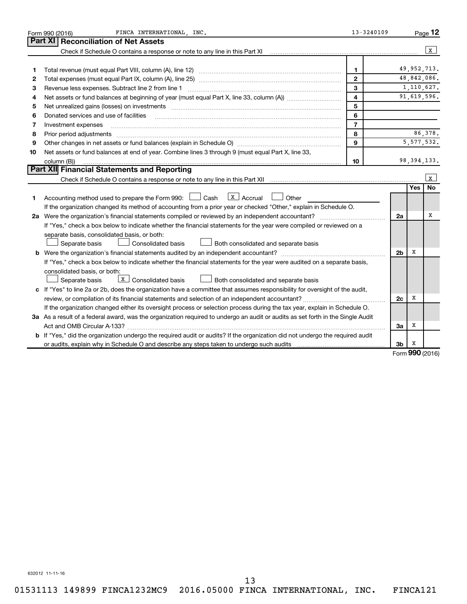|    | FINCA INTERNATIONAL INC.<br>Form 990 (2016)                                                                                                                                                                                    | 13-3240109     |                |            | Page 12         |
|----|--------------------------------------------------------------------------------------------------------------------------------------------------------------------------------------------------------------------------------|----------------|----------------|------------|-----------------|
|    | Part XI<br><b>Reconciliation of Net Assets</b>                                                                                                                                                                                 |                |                |            |                 |
|    | Check if Schedule O contains a response or note to any line in this Part XI                                                                                                                                                    |                |                |            | $\mathbf{x}$    |
|    |                                                                                                                                                                                                                                |                |                |            |                 |
| 1  |                                                                                                                                                                                                                                | $\mathbf{1}$   |                |            | 49, 952, 713.   |
| 2  |                                                                                                                                                                                                                                | $\mathbf{2}$   |                |            | 48,842,086.     |
| З  | Revenue less expenses. Subtract line 2 from line 1                                                                                                                                                                             | 3              |                |            | 1,110,627.      |
| 4  |                                                                                                                                                                                                                                | $\overline{4}$ |                |            | 91,619,596.     |
| 5  | Net unrealized gains (losses) on investments [11] matter in the contract of the state of the state of the state of the state of the state of the state of the state of the state of the state of the state of the state of the | 5              |                |            |                 |
| 6  | Donated services and use of facilities                                                                                                                                                                                         | 6              |                |            |                 |
| 7  | Investment expenses                                                                                                                                                                                                            | $\overline{7}$ |                |            |                 |
| 8  | Prior period adjustments [111] matter contracts and adjustments and account and account of the contracts and account of the contracts and account of the contracts and account of the contracts and account of the contracts a | 8              |                |            | 86,378.         |
| 9  |                                                                                                                                                                                                                                | $\mathbf{9}$   |                |            | 5, 577, 532.    |
| 10 | Net assets or fund balances at end of year. Combine lines 3 through 9 (must equal Part X, line 33,                                                                                                                             |                |                |            |                 |
|    | column (B))                                                                                                                                                                                                                    | 10             |                |            | 98, 394, 133.   |
|    | Part XII Financial Statements and Reporting                                                                                                                                                                                    |                |                |            |                 |
|    |                                                                                                                                                                                                                                |                |                |            | l x             |
|    |                                                                                                                                                                                                                                |                |                | <b>Yes</b> | No              |
| 1. | $\lfloor x \rfloor$ Accrual<br>Accounting method used to prepare the Form 990: $\Box$ Cash<br>Other                                                                                                                            |                |                |            |                 |
|    | If the organization changed its method of accounting from a prior year or checked "Other," explain in Schedule O.                                                                                                              |                |                |            |                 |
|    | 2a Were the organization's financial statements compiled or reviewed by an independent accountant?                                                                                                                             |                | 2a             |            | x               |
|    | If "Yes," check a box below to indicate whether the financial statements for the year were compiled or reviewed on a                                                                                                           |                |                |            |                 |
|    | separate basis, consolidated basis, or both:                                                                                                                                                                                   |                |                |            |                 |
|    | Separate basis<br>Consolidated basis<br>Both consolidated and separate basis                                                                                                                                                   |                |                |            |                 |
|    |                                                                                                                                                                                                                                |                | 2 <sub>b</sub> | х          |                 |
|    | If "Yes," check a box below to indicate whether the financial statements for the year were audited on a separate basis,                                                                                                        |                |                |            |                 |
|    | consolidated basis, or both:                                                                                                                                                                                                   |                |                |            |                 |
|    | $X$ Consolidated basis<br>Both consolidated and separate basis<br>Separate basis                                                                                                                                               |                |                |            |                 |
|    | c If "Yes" to line 2a or 2b, does the organization have a committee that assumes responsibility for oversight of the audit,                                                                                                    |                |                |            |                 |
|    |                                                                                                                                                                                                                                |                | 2c             | x          |                 |
|    | If the organization changed either its oversight process or selection process during the tax year, explain in Schedule O.                                                                                                      |                |                |            |                 |
|    | 3a As a result of a federal award, was the organization required to undergo an audit or audits as set forth in the Single Audit                                                                                                |                |                |            |                 |
|    | Act and OMB Circular A-133?                                                                                                                                                                                                    |                | За             | х          |                 |
|    | <b>b</b> If "Yes," did the organization undergo the required audit or audits? If the organization did not undergo the required audit                                                                                           |                |                |            |                 |
|    |                                                                                                                                                                                                                                |                | 3b             | x          |                 |
|    |                                                                                                                                                                                                                                |                |                |            | $000 \text{ m}$ |

Form (2016) **990**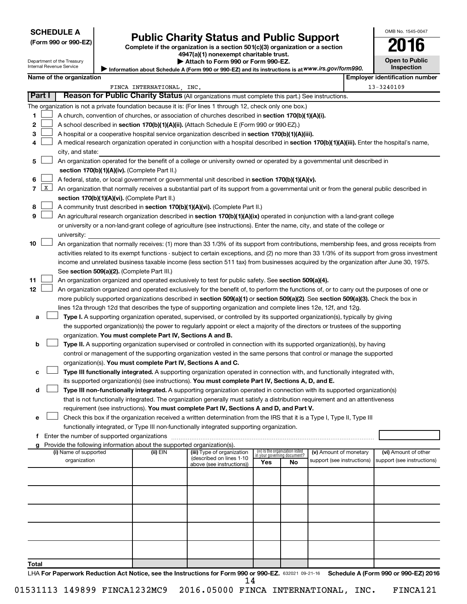## **SCHEDULE A**

# **Public Charity Status and Public Support** 2016

**(Form 990 or 990-EZ) Complete if the organization is a section 501(c)(3) organization or a section**

**4947(a)(1) nonexempt charitable trust. | Attach to Form 990 or Form 990-EZ.** 

| Ш                     |  |
|-----------------------|--|
| <b>Open to Public</b> |  |

OMB No. 1545-0047

Department of the Treasury<br>Internal Revenue Service anternal.<br>De **|** 

|        | Internal Revenue Service<br>Inspection<br>Information about Schedule A (Form 990 or 990-EZ) and its instructions is at WWW.irs.gov/form990. |                          |                                               |                                                                          |                                                                                                                                               |     |                                                                |                            |  |  |                                       |
|--------|---------------------------------------------------------------------------------------------------------------------------------------------|--------------------------|-----------------------------------------------|--------------------------------------------------------------------------|-----------------------------------------------------------------------------------------------------------------------------------------------|-----|----------------------------------------------------------------|----------------------------|--|--|---------------------------------------|
|        |                                                                                                                                             | Name of the organization |                                               |                                                                          |                                                                                                                                               |     |                                                                |                            |  |  | <b>Employer identification number</b> |
|        |                                                                                                                                             |                          |                                               | FINCA INTERNATIONAL .INC.                                                |                                                                                                                                               |     |                                                                |                            |  |  | 13-3240109                            |
| Part I |                                                                                                                                             |                          |                                               |                                                                          | Reason for Public Charity Status (All organizations must complete this part.) See instructions.                                               |     |                                                                |                            |  |  |                                       |
|        |                                                                                                                                             |                          |                                               |                                                                          | The organization is not a private foundation because it is: (For lines 1 through 12, check only one box.)                                     |     |                                                                |                            |  |  |                                       |
| 1      |                                                                                                                                             |                          |                                               |                                                                          | A church, convention of churches, or association of churches described in section 170(b)(1)(A)(i).                                            |     |                                                                |                            |  |  |                                       |
| 2      |                                                                                                                                             |                          |                                               |                                                                          | A school described in section 170(b)(1)(A)(ii). (Attach Schedule E (Form 990 or 990-EZ).)                                                     |     |                                                                |                            |  |  |                                       |
| 3      |                                                                                                                                             |                          |                                               |                                                                          | A hospital or a cooperative hospital service organization described in section 170(b)(1)(A)(iii).                                             |     |                                                                |                            |  |  |                                       |
| 4      |                                                                                                                                             |                          |                                               |                                                                          | A medical research organization operated in conjunction with a hospital described in section 170(b)(1)(A)(iii). Enter the hospital's name,    |     |                                                                |                            |  |  |                                       |
|        |                                                                                                                                             | city, and state:         |                                               |                                                                          |                                                                                                                                               |     |                                                                |                            |  |  |                                       |
| 5      |                                                                                                                                             |                          |                                               |                                                                          | An organization operated for the benefit of a college or university owned or operated by a governmental unit described in                     |     |                                                                |                            |  |  |                                       |
|        |                                                                                                                                             |                          |                                               | section 170(b)(1)(A)(iv). (Complete Part II.)                            |                                                                                                                                               |     |                                                                |                            |  |  |                                       |
| 6      |                                                                                                                                             |                          |                                               |                                                                          | A federal, state, or local government or governmental unit described in section 170(b)(1)(A)(v).                                              |     |                                                                |                            |  |  |                                       |
|        | $7 \mid X$                                                                                                                                  |                          |                                               |                                                                          | An organization that normally receives a substantial part of its support from a governmental unit or from the general public described in     |     |                                                                |                            |  |  |                                       |
|        |                                                                                                                                             |                          |                                               | section 170(b)(1)(A)(vi). (Complete Part II.)                            |                                                                                                                                               |     |                                                                |                            |  |  |                                       |
| 8      |                                                                                                                                             |                          |                                               |                                                                          | A community trust described in section 170(b)(1)(A)(vi). (Complete Part II.)                                                                  |     |                                                                |                            |  |  |                                       |
| 9      |                                                                                                                                             |                          |                                               |                                                                          | An agricultural research organization described in section 170(b)(1)(A)(ix) operated in conjunction with a land-grant college                 |     |                                                                |                            |  |  |                                       |
|        |                                                                                                                                             |                          |                                               |                                                                          |                                                                                                                                               |     |                                                                |                            |  |  |                                       |
|        |                                                                                                                                             |                          |                                               |                                                                          | or university or a non-land-grant college of agriculture (see instructions). Enter the name, city, and state of the college or                |     |                                                                |                            |  |  |                                       |
|        |                                                                                                                                             | university:              |                                               |                                                                          |                                                                                                                                               |     |                                                                |                            |  |  |                                       |
| 10     |                                                                                                                                             |                          |                                               |                                                                          | An organization that normally receives: (1) more than 33 1/3% of its support from contributions, membership fees, and gross receipts from     |     |                                                                |                            |  |  |                                       |
|        |                                                                                                                                             |                          |                                               |                                                                          | activities related to its exempt functions - subject to certain exceptions, and (2) no more than 33 1/3% of its support from gross investment |     |                                                                |                            |  |  |                                       |
|        |                                                                                                                                             |                          |                                               |                                                                          | income and unrelated business taxable income (less section 511 tax) from businesses acquired by the organization after June 30, 1975.         |     |                                                                |                            |  |  |                                       |
|        |                                                                                                                                             |                          |                                               | See section 509(a)(2). (Complete Part III.)                              |                                                                                                                                               |     |                                                                |                            |  |  |                                       |
| 11     |                                                                                                                                             |                          |                                               |                                                                          | An organization organized and operated exclusively to test for public safety. See section 509(a)(4).                                          |     |                                                                |                            |  |  |                                       |
| 12     |                                                                                                                                             |                          |                                               |                                                                          | An organization organized and operated exclusively for the benefit of, to perform the functions of, or to carry out the purposes of one or    |     |                                                                |                            |  |  |                                       |
|        |                                                                                                                                             |                          |                                               |                                                                          | more publicly supported organizations described in section 509(a)(1) or section 509(a)(2). See section 509(a)(3). Check the box in            |     |                                                                |                            |  |  |                                       |
|        |                                                                                                                                             |                          |                                               |                                                                          | lines 12a through 12d that describes the type of supporting organization and complete lines 12e, 12f, and 12g.                                |     |                                                                |                            |  |  |                                       |
| а      |                                                                                                                                             |                          |                                               |                                                                          | Type I. A supporting organization operated, supervised, or controlled by its supported organization(s), typically by giving                   |     |                                                                |                            |  |  |                                       |
|        |                                                                                                                                             |                          |                                               |                                                                          | the supported organization(s) the power to regularly appoint or elect a majority of the directors or trustees of the supporting               |     |                                                                |                            |  |  |                                       |
|        |                                                                                                                                             |                          |                                               | organization. You must complete Part IV, Sections A and B.               |                                                                                                                                               |     |                                                                |                            |  |  |                                       |
| b      |                                                                                                                                             |                          |                                               |                                                                          | Type II. A supporting organization supervised or controlled in connection with its supported organization(s), by having                       |     |                                                                |                            |  |  |                                       |
|        |                                                                                                                                             |                          |                                               |                                                                          | control or management of the supporting organization vested in the same persons that control or manage the supported                          |     |                                                                |                            |  |  |                                       |
|        |                                                                                                                                             |                          |                                               | organization(s). You must complete Part IV, Sections A and C.            |                                                                                                                                               |     |                                                                |                            |  |  |                                       |
|        |                                                                                                                                             |                          |                                               |                                                                          | Type III functionally integrated. A supporting organization operated in connection with, and functionally integrated with,                    |     |                                                                |                            |  |  |                                       |
|        |                                                                                                                                             |                          |                                               |                                                                          | its supported organization(s) (see instructions). You must complete Part IV, Sections A, D, and E.                                            |     |                                                                |                            |  |  |                                       |
| d      |                                                                                                                                             |                          |                                               |                                                                          | Type III non-functionally integrated. A supporting organization operated in connection with its supported organization(s)                     |     |                                                                |                            |  |  |                                       |
|        |                                                                                                                                             |                          |                                               |                                                                          | that is not functionally integrated. The organization generally must satisfy a distribution requirement and an attentiveness                  |     |                                                                |                            |  |  |                                       |
|        |                                                                                                                                             |                          |                                               |                                                                          | requirement (see instructions). You must complete Part IV, Sections A and D, and Part V.                                                      |     |                                                                |                            |  |  |                                       |
| е      |                                                                                                                                             |                          |                                               |                                                                          | Check this box if the organization received a written determination from the IRS that it is a Type I, Type II, Type III                       |     |                                                                |                            |  |  |                                       |
|        |                                                                                                                                             |                          |                                               |                                                                          | functionally integrated, or Type III non-functionally integrated supporting organization.                                                     |     |                                                                |                            |  |  |                                       |
|        |                                                                                                                                             |                          | f Enter the number of supported organizations |                                                                          |                                                                                                                                               |     |                                                                |                            |  |  |                                       |
|        |                                                                                                                                             |                          |                                               | g Provide the following information about the supported organization(s). |                                                                                                                                               |     |                                                                |                            |  |  |                                       |
|        |                                                                                                                                             | (i) Name of supported    |                                               | (ii) EIN                                                                 | (iii) Type of organization                                                                                                                    |     | (iv) Is the organization listed<br>in your governing document? | (v) Amount of monetary     |  |  | (vi) Amount of other                  |
|        |                                                                                                                                             | organization             |                                               |                                                                          | (described on lines 1-10<br>above (see instructions))                                                                                         | Yes | No                                                             | support (see instructions) |  |  | support (see instructions)            |
|        |                                                                                                                                             |                          |                                               |                                                                          |                                                                                                                                               |     |                                                                |                            |  |  |                                       |
|        |                                                                                                                                             |                          |                                               |                                                                          |                                                                                                                                               |     |                                                                |                            |  |  |                                       |
|        |                                                                                                                                             |                          |                                               |                                                                          |                                                                                                                                               |     |                                                                |                            |  |  |                                       |
|        |                                                                                                                                             |                          |                                               |                                                                          |                                                                                                                                               |     |                                                                |                            |  |  |                                       |
|        |                                                                                                                                             |                          |                                               |                                                                          |                                                                                                                                               |     |                                                                |                            |  |  |                                       |
|        |                                                                                                                                             |                          |                                               |                                                                          |                                                                                                                                               |     |                                                                |                            |  |  |                                       |
|        |                                                                                                                                             |                          |                                               |                                                                          |                                                                                                                                               |     |                                                                |                            |  |  |                                       |
|        |                                                                                                                                             |                          |                                               |                                                                          |                                                                                                                                               |     |                                                                |                            |  |  |                                       |
|        |                                                                                                                                             |                          |                                               |                                                                          |                                                                                                                                               |     |                                                                |                            |  |  |                                       |
|        |                                                                                                                                             |                          |                                               |                                                                          |                                                                                                                                               |     |                                                                |                            |  |  |                                       |
|        |                                                                                                                                             |                          |                                               |                                                                          |                                                                                                                                               |     |                                                                |                            |  |  |                                       |
| Total  |                                                                                                                                             |                          |                                               |                                                                          |                                                                                                                                               |     |                                                                |                            |  |  |                                       |

LHA For Paperwork Reduction Act Notice, see the Instructions for Form 990 or 990-EZ. 632021 09-21-16 Schedule A (Form 990 or 990-EZ) 2016 14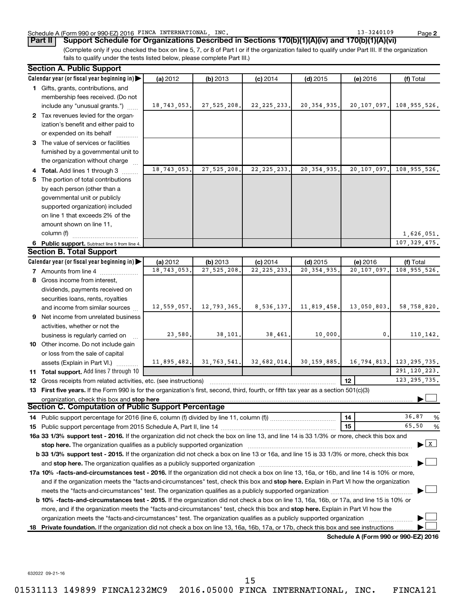#### Schedule A (Form 990 or 990-EZ) 2016 FINCA INTERNATIONAL, INC. 13 = 13-3240109 Page

**2**

(Complete only if you checked the box on line 5, 7, or 8 of Part I or if the organization failed to qualify under Part III. If the organization fails to qualify under the tests listed below, please complete Part III.) **Part II Support Schedule for Organizations Described in Sections 170(b)(1)(A)(iv) and 170(b)(1)(A)(vi)**

|    | <b>Section A. Public Support</b>                                                                                                                                                                                               |             |               |               |               |                                      |                                |
|----|--------------------------------------------------------------------------------------------------------------------------------------------------------------------------------------------------------------------------------|-------------|---------------|---------------|---------------|--------------------------------------|--------------------------------|
|    | Calendar year (or fiscal year beginning in)                                                                                                                                                                                    | (a) 2012    | (b) 2013      | $(c)$ 2014    | $(d)$ 2015    | (e) 2016                             | (f) Total                      |
|    | 1 Gifts, grants, contributions, and                                                                                                                                                                                            |             |               |               |               |                                      |                                |
|    | membership fees received. (Do not                                                                                                                                                                                              |             |               |               |               |                                      |                                |
|    | include any "unusual grants.")                                                                                                                                                                                                 | 18,743,053. | 27,525,208.   | 22, 225, 233. | 20, 354, 935. | 20,107,097.                          | 108,955,526.                   |
|    | 2 Tax revenues levied for the organ-                                                                                                                                                                                           |             |               |               |               |                                      |                                |
|    | ization's benefit and either paid to                                                                                                                                                                                           |             |               |               |               |                                      |                                |
|    | or expended on its behalf                                                                                                                                                                                                      |             |               |               |               |                                      |                                |
|    | 3 The value of services or facilities                                                                                                                                                                                          |             |               |               |               |                                      |                                |
|    | furnished by a governmental unit to                                                                                                                                                                                            |             |               |               |               |                                      |                                |
|    | the organization without charge                                                                                                                                                                                                |             |               |               |               |                                      |                                |
|    | 4 Total. Add lines 1 through 3                                                                                                                                                                                                 | 18,743,053. | 27, 525, 208. | 22, 225, 233. | 20, 354, 935. | 20,107,097.                          | 108,955,526.                   |
|    | 5 The portion of total contributions                                                                                                                                                                                           |             |               |               |               |                                      |                                |
|    | by each person (other than a                                                                                                                                                                                                   |             |               |               |               |                                      |                                |
|    | governmental unit or publicly                                                                                                                                                                                                  |             |               |               |               |                                      |                                |
|    | supported organization) included                                                                                                                                                                                               |             |               |               |               |                                      |                                |
|    | on line 1 that exceeds 2% of the                                                                                                                                                                                               |             |               |               |               |                                      |                                |
|    | amount shown on line 11,                                                                                                                                                                                                       |             |               |               |               |                                      |                                |
|    | column (f)                                                                                                                                                                                                                     |             |               |               |               |                                      | 1,626,051.                     |
|    | 6 Public support. Subtract line 5 from line 4.                                                                                                                                                                                 |             |               |               |               |                                      | 107, 329, 475.                 |
|    | <b>Section B. Total Support</b>                                                                                                                                                                                                |             |               |               |               |                                      |                                |
|    | Calendar year (or fiscal year beginning in)                                                                                                                                                                                    | (a) 2012    | (b) 2013      | $(c)$ 2014    | $(d)$ 2015    | (e) 2016                             | (f) Total                      |
|    | 7 Amounts from line 4                                                                                                                                                                                                          | 18,743,053. | 27,525,208.   | 22, 225, 233. | 20, 354, 935. | 20,107,097                           | 108, 955, 526.                 |
|    | 8 Gross income from interest,                                                                                                                                                                                                  |             |               |               |               |                                      |                                |
|    | dividends, payments received on                                                                                                                                                                                                |             |               |               |               |                                      |                                |
|    | securities loans, rents, royalties                                                                                                                                                                                             |             |               |               |               |                                      |                                |
|    | and income from similar sources                                                                                                                                                                                                | 12,559,057. | 12,793,365.   | 8,536,137.    | 11,819,458.   | 13,050,803.                          | 58,758,820.                    |
|    | 9 Net income from unrelated business                                                                                                                                                                                           |             |               |               |               |                                      |                                |
|    | activities, whether or not the                                                                                                                                                                                                 |             |               |               |               |                                      |                                |
|    | business is regularly carried on                                                                                                                                                                                               | 23,580.     | 38,101.       | 38,461.       | 10,000.       | 0.                                   | 110,142.                       |
|    | 10 Other income. Do not include gain                                                                                                                                                                                           |             |               |               |               |                                      |                                |
|    | or loss from the sale of capital                                                                                                                                                                                               |             |               |               |               |                                      |                                |
|    | assets (Explain in Part VI.)                                                                                                                                                                                                   | 11,895,482. | 31, 763, 541. | 32,682,014.   | 30, 159, 885. | 16, 794, 813.                        | 123, 295, 735.                 |
|    | 11 Total support. Add lines 7 through 10                                                                                                                                                                                       |             |               |               |               |                                      | 291, 120, 223.                 |
|    | <b>12</b> Gross receipts from related activities, etc. (see instructions)                                                                                                                                                      |             |               |               |               | 12 <sup>2</sup>                      | 123, 295, 735.                 |
|    | 13 First five years. If the Form 990 is for the organization's first, second, third, fourth, or fifth tax year as a section 501(c)(3)                                                                                          |             |               |               |               |                                      |                                |
|    | organization, check this box and stop here                                                                                                                                                                                     |             |               |               |               |                                      |                                |
|    | <b>Section C. Computation of Public Support Percentage</b>                                                                                                                                                                     |             |               |               |               |                                      |                                |
|    | 14 Public support percentage for 2016 (line 6, column (f) divided by line 11, column (f) <i>mummumumum</i>                                                                                                                     |             |               |               |               | 14                                   | 36.87<br>%                     |
|    |                                                                                                                                                                                                                                |             |               |               |               | 15                                   | 65.50<br>%                     |
|    | 16a 33 1/3% support test - 2016. If the organization did not check the box on line 13, and line 14 is 33 1/3% or more, check this box and                                                                                      |             |               |               |               |                                      |                                |
|    | stop here. The organization qualifies as a publicly supported organization manufactured content and the content of the state of the state of the state of the state of the state of the state of the state of the state of the |             |               |               |               |                                      | $\blacktriangleright$ $\mid$ X |
|    | b 33 1/3% support test - 2015. If the organization did not check a box on line 13 or 16a, and line 15 is 33 1/3% or more, check this box                                                                                       |             |               |               |               |                                      |                                |
|    |                                                                                                                                                                                                                                |             |               |               |               |                                      |                                |
|    | 17a 10% -facts-and-circumstances test - 2016. If the organization did not check a box on line 13, 16a, or 16b, and line 14 is 10% or more,                                                                                     |             |               |               |               |                                      |                                |
|    | and if the organization meets the "facts-and-circumstances" test, check this box and stop here. Explain in Part VI how the organization                                                                                        |             |               |               |               |                                      |                                |
|    | meets the "facts-and-circumstances" test. The organization qualifies as a publicly supported organization                                                                                                                      |             |               |               |               |                                      |                                |
|    | b 10% -facts-and-circumstances test - 2015. If the organization did not check a box on line 13, 16a, 16b, or 17a, and line 15 is 10% or                                                                                        |             |               |               |               |                                      |                                |
|    | more, and if the organization meets the "facts-and-circumstances" test, check this box and stop here. Explain in Part VI how the                                                                                               |             |               |               |               |                                      |                                |
|    |                                                                                                                                                                                                                                |             |               |               |               |                                      |                                |
| 18 | Private foundation. If the organization did not check a box on line 13, 16a, 16b, 17a, or 17b, check this box and see instructions                                                                                             |             |               |               |               |                                      |                                |
|    |                                                                                                                                                                                                                                |             |               |               |               | Schodule A (Form 000 or 000 F7) 2016 |                                |

**Schedule A (Form 990 or 990-EZ) 2016**

632022 09-21-16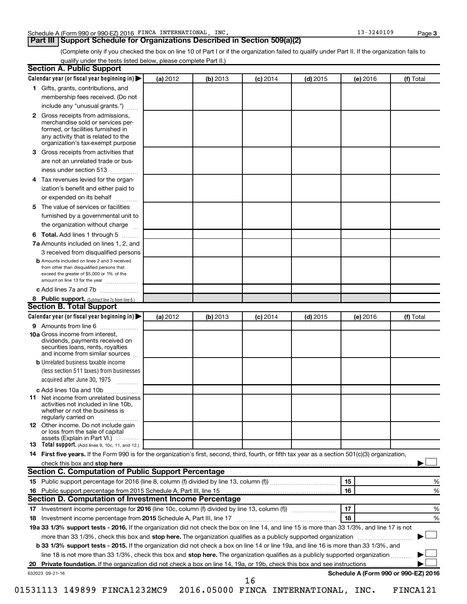## **Part III Support Schedule for Organizations Described in Section 509(a)(2)**

(Complete only if you checked the box on line 10 of Part I or if the organization failed to qualify under Part II. If the organization fails to qualify under the tests listed below, please complete Part II.)

|              | Calendar year (or fiscal year beginning in)                                                                                                                                                                                   | (a) 2012 | (b) 2013 | $(c)$ 2014 | $(d)$ 2015 |    | (e) 2016 | (f) Total |   |
|--------------|-------------------------------------------------------------------------------------------------------------------------------------------------------------------------------------------------------------------------------|----------|----------|------------|------------|----|----------|-----------|---|
|              | 1 Gifts, grants, contributions, and                                                                                                                                                                                           |          |          |            |            |    |          |           |   |
|              | membership fees received. (Do not                                                                                                                                                                                             |          |          |            |            |    |          |           |   |
|              | include any "unusual grants.")                                                                                                                                                                                                |          |          |            |            |    |          |           |   |
| $\mathbf{2}$ | Gross receipts from admissions,<br>merchandise sold or services per-<br>formed, or facilities furnished in<br>any activity that is related to the                                                                             |          |          |            |            |    |          |           |   |
|              | organization's tax-exempt purpose                                                                                                                                                                                             |          |          |            |            |    |          |           |   |
| 3.           | Gross receipts from activities that                                                                                                                                                                                           |          |          |            |            |    |          |           |   |
|              | are not an unrelated trade or bus-<br>iness under section 513                                                                                                                                                                 |          |          |            |            |    |          |           |   |
| 4            | Tax revenues levied for the organ-                                                                                                                                                                                            |          |          |            |            |    |          |           |   |
|              | ization's benefit and either paid to<br>or expended on its behalf<br>.                                                                                                                                                        |          |          |            |            |    |          |           |   |
| 5            | The value of services or facilities                                                                                                                                                                                           |          |          |            |            |    |          |           |   |
|              | furnished by a governmental unit to                                                                                                                                                                                           |          |          |            |            |    |          |           |   |
|              | the organization without charge                                                                                                                                                                                               |          |          |            |            |    |          |           |   |
| 6            | Total. Add lines 1 through 5                                                                                                                                                                                                  |          |          |            |            |    |          |           |   |
|              | 7a Amounts included on lines 1, 2, and                                                                                                                                                                                        |          |          |            |            |    |          |           |   |
|              | 3 received from disqualified persons<br><b>b</b> Amounts included on lines 2 and 3 received                                                                                                                                   |          |          |            |            |    |          |           |   |
|              | from other than disqualified persons that<br>exceed the greater of \$5,000 or 1% of the<br>amount on line 13 for the year                                                                                                     |          |          |            |            |    |          |           |   |
|              | c Add lines 7a and 7b                                                                                                                                                                                                         |          |          |            |            |    |          |           |   |
|              | 8 Public support. (Subtract line 7c from line 6.)                                                                                                                                                                             |          |          |            |            |    |          |           |   |
|              | <b>Section B. Total Support</b>                                                                                                                                                                                               |          |          |            |            |    |          |           |   |
|              | Calendar year (or fiscal year beginning in)                                                                                                                                                                                   | (a) 2012 | (b) 2013 | $(c)$ 2014 | $(d)$ 2015 |    | (e) 2016 | (f) Total |   |
|              | 9 Amounts from line 6                                                                                                                                                                                                         |          |          |            |            |    |          |           |   |
|              | <b>10a</b> Gross income from interest,<br>dividends, payments received on<br>securities loans, rents, royalties<br>and income from similar sources                                                                            |          |          |            |            |    |          |           |   |
|              | <b>b</b> Unrelated business taxable income                                                                                                                                                                                    |          |          |            |            |    |          |           |   |
|              | (less section 511 taxes) from businesses<br>acquired after June 30, 1975                                                                                                                                                      |          |          |            |            |    |          |           |   |
|              | c Add lines 10a and 10b                                                                                                                                                                                                       |          |          |            |            |    |          |           |   |
| 11           | Net income from unrelated business<br>activities not included in line 10b.<br>whether or not the business is<br>regularly carried on                                                                                          |          |          |            |            |    |          |           |   |
|              | <b>12</b> Other income. Do not include gain<br>or loss from the sale of capital<br>assets (Explain in Part VI.)                                                                                                               |          |          |            |            |    |          |           |   |
|              | <b>13</b> Total support. (Add lines 9, 10c, 11, and 12.)                                                                                                                                                                      |          |          |            |            |    |          |           |   |
|              | 14 First five years. If the Form 990 is for the organization's first, second, third, fourth, or fifth tax year as a section 501(c)(3) organization,                                                                           |          |          |            |            |    |          |           |   |
|              | check this box and stop here manufactured and the context of the state of the context of the state of the context of the context of the context of the context of the context of the context of the context of the context of |          |          |            |            |    |          |           |   |
|              | Section C. Computation of Public Support Percentage                                                                                                                                                                           |          |          |            |            |    |          |           |   |
|              |                                                                                                                                                                                                                               |          |          |            |            | 15 |          |           | % |
|              |                                                                                                                                                                                                                               |          |          |            |            | 16 |          |           | % |
|              | Section D. Computation of Investment Income Percentage                                                                                                                                                                        |          |          |            |            |    |          |           |   |
|              |                                                                                                                                                                                                                               |          |          |            |            | 17 |          |           | % |
|              |                                                                                                                                                                                                                               |          |          |            |            | 18 |          |           | % |
|              |                                                                                                                                                                                                                               |          |          |            |            |    |          |           |   |
|              |                                                                                                                                                                                                                               |          |          |            |            |    |          |           |   |
|              | 19a 33 1/3% support tests - 2016. If the organization did not check the box on line 14, and line 15 is more than 33 1/3%, and line 17 is not                                                                                  |          |          |            |            |    |          |           |   |
|              | more than 33 1/3%, check this box and stop here. The organization qualifies as a publicly supported organization                                                                                                              |          |          |            |            |    |          |           |   |
|              | b 33 1/3% support tests - 2015. If the organization did not check a box on line 14 or line 19a, and line 16 is more than 33 1/3%, and                                                                                         |          |          |            |            |    |          |           |   |
|              | line 18 is not more than 33 1/3%, check this box and stop here. The organization qualifies as a publicly supported organization                                                                                               |          |          |            |            |    |          |           |   |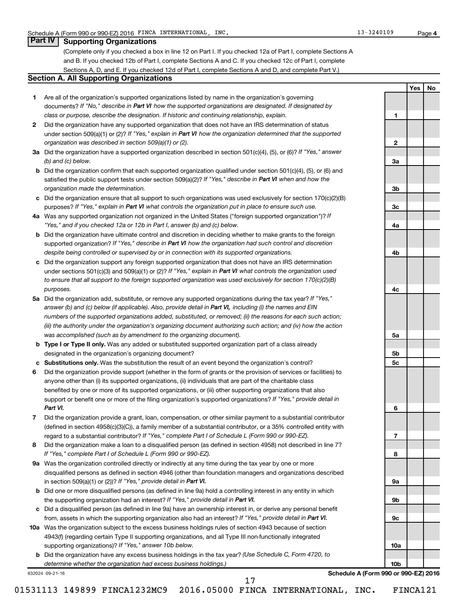### **Part IV Supporting Organizations**

(Complete only if you checked a box in line 12 on Part I. If you checked 12a of Part I, complete Sections A and B. If you checked 12b of Part I, complete Sections A and C. If you checked 12c of Part I, complete Sections A, D, and E. If you checked 12d of Part I, complete Sections A and D, and complete Part V.)

#### **Section A. All Supporting Organizations**

- **1** Are all of the organization's supported organizations listed by name in the organization's governing documents? If "No," describe in Part VI how the supported organizations are designated. If designated by *class or purpose, describe the designation. If historic and continuing relationship, explain.*
- **2** Did the organization have any supported organization that does not have an IRS determination of status under section 509(a)(1) or (2)? If "Yes," explain in Part VI how the organization determined that the supported *organization was described in section 509(a)(1) or (2).*
- **3a** Did the organization have a supported organization described in section 501(c)(4), (5), or (6)? If "Yes," answer *(b) and (c) below.*
- **b** Did the organization confirm that each supported organization qualified under section 501(c)(4), (5), or (6) and satisfied the public support tests under section 509(a)(2)? If "Yes," describe in Part VI when and how the *organization made the determination.*
- **c** Did the organization ensure that all support to such organizations was used exclusively for section 170(c)(2)(B) purposes? If "Yes," explain in Part VI what controls the organization put in place to ensure such use.
- **4 a** *If* Was any supported organization not organized in the United States ("foreign supported organization")? *"Yes," and if you checked 12a or 12b in Part I, answer (b) and (c) below.*
- **b** Did the organization have ultimate control and discretion in deciding whether to make grants to the foreign supported organization? If "Yes," describe in Part VI how the organization had such control and discretion *despite being controlled or supervised by or in connection with its supported organizations.*
- **c** Did the organization support any foreign supported organization that does not have an IRS determination under sections 501(c)(3) and 509(a)(1) or (2)? If "Yes," explain in Part VI what controls the organization used *to ensure that all support to the foreign supported organization was used exclusively for section 170(c)(2)(B) purposes.*
- **5a** Did the organization add, substitute, or remove any supported organizations during the tax year? If "Yes," answer (b) and (c) below (if applicable). Also, provide detail in Part VI, including (i) the names and EIN *numbers of the supported organizations added, substituted, or removed; (ii) the reasons for each such action; (iii) the authority under the organization's organizing document authorizing such action; and (iv) how the action was accomplished (such as by amendment to the organizing document).*
- **b** Type I or Type II only. Was any added or substituted supported organization part of a class already designated in the organization's organizing document?
- **c Substitutions only.**  Was the substitution the result of an event beyond the organization's control?
- **6** Did the organization provide support (whether in the form of grants or the provision of services or facilities) to support or benefit one or more of the filing organization's supported organizations? If "Yes," provide detail in anyone other than (i) its supported organizations, (ii) individuals that are part of the charitable class benefited by one or more of its supported organizations, or (iii) other supporting organizations that also *Part VI.*
- **7** Did the organization provide a grant, loan, compensation, or other similar payment to a substantial contributor regard to a substantial contributor? If "Yes," complete Part I of Schedule L (Form 990 or 990-EZ). (defined in section 4958(c)(3)(C)), a family member of a substantial contributor, or a 35% controlled entity with
- **8** Did the organization make a loan to a disqualified person (as defined in section 4958) not described in line 7? *If "Yes," complete Part I of Schedule L (Form 990 or 990-EZ).*
- **9 a** Was the organization controlled directly or indirectly at any time during the tax year by one or more in section 509(a)(1) or (2))? If "Yes," provide detail in Part VI. disqualified persons as defined in section 4946 (other than foundation managers and organizations described
- **b** Did one or more disqualified persons (as defined in line 9a) hold a controlling interest in any entity in which the supporting organization had an interest? If "Yes," provide detail in Part VI.
- **c** Did a disqualified person (as defined in line 9a) have an ownership interest in, or derive any personal benefit from, assets in which the supporting organization also had an interest? If "Yes," provide detail in Part VI.
- **10 a** Was the organization subject to the excess business holdings rules of section 4943 because of section supporting organizations)? If "Yes," answer 10b below. 4943(f) (regarding certain Type II supporting organizations, and all Type III non-functionally integrated
	- **b** Did the organization have any excess business holdings in the tax year? (Use Schedule C, Form 4720, to *determine whether the organization had excess business holdings.)*

632024 09-21-16

**Schedule A (Form 990 or 990-EZ) 2016**

**1**

**2**

**3a**

**3b**

**3c**

**4a**

**4b**

**4c**

**5a**

**5b 5c**

**6**

**7**

**8**

**9a**

**9b**

**9c**

**10a**

**10b**

**4**

**Yes No**

01531113 149899 FINCA1232MC9 2016.05000 FINCA INTERNATIONAL, INC. FINCA121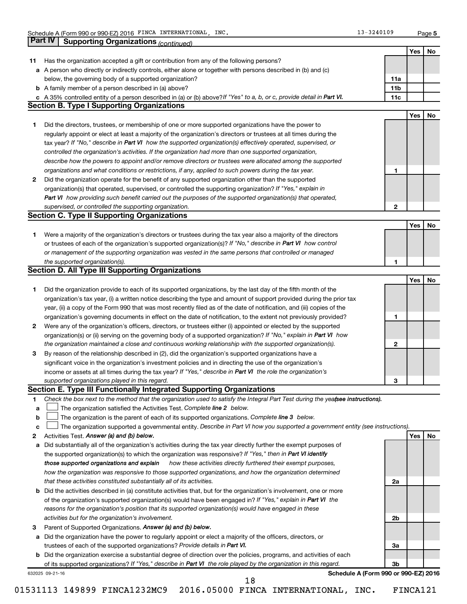|    | <b>Supporting Organizations (continued)</b>                                                                                                                                                                                                       |                 | Yes        |
|----|---------------------------------------------------------------------------------------------------------------------------------------------------------------------------------------------------------------------------------------------------|-----------------|------------|
| 11 | Has the organization accepted a gift or contribution from any of the following persons?                                                                                                                                                           |                 |            |
|    | a A person who directly or indirectly controls, either alone or together with persons described in (b) and (c)                                                                                                                                    |                 |            |
|    | below, the governing body of a supported organization?                                                                                                                                                                                            | 11a             |            |
|    | <b>b</b> A family member of a person described in (a) above?                                                                                                                                                                                      | 11 <sub>b</sub> |            |
|    | c A 35% controlled entity of a person described in (a) or (b) above? If "Yes" to a, b, or c, provide detail in Part VI.                                                                                                                           | 11c             |            |
|    | <b>Section B. Type I Supporting Organizations</b>                                                                                                                                                                                                 |                 |            |
|    |                                                                                                                                                                                                                                                   |                 | <b>Yes</b> |
| 1  | Did the directors, trustees, or membership of one or more supported organizations have the power to                                                                                                                                               |                 |            |
|    | regularly appoint or elect at least a majority of the organization's directors or trustees at all times during the                                                                                                                                |                 |            |
|    | tax year? If "No," describe in Part VI how the supported organization(s) effectively operated, supervised, or                                                                                                                                     |                 |            |
|    | controlled the organization's activities. If the organization had more than one supported organization,                                                                                                                                           |                 |            |
|    | describe how the powers to appoint and/or remove directors or trustees were allocated among the supported                                                                                                                                         |                 |            |
|    | organizations and what conditions or restrictions, if any, applied to such powers during the tax year.                                                                                                                                            | 1               |            |
| 2  | Did the organization operate for the benefit of any supported organization other than the supported                                                                                                                                               |                 |            |
|    | organization(s) that operated, supervised, or controlled the supporting organization? If "Yes," explain in                                                                                                                                        |                 |            |
|    | Part VI how providing such benefit carried out the purposes of the supported organization(s) that operated,                                                                                                                                       |                 |            |
|    | supervised, or controlled the supporting organization.                                                                                                                                                                                            | $\mathbf{2}$    |            |
|    | <b>Section C. Type II Supporting Organizations</b>                                                                                                                                                                                                |                 |            |
|    |                                                                                                                                                                                                                                                   |                 | <b>Yes</b> |
| 1  | Were a majority of the organization's directors or trustees during the tax year also a majority of the directors                                                                                                                                  |                 |            |
|    | or trustees of each of the organization's supported organization(s)? If "No," describe in Part VI how control                                                                                                                                     |                 |            |
|    | or management of the supporting organization was vested in the same persons that controlled or managed                                                                                                                                            |                 |            |
|    | the supported organization(s).                                                                                                                                                                                                                    | 1               |            |
|    | <b>Section D. All Type III Supporting Organizations</b>                                                                                                                                                                                           |                 |            |
|    |                                                                                                                                                                                                                                                   |                 | Yes        |
| 1  | Did the organization provide to each of its supported organizations, by the last day of the fifth month of the                                                                                                                                    |                 |            |
|    | organization's tax year, (i) a written notice describing the type and amount of support provided during the prior tax                                                                                                                             |                 |            |
|    | year, (ii) a copy of the Form 990 that was most recently filed as of the date of notification, and (iii) copies of the                                                                                                                            |                 |            |
|    | organization's governing documents in effect on the date of notification, to the extent not previously provided?                                                                                                                                  | 1               |            |
| 2  | Were any of the organization's officers, directors, or trustees either (i) appointed or elected by the supported                                                                                                                                  |                 |            |
|    | organization(s) or (ii) serving on the governing body of a supported organization? If "No," explain in Part VI how                                                                                                                                |                 |            |
|    | the organization maintained a close and continuous working relationship with the supported organization(s).                                                                                                                                       | $\mathbf{2}$    |            |
| З  | By reason of the relationship described in (2), did the organization's supported organizations have a                                                                                                                                             |                 |            |
|    | significant voice in the organization's investment policies and in directing the use of the organization's                                                                                                                                        |                 |            |
|    | income or assets at all times during the tax year? If "Yes," describe in Part VI the role the organization's                                                                                                                                      |                 |            |
|    | supported organizations played in this regard.                                                                                                                                                                                                    | з               |            |
|    | Section E. Type III Functionally Integrated Supporting Organizations                                                                                                                                                                              |                 |            |
| 1  | Check the box next to the method that the organization used to satisfy the Integral Part Test during the yea(see instructions).                                                                                                                   |                 |            |
| a  | The organization satisfied the Activities Test. Complete line 2 below.                                                                                                                                                                            |                 |            |
| b  | The organization is the parent of each of its supported organizations. Complete line 3 below.                                                                                                                                                     |                 |            |
| c  | The organization supported a governmental entity. Describe in Part VI how you supported a government entity (see instructions).                                                                                                                   |                 |            |
| 2  | Activities Test. Answer (a) and (b) below.                                                                                                                                                                                                        |                 | Yes        |
| а  | Did substantially all of the organization's activities during the tax year directly further the exempt purposes of                                                                                                                                |                 |            |
|    | the supported organization(s) to which the organization was responsive? If "Yes," then in Part VI identify                                                                                                                                        |                 |            |
|    | those supported organizations and explain<br>how these activities directly furthered their exempt purposes,                                                                                                                                       |                 |            |
|    | how the organization was responsive to those supported organizations, and how the organization determined                                                                                                                                         |                 |            |
|    | that these activities constituted substantially all of its activities.                                                                                                                                                                            | 2a              |            |
|    | b Did the activities described in (a) constitute activities that, but for the organization's involvement, one or more                                                                                                                             |                 |            |
|    | of the organization's supported organization(s) would have been engaged in? If "Yes," explain in Part VI the                                                                                                                                      |                 |            |
|    | reasons for the organization's position that its supported organization(s) would have engaged in these                                                                                                                                            |                 |            |
|    | activities but for the organization's involvement.                                                                                                                                                                                                | 2b              |            |
| 3  | Parent of Supported Organizations. Answer (a) and (b) below.                                                                                                                                                                                      |                 |            |
|    | Did the organization have the power to regularly appoint or elect a majority of the officers, directors, or                                                                                                                                       |                 |            |
| а  |                                                                                                                                                                                                                                                   | За              |            |
|    |                                                                                                                                                                                                                                                   |                 |            |
|    | trustees of each of the supported organizations? Provide details in Part VI.                                                                                                                                                                      |                 |            |
|    | <b>b</b> Did the organization exercise a substantial degree of direction over the policies, programs, and activities of each<br>of its supported organizations? If "Yes," describe in Part VI the role played by the organization in this regard. | 3b              |            |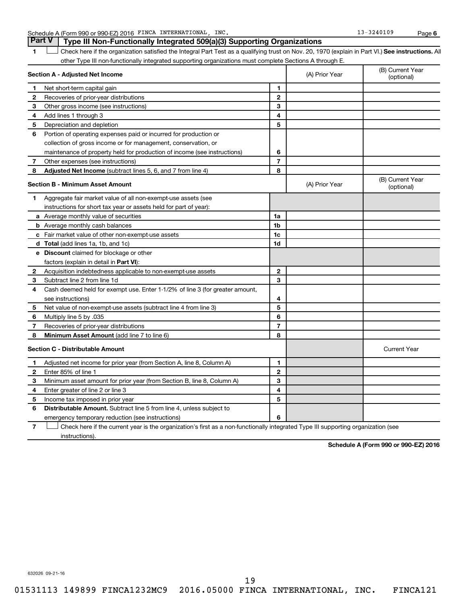Schedule A (Form 990 or 990-EZ) 2016 FINCA INTERNATIONAL, INC. 13 = 13-3240109 Page

**6**

1 **Letter See instructions.** All Check here if the organization satisfied the Integral Part Test as a qualifying trust on Nov. 20, 1970 (explain in Part VI.) See instructions. All other Type III non-functionally integrated supporting organizations must complete Sections A through E. **Part V Type III Non-Functionally Integrated 509(a)(3) Supporting Organizations** 

|              | Section A - Adjusted Net Income                                                                                                   | (A) Prior Year | (B) Current Year<br>(optional) |                                |
|--------------|-----------------------------------------------------------------------------------------------------------------------------------|----------------|--------------------------------|--------------------------------|
| 1            | Net short-term capital gain                                                                                                       | 1              |                                |                                |
| $\mathbf{2}$ | Recoveries of prior-year distributions                                                                                            | $\mathbf{2}$   |                                |                                |
| З            | Other gross income (see instructions)                                                                                             | 3              |                                |                                |
| 4            | Add lines 1 through 3                                                                                                             | 4              |                                |                                |
| 5            | Depreciation and depletion                                                                                                        | 5              |                                |                                |
| 6            | Portion of operating expenses paid or incurred for production or                                                                  |                |                                |                                |
|              | collection of gross income or for management, conservation, or                                                                    |                |                                |                                |
|              | maintenance of property held for production of income (see instructions)                                                          | 6              |                                |                                |
| 7            | Other expenses (see instructions)                                                                                                 | $\overline{7}$ |                                |                                |
| 8            | Adjusted Net Income (subtract lines 5, 6, and 7 from line 4)                                                                      | 8              |                                |                                |
|              | <b>Section B - Minimum Asset Amount</b>                                                                                           |                | (A) Prior Year                 | (B) Current Year<br>(optional) |
| 1            | Aggregate fair market value of all non-exempt-use assets (see                                                                     |                |                                |                                |
|              | instructions for short tax year or assets held for part of year):                                                                 |                |                                |                                |
|              | a Average monthly value of securities                                                                                             | 1a             |                                |                                |
|              | <b>b</b> Average monthly cash balances                                                                                            | 1 <sub>b</sub> |                                |                                |
|              | c Fair market value of other non-exempt-use assets                                                                                | 1c             |                                |                                |
|              | d Total (add lines 1a, 1b, and 1c)                                                                                                | 1 <sub>d</sub> |                                |                                |
|              | e Discount claimed for blockage or other                                                                                          |                |                                |                                |
|              | factors (explain in detail in Part VI):                                                                                           |                |                                |                                |
| 2            | Acquisition indebtedness applicable to non-exempt-use assets                                                                      | $\mathbf{2}$   |                                |                                |
| 3            | Subtract line 2 from line 1d                                                                                                      | 3              |                                |                                |
| 4            | Cash deemed held for exempt use. Enter 1-1/2% of line 3 (for greater amount,                                                      |                |                                |                                |
|              | see instructions)                                                                                                                 | 4              |                                |                                |
| 5            | Net value of non-exempt-use assets (subtract line 4 from line 3)                                                                  | 5              |                                |                                |
| 6            | Multiply line 5 by .035                                                                                                           | 6              |                                |                                |
| 7            | Recoveries of prior-year distributions                                                                                            | $\overline{7}$ |                                |                                |
| 8            | Minimum Asset Amount (add line 7 to line 6)                                                                                       | 8              |                                |                                |
|              | <b>Section C - Distributable Amount</b>                                                                                           |                |                                | <b>Current Year</b>            |
| 1            | Adjusted net income for prior year (from Section A, line 8, Column A)                                                             | 1              |                                |                                |
| 2            | Enter 85% of line 1                                                                                                               | $\mathbf{2}$   |                                |                                |
| 3            | Minimum asset amount for prior year (from Section B, line 8, Column A)                                                            | 3              |                                |                                |
| 4            | Enter greater of line 2 or line 3                                                                                                 | 4              |                                |                                |
| 5            | Income tax imposed in prior year                                                                                                  | 5              |                                |                                |
| 6            | <b>Distributable Amount.</b> Subtract line 5 from line 4, unless subject to                                                       |                |                                |                                |
|              | emergency temporary reduction (see instructions)                                                                                  | 6              |                                |                                |
| 7            | Check here if the current year is the organization's first as a non-functionally integrated Type III supporting organization (see |                |                                |                                |

instructions).

**Schedule A (Form 990 or 990-EZ) 2016**

632026 09-21-16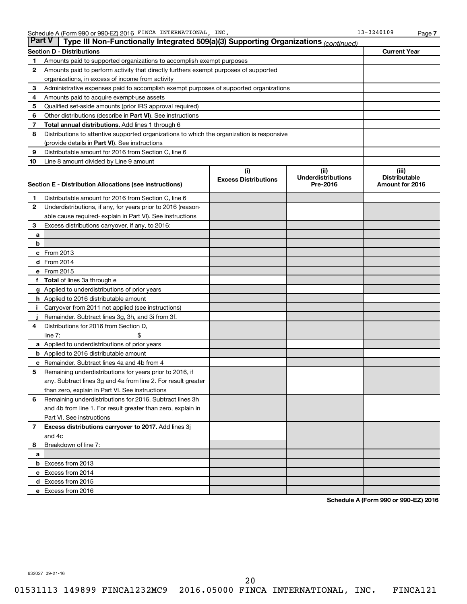|              | <b>Part V</b><br>Type III Non-Functionally Integrated 509(a)(3) Supporting Organizations (continued) |                             |                                       |                                         |
|--------------|------------------------------------------------------------------------------------------------------|-----------------------------|---------------------------------------|-----------------------------------------|
|              | <b>Section D - Distributions</b>                                                                     |                             |                                       | <b>Current Year</b>                     |
| 1            | Amounts paid to supported organizations to accomplish exempt purposes                                |                             |                                       |                                         |
| 2            | Amounts paid to perform activity that directly furthers exempt purposes of supported                 |                             |                                       |                                         |
|              | organizations, in excess of income from activity                                                     |                             |                                       |                                         |
| 3            | Administrative expenses paid to accomplish exempt purposes of supported organizations                |                             |                                       |                                         |
| 4            | Amounts paid to acquire exempt-use assets                                                            |                             |                                       |                                         |
| 5            | Qualified set-aside amounts (prior IRS approval required)                                            |                             |                                       |                                         |
| 6            | Other distributions (describe in Part VI). See instructions                                          |                             |                                       |                                         |
| 7            | <b>Total annual distributions.</b> Add lines 1 through 6                                             |                             |                                       |                                         |
| 8            | Distributions to attentive supported organizations to which the organization is responsive           |                             |                                       |                                         |
|              | (provide details in Part VI). See instructions                                                       |                             |                                       |                                         |
| 9            | Distributable amount for 2016 from Section C, line 6                                                 |                             |                                       |                                         |
| 10           | Line 8 amount divided by Line 9 amount                                                               |                             |                                       |                                         |
|              |                                                                                                      | (i)                         | (ii)                                  | (iii)                                   |
|              |                                                                                                      | <b>Excess Distributions</b> | <b>Underdistributions</b><br>Pre-2016 | <b>Distributable</b><br>Amount for 2016 |
|              | Section E - Distribution Allocations (see instructions)                                              |                             |                                       |                                         |
| 1            | Distributable amount for 2016 from Section C, line 6                                                 |                             |                                       |                                         |
| 2            | Underdistributions, if any, for years prior to 2016 (reason-                                         |                             |                                       |                                         |
|              | able cause required-explain in Part VI). See instructions                                            |                             |                                       |                                         |
| З            | Excess distributions carryover, if any, to 2016:                                                     |                             |                                       |                                         |
| а            |                                                                                                      |                             |                                       |                                         |
| b            |                                                                                                      |                             |                                       |                                         |
|              | c From 2013                                                                                          |                             |                                       |                                         |
|              | <b>d</b> From 2014                                                                                   |                             |                                       |                                         |
|              | e From 2015                                                                                          |                             |                                       |                                         |
| f            | <b>Total</b> of lines 3a through e                                                                   |                             |                                       |                                         |
|              | g Applied to underdistributions of prior years                                                       |                             |                                       |                                         |
|              | <b>h</b> Applied to 2016 distributable amount                                                        |                             |                                       |                                         |
|              | Carryover from 2011 not applied (see instructions)                                                   |                             |                                       |                                         |
|              | Remainder. Subtract lines 3g, 3h, and 3i from 3f.                                                    |                             |                                       |                                         |
| 4            | Distributions for 2016 from Section D,                                                               |                             |                                       |                                         |
|              | line $7:$                                                                                            |                             |                                       |                                         |
|              | a Applied to underdistributions of prior years                                                       |                             |                                       |                                         |
|              | <b>b</b> Applied to 2016 distributable amount                                                        |                             |                                       |                                         |
| с            | Remainder. Subtract lines 4a and 4b from 4                                                           |                             |                                       |                                         |
| 5            | Remaining underdistributions for years prior to 2016, if                                             |                             |                                       |                                         |
|              | any. Subtract lines 3g and 4a from line 2. For result greater                                        |                             |                                       |                                         |
|              | than zero, explain in Part VI. See instructions                                                      |                             |                                       |                                         |
| 6            | Remaining underdistributions for 2016. Subtract lines 3h                                             |                             |                                       |                                         |
|              | and 4b from line 1. For result greater than zero, explain in                                         |                             |                                       |                                         |
|              | Part VI. See instructions                                                                            |                             |                                       |                                         |
| $\mathbf{7}$ | Excess distributions carryover to 2017. Add lines 3j                                                 |                             |                                       |                                         |
|              | and 4c                                                                                               |                             |                                       |                                         |
| 8            | Breakdown of line 7:                                                                                 |                             |                                       |                                         |
| a            |                                                                                                      |                             |                                       |                                         |
|              | <b>b</b> Excess from 2013                                                                            |                             |                                       |                                         |
|              | c Excess from 2014                                                                                   |                             |                                       |                                         |
|              | d Excess from 2015                                                                                   |                             |                                       |                                         |
|              | e Excess from 2016                                                                                   |                             |                                       |                                         |

**Schedule A (Form 990 or 990-EZ) 2016**

**7**

632027 09-21-16

20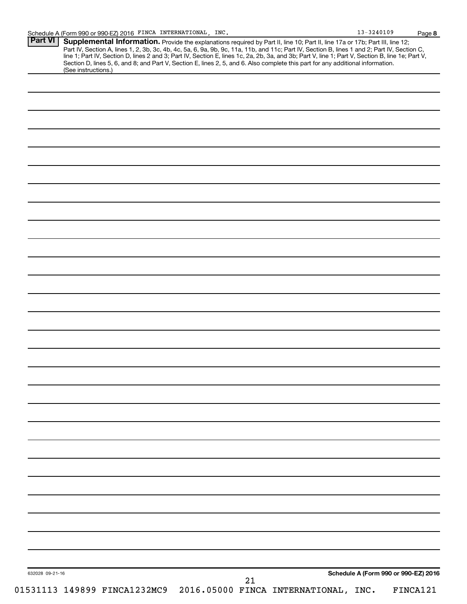| Section D, lines 5, 6, and 8; and Part V, Section E, lines 2, 5, and 6. Also complete this part for any additional information.<br>(See instructions.) |  |  |  |  |  |
|--------------------------------------------------------------------------------------------------------------------------------------------------------|--|--|--|--|--|
|                                                                                                                                                        |  |  |  |  |  |
|                                                                                                                                                        |  |  |  |  |  |
|                                                                                                                                                        |  |  |  |  |  |
|                                                                                                                                                        |  |  |  |  |  |
|                                                                                                                                                        |  |  |  |  |  |
|                                                                                                                                                        |  |  |  |  |  |
|                                                                                                                                                        |  |  |  |  |  |
|                                                                                                                                                        |  |  |  |  |  |
|                                                                                                                                                        |  |  |  |  |  |
|                                                                                                                                                        |  |  |  |  |  |
|                                                                                                                                                        |  |  |  |  |  |
|                                                                                                                                                        |  |  |  |  |  |
|                                                                                                                                                        |  |  |  |  |  |
|                                                                                                                                                        |  |  |  |  |  |
|                                                                                                                                                        |  |  |  |  |  |
|                                                                                                                                                        |  |  |  |  |  |
|                                                                                                                                                        |  |  |  |  |  |
|                                                                                                                                                        |  |  |  |  |  |
|                                                                                                                                                        |  |  |  |  |  |
|                                                                                                                                                        |  |  |  |  |  |
|                                                                                                                                                        |  |  |  |  |  |
|                                                                                                                                                        |  |  |  |  |  |
|                                                                                                                                                        |  |  |  |  |  |
|                                                                                                                                                        |  |  |  |  |  |
|                                                                                                                                                        |  |  |  |  |  |
|                                                                                                                                                        |  |  |  |  |  |
|                                                                                                                                                        |  |  |  |  |  |
|                                                                                                                                                        |  |  |  |  |  |
|                                                                                                                                                        |  |  |  |  |  |
|                                                                                                                                                        |  |  |  |  |  |
|                                                                                                                                                        |  |  |  |  |  |
|                                                                                                                                                        |  |  |  |  |  |
|                                                                                                                                                        |  |  |  |  |  |
|                                                                                                                                                        |  |  |  |  |  |
|                                                                                                                                                        |  |  |  |  |  |
|                                                                                                                                                        |  |  |  |  |  |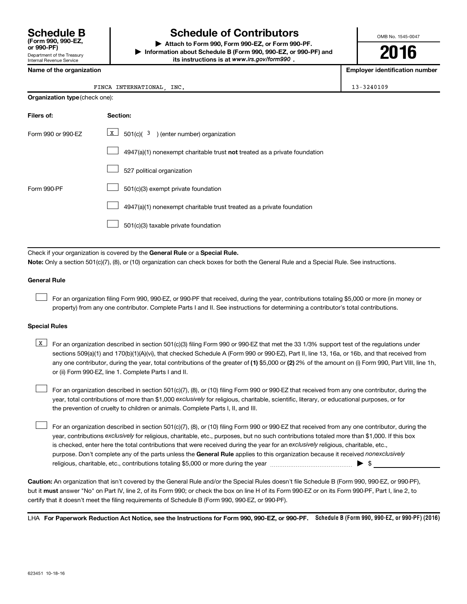Department of the Treasury Internal Revenue Service **(Form 990, 990-EZ,**

# **Schedule B Schedule of Contributors**

**or 990-PF) | Attach to Form 990, Form 990-EZ, or Form 990-PF. | Information about Schedule B (Form 990, 990-EZ, or 990-PF) and** its instructions is at www.irs.gov/form990.

OMB No. 1545-0047

**2016**

**Employer identification number** 

|  |  | Name of the organization |
|--|--|--------------------------|
|--|--|--------------------------|

#### FINCA INTERNATIONAL, INC. 13-3240109

| <b>Organization type (check one):</b> |                                                                           |  |  |  |
|---------------------------------------|---------------------------------------------------------------------------|--|--|--|
| Filers of:                            | Section:                                                                  |  |  |  |
| Form 990 or 990-EZ                    | $\boxed{\text{X}}$ 501(c)( 3) (enter number) organization                 |  |  |  |
|                                       | 4947(a)(1) nonexempt charitable trust not treated as a private foundation |  |  |  |
|                                       | 527 political organization                                                |  |  |  |
| Form 990-PF                           | 501(c)(3) exempt private foundation                                       |  |  |  |
|                                       | 4947(a)(1) nonexempt charitable trust treated as a private foundation     |  |  |  |
|                                       | 501(c)(3) taxable private foundation                                      |  |  |  |

Check if your organization is covered by the General Rule or a Special Rule.

**Note:**  Only a section 501(c)(7), (8), or (10) organization can check boxes for both the General Rule and a Special Rule. See instructions.

#### **General Rule**

 $\Box$ 

For an organization filing Form 990, 990-EZ, or 990-PF that received, during the year, contributions totaling \$5,000 or more (in money or property) from any one contributor. Complete Parts I and II. See instructions for determining a contributor's total contributions.

#### **Special Rules**

any one contributor, during the year, total contributions of the greater of **(1)** \$5,000 or **(2)** 2% of the amount on (i) Form 990, Part VIII, line 1h, **K** For an organization described in section 501(c)(3) filing Form 990 or 990-EZ that met the 33 1/3% support test of the regulations under sections 509(a)(1) and 170(b)(1)(A)(vi), that checked Schedule A (Form 990 or 990-EZ), Part II, line 13, 16a, or 16b, and that received from or (ii) Form 990-EZ, line 1. Complete Parts I and II.

year, total contributions of more than \$1,000 *exclusively* for religious, charitable, scientific, literary, or educational purposes, or for For an organization described in section 501(c)(7), (8), or (10) filing Form 990 or 990-EZ that received from any one contributor, during the the prevention of cruelty to children or animals. Complete Parts I, II, and III.  $\Box$ 

purpose. Don't complete any of the parts unless the General Rule applies to this organization because it received nonexclusively year, contributions exclusively for religious, charitable, etc., purposes, but no such contributions totaled more than \$1,000. If this box is checked, enter here the total contributions that were received during the year for an exclusively religious, charitable, etc., For an organization described in section 501(c)(7), (8), or (10) filing Form 990 or 990-EZ that received from any one contributor, during the religious, charitable, etc., contributions totaling \$5,000 or more during the year  $\ldots$  $\ldots$  $\ldots$  $\ldots$  $\ldots$  $\ldots$  $\Box$ 

**Caution:**  An organization that isn't covered by the General Rule and/or the Special Rules doesn't file Schedule B (Form 990, 990-EZ, or 990-PF),  **must** but it answer "No" on Part IV, line 2, of its Form 990; or check the box on line H of its Form 990-EZ or on its Form 990-PF, Part I, line 2, to certify that it doesn't meet the filing requirements of Schedule B (Form 990, 990-EZ, or 990-PF).

LHA For Paperwork Reduction Act Notice, see the Instructions for Form 990, 990-EZ, or 990-PF. Schedule B (Form 990, 990-EZ, or 990-PF) (2016)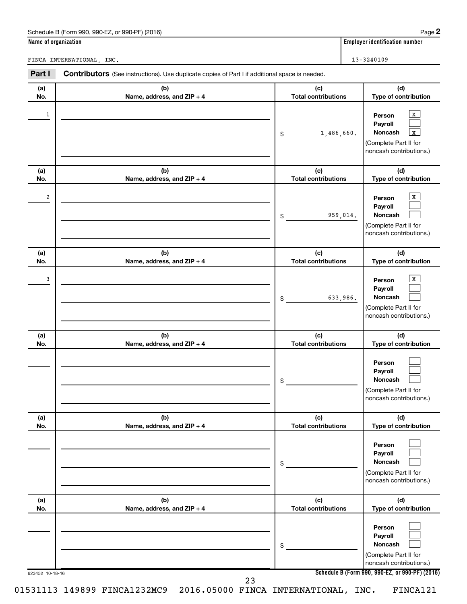| Name of organization | $\frac{1}{2}$ is the count of the state of $\frac{1}{2}$ and $\frac{1}{2}$ and $\frac{1}{2}$ and $\frac{1}{2}$ and $\frac{1}{2}$ and $\frac{1}{2}$ and $\frac{1}{2}$ and $\frac{1}{2}$ and $\frac{1}{2}$ and $\frac{1}{2}$ and $\frac{1}{2}$ and $\frac{1}{2}$ and $\frac{1}{2}$ and |                                   | ı ay <del>c</del> ⊷<br><b>Employer identification number</b>                                                    |
|----------------------|--------------------------------------------------------------------------------------------------------------------------------------------------------------------------------------------------------------------------------------------------------------------------------------|-----------------------------------|-----------------------------------------------------------------------------------------------------------------|
|                      | FINCA INTERNATIONAL, INC.                                                                                                                                                                                                                                                            |                                   | $13 - 3240109$                                                                                                  |
| Part I               | <b>Contributors</b> (See instructions). Use duplicate copies of Part I if additional space is needed.                                                                                                                                                                                |                                   |                                                                                                                 |
| (a)<br>No.           | (b)<br>Name, address, and ZIP + 4                                                                                                                                                                                                                                                    | (c)<br><b>Total contributions</b> | (d)<br>Type of contribution                                                                                     |
| 1                    |                                                                                                                                                                                                                                                                                      | 1,486,660.<br>\$                  | $\mathbf{X}$<br>Person<br>Payroll<br>Noncash<br>$\mathbf X$<br>(Complete Part II for<br>noncash contributions.) |
| (a)<br>No.           | (b)<br>Name, address, and ZIP + 4                                                                                                                                                                                                                                                    | (c)<br><b>Total contributions</b> | (d)<br>Type of contribution                                                                                     |
| 2                    |                                                                                                                                                                                                                                                                                      | 959,014.<br>\$                    | $\mathbf X$<br>Person<br>Payroll<br>Noncash<br>(Complete Part II for<br>noncash contributions.)                 |
| (a)<br>No.           | (b)<br>Name, address, and ZIP + 4                                                                                                                                                                                                                                                    | (c)<br><b>Total contributions</b> | (d)<br>Type of contribution                                                                                     |
| 3                    |                                                                                                                                                                                                                                                                                      | 633,986.<br>\$                    | X<br>Person<br>Payroll<br>Noncash<br>(Complete Part II for<br>noncash contributions.)                           |
| (a)<br>No.           | (b)<br>Name, address, and ZIP + 4                                                                                                                                                                                                                                                    | (c)<br><b>Total contributions</b> | (d)<br>Type of contribution                                                                                     |
|                      |                                                                                                                                                                                                                                                                                      | \$                                | Person<br>Payroll<br>Noncash<br>(Complete Part II for<br>noncash contributions.)                                |
| (a)<br>No.           | (b)<br>Name, address, and ZIP + 4                                                                                                                                                                                                                                                    | (c)<br><b>Total contributions</b> | (d)<br>Type of contribution                                                                                     |
|                      |                                                                                                                                                                                                                                                                                      | \$                                | Person<br>Payroll<br>Noncash<br>(Complete Part II for<br>noncash contributions.)                                |
| (a)<br>No.           | (b)<br>Name, address, and ZIP + 4                                                                                                                                                                                                                                                    | (c)<br><b>Total contributions</b> | (d)<br>Type of contribution                                                                                     |
|                      |                                                                                                                                                                                                                                                                                      | \$                                | Person<br>Payroll<br><b>Noncash</b><br>(Complete Part II for                                                    |

Schedule B (Form 990, 990-FZ, or 990-PF) (2016)

**Schedule B (Form 990, 990-EZ, or 990-PF) (2016)**

noncash contributions.)

23

623452 10-18-16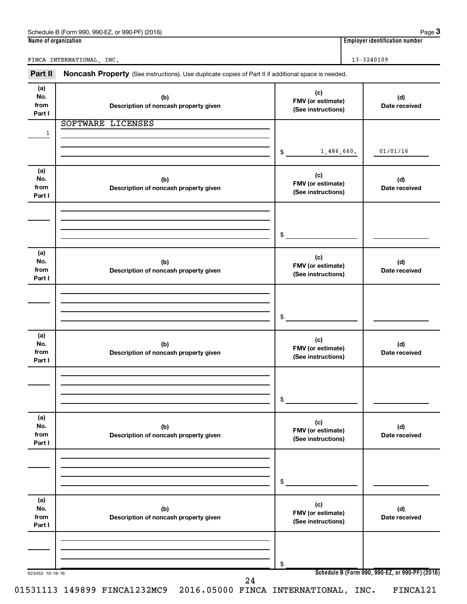| Part II                      | Noncash Property (See instructions). Use duplicate copies of Part II if additional space is needed. |                                                |                                                 |
|------------------------------|-----------------------------------------------------------------------------------------------------|------------------------------------------------|-------------------------------------------------|
| (a)<br>No.<br>from<br>Part I | (b)<br>Description of noncash property given                                                        | (c)<br>FMV (or estimate)<br>(See instructions) | (d)<br>Date received                            |
| $\mathbf{1}$                 | SOFTWARE LICENSES                                                                                   | 1,486,660.<br>$\frac{1}{2}$                    | 01/01/16                                        |
| (a)<br>No.<br>from<br>Part I | (b)<br>Description of noncash property given                                                        | (c)<br>FMV (or estimate)<br>(See instructions) | (d)<br>Date received                            |
|                              |                                                                                                     | $\mathsf{\$}$                                  |                                                 |
| (a)<br>No.<br>from<br>Part I | (b)<br>Description of noncash property given                                                        | (c)<br>FMV (or estimate)<br>(See instructions) | (d)<br>Date received                            |
|                              |                                                                                                     | $\mathsf{\$}$                                  |                                                 |
| (a)<br>No.<br>from<br>Part I | (b)<br>Description of noncash property given                                                        | (c)<br>FMV (or estimate)<br>(See instructions) | (d)<br>Date received                            |
|                              |                                                                                                     | \$                                             |                                                 |
| (a)<br>No.<br>from<br>Part I | (b)<br>Description of noncash property given                                                        | (c)<br>FMV (or estimate)<br>(See instructions) | (d)<br>Date received                            |
|                              |                                                                                                     | \$                                             |                                                 |
| (a)<br>No.<br>from<br>Part I | (b)<br>Description of noncash property given                                                        | (c)<br>FMV (or estimate)<br>(See instructions) | (d)<br>Date received                            |
| 623453 10-18-16              |                                                                                                     | \$                                             | Schedule B (Form 990, 990-EZ, or 990-PF) (2016) |
|                              | 24                                                                                                  |                                                |                                                 |

FINCA INTERNATIONAL, INC. 13-3240109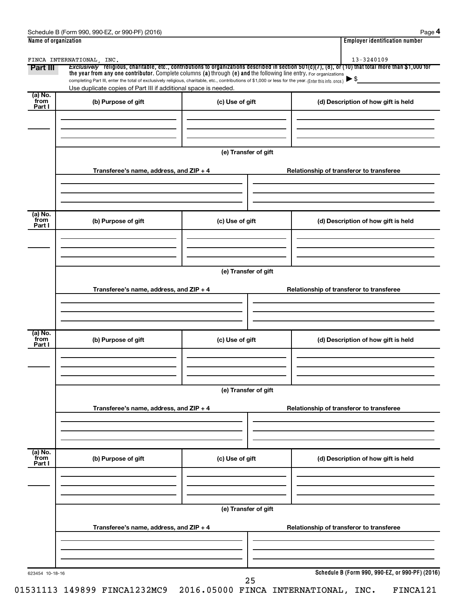| Schedule B (Form 990.<br>990-EZ<br>(2016)<br>or 990-PF) | Paɑe                               |
|---------------------------------------------------------|------------------------------------|
| Name of organization                                    | <br>Emplover identification number |

|--|--|

| Part III                  | FINCA INTERNATIONAL, INC.<br>the year from any one contributor. Complete columns (a) through (e) and the following line entry. For organizations<br>completing Part III, enter the total of exclusively religious, charitable, etc., contributions of \$1,000 or less for the year. (Enter this info. once.) |                      | Exclusively religious, charitable, etc., contributions to organizations described in section 501(c)(7), (8), or (10) that total more than \$1,000 for |
|---------------------------|--------------------------------------------------------------------------------------------------------------------------------------------------------------------------------------------------------------------------------------------------------------------------------------------------------------|----------------------|-------------------------------------------------------------------------------------------------------------------------------------------------------|
|                           | Use duplicate copies of Part III if additional space is needed.                                                                                                                                                                                                                                              |                      |                                                                                                                                                       |
| (a) No.<br>from<br>Part I | (b) Purpose of gift                                                                                                                                                                                                                                                                                          | (c) Use of gift      | (d) Description of how gift is held                                                                                                                   |
|                           |                                                                                                                                                                                                                                                                                                              | (e) Transfer of gift |                                                                                                                                                       |
|                           | Transferee's name, address, and ZIP + 4                                                                                                                                                                                                                                                                      |                      | Relationship of transferor to transferee                                                                                                              |
| (a) No.<br>from<br>Part I | (b) Purpose of gift                                                                                                                                                                                                                                                                                          | (c) Use of gift      | (d) Description of how gift is held                                                                                                                   |
|                           | Transferee's name, address, and ZIP + 4                                                                                                                                                                                                                                                                      | (e) Transfer of gift | Relationship of transferor to transferee                                                                                                              |
| (a) No.<br>from<br>Part I | (b) Purpose of gift                                                                                                                                                                                                                                                                                          | (c) Use of gift      | (d) Description of how gift is held                                                                                                                   |
|                           |                                                                                                                                                                                                                                                                                                              | (e) Transfer of gift |                                                                                                                                                       |
|                           | Transferee's name, address, and ZIP + 4                                                                                                                                                                                                                                                                      |                      | Relationship of transferor to transferee                                                                                                              |
| (a) No.<br>from<br>Part I | (b) Purpose of gift                                                                                                                                                                                                                                                                                          | (c) Use of gift      | (d) Description of how gift is held                                                                                                                   |
|                           |                                                                                                                                                                                                                                                                                                              |                      |                                                                                                                                                       |
|                           |                                                                                                                                                                                                                                                                                                              |                      |                                                                                                                                                       |
|                           | Transferee's name, address, and ZIP + 4                                                                                                                                                                                                                                                                      | (e) Transfer of gift | Relationship of transferor to transferee                                                                                                              |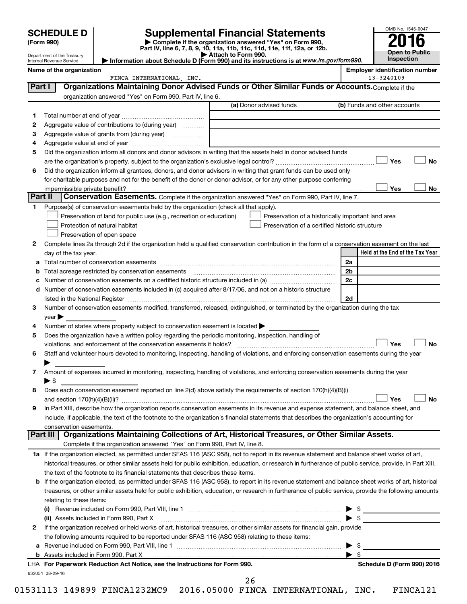| <b>SCHEDULE D</b> |
|-------------------|
|-------------------|

Department of the Treasury Internal Revenue Service

| (Form 990) |  |
|------------|--|
|------------|--|

# **SCHEDULE D Supplemental Financial Statements**<br> **Form 990 2016**<br> **Part IV** line 6.7.8.9.10, 11a, 11b, 11d, 11d, 11d, 11d, 11d, 12a, 0r, 12b

**(Form 990) | Complete if the organization answered "Yes" on Form 990, Part IV, line 6, 7, 8, 9, 10, 11a, 11b, 11c, 11d, 11e, 11f, 12a, or 12b.**

**| Attach to Form 990. | Information about Schedule D (Form 990) and its instructions is at**  *www.irs.gov/form990.*

| OMB No. 1545-0047     |
|-----------------------|
|                       |
| 2016                  |
|                       |
| <b>Open to Public</b> |
| Inspection            |

|         | Name of the organization<br>FINCA INTERNATIONAL, INC.                                                                                                                         |                                                | <b>Employer identification number</b><br>13-3240109   |
|---------|-------------------------------------------------------------------------------------------------------------------------------------------------------------------------------|------------------------------------------------|-------------------------------------------------------|
| Part I  | Organizations Maintaining Donor Advised Funds or Other Similar Funds or Accounts. Complete if the                                                                             |                                                |                                                       |
|         |                                                                                                                                                                               |                                                |                                                       |
|         | organization answered "Yes" on Form 990, Part IV, line 6.                                                                                                                     | (a) Donor advised funds                        | (b) Funds and other accounts                          |
|         |                                                                                                                                                                               |                                                |                                                       |
| 1.      |                                                                                                                                                                               |                                                |                                                       |
| 2       | Aggregate value of contributions to (during year)                                                                                                                             |                                                |                                                       |
| з       |                                                                                                                                                                               |                                                |                                                       |
| 4       |                                                                                                                                                                               |                                                |                                                       |
| 5       | Did the organization inform all donors and donor advisors in writing that the assets held in donor advised funds                                                              |                                                |                                                       |
|         |                                                                                                                                                                               |                                                | Yes<br>No                                             |
| 6       | Did the organization inform all grantees, donors, and donor advisors in writing that grant funds can be used only                                                             |                                                |                                                       |
|         | for charitable purposes and not for the benefit of the donor or donor advisor, or for any other purpose conferring                                                            |                                                |                                                       |
| Part II | Conservation Easements. Complete if the organization answered "Yes" on Form 990, Part IV, line 7.                                                                             |                                                | Yes<br>No                                             |
|         |                                                                                                                                                                               |                                                |                                                       |
|         | Purpose(s) of conservation easements held by the organization (check all that apply).                                                                                         |                                                |                                                       |
|         | Preservation of land for public use (e.g., recreation or education)                                                                                                           |                                                | Preservation of a historically important land area    |
|         | Protection of natural habitat                                                                                                                                                 | Preservation of a certified historic structure |                                                       |
|         | Preservation of open space                                                                                                                                                    |                                                |                                                       |
| 2       | Complete lines 2a through 2d if the organization held a qualified conservation contribution in the form of a conservation easement on the last                                |                                                | Held at the End of the Tax Year                       |
|         | day of the tax year.                                                                                                                                                          |                                                |                                                       |
| а       |                                                                                                                                                                               |                                                | 2a                                                    |
|         |                                                                                                                                                                               |                                                | 2b                                                    |
|         |                                                                                                                                                                               |                                                | 2c                                                    |
| d       | Number of conservation easements included in (c) acquired after 8/17/06, and not on a historic structure                                                                      |                                                |                                                       |
|         |                                                                                                                                                                               |                                                | 2d                                                    |
| 3       | Number of conservation easements modified, transferred, released, extinguished, or terminated by the organization during the tax                                              |                                                |                                                       |
|         | year                                                                                                                                                                          |                                                |                                                       |
| 4       | Number of states where property subject to conservation easement is located >                                                                                                 |                                                |                                                       |
| 5       | Does the organization have a written policy regarding the periodic monitoring, inspection, handling of<br>violations, and enforcement of the conservation easements it holds? |                                                | Yes<br>No                                             |
| 6       | Staff and volunteer hours devoted to monitoring, inspecting, handling of violations, and enforcing conservation easements during the year                                     |                                                |                                                       |
|         |                                                                                                                                                                               |                                                |                                                       |
| 7       | Amount of expenses incurred in monitoring, inspecting, handling of violations, and enforcing conservation easements during the year                                           |                                                |                                                       |
|         | $\blacktriangleright$ s                                                                                                                                                       |                                                |                                                       |
| 8       | Does each conservation easement reported on line 2(d) above satisfy the requirements of section 170(h)(4)(B)(i)                                                               |                                                |                                                       |
|         |                                                                                                                                                                               |                                                | Yes<br>No                                             |
|         | In Part XIII, describe how the organization reports conservation easements in its revenue and expense statement, and balance sheet, and                                       |                                                |                                                       |
|         | include, if applicable, the text of the footnote to the organization's financial statements that describes the organization's accounting for                                  |                                                |                                                       |
|         | conservation easements.                                                                                                                                                       |                                                |                                                       |
|         | Organizations Maintaining Collections of Art, Historical Treasures, or Other Similar Assets.<br>Part III                                                                      |                                                |                                                       |
|         | Complete if the organization answered "Yes" on Form 990, Part IV, line 8.                                                                                                     |                                                |                                                       |
|         | 1a If the organization elected, as permitted under SFAS 116 (ASC 958), not to report in its revenue statement and balance sheet works of art,                                 |                                                |                                                       |
|         | historical treasures, or other similar assets held for public exhibition, education, or research in furtherance of public service, provide, in Part XIII,                     |                                                |                                                       |
|         | the text of the footnote to its financial statements that describes these items.                                                                                              |                                                |                                                       |
| b       | If the organization elected, as permitted under SFAS 116 (ASC 958), to report in its revenue statement and balance sheet works of art, historical                             |                                                |                                                       |
|         | treasures, or other similar assets held for public exhibition, education, or research in furtherance of public service, provide the following amounts                         |                                                |                                                       |
|         | relating to these items:                                                                                                                                                      |                                                |                                                       |
|         |                                                                                                                                                                               |                                                | <u> 1990 - Johann Stein, markin fan it ferskearre</u> |
|         | (ii) Assets included in Form 990, Part X                                                                                                                                      |                                                | $\blacktriangleright$ \$                              |
| 2       | If the organization received or held works of art, historical treasures, or other similar assets for financial gain, provide                                                  |                                                |                                                       |
|         | the following amounts required to be reported under SFAS 116 (ASC 958) relating to these items:                                                                               |                                                |                                                       |
| а       |                                                                                                                                                                               |                                                | \$<br>▸                                               |
|         |                                                                                                                                                                               |                                                | -\$                                                   |
|         | LHA For Paperwork Reduction Act Notice, see the Instructions for Form 990.                                                                                                    |                                                | Schedule D (Form 990) 2016                            |
|         | 632051 08-29-16                                                                                                                                                               |                                                |                                                       |

26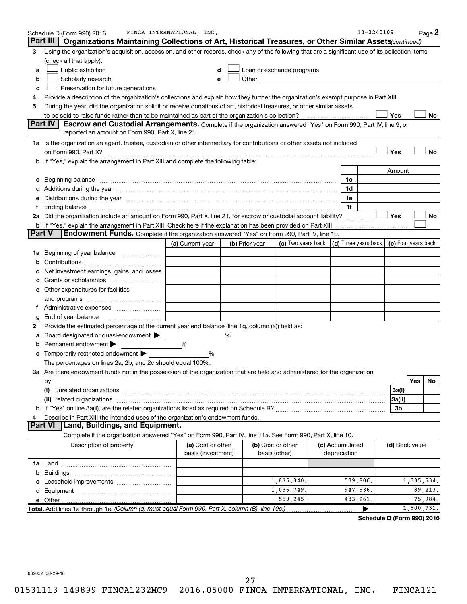|               | Schedule D (Form 990) 2016                                                                                                                                                                                                    | FINCA INTERNATIONAL, INC.               |                |                                                                                                                                                                                                                               |                                                   | 13-3240109 |                |              | Page 2    |
|---------------|-------------------------------------------------------------------------------------------------------------------------------------------------------------------------------------------------------------------------------|-----------------------------------------|----------------|-------------------------------------------------------------------------------------------------------------------------------------------------------------------------------------------------------------------------------|---------------------------------------------------|------------|----------------|--------------|-----------|
|               | Part III<br>Organizations Maintaining Collections of Art, Historical Treasures, or Other Similar Assets (continued)                                                                                                           |                                         |                |                                                                                                                                                                                                                               |                                                   |            |                |              |           |
| 3             | Using the organization's acquisition, accession, and other records, check any of the following that are a significant use of its collection items                                                                             |                                         |                |                                                                                                                                                                                                                               |                                                   |            |                |              |           |
|               | (check all that apply):                                                                                                                                                                                                       |                                         |                |                                                                                                                                                                                                                               |                                                   |            |                |              |           |
| a             | Public exhibition                                                                                                                                                                                                             | d                                       |                | Loan or exchange programs                                                                                                                                                                                                     |                                                   |            |                |              |           |
| b             | Scholarly research                                                                                                                                                                                                            |                                         |                | Other and the contract of the contract of the contract of the contract of the contract of the contract of the contract of the contract of the contract of the contract of the contract of the contract of the contract of the |                                                   |            |                |              |           |
| с             | Preservation for future generations                                                                                                                                                                                           |                                         |                |                                                                                                                                                                                                                               |                                                   |            |                |              |           |
| 4             | Provide a description of the organization's collections and explain how they further the organization's exempt purpose in Part XIII.                                                                                          |                                         |                |                                                                                                                                                                                                                               |                                                   |            |                |              |           |
| 5             | During the year, did the organization solicit or receive donations of art, historical treasures, or other similar assets                                                                                                      |                                         |                |                                                                                                                                                                                                                               |                                                   |            |                |              |           |
|               |                                                                                                                                                                                                                               |                                         |                |                                                                                                                                                                                                                               |                                                   |            | Yes            |              | No        |
|               | Part IV<br><b>Escrow and Custodial Arrangements.</b> Complete if the organization answered "Yes" on Form 990, Part IV, line 9, or                                                                                             |                                         |                |                                                                                                                                                                                                                               |                                                   |            |                |              |           |
|               | reported an amount on Form 990, Part X, line 21.                                                                                                                                                                              |                                         |                |                                                                                                                                                                                                                               |                                                   |            |                |              |           |
|               | 1a Is the organization an agent, trustee, custodian or other intermediary for contributions or other assets not included                                                                                                      |                                         |                |                                                                                                                                                                                                                               |                                                   |            |                |              |           |
|               | on Form 990, Part X? [11] matter continuum matter contract to the contract of the contract of the contract of the contract of the contract of the contract of the contract of the contract of the contract of the contract of |                                         |                |                                                                                                                                                                                                                               |                                                   |            | Yes            |              | <b>No</b> |
|               | b If "Yes," explain the arrangement in Part XIII and complete the following table:                                                                                                                                            |                                         |                |                                                                                                                                                                                                                               |                                                   |            |                |              |           |
|               |                                                                                                                                                                                                                               |                                         |                |                                                                                                                                                                                                                               |                                                   |            | Amount         |              |           |
| с             | Beginning balance <b>contract to the contract of the contract of the contract of the contract of the contract of t</b>                                                                                                        |                                         |                |                                                                                                                                                                                                                               | 1c                                                |            |                |              |           |
|               |                                                                                                                                                                                                                               |                                         |                |                                                                                                                                                                                                                               | 1d                                                |            |                |              |           |
|               | e Distributions during the year www.communication.communications.com/interventions.com/interventions.com/interv                                                                                                               |                                         |                |                                                                                                                                                                                                                               | 1e                                                |            |                |              |           |
| f.            |                                                                                                                                                                                                                               |                                         |                |                                                                                                                                                                                                                               | 1f                                                |            |                |              |           |
|               | 2a Did the organization include an amount on Form 990, Part X, line 21, for escrow or custodial account liability?                                                                                                            |                                         |                |                                                                                                                                                                                                                               |                                                   |            | Yes            |              | No        |
| <b>Part V</b> | <b>b</b> If "Yes," explain the arrangement in Part XIII. Check here if the explanation has been provided on Part XIII<br><b>Endowment Funds.</b> Complete if the organization answered "Yes" on Form 990, Part IV, line 10.   |                                         |                |                                                                                                                                                                                                                               |                                                   |            |                |              |           |
|               |                                                                                                                                                                                                                               |                                         |                | (c) Two years back                                                                                                                                                                                                            | $(d)$ Three years back $\mid$ (e) Four years back |            |                |              |           |
|               |                                                                                                                                                                                                                               | (a) Current year                        | (b) Prior year |                                                                                                                                                                                                                               |                                                   |            |                |              |           |
|               | <b>1a</b> Beginning of year balance <i>manumum</i>                                                                                                                                                                            |                                         |                |                                                                                                                                                                                                                               |                                                   |            |                |              |           |
| b             |                                                                                                                                                                                                                               |                                         |                |                                                                                                                                                                                                                               |                                                   |            |                |              |           |
|               | Net investment earnings, gains, and losses                                                                                                                                                                                    |                                         |                |                                                                                                                                                                                                                               |                                                   |            |                |              |           |
|               | d Grants or scholarships <i></i>                                                                                                                                                                                              |                                         |                |                                                                                                                                                                                                                               |                                                   |            |                |              |           |
|               | e Other expenditures for facilities                                                                                                                                                                                           |                                         |                |                                                                                                                                                                                                                               |                                                   |            |                |              |           |
|               |                                                                                                                                                                                                                               |                                         |                |                                                                                                                                                                                                                               |                                                   |            |                |              |           |
|               |                                                                                                                                                                                                                               |                                         |                |                                                                                                                                                                                                                               |                                                   |            |                |              |           |
| g             | Provide the estimated percentage of the current year end balance (line 1g, column (a)) held as:                                                                                                                               |                                         |                |                                                                                                                                                                                                                               |                                                   |            |                |              |           |
| а             | Board designated or quasi-endowment >                                                                                                                                                                                         |                                         | %              |                                                                                                                                                                                                                               |                                                   |            |                |              |           |
|               | Permanent endowment                                                                                                                                                                                                           | %                                       |                |                                                                                                                                                                                                                               |                                                   |            |                |              |           |
|               | <b>c</b> Temporarily restricted endowment $\blacktriangleright$                                                                                                                                                               | %                                       |                |                                                                                                                                                                                                                               |                                                   |            |                |              |           |
|               | The percentages on lines 2a, 2b, and 2c should equal 100%.                                                                                                                                                                    |                                         |                |                                                                                                                                                                                                                               |                                                   |            |                |              |           |
|               | 3a Are there endowment funds not in the possession of the organization that are held and administered for the organization                                                                                                    |                                         |                |                                                                                                                                                                                                                               |                                                   |            |                |              |           |
|               | by:                                                                                                                                                                                                                           |                                         |                |                                                                                                                                                                                                                               |                                                   |            |                | Yes          | No        |
|               | (i)                                                                                                                                                                                                                           |                                         |                |                                                                                                                                                                                                                               |                                                   |            | 3a(i)          |              |           |
|               |                                                                                                                                                                                                                               |                                         |                |                                                                                                                                                                                                                               |                                                   |            | 3a(ii)         |              |           |
|               |                                                                                                                                                                                                                               |                                         |                |                                                                                                                                                                                                                               |                                                   |            | 3b             |              |           |
| 4             | Describe in Part XIII the intended uses of the organization's endowment funds.                                                                                                                                                |                                         |                |                                                                                                                                                                                                                               |                                                   |            |                |              |           |
|               | Land, Buildings, and Equipment.<br><b>Part VI</b>                                                                                                                                                                             |                                         |                |                                                                                                                                                                                                                               |                                                   |            |                |              |           |
|               | Complete if the organization answered "Yes" on Form 990, Part IV, line 11a. See Form 990, Part X, line 10.                                                                                                                    |                                         |                |                                                                                                                                                                                                                               |                                                   |            |                |              |           |
|               | Description of property                                                                                                                                                                                                       | (a) Cost or other<br>basis (investment) |                | (b) Cost or other<br>basis (other)                                                                                                                                                                                            | (c) Accumulated<br>depreciation                   |            | (d) Book value |              |           |
|               |                                                                                                                                                                                                                               |                                         |                |                                                                                                                                                                                                                               |                                                   |            |                |              |           |
|               |                                                                                                                                                                                                                               |                                         |                |                                                                                                                                                                                                                               |                                                   |            |                |              |           |
|               |                                                                                                                                                                                                                               |                                         |                | 1,875,340                                                                                                                                                                                                                     | 539,806.                                          |            |                | 1, 335, 534. |           |
|               |                                                                                                                                                                                                                               |                                         |                | 1,036,749.                                                                                                                                                                                                                    | 947,536.                                          |            |                | 89,213.      |           |
|               |                                                                                                                                                                                                                               |                                         |                | 559,245.                                                                                                                                                                                                                      | 483,261.                                          |            |                | 75,984.      |           |
|               | Total. Add lines 1a through 1e. (Column (d) must equal Form 990, Part X, column (B), line 10c.)                                                                                                                               |                                         |                |                                                                                                                                                                                                                               | ▶                                                 |            |                | 1,500,731.   |           |

**Schedule D (Form 990) 2016**

632052 08-29-16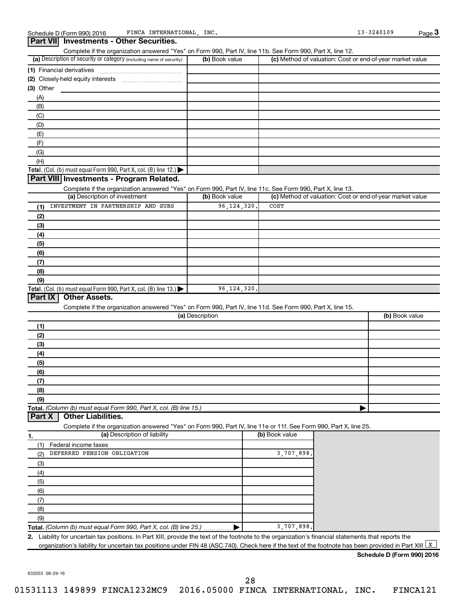|                                                                                                                                                           | Complete if the organization answered "Yes" on Form 990, Part IV, line 11b. See Form 990, Part X, line 12. |                |                                                           |
|-----------------------------------------------------------------------------------------------------------------------------------------------------------|------------------------------------------------------------------------------------------------------------|----------------|-----------------------------------------------------------|
| (a) Description of security or category (including name of security)                                                                                      | (b) Book value                                                                                             |                | (c) Method of valuation: Cost or end-of-year market value |
| (1) Financial derivatives                                                                                                                                 |                                                                                                            |                |                                                           |
|                                                                                                                                                           |                                                                                                            |                |                                                           |
| $(3)$ Other                                                                                                                                               |                                                                                                            |                |                                                           |
| (A)                                                                                                                                                       |                                                                                                            |                |                                                           |
| (B)                                                                                                                                                       |                                                                                                            |                |                                                           |
| (C)                                                                                                                                                       |                                                                                                            |                |                                                           |
| (D)                                                                                                                                                       |                                                                                                            |                |                                                           |
| (E)                                                                                                                                                       |                                                                                                            |                |                                                           |
|                                                                                                                                                           |                                                                                                            |                |                                                           |
| (F)                                                                                                                                                       |                                                                                                            |                |                                                           |
| (G)                                                                                                                                                       |                                                                                                            |                |                                                           |
| (H)                                                                                                                                                       |                                                                                                            |                |                                                           |
| Total. (Col. (b) must equal Form 990, Part X, col. (B) line 12.) $\blacktriangleright$                                                                    |                                                                                                            |                |                                                           |
| Part VIII Investments - Program Related.                                                                                                                  |                                                                                                            |                |                                                           |
| Complete if the organization answered "Yes" on Form 990, Part IV, line 11c. See Form 990, Part X, line 13.                                                |                                                                                                            |                |                                                           |
| (a) Description of investment                                                                                                                             | (b) Book value                                                                                             |                | (c) Method of valuation: Cost or end-of-year market value |
| INVESTMENT IN PARTNERSHIP AND SUBS<br>(1)                                                                                                                 | 96, 124, 320                                                                                               | COST           |                                                           |
| (2)                                                                                                                                                       |                                                                                                            |                |                                                           |
| (3)                                                                                                                                                       |                                                                                                            |                |                                                           |
| (4)                                                                                                                                                       |                                                                                                            |                |                                                           |
| (5)                                                                                                                                                       |                                                                                                            |                |                                                           |
| (6)                                                                                                                                                       |                                                                                                            |                |                                                           |
|                                                                                                                                                           |                                                                                                            |                |                                                           |
| (7)                                                                                                                                                       |                                                                                                            |                |                                                           |
| (8)                                                                                                                                                       |                                                                                                            |                |                                                           |
| (9)                                                                                                                                                       | 96, 124, 320                                                                                               |                |                                                           |
| Total. (Col. (b) must equal Form 990, Part X, col. (B) line 13.) $\blacktriangleright$<br>Part IX<br><b>Other Assets.</b>                                 |                                                                                                            |                |                                                           |
| Complete if the organization answered "Yes" on Form 990, Part IV, line 11d. See Form 990, Part X, line 15.                                                |                                                                                                            |                |                                                           |
|                                                                                                                                                           |                                                                                                            |                |                                                           |
|                                                                                                                                                           | (a) Description                                                                                            |                | (b) Book value                                            |
| (1)                                                                                                                                                       |                                                                                                            |                |                                                           |
| (2)                                                                                                                                                       |                                                                                                            |                |                                                           |
| (3)                                                                                                                                                       |                                                                                                            |                |                                                           |
| (4)                                                                                                                                                       |                                                                                                            |                |                                                           |
| (5)                                                                                                                                                       |                                                                                                            |                |                                                           |
|                                                                                                                                                           |                                                                                                            |                |                                                           |
| (6)                                                                                                                                                       |                                                                                                            |                |                                                           |
| (7)                                                                                                                                                       |                                                                                                            |                |                                                           |
| (8)                                                                                                                                                       |                                                                                                            |                |                                                           |
| (9)                                                                                                                                                       |                                                                                                            |                |                                                           |
| <b>Other Liabilities.</b>                                                                                                                                 |                                                                                                            |                |                                                           |
| Complete if the organization answered "Yes" on Form 990, Part IV, line 11e or 11f. See Form 990, Part X, line 25.                                         |                                                                                                            |                |                                                           |
| (a) Description of liability                                                                                                                              |                                                                                                            | (b) Book value |                                                           |
| Federal income taxes<br>(1)                                                                                                                               |                                                                                                            |                |                                                           |
| DEFERRED PENSION OBLIGATION<br>(2)                                                                                                                        |                                                                                                            |                |                                                           |
|                                                                                                                                                           |                                                                                                            | 3,707,898.     |                                                           |
| (3)                                                                                                                                                       |                                                                                                            |                |                                                           |
| (4)                                                                                                                                                       |                                                                                                            |                |                                                           |
| (5)                                                                                                                                                       |                                                                                                            |                |                                                           |
| (6)                                                                                                                                                       |                                                                                                            |                |                                                           |
| (7)                                                                                                                                                       |                                                                                                            |                |                                                           |
| (8)                                                                                                                                                       |                                                                                                            |                |                                                           |
| (9)                                                                                                                                                       |                                                                                                            |                |                                                           |
| Total. (Column (b) must equal Form 990, Part X, col. (B) line 15.).<br>Part X<br>1.<br>Total. (Column (b) must equal Form 990, Part X, col. (B) line 25.) |                                                                                                            | 3,707,898.     |                                                           |

**Schedule D (Form 990) 2016**

632053 08-29-16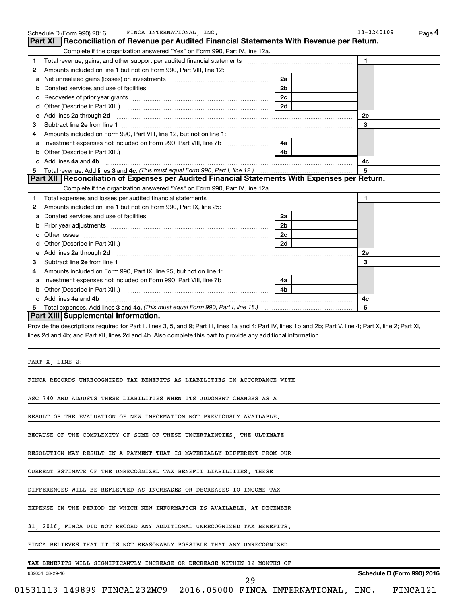| 1.                                                                                                                                                                                                                                                                                                                                                                                                                                                                                                                                                                                                                                                                                                                                                                                                                                                                                    |                | $\mathbf{1}$               |
|---------------------------------------------------------------------------------------------------------------------------------------------------------------------------------------------------------------------------------------------------------------------------------------------------------------------------------------------------------------------------------------------------------------------------------------------------------------------------------------------------------------------------------------------------------------------------------------------------------------------------------------------------------------------------------------------------------------------------------------------------------------------------------------------------------------------------------------------------------------------------------------|----------------|----------------------------|
| Amounts included on line 1 but not on Form 990, Part VIII, line 12:<br>2                                                                                                                                                                                                                                                                                                                                                                                                                                                                                                                                                                                                                                                                                                                                                                                                              |                |                            |
| Net unrealized gains (losses) on investments [111] www.communition.communitions of the unrealized gains (losses) on investments<br>a                                                                                                                                                                                                                                                                                                                                                                                                                                                                                                                                                                                                                                                                                                                                                  | 2a             |                            |
| b                                                                                                                                                                                                                                                                                                                                                                                                                                                                                                                                                                                                                                                                                                                                                                                                                                                                                     | 2 <sub>b</sub> |                            |
| с                                                                                                                                                                                                                                                                                                                                                                                                                                                                                                                                                                                                                                                                                                                                                                                                                                                                                     | 2c             |                            |
| d                                                                                                                                                                                                                                                                                                                                                                                                                                                                                                                                                                                                                                                                                                                                                                                                                                                                                     | 2d             |                            |
| Add lines 2a through 2d<br>е                                                                                                                                                                                                                                                                                                                                                                                                                                                                                                                                                                                                                                                                                                                                                                                                                                                          |                | 2e                         |
| з                                                                                                                                                                                                                                                                                                                                                                                                                                                                                                                                                                                                                                                                                                                                                                                                                                                                                     |                | 3                          |
| Amounts included on Form 990, Part VIII, line 12, but not on line 1:<br>4                                                                                                                                                                                                                                                                                                                                                                                                                                                                                                                                                                                                                                                                                                                                                                                                             |                |                            |
| а                                                                                                                                                                                                                                                                                                                                                                                                                                                                                                                                                                                                                                                                                                                                                                                                                                                                                     |                |                            |
| b                                                                                                                                                                                                                                                                                                                                                                                                                                                                                                                                                                                                                                                                                                                                                                                                                                                                                     | 4 <sub>b</sub> |                            |
| c Add lines 4a and 4b                                                                                                                                                                                                                                                                                                                                                                                                                                                                                                                                                                                                                                                                                                                                                                                                                                                                 |                | 4с                         |
| 5                                                                                                                                                                                                                                                                                                                                                                                                                                                                                                                                                                                                                                                                                                                                                                                                                                                                                     |                | 5                          |
| Part XII   Reconciliation of Expenses per Audited Financial Statements With Expenses per Return.                                                                                                                                                                                                                                                                                                                                                                                                                                                                                                                                                                                                                                                                                                                                                                                      |                |                            |
| Complete if the organization answered "Yes" on Form 990, Part IV, line 12a.                                                                                                                                                                                                                                                                                                                                                                                                                                                                                                                                                                                                                                                                                                                                                                                                           |                |                            |
| 1                                                                                                                                                                                                                                                                                                                                                                                                                                                                                                                                                                                                                                                                                                                                                                                                                                                                                     |                | $\blacktriangleleft$       |
| Amounts included on line 1 but not on Form 990, Part IX, line 25:<br>2                                                                                                                                                                                                                                                                                                                                                                                                                                                                                                                                                                                                                                                                                                                                                                                                                |                |                            |
| a                                                                                                                                                                                                                                                                                                                                                                                                                                                                                                                                                                                                                                                                                                                                                                                                                                                                                     | 2a             |                            |
| Prior year adjustments [111] Prior year adjustments [11] Masseum Masseum Masseum Masseum Masseum Masseum Mass<br>b                                                                                                                                                                                                                                                                                                                                                                                                                                                                                                                                                                                                                                                                                                                                                                    | 2 <sub>b</sub> |                            |
| с                                                                                                                                                                                                                                                                                                                                                                                                                                                                                                                                                                                                                                                                                                                                                                                                                                                                                     | 2c             |                            |
| d                                                                                                                                                                                                                                                                                                                                                                                                                                                                                                                                                                                                                                                                                                                                                                                                                                                                                     | 2d             |                            |
| Add lines 2a through 2d <b>continuum contract and all contract and all contract and all contract and all contract and all contract and all contract and all contract and all contract and all contract and all contract and all </b><br>е                                                                                                                                                                                                                                                                                                                                                                                                                                                                                                                                                                                                                                             |                | 2e                         |
| з                                                                                                                                                                                                                                                                                                                                                                                                                                                                                                                                                                                                                                                                                                                                                                                                                                                                                     |                | 3                          |
| Amounts included on Form 990, Part IX, line 25, but not on line 1:<br>4                                                                                                                                                                                                                                                                                                                                                                                                                                                                                                                                                                                                                                                                                                                                                                                                               |                |                            |
| а                                                                                                                                                                                                                                                                                                                                                                                                                                                                                                                                                                                                                                                                                                                                                                                                                                                                                     |                |                            |
| b                                                                                                                                                                                                                                                                                                                                                                                                                                                                                                                                                                                                                                                                                                                                                                                                                                                                                     | 4 <sub>b</sub> |                            |
|                                                                                                                                                                                                                                                                                                                                                                                                                                                                                                                                                                                                                                                                                                                                                                                                                                                                                       |                |                            |
| c Add lines 4a and 4b                                                                                                                                                                                                                                                                                                                                                                                                                                                                                                                                                                                                                                                                                                                                                                                                                                                                 |                | 4с                         |
|                                                                                                                                                                                                                                                                                                                                                                                                                                                                                                                                                                                                                                                                                                                                                                                                                                                                                       |                | -5                         |
| 5<br>Part XIII Supplemental Information.<br>Provide the descriptions required for Part II, lines 3, 5, and 9; Part III, lines 1a and 4; Part IV, lines 1b and 2b; Part V, line 4; Part X, line 2; Part XI,<br>lines 2d and 4b; and Part XII, lines 2d and 4b. Also complete this part to provide any additional information.                                                                                                                                                                                                                                                                                                                                                                                                                                                                                                                                                          |                |                            |
|                                                                                                                                                                                                                                                                                                                                                                                                                                                                                                                                                                                                                                                                                                                                                                                                                                                                                       |                |                            |
|                                                                                                                                                                                                                                                                                                                                                                                                                                                                                                                                                                                                                                                                                                                                                                                                                                                                                       |                |                            |
|                                                                                                                                                                                                                                                                                                                                                                                                                                                                                                                                                                                                                                                                                                                                                                                                                                                                                       |                |                            |
|                                                                                                                                                                                                                                                                                                                                                                                                                                                                                                                                                                                                                                                                                                                                                                                                                                                                                       |                |                            |
|                                                                                                                                                                                                                                                                                                                                                                                                                                                                                                                                                                                                                                                                                                                                                                                                                                                                                       |                |                            |
|                                                                                                                                                                                                                                                                                                                                                                                                                                                                                                                                                                                                                                                                                                                                                                                                                                                                                       |                |                            |
|                                                                                                                                                                                                                                                                                                                                                                                                                                                                                                                                                                                                                                                                                                                                                                                                                                                                                       |                |                            |
|                                                                                                                                                                                                                                                                                                                                                                                                                                                                                                                                                                                                                                                                                                                                                                                                                                                                                       |                |                            |
|                                                                                                                                                                                                                                                                                                                                                                                                                                                                                                                                                                                                                                                                                                                                                                                                                                                                                       |                |                            |
|                                                                                                                                                                                                                                                                                                                                                                                                                                                                                                                                                                                                                                                                                                                                                                                                                                                                                       |                |                            |
|                                                                                                                                                                                                                                                                                                                                                                                                                                                                                                                                                                                                                                                                                                                                                                                                                                                                                       |                |                            |
|                                                                                                                                                                                                                                                                                                                                                                                                                                                                                                                                                                                                                                                                                                                                                                                                                                                                                       |                |                            |
| PART X, LINE 2:<br>FINCA RECORDS UNRECOGNIZED TAX BENEFITS AS LIABILITIES IN ACCORDANCE WITH<br>ASC 740 AND ADJUSTS THESE LIABILITIES WHEN ITS JUDGMENT CHANGES AS A<br>RESULT OF THE EVALUATION OF NEW INFORMATION NOT PREVIOUSLY AVAILABLE.<br>BECAUSE OF THE COMPLEXITY OF SOME OF THESE UNCERTAINTIES, THE ULTIMATE<br>RESOLUTION MAY RESULT IN A PAYMENT THAT IS MATERIALLY DIFFERENT FROM OUR<br>CURRENT ESTIMATE OF THE UNRECOGNIZED TAX BENEFIT LIABILITIES. THESE<br>DIFFERENCES WILL BE REFLECTED AS INCREASES OR DECREASES TO INCOME TAX<br>EXPENSE IN THE PERIOD IN WHICH NEW INFORMATION IS AVAILABLE. AT DECEMBER<br>31, 2016, FINCA DID NOT RECORD ANY ADDITIONAL UNRECOGNIZED TAX BENEFITS.<br>FINCA BELIEVES THAT IT IS NOT REASONABLY POSSIBLE THAT ANY UNRECOGNIZED<br>TAX BENEFITS WILL SIGNIFICANTLY INCREASE OR DECREASE WITHIN 12 MONTHS OF<br>632054 08-29-16 | 29             | Schedule D (Form 990) 2016 |

Schedule D (Form 990) 2016 FINCA INTERNATIONAL,INC. 13-3240109 Page

FINCA INTERNATIONAL, INC. 13-3240109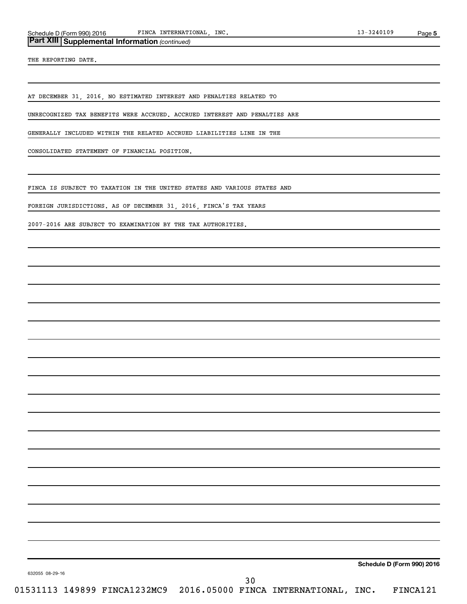### *(continued)* **Part XIII Supplemental Information**

THE REPORTING DATE.

AT DECEMBER 31, 2016, NO ESTIMATED INTEREST AND PENALTIES RELATED TO

UNRECOGNIZED TAX BENEFITS WERE ACCRUED. ACCRUED INTEREST AND PENALTIES ARE

GENERALLY INCLUDED WITHIN THE RELATED ACCRUED LIABILITIES LINE IN THE

CONSOLIDATED STATEMENT OF FINANCIAL POSITION.

FINCA IS SUBJECT TO TAXATION IN THE UNITED STATES AND VARIOUS STATES AND

FOREIGN JURISDICTIONS. AS OF DECEMBER 31, 2016, FINCA'S TAX YEARS

2007-2016 ARE SUBJECT TO EXAMINATION BY THE TAX AUTHORITIES.

**Schedule D (Form 990) 2016**

632055 08-29-16

30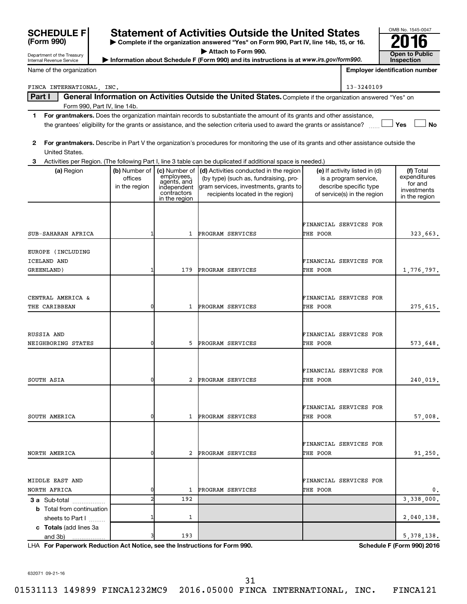| Department of the Treasury                           | Attach to Form 990.<br>Information about Schedule F (Form 990) and its instructions is at www.irs.gov/form990. |                                                                                                             |                                                                                                                                                               |                                    |                                                                                                                 |                                                                      |
|------------------------------------------------------|----------------------------------------------------------------------------------------------------------------|-------------------------------------------------------------------------------------------------------------|---------------------------------------------------------------------------------------------------------------------------------------------------------------|------------------------------------|-----------------------------------------------------------------------------------------------------------------|----------------------------------------------------------------------|
| Internal Revenue Service                             |                                                                                                                |                                                                                                             |                                                                                                                                                               |                                    |                                                                                                                 | <b>Inspection</b>                                                    |
| Name of the organization                             |                                                                                                                |                                                                                                             |                                                                                                                                                               |                                    |                                                                                                                 | <b>Employer identification number</b>                                |
| FINCA INTERNATIONAL, INC.                            |                                                                                                                |                                                                                                             |                                                                                                                                                               |                                    | 13-3240109                                                                                                      |                                                                      |
| Part I                                               | Form 990, Part IV, line 14b.                                                                                   |                                                                                                             | General Information on Activities Outside the United States. Complete if the organization answered "Yes" on                                                   |                                    |                                                                                                                 |                                                                      |
| 1.                                                   |                                                                                                                |                                                                                                             | For grantmakers. Does the organization maintain records to substantiate the amount of its grants and other assistance,                                        |                                    |                                                                                                                 |                                                                      |
|                                                      |                                                                                                                |                                                                                                             | the grantees' eligibility for the grants or assistance, and the selection criteria used to award the grants or assistance?                                    |                                    |                                                                                                                 | Yes<br><b>No</b>                                                     |
| $\mathbf{2}$<br>United States.                       |                                                                                                                |                                                                                                             | For grantmakers. Describe in Part V the organization's procedures for monitoring the use of its grants and other assistance outside the                       |                                    |                                                                                                                 |                                                                      |
| З.                                                   |                                                                                                                |                                                                                                             | Activities per Region. (The following Part I, line 3 table can be duplicated if additional space is needed.)                                                  |                                    |                                                                                                                 |                                                                      |
| (a) Region                                           | offices<br>in the region                                                                                       | (b) Number of $ $ (c) Number of<br>employees,<br>agents, and<br>independent<br>contractors<br>in the region | (d) Activities conducted in the region<br>(by type) (such as, fundraising, pro-<br>gram services, investments, grants to<br>recipients located in the region) |                                    | (e) If activity listed in (d)<br>is a program service,<br>describe specific type<br>of service(s) in the region | (f) Total<br>expenditures<br>for and<br>investments<br>in the region |
|                                                      |                                                                                                                |                                                                                                             |                                                                                                                                                               | FINANCIAL SERVICES FOR             |                                                                                                                 |                                                                      |
| SUB-SAHARAN AFRICA                                   |                                                                                                                | 1                                                                                                           | PROGRAM SERVICES                                                                                                                                              | THE POOR                           |                                                                                                                 | 323,663.                                                             |
| EUROPE (INCLUDING<br>ICELAND AND                     |                                                                                                                |                                                                                                             |                                                                                                                                                               | FINANCIAL SERVICES FOR             |                                                                                                                 |                                                                      |
| GREENLAND )                                          |                                                                                                                | 179                                                                                                         | PROGRAM SERVICES                                                                                                                                              | THE POOR                           |                                                                                                                 | 1,776,797.                                                           |
|                                                      |                                                                                                                |                                                                                                             |                                                                                                                                                               |                                    |                                                                                                                 |                                                                      |
| CENTRAL AMERICA &<br>THE CARIBBEAN                   | 0                                                                                                              | 1                                                                                                           | PROGRAM SERVICES                                                                                                                                              | FINANCIAL SERVICES FOR<br>THE POOR |                                                                                                                 | 275,615.                                                             |
|                                                      |                                                                                                                |                                                                                                             |                                                                                                                                                               |                                    |                                                                                                                 |                                                                      |
| RUSSIA AND                                           |                                                                                                                |                                                                                                             |                                                                                                                                                               | FINANCIAL SERVICES FOR             |                                                                                                                 |                                                                      |
| NEIGHBORING STATES                                   | 0                                                                                                              | 5                                                                                                           | PROGRAM SERVICES                                                                                                                                              | THE POOR                           |                                                                                                                 | 573,648.                                                             |
|                                                      |                                                                                                                |                                                                                                             |                                                                                                                                                               | FINANCIAL SERVICES FOR             |                                                                                                                 |                                                                      |
| SOUTH ASIA                                           | 0                                                                                                              | 2                                                                                                           | PROGRAM SERVICES                                                                                                                                              | THE POOR                           |                                                                                                                 | 240,019.                                                             |
| SOUTH AMERICA                                        | 0                                                                                                              |                                                                                                             | 1 PROGRAM SERVICES                                                                                                                                            | FINANCIAL SERVICES FOR<br>THE POOR |                                                                                                                 | 57,008.                                                              |
|                                                      |                                                                                                                |                                                                                                             |                                                                                                                                                               | FINANCIAL SERVICES FOR             |                                                                                                                 |                                                                      |
| NORTH AMERICA                                        | 0                                                                                                              | 2                                                                                                           | PROGRAM SERVICES                                                                                                                                              | THE POOR                           |                                                                                                                 | 91,250.                                                              |
|                                                      |                                                                                                                |                                                                                                             |                                                                                                                                                               |                                    |                                                                                                                 |                                                                      |
| MIDDLE EAST AND<br>NORTH AFRICA                      | 0                                                                                                              | 1                                                                                                           | PROGRAM SERVICES                                                                                                                                              | FINANCIAL SERVICES FOR<br>THE POOR |                                                                                                                 | 0.                                                                   |
| 3 a Sub-total                                        | $\overline{2}$                                                                                                 | 192                                                                                                         |                                                                                                                                                               |                                    |                                                                                                                 | 3,338,000.                                                           |
| <b>b</b> Total from continuation<br>sheets to Part I |                                                                                                                | 1                                                                                                           |                                                                                                                                                               |                                    |                                                                                                                 | 2,040,138.                                                           |
| c Totals (add lines 3a<br>and 3b)                    | 3                                                                                                              | 193                                                                                                         |                                                                                                                                                               |                                    |                                                                                                                 | 5, 378, 138.                                                         |

**| Complete if the organization answered "Yes" on Form 990, Part IV, line 14b, 15, or 16.**

**Statement of Activities Outside the United States**  $\frac{10000 \text{ N}}{2016}$ 

**For Paperwork Reduction Act Notice, see the Instructions for Form 990. Schedule F (Form 990) 2016** LHA

OMB No. 1545-0047

632071 09-21-16

**SCHEDULE F**<br>(Form 990)

31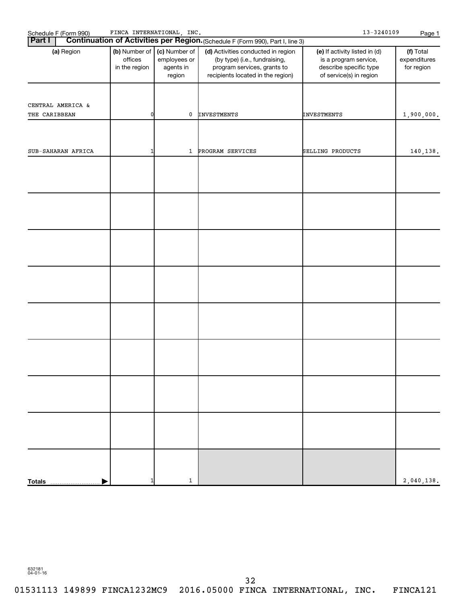| Schedule F (Form 990)<br><b>Part I</b> | FINCA INTERNATIONAL, INC.                 |                                                      | Continuation of Activities per Region. (Schedule F (Form 990), Part I, line 3)                                                          | $13 - 3240109$                                                                                              | Page 1                                  |
|----------------------------------------|-------------------------------------------|------------------------------------------------------|-----------------------------------------------------------------------------------------------------------------------------------------|-------------------------------------------------------------------------------------------------------------|-----------------------------------------|
| (a) Region                             | (b) Number of<br>offices<br>in the region | (c) Number of<br>employees or<br>agents in<br>region | (d) Activities conducted in region<br>(by type) (i.e., fundraising,<br>program services, grants to<br>recipients located in the region) | (e) If activity listed in (d)<br>is a program service,<br>describe specific type<br>of service(s) in region | (f) Total<br>expenditures<br>for region |
| CENTRAL AMERICA &<br>THE CARIBBEAN     | 01                                        | 0                                                    | <b>INVESTMENTS</b>                                                                                                                      | <b>INVESTMENTS</b>                                                                                          | 1,900,000.                              |
| SUB-SAHARAN AFRICA                     | 1                                         | $\mathbf{1}$                                         | PROGRAM SERVICES                                                                                                                        | SELLING PRODUCTS                                                                                            | 140,138.                                |
|                                        |                                           |                                                      |                                                                                                                                         |                                                                                                             |                                         |
|                                        |                                           |                                                      |                                                                                                                                         |                                                                                                             |                                         |
|                                        |                                           |                                                      |                                                                                                                                         |                                                                                                             |                                         |
|                                        |                                           |                                                      |                                                                                                                                         |                                                                                                             |                                         |
|                                        |                                           |                                                      |                                                                                                                                         |                                                                                                             |                                         |
|                                        |                                           |                                                      |                                                                                                                                         |                                                                                                             |                                         |
|                                        |                                           |                                                      |                                                                                                                                         |                                                                                                             |                                         |
|                                        |                                           |                                                      |                                                                                                                                         |                                                                                                             |                                         |
|                                        |                                           |                                                      |                                                                                                                                         |                                                                                                             |                                         |
| <b>Totals</b>                          |                                           | 1                                                    |                                                                                                                                         |                                                                                                             | 2,040,138.                              |

632181 04-01-16

01531113 149899 FINCA1232MC9 2016.05000 FINCA INTERNATIONAL, INC. FINCA121 32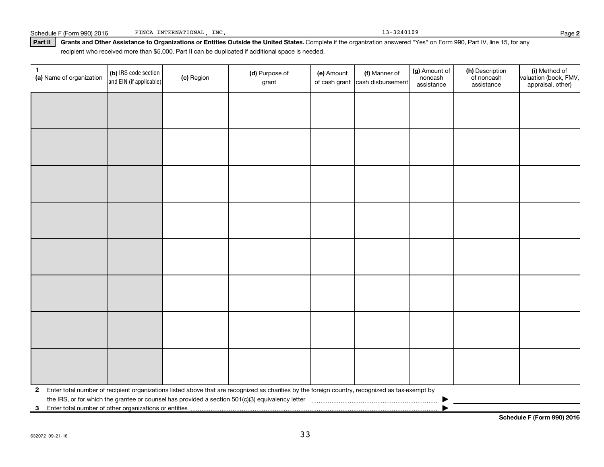| Schedule F (Form 990) 2016 | INC.<br>INTERNATIONAL<br>FINCA | $-3240109$ | Page |
|----------------------------|--------------------------------|------------|------|

Part II | Grants and Other Assistance to Organizations or Entities Outside the United States. Complete if the organization answered "Yes" on Form 990, Part IV, line 15, for any

recipient who received more than \$5,000. Part II can be duplicated if additional space is needed.

| $\mathbf{1}$<br>(a) Name of organization | (b) IRS code section<br>and EIN (if applicable) | (c) Region | (d) Purpose of<br>grant                                                                                                                           | (e) Amount | (f) Manner of<br>of cash grant cash disbursement | (g) Amount of<br>noncash<br>assistance | (h) Description<br>of noncash<br>assistance | (i) Method of<br>valuation (book, FMV,<br>appraisal, other) |  |  |  |
|------------------------------------------|-------------------------------------------------|------------|---------------------------------------------------------------------------------------------------------------------------------------------------|------------|--------------------------------------------------|----------------------------------------|---------------------------------------------|-------------------------------------------------------------|--|--|--|
|                                          |                                                 |            |                                                                                                                                                   |            |                                                  |                                        |                                             |                                                             |  |  |  |
|                                          |                                                 |            |                                                                                                                                                   |            |                                                  |                                        |                                             |                                                             |  |  |  |
|                                          |                                                 |            |                                                                                                                                                   |            |                                                  |                                        |                                             |                                                             |  |  |  |
|                                          |                                                 |            |                                                                                                                                                   |            |                                                  |                                        |                                             |                                                             |  |  |  |
|                                          |                                                 |            |                                                                                                                                                   |            |                                                  |                                        |                                             |                                                             |  |  |  |
|                                          |                                                 |            |                                                                                                                                                   |            |                                                  |                                        |                                             |                                                             |  |  |  |
|                                          |                                                 |            |                                                                                                                                                   |            |                                                  |                                        |                                             |                                                             |  |  |  |
|                                          |                                                 |            |                                                                                                                                                   |            |                                                  |                                        |                                             |                                                             |  |  |  |
|                                          |                                                 |            |                                                                                                                                                   |            |                                                  |                                        |                                             |                                                             |  |  |  |
|                                          |                                                 |            |                                                                                                                                                   |            |                                                  |                                        |                                             |                                                             |  |  |  |
|                                          |                                                 |            |                                                                                                                                                   |            |                                                  |                                        |                                             |                                                             |  |  |  |
|                                          |                                                 |            |                                                                                                                                                   |            |                                                  |                                        |                                             |                                                             |  |  |  |
|                                          |                                                 |            |                                                                                                                                                   |            |                                                  |                                        |                                             |                                                             |  |  |  |
|                                          |                                                 |            |                                                                                                                                                   |            |                                                  |                                        |                                             |                                                             |  |  |  |
|                                          |                                                 |            |                                                                                                                                                   |            |                                                  |                                        |                                             |                                                             |  |  |  |
|                                          |                                                 |            |                                                                                                                                                   |            |                                                  |                                        |                                             |                                                             |  |  |  |
|                                          |                                                 |            | 2 Enter total number of recipient organizations listed above that are recognized as charities by the foreign country, recognized as tax-exempt by |            |                                                  |                                        |                                             |                                                             |  |  |  |
|                                          |                                                 |            |                                                                                                                                                   |            |                                                  |                                        |                                             |                                                             |  |  |  |
|                                          |                                                 |            |                                                                                                                                                   |            |                                                  |                                        |                                             |                                                             |  |  |  |

**Schedule F (Form 990) 2016**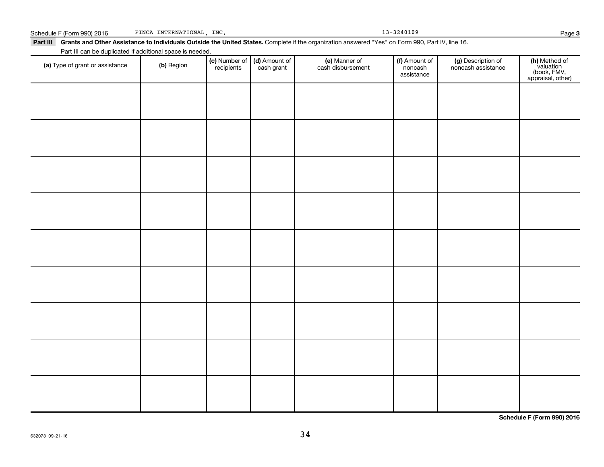632073 09-21-16

| Part III can be duplicated if additional space is needed. |            |                             |                             |                                    |                                        |                                          |                                                                |
|-----------------------------------------------------------|------------|-----------------------------|-----------------------------|------------------------------------|----------------------------------------|------------------------------------------|----------------------------------------------------------------|
| (a) Type of grant or assistance                           | (b) Region | (c) Number of<br>recipients | (d) Amount of<br>cash grant | (e) Manner of<br>cash disbursement | (f) Amount of<br>noncash<br>assistance | (g) Description of<br>noncash assistance | (h) Method of<br>valuation<br>(book, FMV,<br>appraisal, other) |
|                                                           |            |                             |                             |                                    |                                        |                                          |                                                                |
|                                                           |            |                             |                             |                                    |                                        |                                          |                                                                |
|                                                           |            |                             |                             |                                    |                                        |                                          |                                                                |
|                                                           |            |                             |                             |                                    |                                        |                                          |                                                                |
|                                                           |            |                             |                             |                                    |                                        |                                          |                                                                |
|                                                           |            |                             |                             |                                    |                                        |                                          |                                                                |
|                                                           |            |                             |                             |                                    |                                        |                                          |                                                                |
|                                                           |            |                             |                             |                                    |                                        |                                          |                                                                |
|                                                           |            |                             |                             |                                    |                                        |                                          |                                                                |
|                                                           |            |                             |                             |                                    |                                        |                                          |                                                                |
|                                                           |            |                             |                             |                                    |                                        |                                          |                                                                |
|                                                           |            |                             |                             |                                    |                                        |                                          |                                                                |
|                                                           |            |                             |                             |                                    |                                        |                                          |                                                                |
|                                                           |            |                             |                             |                                    |                                        |                                          |                                                                |
|                                                           |            |                             |                             |                                    |                                        |                                          |                                                                |
|                                                           |            |                             |                             |                                    |                                        |                                          |                                                                |
|                                                           |            |                             |                             |                                    |                                        |                                          |                                                                |
|                                                           |            |                             |                             |                                    |                                        |                                          |                                                                |

Part III Grants and Other Assistance to Individuals Outside the United States. Complete if the organization answered "Yes" on Form 990, Part IV, line 16.

Schedule F (Form 990) 2016 FINCA INTERNATIONAL, INC. 13-3240109 FINCA INTERNATIONAL, INC.

**3**

**Schedule F (Form 990) 2016**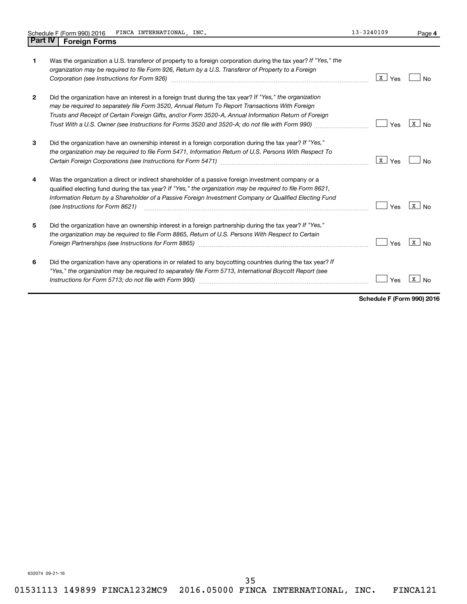| 1 | Was the organization a U.S. transferor of property to a foreign corporation during the tax year? If "Yes," the<br>organization may be required to file Form 926, Return by a U.S. Transferor of Property to a Foreign<br>Corporation (see Instructions for Form 926) [11] Corporation (See Instruction of the Instruction of the Instructions for Form 926)                                                             | $\mathbf{x}$<br>Yes | N٥             |
|---|-------------------------------------------------------------------------------------------------------------------------------------------------------------------------------------------------------------------------------------------------------------------------------------------------------------------------------------------------------------------------------------------------------------------------|---------------------|----------------|
| 2 | Did the organization have an interest in a foreign trust during the tax year? If "Yes," the organization<br>may be required to separately file Form 3520, Annual Return To Report Transactions With Foreign<br>Trusts and Receipt of Certain Foreign Gifts, and/or Form 3520-A, Annual Information Return of Foreign<br>Trust With a U.S. Owner (see Instructions for Forms 3520 and 3520-A; do not file with Form 990) | Yes                 | X<br><b>No</b> |
| 3 | Did the organization have an ownership interest in a foreign corporation during the tax year? If "Yes,"<br>the organization may be required to file Form 5471, Information Return of U.S. Persons With Respect To                                                                                                                                                                                                       | X<br>Yes            | No             |
| 4 | Was the organization a direct or indirect shareholder of a passive foreign investment company or a<br>qualified electing fund during the tax year? If "Yes," the organization may be required to file Form 8621,<br>Information Return by a Shareholder of a Passive Foreign Investment Company or Qualified Electing Fund<br>(see Instructions for Form 8621)                                                          | Yes                 | X<br><b>No</b> |
| 5 | Did the organization have an ownership interest in a foreign partnership during the tax year? If "Yes,"<br>the organization may be required to file Form 8865, Return of U.S. Persons With Respect to Certain                                                                                                                                                                                                           | Yes                 | x<br>No        |
| 6 | Did the organization have any operations in or related to any boycotting countries during the tax year? If<br>"Yes," the organization may be required to separately file Form 5713, International Boycott Report (see                                                                                                                                                                                                   |                     |                |

Instructions for Form 5713; do not file with Form 990)  $\ldots$   $\ldots$   $\ldots$   $\ldots$   $\ldots$   $\ldots$   $\ldots$   $\ldots$   $\ldots$   $\ldots$   $\ldots$   $\ldots$  Yes  $\boxed{\texttt{x}}$  No

**Schedule F (Form 990) 2016**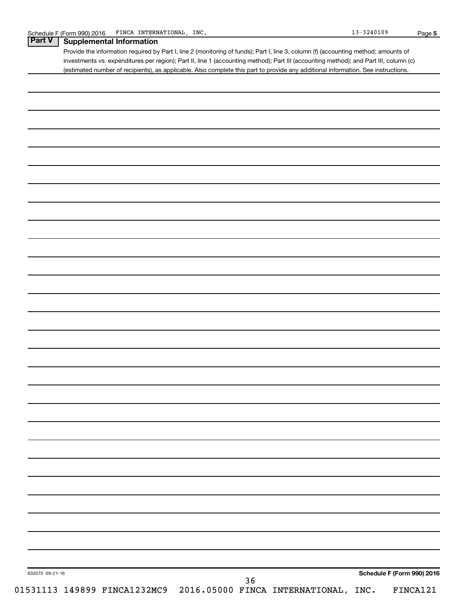|                 | Provide the information required by Part I, line 2 (monitoring of funds); Part I, line 3, column (f) (accounting method; amounts of<br>investments vs. expenditures per region); Part II, line 1 (accounting method); Part III (accounting method); and Part III, column (c) |
|-----------------|------------------------------------------------------------------------------------------------------------------------------------------------------------------------------------------------------------------------------------------------------------------------------|
|                 | (estimated number of recipients), as applicable. Also complete this part to provide any additional information. See instructions.                                                                                                                                            |
|                 |                                                                                                                                                                                                                                                                              |
|                 |                                                                                                                                                                                                                                                                              |
|                 |                                                                                                                                                                                                                                                                              |
|                 |                                                                                                                                                                                                                                                                              |
|                 |                                                                                                                                                                                                                                                                              |
|                 |                                                                                                                                                                                                                                                                              |
|                 |                                                                                                                                                                                                                                                                              |
|                 |                                                                                                                                                                                                                                                                              |
|                 |                                                                                                                                                                                                                                                                              |
|                 |                                                                                                                                                                                                                                                                              |
|                 |                                                                                                                                                                                                                                                                              |
|                 |                                                                                                                                                                                                                                                                              |
|                 |                                                                                                                                                                                                                                                                              |
|                 |                                                                                                                                                                                                                                                                              |
|                 |                                                                                                                                                                                                                                                                              |
|                 |                                                                                                                                                                                                                                                                              |
|                 |                                                                                                                                                                                                                                                                              |
|                 |                                                                                                                                                                                                                                                                              |
|                 |                                                                                                                                                                                                                                                                              |
|                 |                                                                                                                                                                                                                                                                              |
|                 |                                                                                                                                                                                                                                                                              |
|                 |                                                                                                                                                                                                                                                                              |
|                 |                                                                                                                                                                                                                                                                              |
|                 |                                                                                                                                                                                                                                                                              |
|                 |                                                                                                                                                                                                                                                                              |
|                 |                                                                                                                                                                                                                                                                              |
|                 |                                                                                                                                                                                                                                                                              |
|                 |                                                                                                                                                                                                                                                                              |
|                 |                                                                                                                                                                                                                                                                              |
|                 |                                                                                                                                                                                                                                                                              |
| 632075 09-21-16 | Schedule F (Form 990) 2016                                                                                                                                                                                                                                                   |
|                 | 36<br>01531113 149899 FINCA1232MC9 2016.05000 FINCA INTERNATIONAL, INC.<br>FINCA121                                                                                                                                                                                          |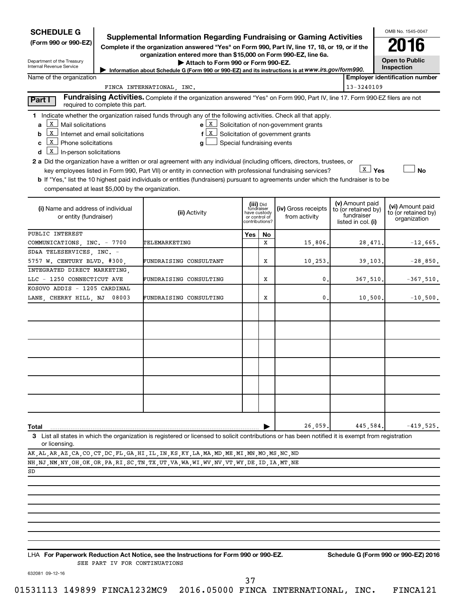| <b>SCHEDULE G</b>                                                                                                       |                                  | <b>Supplemental Information Regarding Fundraising or Gaming Activities</b>                                                                                                                                                                                                                                                                                             |                            |                                                                            |                                                                                                       |                                                                            | OMB No. 1545-0047                                       |
|-------------------------------------------------------------------------------------------------------------------------|----------------------------------|------------------------------------------------------------------------------------------------------------------------------------------------------------------------------------------------------------------------------------------------------------------------------------------------------------------------------------------------------------------------|----------------------------|----------------------------------------------------------------------------|-------------------------------------------------------------------------------------------------------|----------------------------------------------------------------------------|---------------------------------------------------------|
| (Form 990 or 990-EZ)                                                                                                    |                                  | Complete if the organization answered "Yes" on Form 990, Part IV, line 17, 18, or 19, or if the                                                                                                                                                                                                                                                                        |                            |                                                                            |                                                                                                       |                                                                            |                                                         |
| Department of the Treasury                                                                                              |                                  | organization entered more than \$15,000 on Form 990-EZ, line 6a.<br>Attach to Form 990 or Form 990-EZ.                                                                                                                                                                                                                                                                 |                            |                                                                            |                                                                                                       |                                                                            | <b>Open to Public</b>                                   |
| Internal Revenue Service                                                                                                |                                  | Information about Schedule G (Form 990 or 990-EZ) and its instructions is at www.irs.gov/form990.                                                                                                                                                                                                                                                                      |                            |                                                                            |                                                                                                       |                                                                            | Inspection                                              |
| Name of the organization                                                                                                |                                  |                                                                                                                                                                                                                                                                                                                                                                        |                            |                                                                            |                                                                                                       |                                                                            | <b>Employer identification number</b>                   |
|                                                                                                                         |                                  | FINCA INTERNATIONAL, INC.                                                                                                                                                                                                                                                                                                                                              |                            |                                                                            |                                                                                                       | 13-3240109                                                                 |                                                         |
| Part I                                                                                                                  | required to complete this part.  | Fundraising Activities. Complete if the organization answered "Yes" on Form 990, Part IV, line 17. Form 990-EZ filers are not                                                                                                                                                                                                                                          |                            |                                                                            |                                                                                                       |                                                                            |                                                         |
| X<br>Mail solicitations<br>a<br>X<br>b<br>X<br>Phone solicitations<br>C<br>$\underline{x}$ In-person solicitations<br>d | Internet and email solicitations | 1 Indicate whether the organization raised funds through any of the following activities. Check all that apply.<br>f<br>g<br>2 a Did the organization have a written or oral agreement with any individual (including officers, directors, trustees, or<br>key employees listed in Form 990, Part VII) or entity in connection with professional fundraising services? | Special fundraising events |                                                                            | $e X$ Solicitation of non-government grants<br>$\boxed{\mathbf{x}}$ Solicitation of government grants |                                                                            | <b>No</b>                                               |
| compensated at least \$5,000 by the organization.                                                                       |                                  | <b>b</b> If "Yes," list the 10 highest paid individuals or entities (fundraisers) pursuant to agreements under which the fundraiser is to be                                                                                                                                                                                                                           |                            |                                                                            |                                                                                                       |                                                                            |                                                         |
| (i) Name and address of individual<br>or entity (fundraiser)                                                            |                                  | (ii) Activity                                                                                                                                                                                                                                                                                                                                                          |                            | (iii) Did<br>fundraiser<br>have custody<br>or control of<br>contributions? | (iv) Gross receipts<br>from activity                                                                  | (v) Amount paid<br>to (or retained by)<br>fundraiser<br>listed in col. (i) | (vi) Amount paid<br>to (or retained by)<br>organization |
| PUBLIC INTEREST                                                                                                         |                                  |                                                                                                                                                                                                                                                                                                                                                                        | Yes                        | No                                                                         |                                                                                                       |                                                                            |                                                         |
| COMMUNICATIONS, INC. - 7700                                                                                             |                                  | TELEMARKETING                                                                                                                                                                                                                                                                                                                                                          |                            | x                                                                          | 15,806.                                                                                               | 28,471                                                                     | $-12,665.$                                              |
| SD&A TELESERVICES, INC. -                                                                                               |                                  |                                                                                                                                                                                                                                                                                                                                                                        |                            |                                                                            |                                                                                                       |                                                                            |                                                         |
| 5757 W. CENTURY BLVD. #300,                                                                                             |                                  | FUNDRAISING CONSULTANT                                                                                                                                                                                                                                                                                                                                                 |                            | х                                                                          | 10,253.                                                                                               | 39, 103.                                                                   | $-28,850.$                                              |
| INTEGRATED DIRECT MARKETING,                                                                                            |                                  |                                                                                                                                                                                                                                                                                                                                                                        |                            |                                                                            |                                                                                                       |                                                                            |                                                         |
| LLC - 1250 CONNECTICUT AVE                                                                                              |                                  | FUNDRAISING CONSULTING                                                                                                                                                                                                                                                                                                                                                 |                            | х                                                                          | $\mathbf{0}$                                                                                          | 367,510,                                                                   | $-367,510.$                                             |
| KOSOVO ADDIS - 1205 CARDINAL<br>LANE, CHERRY HILL, NJ                                                                   | 08003                            | FUNDRAISING CONSULTING                                                                                                                                                                                                                                                                                                                                                 |                            | х                                                                          | 0.                                                                                                    | 10,500.                                                                    | $-10,500.$                                              |
|                                                                                                                         |                                  |                                                                                                                                                                                                                                                                                                                                                                        |                            |                                                                            |                                                                                                       |                                                                            |                                                         |
|                                                                                                                         |                                  |                                                                                                                                                                                                                                                                                                                                                                        |                            |                                                                            |                                                                                                       |                                                                            |                                                         |
|                                                                                                                         |                                  |                                                                                                                                                                                                                                                                                                                                                                        |                            |                                                                            |                                                                                                       |                                                                            |                                                         |
|                                                                                                                         |                                  |                                                                                                                                                                                                                                                                                                                                                                        |                            |                                                                            |                                                                                                       |                                                                            |                                                         |
|                                                                                                                         |                                  |                                                                                                                                                                                                                                                                                                                                                                        |                            |                                                                            |                                                                                                       |                                                                            |                                                         |
|                                                                                                                         |                                  |                                                                                                                                                                                                                                                                                                                                                                        |                            |                                                                            |                                                                                                       |                                                                            |                                                         |
| <b>Total</b>                                                                                                            |                                  |                                                                                                                                                                                                                                                                                                                                                                        |                            |                                                                            | 26,059.                                                                                               | 445,584                                                                    | $-419,525.$                                             |

**3** List all states in which the organization is registered or licensed to solicit contributions or has been notified it is exempt from registration or licensing.

| AK, AL, AR, AZ, CA, CO, CT, DC, FL, GA, HI, IL, IN, KS, KY, LA, MA, MD, ME, MI, MN, MO, MS, NC, ND                    |  |  |  |  |  |  |  |  |  |  |  |  |
|-----------------------------------------------------------------------------------------------------------------------|--|--|--|--|--|--|--|--|--|--|--|--|
| NH , NJ , NM , NY , OH , OK , OR , PA , RI , SC , TN , TX , UT , VA , WA , WI , WV , VT , WY , DE , ID , IA , MT , NE |  |  |  |  |  |  |  |  |  |  |  |  |

SD

**For Paperwork Reduction Act Notice, see the Instructions for Form 990 or 990-EZ. Schedule G (Form 990 or 990-EZ) 2016** LHA SEE PART IV FOR CONTINUATIONS

632081 09-12-16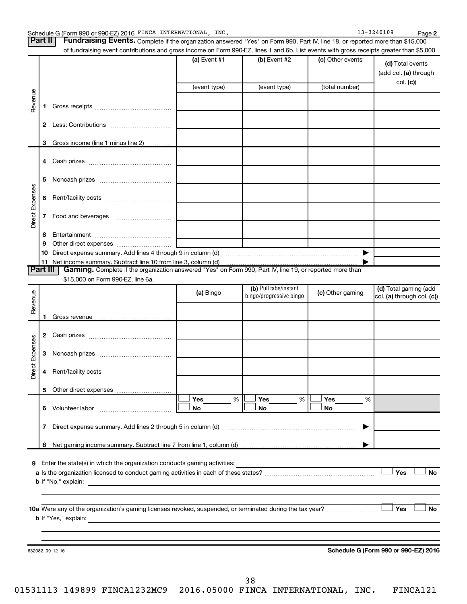| <b>Part II</b>  |              | Fundraising Events. Complete if the organization answered "Yes" on Form 990, Part IV, line 18, or reported more than \$15,000             |                |                                                  |                  |                                                     |
|-----------------|--------------|-------------------------------------------------------------------------------------------------------------------------------------------|----------------|--------------------------------------------------|------------------|-----------------------------------------------------|
|                 |              | of fundraising event contributions and gross income on Form 990-EZ, lines 1 and 6b. List events with gross receipts greater than \$5,000. |                |                                                  |                  |                                                     |
|                 |              |                                                                                                                                           | (a) Event $#1$ | (b) Event #2                                     | (c) Other events | (d) Total events<br>(add col. (a) through           |
|                 |              |                                                                                                                                           | (event type)   | (event type)                                     | (total number)   | col. (c)                                            |
|                 |              |                                                                                                                                           |                |                                                  |                  |                                                     |
| Revenue         | 1.           |                                                                                                                                           |                |                                                  |                  |                                                     |
|                 | $\mathbf{2}$ |                                                                                                                                           |                |                                                  |                  |                                                     |
|                 |              |                                                                                                                                           |                |                                                  |                  |                                                     |
|                 | 3            | Gross income (line 1 minus line 2)                                                                                                        |                |                                                  |                  |                                                     |
|                 | 4            |                                                                                                                                           |                |                                                  |                  |                                                     |
|                 | 5            |                                                                                                                                           |                |                                                  |                  |                                                     |
|                 | 6            |                                                                                                                                           |                |                                                  |                  |                                                     |
| Direct Expenses | 7            |                                                                                                                                           |                |                                                  |                  |                                                     |
|                 | 8            |                                                                                                                                           |                |                                                  |                  |                                                     |
|                 | 9            |                                                                                                                                           |                |                                                  |                  |                                                     |
|                 | 10           |                                                                                                                                           |                |                                                  | ▶                |                                                     |
| <b>Part III</b> |              | Gaming. Complete if the organization answered "Yes" on Form 990, Part IV, line 19, or reported more than                                  |                |                                                  |                  |                                                     |
|                 |              | \$15,000 on Form 990-EZ, line 6a.                                                                                                         |                |                                                  |                  |                                                     |
|                 |              |                                                                                                                                           | (a) Bingo      | (b) Pull tabs/instant<br>bingo/progressive bingo | (c) Other gaming | (d) Total gaming (add<br>col. (a) through col. (c)) |
| Revenue         |              |                                                                                                                                           |                |                                                  |                  |                                                     |
|                 | 1            |                                                                                                                                           |                |                                                  |                  |                                                     |
|                 |              |                                                                                                                                           |                |                                                  |                  |                                                     |
| Direct Expenses | 3            |                                                                                                                                           |                |                                                  |                  |                                                     |
|                 | 4            |                                                                                                                                           |                |                                                  |                  |                                                     |
|                 |              |                                                                                                                                           |                |                                                  |                  |                                                     |
|                 |              |                                                                                                                                           | Yes<br>%       | Yes<br>%                                         | Yes<br>%         |                                                     |
|                 |              |                                                                                                                                           | No             | No                                               | No               |                                                     |
|                 | 7            |                                                                                                                                           |                |                                                  | ▶                |                                                     |
|                 | 8            |                                                                                                                                           |                |                                                  |                  |                                                     |
|                 |              |                                                                                                                                           |                |                                                  |                  |                                                     |
|                 |              | 9 Enter the state(s) in which the organization conducts gaming activities:                                                                |                |                                                  |                  |                                                     |
|                 |              |                                                                                                                                           |                |                                                  |                  | Yes<br><b>No</b>                                    |
|                 |              |                                                                                                                                           |                |                                                  |                  |                                                     |
|                 |              |                                                                                                                                           |                |                                                  |                  | Yes<br>No                                           |
|                 |              |                                                                                                                                           |                |                                                  |                  |                                                     |
|                 |              |                                                                                                                                           |                |                                                  |                  |                                                     |
|                 |              |                                                                                                                                           |                |                                                  |                  |                                                     |
|                 |              | 632082 09-12-16                                                                                                                           |                |                                                  |                  | Schedule G (Form 990 or 990-EZ) 2016                |
|                 |              |                                                                                                                                           |                |                                                  |                  |                                                     |
|                 |              |                                                                                                                                           |                |                                                  |                  |                                                     |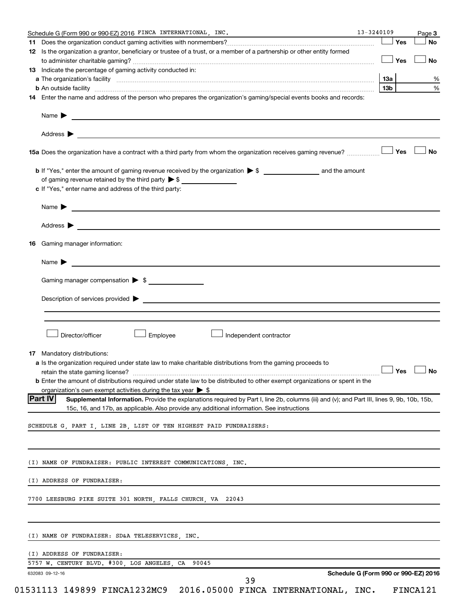|     | Schedule G (Form 990 or 990-EZ) 2016 FINCA INTERNATIONAL, INC.                                                                                                                                                                                | 13-3240109 |     | Page 3    |
|-----|-----------------------------------------------------------------------------------------------------------------------------------------------------------------------------------------------------------------------------------------------|------------|-----|-----------|
|     |                                                                                                                                                                                                                                               |            | Yes | No        |
|     | 12 Is the organization a grantor, beneficiary or trustee of a trust, or a member of a partnership or other entity formed                                                                                                                      |            |     |           |
|     |                                                                                                                                                                                                                                               |            | Yes | <b>No</b> |
|     | 13 Indicate the percentage of gaming activity conducted in:                                                                                                                                                                                   |            |     |           |
|     |                                                                                                                                                                                                                                               | 1За        |     |           |
|     | <b>b</b> An outside facility <i>[[[[[[[[[[[[[[[[]]]]</i> An outside facility <i>[[[[[[[[[[[[[[[]]]]]</i> and an anti-manufacture of the state of the state of the state of the state of the state of the state of the state of the state of t | 13b        |     |           |
|     | 14 Enter the name and address of the person who prepares the organization's gaming/special events books and records:                                                                                                                          |            |     |           |
|     | Name > 2008 - 2008 - 2009 - 2009 - 2009 - 2009 - 2009 - 2009 - 2009 - 2009 - 2009 - 2009 - 2009 - 2009 - 2009 - 2009 - 2009 - 2009 - 2009 - 2009 - 2009 - 2009 - 2009 - 2009 - 2009 - 2009 - 2009 - 2009 - 2009 - 2009 - 2009                 |            |     |           |
|     | Address $\blacktriangleright$                                                                                                                                                                                                                 |            |     |           |
|     | 15a Does the organization have a contract with a third party from whom the organization receives gaming revenue?                                                                                                                              |            | Yes | No        |
|     |                                                                                                                                                                                                                                               |            |     |           |
|     | of gaming revenue retained by the third party $\triangleright$ \$                                                                                                                                                                             |            |     |           |
|     | c If "Yes," enter name and address of the third party:                                                                                                                                                                                        |            |     |           |
|     |                                                                                                                                                                                                                                               |            |     |           |
|     | Name > 2008 - 2008 - 2009 - 2009 - 2009 - 2010 - 2010 - 2010 - 2010 - 2010 - 2010 - 2010 - 2010 - 2010 - 2010 - 2010 - 2010 - 2010 - 2010 - 2010 - 2010 - 2010 - 2010 - 2010 - 2010 - 2010 - 2010 - 2010 - 2010 - 2010 - 2010                 |            |     |           |
|     | Address $\blacktriangleright$<br><u> 1989 - Johann Stoff, fransk politiker (d. 1989)</u>                                                                                                                                                      |            |     |           |
| 16. | Gaming manager information:                                                                                                                                                                                                                   |            |     |           |
|     | <u> 1980 - Jan James James, martin de la populación de la propia de la propia de la propia de la propia de la pro</u><br>Name $\blacktriangleright$                                                                                           |            |     |           |
|     | Gaming manager compensation > \$                                                                                                                                                                                                              |            |     |           |
|     |                                                                                                                                                                                                                                               |            |     |           |
|     |                                                                                                                                                                                                                                               |            |     |           |
|     |                                                                                                                                                                                                                                               |            |     |           |
|     |                                                                                                                                                                                                                                               |            |     |           |
|     |                                                                                                                                                                                                                                               |            |     |           |
|     | Director/officer<br>Employee<br>Independent contractor                                                                                                                                                                                        |            |     |           |
|     |                                                                                                                                                                                                                                               |            |     |           |
|     | <b>17</b> Mandatory distributions:                                                                                                                                                                                                            |            |     |           |
|     | a Is the organization required under state law to make charitable distributions from the gaming proceeds to                                                                                                                                   |            |     |           |
|     | retain the state gaming license? $\Box$ No                                                                                                                                                                                                    |            |     |           |
|     | <b>b</b> Enter the amount of distributions required under state law to be distributed to other exempt organizations or spent in the                                                                                                           |            |     |           |
|     | organization's own exempt activities during the tax year $\triangleright$ \$                                                                                                                                                                  |            |     |           |
|     | Part IV <br>Supplemental Information. Provide the explanations required by Part I, line 2b, columns (iii) and (v); and Part III, lines 9, 9b, 10b, 15b,                                                                                       |            |     |           |
|     | 15c, 16, and 17b, as applicable. Also provide any additional information. See instructions                                                                                                                                                    |            |     |           |
|     | SCHEDULE G, PART I, LINE 2B, LIST OF TEN HIGHEST PAID FUNDRAISERS:                                                                                                                                                                            |            |     |           |
|     |                                                                                                                                                                                                                                               |            |     |           |
|     | (I) NAME OF FUNDRAISER: PUBLIC INTEREST COMMUNICATIONS, INC.                                                                                                                                                                                  |            |     |           |
|     | (I) ADDRESS OF FUNDRAISER:                                                                                                                                                                                                                    |            |     |           |
|     | 7700 LEESBURG PIKE SUITE 301 NORTH, FALLS CHURCH, VA 22043                                                                                                                                                                                    |            |     |           |
|     |                                                                                                                                                                                                                                               |            |     |           |
|     | (I) NAME OF FUNDRAISER: SD&A TELESERVICES, INC.                                                                                                                                                                                               |            |     |           |
|     | (I) ADDRESS OF FUNDRAISER:                                                                                                                                                                                                                    |            |     |           |
|     | 5757 W. CENTURY BLVD. #300, LOS ANGELES, CA 90045                                                                                                                                                                                             |            |     |           |
|     | Schedule G (Form 990 or 990-EZ) 2016<br>632083 09-12-16                                                                                                                                                                                       |            |     |           |
|     | 39                                                                                                                                                                                                                                            |            |     |           |
|     | 01531113 149899 FINCA1232MC9 2016.05000 FINCA INTERNATIONAL, INC.                                                                                                                                                                             |            |     | FINCA121  |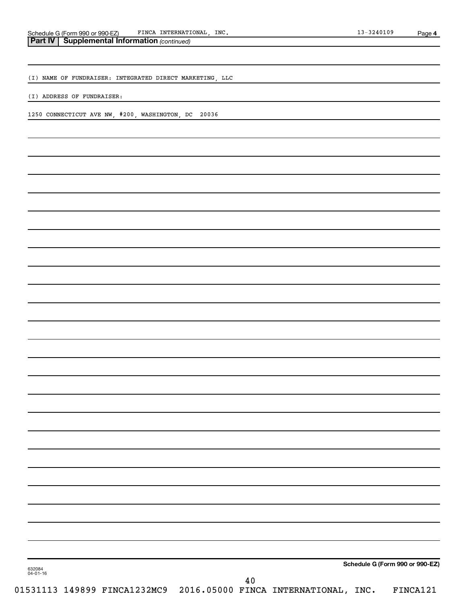(I) NAME OF FUNDRAISER: INTEGRATED DIRECT MARKETING, LLC

(I) ADDRESS OF FUNDRAISER:

1250 CONNECTICUT AVE NW, #200, WASHINGTON, DC 20036

**Schedule G (Form 990 or 990-EZ)**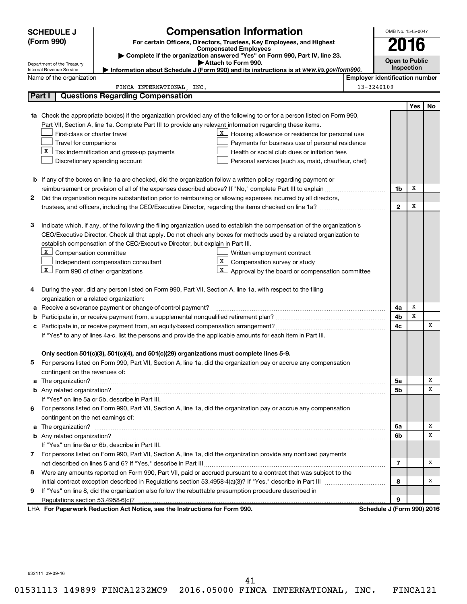| <b>SCHEDULE J</b> |                                         |                                                                                          | <b>Compensation Information</b>                                                                                           |                                       | OMB No. 1545-0047     |     |    |
|-------------------|-----------------------------------------|------------------------------------------------------------------------------------------|---------------------------------------------------------------------------------------------------------------------------|---------------------------------------|-----------------------|-----|----|
|                   | (Form 990)                              |                                                                                          | For certain Officers, Directors, Trustees, Key Employees, and Highest                                                     |                                       |                       | 016 |    |
|                   |                                         |                                                                                          | <b>Compensated Employees</b><br>Complete if the organization answered "Yes" on Form 990, Part IV, line 23.                |                                       |                       |     |    |
|                   | Department of the Treasury              |                                                                                          | Attach to Form 990.                                                                                                       |                                       | <b>Open to Public</b> |     |    |
|                   | Internal Revenue Service                |                                                                                          | Information about Schedule J (Form 990) and its instructions is at www.irs.gov/form990.                                   |                                       | Inspection            |     |    |
|                   | Name of the organization                |                                                                                          |                                                                                                                           | <b>Employer identification number</b> |                       |     |    |
|                   | Part I                                  | FINCA INTERNATIONAL, INC.<br><b>Questions Regarding Compensation</b>                     |                                                                                                                           | 13-3240109                            |                       |     |    |
|                   |                                         |                                                                                          |                                                                                                                           |                                       |                       |     |    |
|                   |                                         |                                                                                          | 1a Check the appropriate box(es) if the organization provided any of the following to or for a person listed on Form 990, |                                       |                       | Yes | No |
|                   |                                         |                                                                                          | Part VII, Section A, line 1a. Complete Part III to provide any relevant information regarding these items.                |                                       |                       |     |    |
|                   | First-class or charter travel           |                                                                                          | X<br>Housing allowance or residence for personal use                                                                      |                                       |                       |     |    |
|                   | Travel for companions                   |                                                                                          | Payments for business use of personal residence                                                                           |                                       |                       |     |    |
|                   |                                         | $\lfloor x \rfloor$ Tax indemnification and gross-up payments                            | Health or social club dues or initiation fees                                                                             |                                       |                       |     |    |
|                   |                                         | Discretionary spending account                                                           | Personal services (such as, maid, chauffeur, chef)                                                                        |                                       |                       |     |    |
|                   |                                         |                                                                                          |                                                                                                                           |                                       |                       |     |    |
|                   |                                         |                                                                                          | <b>b</b> If any of the boxes on line 1a are checked, did the organization follow a written policy regarding payment or    |                                       |                       |     |    |
|                   |                                         |                                                                                          |                                                                                                                           |                                       | 1b                    | х   |    |
| 2                 |                                         |                                                                                          | Did the organization require substantiation prior to reimbursing or allowing expenses incurred by all directors,          |                                       |                       |     |    |
|                   |                                         |                                                                                          |                                                                                                                           |                                       | $\mathbf{2}$          | х   |    |
|                   |                                         |                                                                                          |                                                                                                                           |                                       |                       |     |    |
| з                 |                                         |                                                                                          | Indicate which, if any, of the following the filing organization used to establish the compensation of the organization's |                                       |                       |     |    |
|                   |                                         |                                                                                          | CEO/Executive Director. Check all that apply. Do not check any boxes for methods used by a related organization to        |                                       |                       |     |    |
|                   |                                         | establish compensation of the CEO/Executive Director, but explain in Part III.           |                                                                                                                           |                                       |                       |     |    |
|                   | $X \mid$<br>Compensation committee      |                                                                                          | Written employment contract                                                                                               |                                       |                       |     |    |
|                   |                                         | Independent compensation consultant                                                      | X<br>Compensation survey or study                                                                                         |                                       |                       |     |    |
|                   | $X$ Form 990 of other organizations     |                                                                                          | $\mathbf{X}$<br>Approval by the board or compensation committee                                                           |                                       |                       |     |    |
|                   |                                         |                                                                                          |                                                                                                                           |                                       |                       |     |    |
| 4                 |                                         |                                                                                          | During the year, did any person listed on Form 990, Part VII, Section A, line 1a, with respect to the filing              |                                       |                       |     |    |
|                   | organization or a related organization: |                                                                                          |                                                                                                                           |                                       |                       |     |    |
| а                 |                                         | Receive a severance payment or change-of-control payment?                                |                                                                                                                           |                                       | 4a                    | х   |    |
| b                 |                                         |                                                                                          |                                                                                                                           |                                       | 4b                    | x   |    |
| с                 |                                         |                                                                                          |                                                                                                                           |                                       | 4c                    |     | х  |
|                   |                                         |                                                                                          | If "Yes" to any of lines 4a-c, list the persons and provide the applicable amounts for each item in Part III.             |                                       |                       |     |    |
|                   |                                         |                                                                                          |                                                                                                                           |                                       |                       |     |    |
|                   |                                         | Only section 501(c)(3), 501(c)(4), and 501(c)(29) organizations must complete lines 5-9. |                                                                                                                           |                                       |                       |     |    |
|                   |                                         |                                                                                          | For persons listed on Form 990, Part VII, Section A, line 1a, did the organization pay or accrue any compensation         |                                       |                       |     |    |
|                   | contingent on the revenues of:          |                                                                                          |                                                                                                                           |                                       |                       |     |    |
|                   |                                         |                                                                                          |                                                                                                                           |                                       | 5a                    |     | х  |
|                   |                                         |                                                                                          |                                                                                                                           |                                       | 5b                    |     | х  |
|                   |                                         | If "Yes" on line 5a or 5b, describe in Part III.                                         |                                                                                                                           |                                       |                       |     |    |
| 6                 |                                         |                                                                                          | For persons listed on Form 990, Part VII, Section A, line 1a, did the organization pay or accrue any compensation         |                                       |                       |     |    |
|                   | contingent on the net earnings of:      |                                                                                          |                                                                                                                           |                                       |                       |     |    |
|                   |                                         |                                                                                          |                                                                                                                           |                                       | 6a                    |     | х  |
|                   |                                         |                                                                                          |                                                                                                                           |                                       | 6b                    |     | х  |
|                   |                                         | If "Yes" on line 6a or 6b, describe in Part III.                                         |                                                                                                                           |                                       |                       |     |    |
|                   |                                         |                                                                                          | 7 For persons listed on Form 990, Part VII, Section A, line 1a, did the organization provide any nonfixed payments        |                                       |                       |     |    |
|                   |                                         |                                                                                          |                                                                                                                           |                                       | 7                     |     | х  |
| 8                 |                                         |                                                                                          | Were any amounts reported on Form 990, Part VII, paid or accrued pursuant to a contract that was subject to the           |                                       |                       |     |    |
|                   |                                         |                                                                                          |                                                                                                                           |                                       | 8                     |     | x  |
| 9                 |                                         |                                                                                          | If "Yes" on line 8, did the organization also follow the rebuttable presumption procedure described in                    |                                       |                       |     |    |
|                   |                                         |                                                                                          |                                                                                                                           |                                       | 9                     |     |    |
|                   |                                         | LHA For Paperwork Reduction Act Notice, see the Instructions for Form 990.               |                                                                                                                           | Schedule J (Form 990) 2016            |                       |     |    |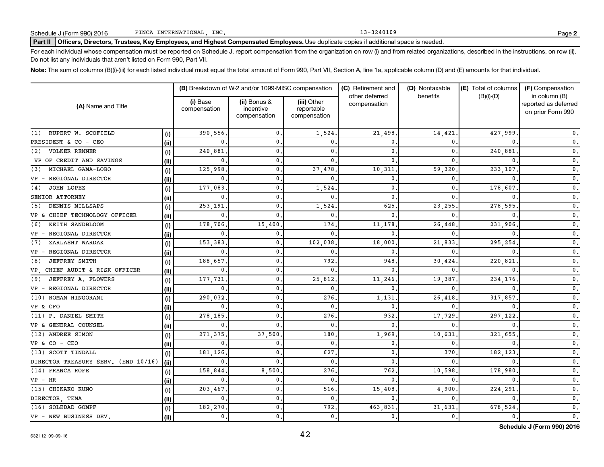## Part II | Officers, Directors, Trustees, Key Employees, and Highest Compensated Employees. Use duplicate copies if additional space is needed.

For each individual whose compensation must be reported on Schedule J, report compensation from the organization on row (i) and from related organizations, described in the instructions, on row (ii). Do not list any individuals that aren't listed on Form 990, Part VII.

Note: The sum of columns (B)(i)-(iii) for each listed individual must equal the total amount of Form 990, Part VII, Section A, line 1a, applicable column (D) and (E) amounts for that individual.

|                                     |       |                          | (B) Breakdown of W-2 and/or 1099-MISC compensation |                                           | (C) Retirement and             | (D) Nontaxable | (E) Total of columns | (F) Compensation                                           |
|-------------------------------------|-------|--------------------------|----------------------------------------------------|-------------------------------------------|--------------------------------|----------------|----------------------|------------------------------------------------------------|
| (A) Name and Title                  |       | (i) Base<br>compensation | (ii) Bonus &<br>incentive<br>compensation          | (iii) Other<br>reportable<br>compensation | other deferred<br>compensation | benefits       | $(B)(i)-(D)$         | in column (B)<br>reported as deferred<br>on prior Form 990 |
| (1) RUPERT W. SCOFIELD              | (i)   | 390,556                  | $\mathbf{0}$                                       | 1,524                                     | 21,498                         | 14,421         | 427,999              | $\mathbf{0}$ .                                             |
| PRESIDENT & CO - CEO                | (iii) | $\Omega$                 | $\mathbf{0}$                                       | $\mathbf 0$ .                             | $\Omega$                       | 0              |                      | $\mathfrak o$ .                                            |
| <b>VOLKER RENNER</b><br>(2)         | (i)   | 240,881                  | $\mathbf 0$ .                                      | $\mathbf 0$ .                             | $\Omega$                       | 0              | 240,881              | $\mathbf 0$ .                                              |
| VP OF CREDIT AND SAVINGS            | (ii)  | $\Omega$                 | $\mathbf{0}$ .                                     | 0                                         | <sup>n</sup>                   | $\Omega$       |                      | $\mathfrak o$ .                                            |
| MICHAEL GAMA-LOBO<br>(3)            | (i)   | 125,998                  | $\mathbf{0}$ .                                     | 37,478                                    | 10,311                         | 59,320         | 233,107              | $\mathfrak o$ .                                            |
| REGIONAL DIRECTOR<br>$VP -$         | (ii)  | $\mathbf{0}$             | $\mathbf{0}$                                       | $\mathbf{0}$                              | $\Omega$                       | $\Omega$       |                      | $\mathfrak o$ .                                            |
| JOHN LOPEZ<br>(4)                   | (i)   | 177,083                  | $\mathbf{0}$                                       | 1,524                                     | 0                              | $\Omega$       | 178,607              | 0.                                                         |
| SENIOR ATTORNEY                     | (ii)  | $\Omega$                 | $\mathbf{0}$                                       | $\mathbf{0}$                              | $\Omega$                       | $\Omega$       |                      | $\mathfrak o$ .                                            |
| DENNIS MILLSAPS<br>(5)              | (i)   | 253,191                  | $\mathbf{0}$                                       | 1,524                                     | 625                            | 23, 255        | 278,595              | $\mathfrak o$ .                                            |
| VP & CHIEF TECHNOLOGY OFFICER       | (ii)  | 0                        | 0                                                  | 0                                         | $\Omega$                       |                |                      | $\mathfrak o$ .                                            |
| KEITH SANDBLOOM<br>(6)              | (i)   | 178,706                  | 15,400                                             | 174                                       | 11,178                         | 26,448         | 231,906              | $\mathfrak o$ .                                            |
| REGIONAL DIRECTOR<br>$VP -$         | (ii)  | $\Omega$                 | $\mathbf{0}$                                       | 0                                         | n                              |                |                      | $\mathbf{0}$ .                                             |
| ZARLASHT WARDAK<br>(7)              | (i)   | 153,383                  | $\mathbf{0}$                                       | 102,038                                   | 18,000                         | 21,833         | 295,254              | $\mathfrak o$ .                                            |
| REGIONAL DIRECTOR<br>$VP -$         | (ii)  | $\Omega$                 | $\mathbf{0}$                                       | 0                                         |                                |                |                      | $\mathsf{0}\,.$                                            |
| JEFFREY SMITH<br>(8)                | (i)   | 188,657                  | $\mathbf{0}$                                       | 792                                       | 948                            | 30,424         | 220,821              | $\mathbf 0$ .                                              |
| VP, CHIEF AUDIT & RISK OFFICER      | (ii)  | $\Omega$                 | $\mathbf{0}$                                       | 0                                         |                                |                |                      | $\mathbf{0}$ .                                             |
| JEFFREY A. FLOWERS<br>(9)           | (i)   | 177,731                  | $\mathbf{0}$ .                                     | 25,812                                    | 11,246                         | 19,387         | 234,176              | $\mathbf{0}$ .                                             |
| REGIONAL DIRECTOR<br>$VP -$         | (ii)  | 0                        | $\mathbf{0}$ .                                     | 0                                         | $\Omega$                       | $\Omega$       |                      | $\mathfrak o$ .                                            |
| (10) ROMAN HINGORANI                | (i)   | 290,032                  | $\mathbf{0}$                                       | 276                                       | 1,131                          | 26,418         | 317,857              | $\mathfrak o$ .                                            |
| VP & CFO                            | (ii)  | 0                        | $\mathbf{0}$ .                                     | 0                                         | $\Omega$                       | $\Omega$       |                      | $\mathbf{0}$ .                                             |
| (11) P. DANIEL SMITH                | (i)   | 278,185                  | $\mathbf{0}$ .                                     | 276                                       | 932                            | 17,729         | 297,122              | $\mathbf{0}$ .                                             |
| VP & GENERAL COUNSEL                | (ii)  | $\mathbf{0}$             | $\mathbf{0}$                                       | 0                                         | $\Omega$                       | $\Omega$       |                      | $\mathbf{0}$ .                                             |
| (12) ANDREE SIMON                   | (i)   | 271,375                  | 37,500                                             | 180                                       | 1,969                          | 10,631         | 321,655              | $\mathfrak o$ .                                            |
| $VP & CO - CEO$                     | (ii)  | 0                        | $\mathbf 0$ .                                      | 0                                         | 0                              | 0              |                      | $\mathbf{0}$ .                                             |
| (13) SCOTT TINDALL                  | (i)   | 181,126                  | $\mathbf{0}$                                       | 627                                       | $\Omega$                       | 370            | 182,123              | $\mathbf{0}$ .                                             |
| DIRECTOR TREASURY SERV. (END 10/16) | (ii)  | 0                        | $\mathbf{0}$                                       | 0                                         | $\Omega$                       |                |                      | $\mathfrak o$ .                                            |
| (14) FRANCA ROFE                    | (i)   | 158,844                  | 8,500                                              | 276                                       | 762                            | 10,598         | 178,980              | $\mathbf 0$ .                                              |
| $VP$ - $HR$                         | (ii)  |                          | $\mathbf{0}$                                       | 0                                         | $\Omega$                       | 0              |                      | $\mathbf 0$ .                                              |
| (15) CHIKAKO KUNO                   | (i)   | 203,467                  | $\mathbf 0$ .                                      | 516                                       | 15,408                         | 4,900          | 224,291              | $\mathsf{0}$ .                                             |
| DIRECTOR, TEMA                      | (ii)  | 0                        | 0.                                                 | 0                                         |                                |                |                      | $\mathfrak o$ .                                            |
| (16) SOLEDAD GOMPF                  | (i)   | 182,270                  | 0.                                                 | 792                                       | 463,831                        | 31,631         | 678,524              | $\mathsf{0}$ .                                             |
| VP - NEW BUSINESS DEV.              | (ii)  | 0.                       | 0.                                                 | $\mathbf{0}$                              | 0                              | 0.             | 0.                   | $\mathbf{0}$ .                                             |

**Schedule J (Form 990) 2016**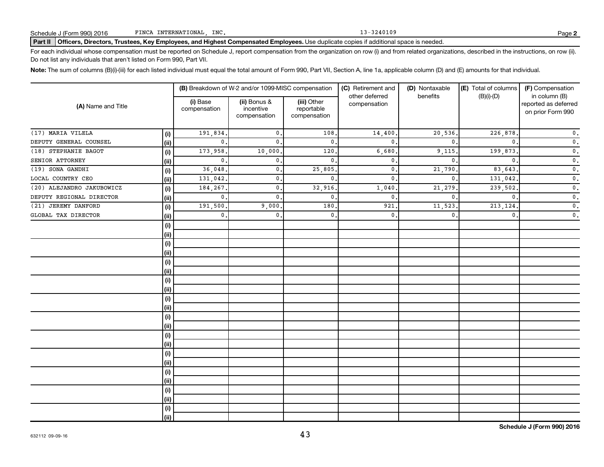## Part II | Officers, Directors, Trustees, Key Employees, and Highest Compensated Employees. Use duplicate copies if additional space is needed.

For each individual whose compensation must be reported on Schedule J, report compensation from the organization on row (i) and from related organizations, described in the instructions, on row (ii). Do not list any individuals that aren't listed on Form 990, Part VII.

Note: The sum of columns (B)(i)-(iii) for each listed individual must equal the total amount of Form 990, Part VII, Section A, line 1a, applicable column (D) and (E) amounts for that individual.

|                           |       |                          | (B) Breakdown of W-2 and/or 1099-MISC compensation |                                           | (C) Retirement and             | (D) Nontaxable<br>benefits | (E) Total of columns | (F) Compensation                                           |
|---------------------------|-------|--------------------------|----------------------------------------------------|-------------------------------------------|--------------------------------|----------------------------|----------------------|------------------------------------------------------------|
| (A) Name and Title        |       | (i) Base<br>compensation | (ii) Bonus &<br>incentive<br>compensation          | (iii) Other<br>reportable<br>compensation | other deferred<br>compensation |                            | $(B)(i)-(D)$         | in column (B)<br>reported as deferred<br>on prior Form 990 |
| (17) MARIA VILELA         | (i)   | 191,834.                 | $\mathbf{0}$ .                                     | 108                                       | 14,400                         | 20,536.                    | 226,878              | $\mathfrak o$ .                                            |
| DEPUTY GENERAL COUNSEL    | (ii)  | $\mathbf{0}$ .           | $\mathbf{0}$ .                                     | 0.                                        | $\mathbf{0}$                   | $\mathbf{0}$               | $\mathbf{0}$         | $\mathfrak o$ .                                            |
| (18) STEPHANIE BAGOT      | (i)   | 173,958                  | 10,000                                             | 120                                       | 6,680                          | 9,115                      | 199,873              | $\mathfrak o$ .                                            |
| SENIOR ATTORNEY           | (i)   | $\mathbf 0$ .            | $\mathbf{0}$ .                                     | $\mathbf{0}$ .                            | $\mathbf{0}$                   | $\mathbf{0}$               | $\Omega$             | $\mathfrak o$ .                                            |
| (19) SONA GANDHI          | (i)   | 36,048                   | $\mathbf{0}$ .                                     | 25,805                                    | $\mathbf{0}$                   | 21,790                     | 83,643               | $\mathfrak o$ .                                            |
| LOCAL COUNTRY CEO         | (i)   | 131,042                  | $\mathbf{0}$ .                                     | $\mathbf{0}$ .                            | $\mathbf{0}$                   | $\mathbf{0}$               | 131,042              | $\mathfrak o$ .                                            |
| (20) ALEJANDRO JAKUBOWICZ | (i)   | 184,267                  | $\mathbf{0}$ .                                     | 32,916                                    | 1,040                          | 21,279                     | 239,502              | $\mathfrak o$ .                                            |
| DEPUTY REGIONAL DIRECTOR  | (ii)  | $\mathbf 0$ .            | $\mathbf{0}$ .                                     | $\mathbf{0}$                              | $\mathbf{0}$                   | $\mathbf{0}$               | $\mathbf{0}$         | $\mathfrak o$ .                                            |
| (21) JEREMY DANFORD       | (i)   | 191,500                  | 9,000                                              | 180                                       | 921                            | 11,523                     | 213,124              | $\mathfrak o$ .                                            |
| GLOBAL TAX DIRECTOR       | (i)   | $\mathbf{0}$ .           | $\mathbf{0}$ .                                     | $\mathbf{0}$ .                            | $\mathbf{0}$                   | $\mathbf{0}$               | $\mathbf{0}$         | $\mathfrak o$ .                                            |
|                           | (i)   |                          |                                                    |                                           |                                |                            |                      |                                                            |
|                           | (ii)  |                          |                                                    |                                           |                                |                            |                      |                                                            |
|                           | (i)   |                          |                                                    |                                           |                                |                            |                      |                                                            |
|                           | (ii)  |                          |                                                    |                                           |                                |                            |                      |                                                            |
|                           | (i)   |                          |                                                    |                                           |                                |                            |                      |                                                            |
|                           | (ii)  |                          |                                                    |                                           |                                |                            |                      |                                                            |
|                           | (i)   |                          |                                                    |                                           |                                |                            |                      |                                                            |
|                           | (ii)  |                          |                                                    |                                           |                                |                            |                      |                                                            |
|                           | (i)   |                          |                                                    |                                           |                                |                            |                      |                                                            |
|                           | (ii)  |                          |                                                    |                                           |                                |                            |                      |                                                            |
|                           | (i)   |                          |                                                    |                                           |                                |                            |                      |                                                            |
|                           | (ii)  |                          |                                                    |                                           |                                |                            |                      |                                                            |
|                           | (i)   |                          |                                                    |                                           |                                |                            |                      |                                                            |
|                           | (ii)  |                          |                                                    |                                           |                                |                            |                      |                                                            |
|                           | (i)   |                          |                                                    |                                           |                                |                            |                      |                                                            |
|                           | (ii)  |                          |                                                    |                                           |                                |                            |                      |                                                            |
|                           | (i)   |                          |                                                    |                                           |                                |                            |                      |                                                            |
|                           | (ii)  |                          |                                                    |                                           |                                |                            |                      |                                                            |
|                           | (i)   |                          |                                                    |                                           |                                |                            |                      |                                                            |
|                           | (ii)  |                          |                                                    |                                           |                                |                            |                      |                                                            |
|                           | (i)   |                          |                                                    |                                           |                                |                            |                      |                                                            |
|                           | (iii) |                          |                                                    |                                           |                                |                            |                      |                                                            |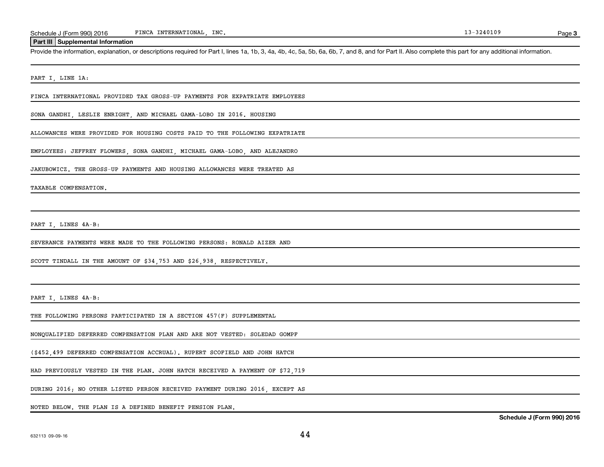### **Part III Supplemental Information**

Provide the information, explanation, or descriptions required for Part I, lines 1a, 1b, 3, 4a, 4b, 4c, 5a, 5b, 6a, 6b, 7, and 8, and for Part II. Also complete this part for any additional information.

PART I, LINE 1A:

FINCA INTERNATIONAL PROVIDED TAX GROSS-UP PAYMENTS FOR EXPATRIATE EMPLOYEES

SONA GANDHI, LESLIE ENRIGHT, AND MICHAEL GAMA-LOBO IN 2016. HOUSING

ALLOWANCES WERE PROVIDED FOR HOUSING COSTS PAID TO THE FOLLOWING EXPATRIATE

EMPLOYEES: JEFFREY FLOWERS, SONA GANDHI, MICHAEL GAMA-LOBO, AND ALEJANDRO

JAKUBOWICZ. THE GROSS-UP PAYMENTS AND HOUSING ALLOWANCES WERE TREATED AS

TAXABLE COMPENSATION.

PART I, LINES 4A-B:

SEVERANCE PAYMENTS WERE MADE TO THE FOLLOWING PERSONS: RONALD AIZER AND

SCOTT TINDALL IN THE AMOUNT OF \$34,753 AND \$26,938, RESPECTIVELY.

PART I, LINES 4A-B:

THE FOLLOWING PERSONS PARTICIPATED IN A SECTION 457(F) SUPPLEMENTAL

NONQUALIFIED DEFERRED COMPENSATION PLAN AND ARE NOT VESTED: SOLEDAD GOMPF

(\$452,499 DEFERRED COMPENSATION ACCRUAL). RUPERT SCOFIELD AND JOHN HATCH

HAD PREVIOUSLY VESTED IN THE PLAN. JOHN HATCH RECEIVED A PAYMENT OF \$72,719

DURING 2016; NO OTHER LISTED PERSON RECEIVED PAYMENT DURING 2016, EXCEPT AS

NOTED BELOW. THE PLAN IS A DEFINED BENEFIT PENSION PLAN.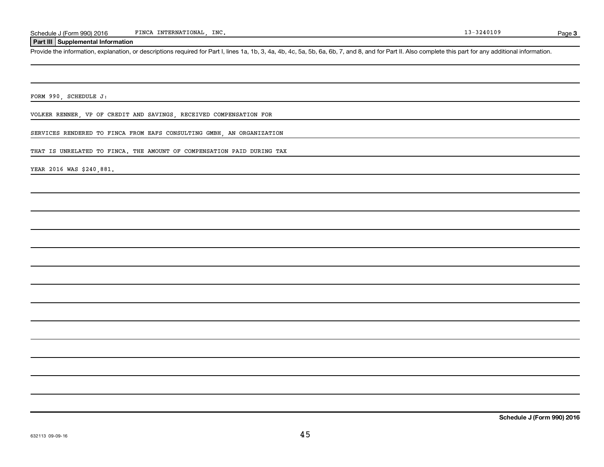## **Part III Supplemental Information**

Provide the information, explanation, or descriptions required for Part I, lines 1a, 1b, 3, 4a, 4b, 4c, 5a, 5b, 6a, 6b, 7, and 8, and for Part II. Also complete this part for any additional information.

FORM 990, SCHEDULE J:

VOLKER RENNER, VP OF CREDIT AND SAVINGS, RECEIVED COMPENSATION FOR

SERVICES RENDERED TO FINCA FROM EAFS CONSULTING GMBH, AN ORGANIZATION

THAT IS UNRELATED TO FINCA. THE AMOUNT OF COMPENSATION PAID DURING TAX

YEAR 2016 WAS \$240,881.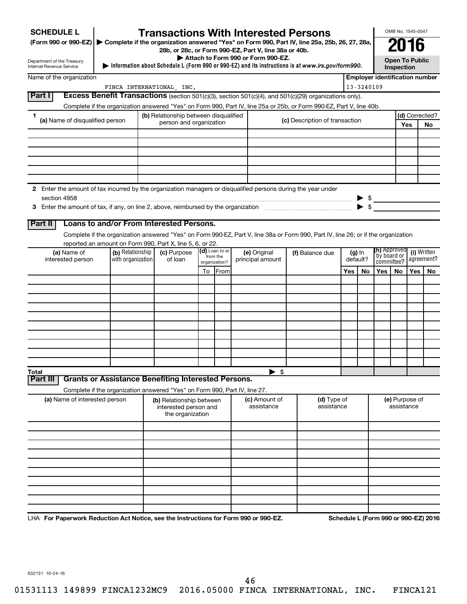| <b>SCHEDULE L</b>                                                                                             |                                                                            | <b>Transactions With Interested Persons</b>           |    |                            |                                    |                                                                                                                                    |     |                          |                               | OMB No. 1545-0047                   |            |                                       |
|---------------------------------------------------------------------------------------------------------------|----------------------------------------------------------------------------|-------------------------------------------------------|----|----------------------------|------------------------------------|------------------------------------------------------------------------------------------------------------------------------------|-----|--------------------------|-------------------------------|-------------------------------------|------------|---------------------------------------|
| (Form 990 or 990-EZ)                                                                                          |                                                                            |                                                       |    |                            |                                    | Complete if the organization answered "Yes" on Form 990, Part IV, line 25a, 25b, 26, 27, 28a,                                      |     |                          |                               | 2016                                |            |                                       |
|                                                                                                               |                                                                            | 28b, or 28c, or Form 990-EZ, Part V, line 38a or 40b. |    |                            | Attach to Form 990 or Form 990-EZ. |                                                                                                                                    |     |                          |                               |                                     |            |                                       |
| Department of the Treasury<br>Internal Revenue Service                                                        |                                                                            |                                                       |    |                            |                                    | Information about Schedule L (Form 990 or 990-EZ) and its instructions is at www.irs.gov/form990.                                  |     |                          |                               | <b>Open To Public</b><br>Inspection |            |                                       |
| Name of the organization                                                                                      |                                                                            |                                                       |    |                            |                                    |                                                                                                                                    |     |                          |                               |                                     |            | <b>Employer identification number</b> |
|                                                                                                               |                                                                            | FINCA INTERNATIONAL INC.                              |    |                            |                                    |                                                                                                                                    |     | 13-3240109               |                               |                                     |            |                                       |
| Part I                                                                                                        |                                                                            |                                                       |    |                            |                                    | Excess Benefit Transactions (section 501(c)(3), section 501(c)(4), and 501(c)(29) organizations only).                             |     |                          |                               |                                     |            |                                       |
| 1.                                                                                                            |                                                                            | (b) Relationship between disqualified                 |    |                            |                                    | Complete if the organization answered "Yes" on Form 990, Part IV, line 25a or 25b, or Form 990-EZ, Part V, line 40b.               |     |                          |                               |                                     |            | (d) Corrected?                        |
| (a) Name of disqualified person                                                                               |                                                                            | person and organization                               |    |                            |                                    | (c) Description of transaction                                                                                                     |     |                          |                               |                                     | Yes        | No                                    |
|                                                                                                               |                                                                            |                                                       |    |                            |                                    |                                                                                                                                    |     |                          |                               |                                     |            |                                       |
|                                                                                                               |                                                                            |                                                       |    |                            |                                    |                                                                                                                                    |     |                          |                               |                                     |            |                                       |
|                                                                                                               |                                                                            |                                                       |    |                            |                                    |                                                                                                                                    |     |                          |                               |                                     |            |                                       |
|                                                                                                               |                                                                            |                                                       |    |                            |                                    |                                                                                                                                    |     |                          |                               |                                     |            |                                       |
|                                                                                                               |                                                                            |                                                       |    |                            |                                    |                                                                                                                                    |     |                          |                               |                                     |            |                                       |
| 2 Enter the amount of tax incurred by the organization managers or disqualified persons during the year under |                                                                            |                                                       |    |                            |                                    |                                                                                                                                    |     |                          |                               |                                     |            |                                       |
| section 4958                                                                                                  |                                                                            |                                                       |    |                            |                                    |                                                                                                                                    |     |                          | $\triangleright$ \$           |                                     |            |                                       |
|                                                                                                               |                                                                            |                                                       |    |                            |                                    |                                                                                                                                    |     | $\blacktriangleright$ \$ |                               |                                     |            |                                       |
| Part II                                                                                                       | Loans to and/or From Interested Persons.                                   |                                                       |    |                            |                                    |                                                                                                                                    |     |                          |                               |                                     |            |                                       |
|                                                                                                               |                                                                            |                                                       |    |                            |                                    | Complete if the organization answered "Yes" on Form 990-EZ, Part V, line 38a or Form 990, Part IV, line 26; or if the organization |     |                          |                               |                                     |            |                                       |
|                                                                                                               | reported an amount on Form 990, Part X, line 5, 6, or 22.                  |                                                       |    |                            |                                    |                                                                                                                                    |     |                          |                               |                                     |            |                                       |
| (a) Name of                                                                                                   | (b) Relationship                                                           | (c) Purpose                                           |    | (d) Loan to or<br>from the | (e) Original                       | (f) Balance due                                                                                                                    |     | $(g)$ In                 | (h) Approved<br>  by board or |                                     |            | (i) Written                           |
| interested person                                                                                             | with organization                                                          | of loan                                               |    | organization?              | principal amount                   |                                                                                                                                    |     | default?                 | committee?                    |                                     |            | agreement?                            |
|                                                                                                               |                                                                            |                                                       | To | From                       |                                    |                                                                                                                                    | Yes | No                       | Yes                           | No                                  | <b>Yes</b> | No                                    |
|                                                                                                               |                                                                            |                                                       |    |                            |                                    |                                                                                                                                    |     |                          |                               |                                     |            |                                       |
|                                                                                                               |                                                                            |                                                       |    |                            |                                    |                                                                                                                                    |     |                          |                               |                                     |            |                                       |
|                                                                                                               |                                                                            |                                                       |    |                            |                                    |                                                                                                                                    |     |                          |                               |                                     |            |                                       |
|                                                                                                               |                                                                            |                                                       |    |                            |                                    |                                                                                                                                    |     |                          |                               |                                     |            |                                       |
|                                                                                                               |                                                                            |                                                       |    |                            |                                    |                                                                                                                                    |     |                          |                               |                                     |            |                                       |
|                                                                                                               |                                                                            |                                                       |    |                            |                                    |                                                                                                                                    |     |                          |                               |                                     |            |                                       |
|                                                                                                               |                                                                            |                                                       |    |                            |                                    |                                                                                                                                    |     |                          |                               |                                     |            |                                       |
|                                                                                                               |                                                                            |                                                       |    |                            |                                    |                                                                                                                                    |     |                          |                               |                                     |            |                                       |
| Total                                                                                                         |                                                                            |                                                       |    |                            | - \$                               |                                                                                                                                    |     |                          |                               |                                     |            |                                       |
| Part III                                                                                                      | <b>Grants or Assistance Benefiting Interested Persons.</b>                 |                                                       |    |                            |                                    |                                                                                                                                    |     |                          |                               |                                     |            |                                       |
| (a) Name of interested person                                                                                 | Complete if the organization answered "Yes" on Form 990, Part IV, line 27. | (b) Relationship between                              |    |                            | (c) Amount of                      | (d) Type of                                                                                                                        |     |                          |                               | (e) Purpose of                      |            |                                       |
|                                                                                                               |                                                                            | interested person and<br>the organization             |    |                            | assistance                         | assistance                                                                                                                         |     |                          |                               | assistance                          |            |                                       |
|                                                                                                               |                                                                            |                                                       |    |                            |                                    |                                                                                                                                    |     |                          |                               |                                     |            |                                       |
|                                                                                                               |                                                                            |                                                       |    |                            |                                    |                                                                                                                                    |     |                          |                               |                                     |            |                                       |
|                                                                                                               |                                                                            |                                                       |    |                            |                                    |                                                                                                                                    |     |                          |                               |                                     |            |                                       |
|                                                                                                               |                                                                            |                                                       |    |                            |                                    |                                                                                                                                    |     |                          |                               |                                     |            |                                       |
|                                                                                                               |                                                                            |                                                       |    |                            |                                    |                                                                                                                                    |     |                          |                               |                                     |            |                                       |
|                                                                                                               |                                                                            |                                                       |    |                            |                                    |                                                                                                                                    |     |                          |                               |                                     |            |                                       |
|                                                                                                               |                                                                            |                                                       |    |                            |                                    |                                                                                                                                    |     |                          |                               |                                     |            |                                       |
|                                                                                                               |                                                                            |                                                       |    |                            |                                    |                                                                                                                                    |     |                          |                               |                                     |            |                                       |
|                                                                                                               |                                                                            |                                                       |    |                            |                                    |                                                                                                                                    |     |                          |                               |                                     |            |                                       |

LHA For Paperwork Reduction Act Notice, see the Instructions for Form 990 or 990-EZ. Schedule L (Form 990 or 990-EZ) 2016

632131 10-24-16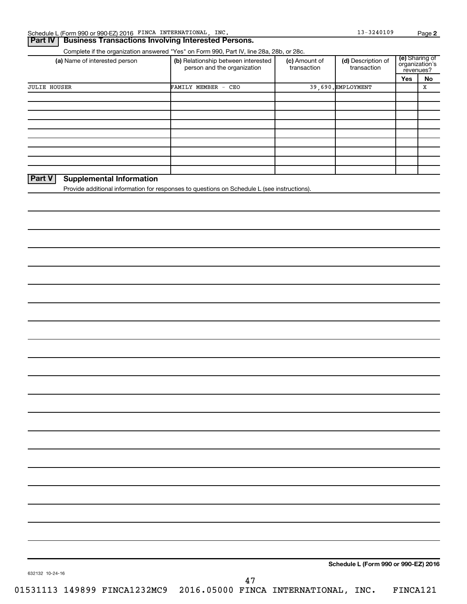# **Part IV Business Transactions Involving Interested Persons.**

Complete if the organization answered "Yes" on Form 990, Part IV, line 28a, 28b, or 28c.

| (a) Name of interested person             | (b) Relationship between interested<br>person and the organization                          | (c) Amount of<br>transaction | (d) Description of<br>transaction | revenues? | (e) Sharing of<br>organization's |
|-------------------------------------------|---------------------------------------------------------------------------------------------|------------------------------|-----------------------------------|-----------|----------------------------------|
|                                           | 39.690. EMPLOYMENT<br>FAMILY MEMBER - CEO                                                   | Yes                          | No.                               |           |                                  |
| <b>JULIE HOUSER</b>                       |                                                                                             |                              |                                   |           | х                                |
|                                           |                                                                                             |                              |                                   |           |                                  |
|                                           |                                                                                             |                              |                                   |           |                                  |
|                                           |                                                                                             |                              |                                   |           |                                  |
|                                           |                                                                                             |                              |                                   |           |                                  |
|                                           |                                                                                             |                              |                                   |           |                                  |
|                                           |                                                                                             |                              |                                   |           |                                  |
|                                           |                                                                                             |                              |                                   |           |                                  |
|                                           |                                                                                             |                              |                                   |           |                                  |
|                                           |                                                                                             |                              |                                   |           |                                  |
| Part V<br><b>Supplemental Information</b> |                                                                                             |                              |                                   |           |                                  |
|                                           | Provide additional information for responses to questions on Schedule L (see instructions). |                              |                                   |           |                                  |

**Schedule L (Form 990 or 990-EZ) 2016**

632132 10-24-16

01531113 149899 FINCA1232MC9 2016.05000 FINCA INTERNATIONAL, INC. FINCA121 47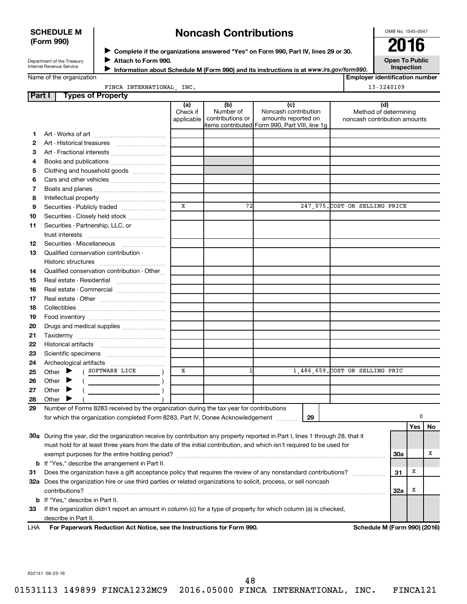## **SCHEDULE M (Form 990)**

# **Noncash Contributions**

OMB No. 1545-0047

Department of the Treasury Internal Revenue Service

◆ Complete if the organizations answered "Yes" on Form 990, Part IV, lines 29 or 30.<br>● Complete if the organizations answered "Yes" on Form 990, Part IV, lines 29 or 30. **Attach to Form 990.** J

**Open To Public Inspection**

|  |  | Name of the organization |  |
|--|--|--------------------------|--|
|--|--|--------------------------|--|

**Information about Schedule M (Form 990) and its instructions is at www.irs.gov/form990.** 

FINCA INTERNATIONAL, INC. 13-3240109

**Employer identification number**

| <b>Part I</b> | <b>Types of Property</b>                                                                                                       |                               |                                      |                                                                                                      |                                                              |            |     |    |
|---------------|--------------------------------------------------------------------------------------------------------------------------------|-------------------------------|--------------------------------------|------------------------------------------------------------------------------------------------------|--------------------------------------------------------------|------------|-----|----|
|               |                                                                                                                                | (a)<br>Check if<br>applicable | (b)<br>Number of<br>contributions or | (c)<br>Noncash contribution<br>amounts reported on<br>items contributed Form 990, Part VIII, line 1g | (d)<br>Method of determining<br>noncash contribution amounts |            |     |    |
| 1.            |                                                                                                                                |                               |                                      |                                                                                                      |                                                              |            |     |    |
| 2             |                                                                                                                                |                               |                                      |                                                                                                      |                                                              |            |     |    |
| З             | Art - Fractional interests                                                                                                     |                               |                                      |                                                                                                      |                                                              |            |     |    |
| 4             | Books and publications                                                                                                         |                               |                                      |                                                                                                      |                                                              |            |     |    |
| 5             | Clothing and household goods                                                                                                   |                               |                                      |                                                                                                      |                                                              |            |     |    |
| 6             |                                                                                                                                |                               |                                      |                                                                                                      |                                                              |            |     |    |
| 7             |                                                                                                                                |                               |                                      |                                                                                                      |                                                              |            |     |    |
| 8             |                                                                                                                                |                               |                                      |                                                                                                      |                                                              |            |     |    |
| 9             | Securities - Publicly traded                                                                                                   | $\mathbf{x}$                  | 72                                   |                                                                                                      | 247,075. COST OR SELLING PRICE                               |            |     |    |
| 10            | Securities - Closely held stock                                                                                                |                               |                                      |                                                                                                      |                                                              |            |     |    |
| 11            | Securities - Partnership, LLC, or                                                                                              |                               |                                      |                                                                                                      |                                                              |            |     |    |
|               | trust interests                                                                                                                |                               |                                      |                                                                                                      |                                                              |            |     |    |
| 12            | Securities - Miscellaneous                                                                                                     |                               |                                      |                                                                                                      |                                                              |            |     |    |
| 13            | Qualified conservation contribution -                                                                                          |                               |                                      |                                                                                                      |                                                              |            |     |    |
|               |                                                                                                                                |                               |                                      |                                                                                                      |                                                              |            |     |    |
| 14            | Qualified conservation contribution - Other                                                                                    |                               |                                      |                                                                                                      |                                                              |            |     |    |
| 15            | Real estate - Residential                                                                                                      |                               |                                      |                                                                                                      |                                                              |            |     |    |
| 16            | Real estate - Commercial                                                                                                       |                               |                                      |                                                                                                      |                                                              |            |     |    |
| 17            |                                                                                                                                |                               |                                      |                                                                                                      |                                                              |            |     |    |
| 18            |                                                                                                                                |                               |                                      |                                                                                                      |                                                              |            |     |    |
|               |                                                                                                                                |                               |                                      |                                                                                                      |                                                              |            |     |    |
| 19            |                                                                                                                                |                               |                                      |                                                                                                      |                                                              |            |     |    |
| 20            | Drugs and medical supplies                                                                                                     |                               |                                      |                                                                                                      |                                                              |            |     |    |
| 21            |                                                                                                                                |                               |                                      |                                                                                                      |                                                              |            |     |    |
| 22            |                                                                                                                                |                               |                                      |                                                                                                      |                                                              |            |     |    |
| 23            |                                                                                                                                |                               |                                      |                                                                                                      |                                                              |            |     |    |
| 24            |                                                                                                                                | x                             |                                      |                                                                                                      | 1,486,659. COST OR SELLING PRIC                              |            |     |    |
| 25            | ( SOFTWARE LICE<br>Other $\blacktriangleright$                                                                                 |                               |                                      |                                                                                                      |                                                              |            |     |    |
| 26            | Other<br>▶                                                                                                                     |                               |                                      |                                                                                                      |                                                              |            |     |    |
| 27            | Other<br>▸                                                                                                                     |                               |                                      |                                                                                                      |                                                              |            |     |    |
| 28            | Other                                                                                                                          |                               |                                      |                                                                                                      |                                                              |            |     |    |
| 29            | Number of Forms 8283 received by the organization during the tax year for contributions                                        |                               |                                      |                                                                                                      |                                                              |            | 0   |    |
|               | for which the organization completed Form 8283, Part IV, Donee Acknowledgement                                                 |                               |                                      | 29                                                                                                   |                                                              |            |     |    |
|               | 30a During the year, did the organization receive by contribution any property reported in Part I, lines 1 through 28, that it |                               |                                      |                                                                                                      |                                                              |            | Yes | No |
|               |                                                                                                                                |                               |                                      |                                                                                                      |                                                              |            |     |    |
|               | must hold for at least three years from the date of the initial contribution, and which isn't required to be used for          |                               |                                      |                                                                                                      |                                                              |            |     | х  |
|               |                                                                                                                                |                               |                                      |                                                                                                      |                                                              | <b>30a</b> |     |    |
|               | <b>b</b> If "Yes," describe the arrangement in Part II.                                                                        |                               |                                      |                                                                                                      |                                                              |            |     |    |
| 31            | Does the organization have a gift acceptance policy that requires the review of any nonstandard contributions?                 |                               |                                      |                                                                                                      |                                                              | 31         | х   |    |
|               | 32a Does the organization hire or use third parties or related organizations to solicit, process, or sell noncash              |                               |                                      |                                                                                                      |                                                              |            |     |    |
|               | contributions?                                                                                                                 |                               |                                      |                                                                                                      |                                                              | 32a        | х   |    |
|               | <b>b</b> If "Yes," describe in Part II.                                                                                        |                               |                                      |                                                                                                      |                                                              |            |     |    |
| 33            | If the organization didn't report an amount in column (c) for a type of property for which column (a) is checked,              |                               |                                      |                                                                                                      |                                                              |            |     |    |
|               | describe in Part II.                                                                                                           |                               |                                      |                                                                                                      |                                                              |            |     |    |
| LHA           | For Paperwork Reduction Act Notice, see the Instructions for Form 990.                                                         |                               |                                      |                                                                                                      | Schedule M (Form 990) (2016)                                 |            |     |    |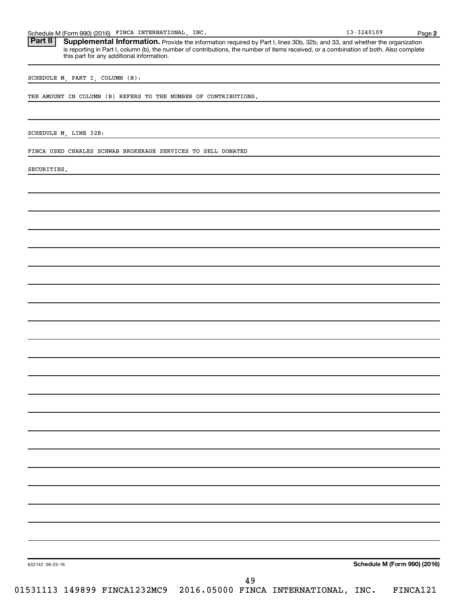Schedule M (Form 990) (2016) FINCA INTERNATIONAL, INC. 18 (1998) 13-3240109 Page

Part II | Supplemental Information. Provide the information required by Part I, lines 30b, 32b, and 33, and whether the organization is reporting in Part I, column (b), the number of contributions, the number of items received, or a combination of both. Also complete this part for any additional information.

SCHEDULE M, PART I, COLUMN (B):

THE AMOUNT IN COLUMN (B) REFERS TO THE NUMBER OF CONTRIBUTIONS.

SCHEDULE M, LINE 32B:

FINCA USED CHARLES SCHWAB BROKERAGE SERVICES TO SELL DONATED

SECURITIES.

**Schedule M (Form 990) (2016)**

**2**

632142 08-23-16

01531113 149899 FINCA1232MC9 2016.05000 FINCA INTERNATIONAL, INC. FINCA121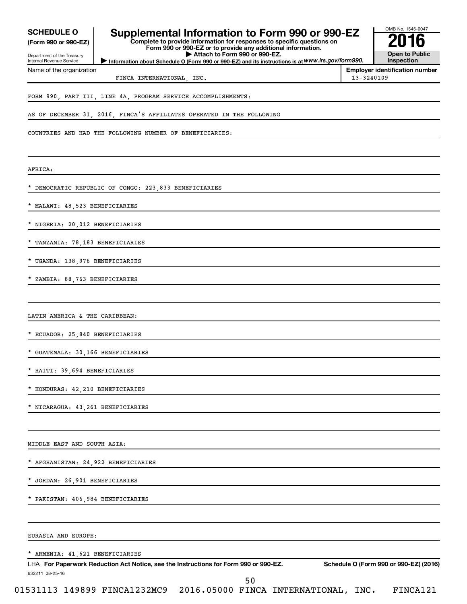| <b>SCHEDULE O</b>                                  | Supplemental Information to Form 990 or 990-EZ                                                                                                                          |            | OMB No. 1545-0047                      |
|----------------------------------------------------|-------------------------------------------------------------------------------------------------------------------------------------------------------------------------|------------|----------------------------------------|
| (Form 990 or 990-EZ)<br>Department of the Treasury | Complete to provide information for responses to specific questions on<br>Form 990 or 990-EZ or to provide any additional information.<br>Attach to Form 990 or 990-EZ. |            | <b>Open to Public</b>                  |
| Internal Revenue Service                           | Information about Schedule O (Form 990 or 990-EZ) and its instructions is at WWW.irs.gov/form990.                                                                       |            | Inspection                             |
| Name of the organization                           | FINCA INTERNATIONAL, INC.                                                                                                                                               | 13-3240109 | <b>Employer identification number</b>  |
|                                                    | FORM 990, PART III, LINE 4A, PROGRAM SERVICE ACCOMPLISHMENTS:                                                                                                           |            |                                        |
|                                                    | AS OF DECEMBER 31, 2016, FINCA'S AFFILIATES OPERATED IN THE FOLLOWING                                                                                                   |            |                                        |
|                                                    | COUNTRIES AND HAD THE FOLLOWING NUMBER OF BENEFICIARIES:                                                                                                                |            |                                        |
| AFRICA:                                            |                                                                                                                                                                         |            |                                        |
|                                                    | * DEMOCRATIC REPUBLIC OF CONGO: 223,833 BENEFICIARIES                                                                                                                   |            |                                        |
| * MALAWI: 48,523 BENEFICIARIES                     |                                                                                                                                                                         |            |                                        |
| * NIGERIA: 20,012 BENEFICIARIES                    |                                                                                                                                                                         |            |                                        |
| * TANZANIA: 78,183 BENEFICIARIES                   |                                                                                                                                                                         |            |                                        |
| * UGANDA: 138,976 BENEFICIARIES                    |                                                                                                                                                                         |            |                                        |
| * ZAMBIA: 88,763 BENEFICIARIES                     |                                                                                                                                                                         |            |                                        |
| LATIN AMERICA & THE CARIBBEAN:                     |                                                                                                                                                                         |            |                                        |
| * ECUADOR: 25,840 BENEFICIARIES                    |                                                                                                                                                                         |            |                                        |
| * GUATEMALA: 30,166 BENEFICIARIES                  |                                                                                                                                                                         |            |                                        |
| HAITI: 39,694 BENEFICIARIES                        |                                                                                                                                                                         |            |                                        |
| * HONDURAS: 42, 210 BENEFICIARIES                  |                                                                                                                                                                         |            |                                        |
| * NICARAGUA: 43,261 BENEFICIARIES                  |                                                                                                                                                                         |            |                                        |
| MIDDLE EAST AND SOUTH ASIA:                        |                                                                                                                                                                         |            |                                        |
| * AFGHANISTAN: 24,922 BENEFICIARIES                |                                                                                                                                                                         |            |                                        |
| * JORDAN: 26,901 BENEFICIARIES                     |                                                                                                                                                                         |            |                                        |
| * PAKISTAN: 406,984 BENEFICIARIES                  |                                                                                                                                                                         |            |                                        |
|                                                    |                                                                                                                                                                         |            |                                        |
| EURASIA AND EUROPE:                                |                                                                                                                                                                         |            |                                        |
| * ARMENIA: 41, 621 BENEFICIARIES                   |                                                                                                                                                                         |            |                                        |
| 632211 08-25-16                                    | LHA For Paperwork Reduction Act Notice, see the Instructions for Form 990 or 990-EZ.                                                                                    |            | Schedule O (Form 990 or 990-EZ) (2016) |
|                                                    | 50                                                                                                                                                                      |            |                                        |

01531113 149899 FINCA1232MC9 2016.05000 FINCA INTERNATIONAL, INC. FINCA121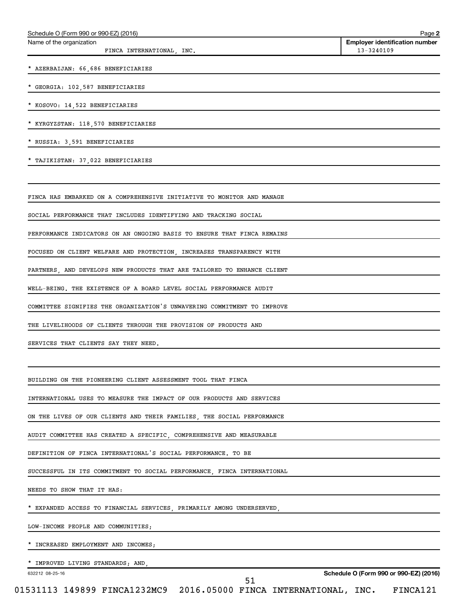| Schedule O (Form 990 or 990-EZ) (2016)<br>Name of the organization      | Page 2<br><b>Employer identification number</b> |
|-------------------------------------------------------------------------|-------------------------------------------------|
| FINCA INTERNATIONAL, INC.                                               | 13-3240109                                      |
| * AZERBAIJAN: 66,686 BENEFICIARIES                                      |                                                 |
| * GEORGIA: 102,587 BENEFICIARIES                                        |                                                 |
| * KOSOVO: 14,522 BENEFICIARIES                                          |                                                 |
| * KYRGYZSTAN: 118,570 BENEFICIARIES                                     |                                                 |
| * RUSSIA: 3,591 BENEFICIARIES                                           |                                                 |
| * TAJIKISTAN: 37,022 BENEFICIARIES                                      |                                                 |
| FINCA HAS EMBARKED ON A COMPREHENSIVE INITIATIVE TO MONITOR AND MANAGE  |                                                 |
| SOCIAL PERFORMANCE THAT INCLUDES IDENTIFYING AND TRACKING SOCIAL        |                                                 |
| PERFORMANCE INDICATORS ON AN ONGOING BASIS TO ENSURE THAT FINCA REMAINS |                                                 |
| FOCUSED ON CLIENT WELFARE AND PROTECTION, INCREASES TRANSPARENCY WITH   |                                                 |
| PARTNERS, AND DEVELOPS NEW PRODUCTS THAT ARE TAILORED TO ENHANCE CLIENT |                                                 |
| WELL-BEING. THE EXISTENCE OF A BOARD LEVEL SOCIAL PERFORMANCE AUDIT     |                                                 |
| COMMITTEE SIGNIFIES THE ORGANIZATION'S UNWAVERING COMMITMENT TO IMPROVE |                                                 |
| THE LIVELIHOODS OF CLIENTS THROUGH THE PROVISION OF PRODUCTS AND        |                                                 |
| SERVICES THAT CLIENTS SAY THEY NEED.                                    |                                                 |
| BUILDING ON THE PIONEERING CLIENT ASSESSMENT TOOL THAT FINCA            |                                                 |
| INTERNATIONAL USES TO MEASURE THE IMPACT OF OUR PRODUCTS AND SERVICES   |                                                 |
| ON THE LIVES OF OUR CLIENTS AND THEIR FAMILIES, THE SOCIAL PERFORMANCE  |                                                 |
| AUDIT COMMITTEE HAS CREATED A SPECIFIC, COMPREHENSIVE AND MEASURABLE    |                                                 |
| DEFINITION OF FINCA INTERNATIONAL'S SOCIAL PERFORMANCE. TO BE           |                                                 |
| SUCCESSFUL IN ITS COMMITMENT TO SOCIAL PERFORMANCE, FINCA INTERNATIONAL |                                                 |
| NEEDS TO SHOW THAT IT HAS:                                              |                                                 |
| EXPANDED ACCESS TO FINANCIAL SERVICES, PRIMARILY AMONG UNDERSERVED,     |                                                 |
| LOW-INCOME PEOPLE AND COMMUNITIES;                                      |                                                 |
| INCREASED EMPLOYMENT AND INCOMES;                                       |                                                 |
| IMPROVED LIVING STANDARDS; AND,                                         |                                                 |
| 632212 08-25-16<br>51                                                   | Schedule O (Form 990 or 990-EZ) (2016)          |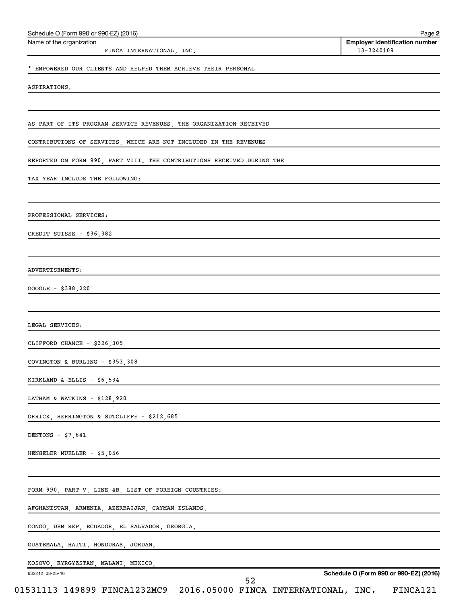| Schedule O (Form 990 or 990-EZ) (2016)                                 | Page 2                                              |
|------------------------------------------------------------------------|-----------------------------------------------------|
| Name of the organization<br>FINCA INTERNATIONAL, INC.                  | <b>Employer identification number</b><br>13-3240109 |
| * EMPOWERED OUR CLIENTS AND HELPED THEM ACHIEVE THEIR PERSONAL         |                                                     |
|                                                                        |                                                     |
| ASPIRATIONS.                                                           |                                                     |
|                                                                        |                                                     |
| AS PART OF ITS PROGRAM SERVICE REVENUES, THE ORGANIZATION RECEIVED     |                                                     |
| CONTRIBUTIONS OF SERVICES, WHICH ARE NOT INCLUDED IN THE REVENUES      |                                                     |
| REPORTED ON FORM 990, PART VIII. THE CONTRIBUTIONS RECEIVED DURING THE |                                                     |
| TAX YEAR INCLUDE THE FOLLOWING:                                        |                                                     |
|                                                                        |                                                     |
| PROFESSIONAL SERVICES:                                                 |                                                     |
| CREDIT SUISSE - \$36,382                                               |                                                     |
|                                                                        |                                                     |
| ADVERTISEMENTS:                                                        |                                                     |
| $GOOGLE - $388, 220$                                                   |                                                     |
|                                                                        |                                                     |
| LEGAL SERVICES:                                                        |                                                     |
| CLIFFORD CHANCE - \$326,305                                            |                                                     |
| COVINGTON & BURLING - $$353,308$                                       |                                                     |
| KIRKLAND & ELLIS - $$6,534$                                            |                                                     |
| LATHAM & WATKINS $-$ \$128,920                                         |                                                     |
| ORRICK, HERRINGTON & SUTCLIFFE - \$212,685                             |                                                     |
| DENTONS - $$7,641$                                                     |                                                     |
| HENGELER MUELLER - \$5,056                                             |                                                     |
|                                                                        |                                                     |
| FORM 990, PART V, LINE 4B, LIST OF FOREIGN COUNTRIES:                  |                                                     |
| AFGHANISTAN, ARMENIA, AZERBAIJAN, CAYMAN ISLANDS,                      |                                                     |
| CONGO, DEM REP, ECUADOR, EL SALVADOR, GEORGIA,                         |                                                     |
| GUATEMALA, HAITI, HONDURAS, JORDAN,                                    |                                                     |
|                                                                        |                                                     |
| KOSOVO, KYRGYZSTAN, MALAWI, MEXICO,<br>632212 08-25-16                 | Schedule O (Form 990 or 990-EZ) (2016)              |
| 52                                                                     |                                                     |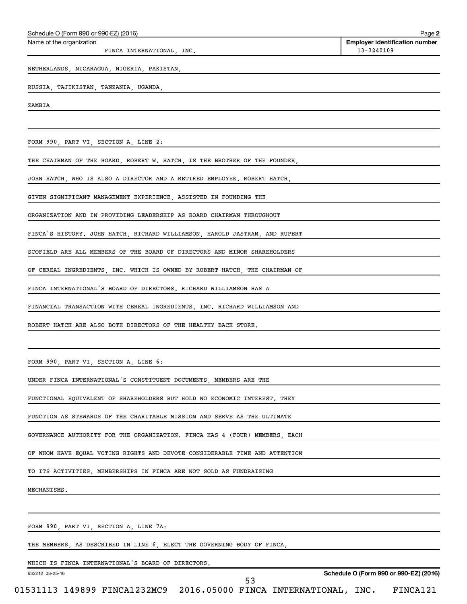| Schedule O (Form 990 or 990-EZ) (2016)                                      | Page 2                                              |
|-----------------------------------------------------------------------------|-----------------------------------------------------|
| Name of the organization<br>FINCA INTERNATIONAL, INC.                       | <b>Employer identification number</b><br>13-3240109 |
| NETHERLANDS, NICARAGUA, NIGERIA, PAKISTAN,                                  |                                                     |
| RUSSIA, TAJIKISTAN, TANZANIA, UGANDA,                                       |                                                     |
| ZAMBIA                                                                      |                                                     |
|                                                                             |                                                     |
| FORM 990, PART VI, SECTION A, LINE 2:                                       |                                                     |
| THE CHAIRMAN OF THE BOARD, ROBERT W. HATCH, IS THE BROTHER OF THE FOUNDER,  |                                                     |
| JOHN HATCH, WHO IS ALSO A DIRECTOR AND A RETIRED EMPLOYEE. ROBERT HATCH,    |                                                     |
| GIVEN SIGNIFICANT MANAGEMENT EXPERIENCE, ASSISTED IN FOUNDING THE           |                                                     |
| ORGANIZATION AND IN PROVIDING LEADERSHIP AS BOARD CHAIRMAN THROUGHOUT       |                                                     |
| FINCA'S HISTORY. JOHN HATCH, RICHARD WILLIAMSON, HAROLD JASTRAM, AND RUPERT |                                                     |
| SCOFIELD ARE ALL MEMBERS OF THE BOARD OF DIRECTORS AND MINOR SHAREHOLDERS   |                                                     |
| OF CEREAL INGREDIENTS, INC. WHICH IS OWNED BY ROBERT HATCH, THE CHAIRMAN OF |                                                     |
| FINCA INTERNATIONAL'S BOARD OF DIRECTORS. RICHARD WILLIAMSON HAS A          |                                                     |
| FINANCIAL TRANSACTION WITH CEREAL INGREDIENTS, INC. RICHARD WILLIAMSON AND  |                                                     |
| ROBERT HATCH ARE ALSO BOTH DIRECTORS OF THE HEALTHY BACK STORE.             |                                                     |
|                                                                             |                                                     |
| FORM 990, PART VI, SECTION A, LINE 6:                                       |                                                     |
| UNDER FINCA INTERNATIONAL'S CONSTITUENT DOCUMENTS, MEMBERS ARE THE          |                                                     |
| FUNCTIONAL EQUIVALENT OF SHAREHOLDERS BUT HOLD NO ECONOMIC INTEREST. THEY   |                                                     |
| FUNCTION AS STEWARDS OF THE CHARITABLE MISSION AND SERVE AS THE ULTIMATE    |                                                     |
| GOVERNANCE AUTHORITY FOR THE ORGANIZATION. FINCA HAS 4 (FOUR) MEMBERS, EACH |                                                     |
| OF WHOM HAVE EOUAL VOTING RIGHTS AND DEVOTE CONSIDERABLE TIME AND ATTENTION |                                                     |
| TO ITS ACTIVITIES. MEMBERSHIPS IN FINCA ARE NOT SOLD AS FUNDRAISING         |                                                     |
| MECHANISMS.                                                                 |                                                     |
|                                                                             |                                                     |
| FORM 990, PART VI, SECTION A, LINE 7A:                                      |                                                     |
| THE MEMBERS, AS DESCRIBED IN LINE 6, ELECT THE GOVERNING BODY OF FINCA,     |                                                     |
| WHICH IS FINCA INTERNATIONAL'S BOARD OF DIRECTORS.<br>632212 08-25-16       | Schedule O (Form 990 or 990-EZ) (2016)              |
|                                                                             |                                                     |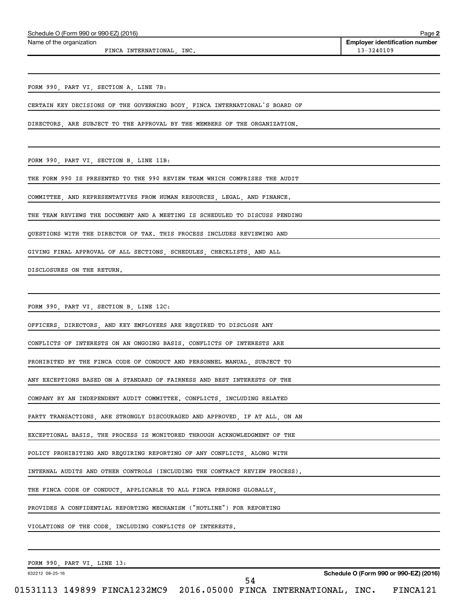Name of the organization

FINCA INTERNATIONAL, INC. 13-3240109

**2 Employer identification number**

FORM 990, PART VI, SECTION A, LINE 7B:

CERTAIN KEY DECISIONS OF THE GOVERNING BODY, FINCA INTERNATIONAL'S BOARD OF

DIRECTORS, ARE SUBJECT TO THE APPROVAL BY THE MEMBERS OF THE ORGANIZATION.

FORM 990, PART VI, SECTION B, LINE 11B:

THE FORM 990 IS PRESENTED TO THE 990 REVIEW TEAM WHICH COMPRISES THE AUDIT

COMMITTEE, AND REPRESENTATIVES FROM HUMAN RESOURCES, LEGAL, AND FINANCE.

THE TEAM REVIEWS THE DOCUMENT AND A MEETING IS SCHEDULED TO DISCUSS PENDING

QUESTIONS WITH THE DIRECTOR OF TAX. THIS PROCESS INCLUDES REVIEWING AND

GIVING FINAL APPROVAL OF ALL SECTIONS, SCHEDULES, CHECKLISTS, AND ALL

DISCLOSURES ON THE RETURN.

FORM 990, PART VI, SECTION B, LINE 12C:

OFFICERS, DIRECTORS, AND KEY EMPLOYEES ARE REQUIRED TO DISCLOSE ANY

CONFLICTS OF INTERESTS ON AN ONGOING BASIS. CONFLICTS OF INTERESTS ARE

PROHIBITED BY THE FINCA CODE OF CONDUCT AND PERSONNEL MANUAL, SUBJECT TO

ANY EXCEPTIONS BASED ON A STANDARD OF FAIRNESS AND BEST INTERESTS OF THE

COMPANY BY AN INDEPENDENT AUDIT COMMITTEE. CONFLICTS, INCLUDING RELATED

PARTY TRANSACTIONS, ARE STRONGLY DISCOURAGED AND APPROVED, IF AT ALL, ON AN

EXCEPTIONAL BASIS. THE PROCESS IS MONITORED THROUGH ACKNOWLEDGMENT OF THE

POLICY PROHIBITING AND REQUIRING REPORTING OF ANY CONFLICTS, ALONG WITH

INTERNAL AUDITS AND OTHER CONTROLS (INCLUDING THE CONTRACT REVIEW PROCESS).

THE FINCA CODE OF CONDUCT, APPLICABLE TO ALL FINCA PERSONS GLOBALLY,

PROVIDES A CONFIDENTIAL REPORTING MECHANISM ("HOTLINE") FOR REPORTING

VIOLATIONS OF THE CODE, INCLUDING CONFLICTS OF INTERESTS.

FORM 990, PART VI, LINE 13:

632212 08-25-16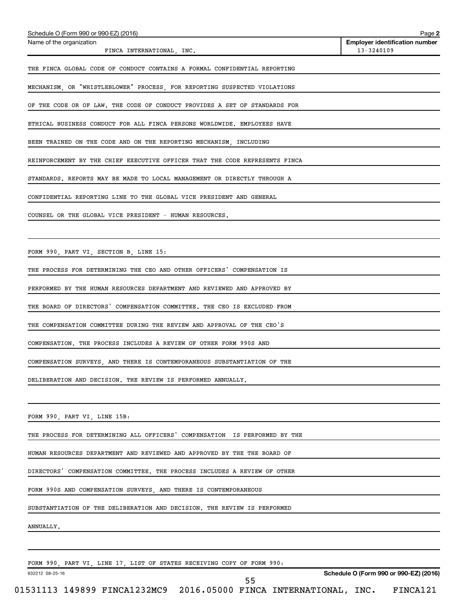| Schedule O (Form 990 or 990-EZ) (2016)                                      | Page 2                                              |
|-----------------------------------------------------------------------------|-----------------------------------------------------|
| Name of the organization<br>FINCA INTERNATIONAL, INC.                       | <b>Employer identification number</b><br>13-3240109 |
| THE FINCA GLOBAL CODE OF CONDUCT CONTAINS A FORMAL CONFIDENTIAL REPORTING   |                                                     |
| MECHANISM, OR "WHISTLEBLOWER" PROCESS, FOR REPORTING SUSPECTED VIOLATIONS   |                                                     |
| OF THE CODE OR OF LAW. THE CODE OF CONDUCT PROVIDES A SET OF STANDARDS FOR  |                                                     |
| ETHICAL BUSINESS CONDUCT FOR ALL FINCA PERSONS WORLDWIDE. EMPLOYEES HAVE    |                                                     |
| BEEN TRAINED ON THE CODE AND ON THE REPORTING MECHANISM, INCLUDING          |                                                     |
| REINFORCEMENT BY THE CHIEF EXECUTIVE OFFICER THAT THE CODE REPRESENTS FINCA |                                                     |
| STANDARDS. REPORTS MAY BE MADE TO LOCAL MANAGEMENT OR DIRECTLY THROUGH A    |                                                     |
| CONFIDENTIAL REPORTING LINE TO THE GLOBAL VICE PRESIDENT AND GENERAL        |                                                     |
| COUNSEL OR THE GLOBAL VICE PRESIDENT - HUMAN RESOURCES.                     |                                                     |
|                                                                             |                                                     |
| FORM 990, PART VI, SECTION B, LINE 15:                                      |                                                     |
| THE PROCESS FOR DETERMINING THE CEO AND OTHER OFFICERS' COMPENSATION IS     |                                                     |
| PERFORMED BY THE HUMAN RESOURCES DEPARTMENT AND REVIEWED AND APPROVED BY    |                                                     |
| THE BOARD OF DIRECTORS' COMPENSATION COMMITTEE. THE CEO IS EXCLUDED FROM    |                                                     |
| THE COMPENSATION COMMITTEE DURING THE REVIEW AND APPROVAL OF THE CEO'S      |                                                     |
| COMPENSATION. THE PROCESS INCLUDES A REVIEW OF OTHER FORM 990S AND          |                                                     |
| COMPENSATION SURVEYS AND THERE IS CONTEMPORANEOUS SUBSTANTIATION OF THE     |                                                     |
| DELIBERATION AND DECISION. THE REVIEW IS PERFORMED ANNUALLY.                |                                                     |
|                                                                             |                                                     |
| FORM 990, PART VI, LINE 15B:                                                |                                                     |
| THE PROCESS FOR DETERMINING ALL OFFICERS' COMPENSATION IS PERFORMED BY THE  |                                                     |
| HUMAN RESOURCES DEPARTMENT AND REVIEWED AND APPROVED BY THE THE BOARD OF    |                                                     |
| DIRECTORS' COMPENSATION COMMITTEE. THE PROCESS INCLUDES A REVIEW OF OTHER   |                                                     |
| FORM 990S AND COMPENSATION SURVEYS, AND THERE IS CONTEMPORANEOUS            |                                                     |
| SUBSTANTIATION OF THE DELIBERATION AND DECISION. THE REVIEW IS PERFORMED    |                                                     |
| ANNUALLY.                                                                   |                                                     |
|                                                                             |                                                     |
| FORM 990, PART VI, LINE 17, LIST OF STATES RECEIVING COPY OF FORM 990:      |                                                     |
| 632212 08-25-16<br>55                                                       | Schedule O (Form 990 or 990-EZ) (2016)              |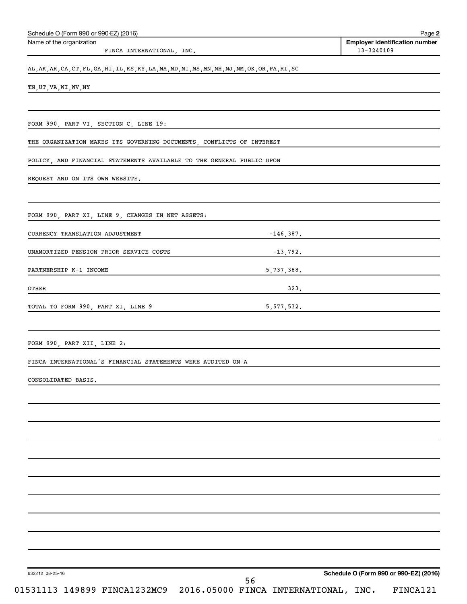| Name of the organization<br>FINCA INTERNATIONAL, INC.                                              |      | <b>Employer identification number</b><br>13-3240109                 |
|----------------------------------------------------------------------------------------------------|------|---------------------------------------------------------------------|
| AL, AK, AR, CA, CT, FL, GA, HI, IL, KS, KY, LA, MA, MD, MI, MS, MN, NH, NJ, NM, OK, OR, PA, RI, SC |      |                                                                     |
| TN, UT, VA, WI, WV, NY                                                                             |      |                                                                     |
|                                                                                                    |      |                                                                     |
| FORM 990, PART VI, SECTION C, LINE 19:                                                             |      |                                                                     |
| THE ORGANIZATION MAKES ITS GOVERNING DOCUMENTS, CONFLICTS OF INTEREST                              |      |                                                                     |
| POLICY, AND FINANCIAL STATEMENTS AVAILABLE TO THE GENERAL PUBLIC UPON                              |      |                                                                     |
| REQUEST AND ON ITS OWN WEBSITE.                                                                    |      |                                                                     |
| FORM 990, PART XI, LINE 9, CHANGES IN NET ASSETS:                                                  |      |                                                                     |
| CURRENCY TRANSLATION ADJUSTMENT                                                                    |      | $-146,387.$                                                         |
| UNAMORTIZED PENSION PRIOR SERVICE COSTS                                                            |      | $-13,792.$                                                          |
| PARTNERSHIP K-1 INCOME                                                                             |      | 5,737,388.                                                          |
| OTHER                                                                                              | 323. | <u> 1989 - Johann Stein, mars an deus Amerikaansk kommunister (</u> |
| TOTAL TO FORM 990, PART XI, LINE 9<br>5,577,532.                                                   |      |                                                                     |
|                                                                                                    |      |                                                                     |
| FORM 990, PART XII, LINE 2:<br>FINCA INTERNATIONAL'S FINANCIAL STATEMENTS WERE AUDITED ON A        |      |                                                                     |
|                                                                                                    |      |                                                                     |
| CONSOLIDATED BASIS.                                                                                |      |                                                                     |
|                                                                                                    |      |                                                                     |
|                                                                                                    |      |                                                                     |
|                                                                                                    |      |                                                                     |
|                                                                                                    |      |                                                                     |
|                                                                                                    |      |                                                                     |
|                                                                                                    |      |                                                                     |
|                                                                                                    |      |                                                                     |
|                                                                                                    |      |                                                                     |
|                                                                                                    |      |                                                                     |
| 632212 08-25-16<br>56<br>01531113 149899 FINCA1232MC9<br>2016.05000 FINCA INTERNATIONAL, INC.      |      | Schedule O (Form 990 or 990-EZ) (2016)<br>FINCA121                  |

Schedule O (Form 990 or 990-EZ) (2016) Page 2016 Page 2016 Page 2016 Page 2016 Page 2016 Page 2016 Page 2016 Page 2016 Page 2016 Page 2016 Page 2016 Page 2016 Page 2016 Page 2016 Page 2016 Page 2016 Page 2016 Page 2016 Pag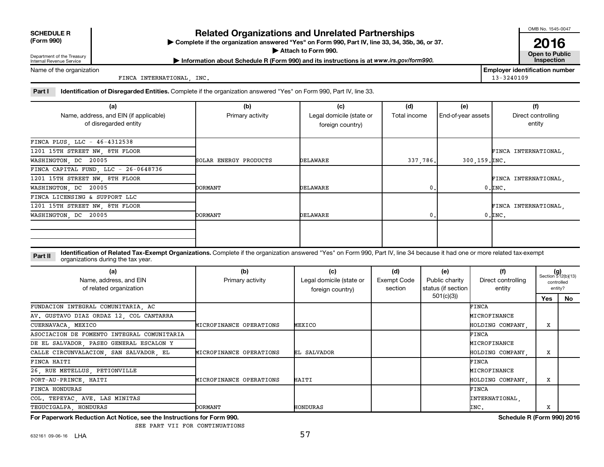| <b>SCHEDULE R</b> |
|-------------------|
|                   |

# **Related Organizations and Unrelated Partnerships**

**(Form 990) Complete if the organization answered "Yes" on Form 990, Part IV, line 33, 34, 35b, 36, or 37.** |

**Attach to Form 990. Contract to Public** 

OMB No. 1545-0047

**2016**<br>Open to Public

Department of the Treasury Internal Revenue Service

**Most Information about Schedule R (Form 990) and its instructions is at www.irs.gov/form990.** This pection

Name of the organization

FINCA INTERNATIONAL, INC. 13-3240109

**Employer identification number**

Part I ldentification of Disregarded Entities. Complete if the organization answered "Yes" on Form 990, Part IV, line 33.

| (a)                                                             | (b)                   | (c)                                          | (d)            | (e)                | (f)                          |
|-----------------------------------------------------------------|-----------------------|----------------------------------------------|----------------|--------------------|------------------------------|
| Name, address, and EIN (if applicable)<br>of disregarded entity | Primary activity      | Legal domicile (state or<br>foreign country) | Total income   | End-of-year assets | Direct controlling<br>entity |
| FINCA PLUS, LLC - 46-4312538                                    |                       |                                              |                |                    |                              |
| 1201 15TH STREET NW, 8TH FLOOR                                  |                       |                                              |                |                    | FINCA INTERNATIONAL,         |
| WASHINGTON, DC 20005                                            | SOLAR ENERGY PRODUCTS | DELAWARE                                     | 337.786.       | 300,159. INC.      |                              |
| FINCA CAPITAL FUND, LLC - 26-0648736                            |                       |                                              |                |                    |                              |
| 1201 15TH STREET NW, 8TH FLOOR                                  |                       |                                              |                |                    | FINCA INTERNATIONAL,         |
| WASHINGTON, DC 20005                                            | <b>DORMANT</b>        | DELAWARE                                     | 0.             |                    | $0.\mathsf{INC}$ .           |
| FINCA LICENSING & SUPPORT LLC                                   |                       |                                              |                |                    |                              |
| 1201 15TH STREET NW, 8TH FLOOR                                  |                       |                                              |                |                    | FINCA INTERNATIONAL.         |
| WASHINGTON, DC 20005                                            | DORMANT               | DELAWARE                                     | 0 <sub>z</sub> |                    | $0.\mathsf{INC}$ .           |
|                                                                 |                       |                                              |                |                    |                              |

**Part II** Identification of Related Tax-Exempt Organizations. Complete if the organization answered "Yes" on Form 990, Part IV, line 34 because it had one or more related tax-exempt<br>Complete it is a series of the two wears organizations during the tax year.

| (a)<br>Name, address, and EIN<br>of related organization | (b)<br>Primary activity | (c)<br>Legal domicile (state or<br>foreign country) | (d)<br>Exempt Code<br>section | (e)<br>Public charity<br>status (if section | (f)<br>Direct controlling<br>entity | controlled | $(g)$<br>Section 512(b)(13)<br>entity? |
|----------------------------------------------------------|-------------------------|-----------------------------------------------------|-------------------------------|---------------------------------------------|-------------------------------------|------------|----------------------------------------|
|                                                          |                         |                                                     |                               | 501(c)(3)                                   |                                     | Yes        | No                                     |
| FUNDACION INTEGRAL COMUNITARIA, AC                       |                         |                                                     |                               |                                             | FINCA                               |            |                                        |
| AV. GUSTAVO DIAZ ORDAZ 12, COL CANTARRA                  |                         |                                                     |                               |                                             | MICROFINANCE                        |            |                                        |
| CUERNAVACA, MEXICO                                       | MICROFINANCE OPERATIONS | MEXICO                                              |                               |                                             | HOLDING COMPANY.                    | x          |                                        |
| ASOCIACION DE FOMENTO INTEGRAL COMUNITARIA               |                         |                                                     |                               |                                             | FINCA                               |            |                                        |
| DE EL SALVADOR, PASEO GENERAL ESCALON Y                  |                         |                                                     |                               |                                             | MICROFINANCE                        |            |                                        |
| CALLE CIRCUNVALACION, SAN SALVADOR, EL                   | MICROFINANCE OPERATIONS | EL SALVADOR                                         |                               |                                             | HOLDING COMPANY,                    | x          |                                        |
| FINCA HAITI                                              |                         |                                                     |                               |                                             | FINCA                               |            |                                        |
| 26, RUE METELLUS, PETIONVILLE                            |                         |                                                     |                               |                                             | MICROFINANCE                        |            |                                        |
| PORT-AU-PRINCE, HAITI                                    | MICROFINANCE OPERATIONS | HAITI                                               |                               |                                             | HOLDING COMPANY.                    | x          |                                        |
| <b>FINCA HONDURAS</b>                                    |                         |                                                     |                               |                                             | FINCA                               |            |                                        |
| COL. TEPEYAC, AVE. LAS MINITAS                           |                         |                                                     |                               |                                             | INTERNATIONAL                       |            |                                        |
| TEGUCIGALPA, HONDURAS                                    | <b>DORMANT</b>          | HONDURAS                                            |                               |                                             | INC.                                | х          |                                        |

**For Paperwork Reduction Act Notice, see the Instructions for Form 990. Schedule R (Form 990) 2016**

SEE PART VII FOR CONTINUATIONS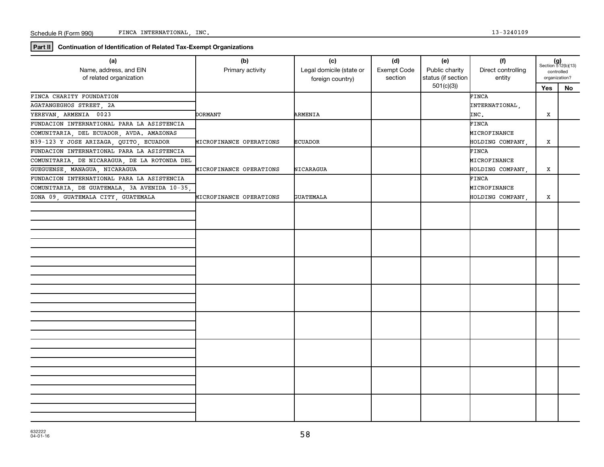**Part II Continuation of Identification of Related Tax-Exempt Organizations**

| (a)<br>Name, address, and EIN<br>of related organization | (b)<br>Primary activity | (c)<br>Legal domicile (state or<br>foreign country) | (d)<br>Exempt Code<br>section | (e)<br>Public charity<br>status (if section | (f)<br>Direct controlling<br>entity | $(g)$<br>Section 512(b)(13)<br>controlled<br>organization? |    |
|----------------------------------------------------------|-------------------------|-----------------------------------------------------|-------------------------------|---------------------------------------------|-------------------------------------|------------------------------------------------------------|----|
|                                                          |                         |                                                     |                               | 501(c)(3)                                   |                                     | <b>Yes</b>                                                 | No |
| FINCA CHARITY FOUNDATION                                 |                         |                                                     |                               |                                             | FINCA                               |                                                            |    |
| AGATANGEGHOS STREET, 2A                                  |                         |                                                     |                               |                                             | INTERNATIONAL,                      |                                                            |    |
| YEREVAN, ARMENIA 0023                                    | DORMANT                 | ARMENIA                                             |                               |                                             | INC.                                | x                                                          |    |
| FUNDACION INTERNATIONAL PARA LA ASISTENCIA               |                         |                                                     |                               |                                             | FINCA                               |                                                            |    |
| COMUNITARIA, DEL ECUADOR, AVDA. AMAZONAS                 |                         |                                                     |                               |                                             | MICROFINANCE                        |                                                            |    |
| N39-123 Y JOSE ARIZAGA, QUITO, ECUADOR                   | MICROFINANCE OPERATIONS | <b>ECUADOR</b>                                      |                               |                                             | HOLDING COMPANY,                    | x                                                          |    |
| FUNDACION INTERNATIONAL PARA LA ASISTENCIA               |                         |                                                     |                               |                                             | FINCA                               |                                                            |    |
| COMUNITARIA, DE NICARAGUA, DE LA ROTONDA DEL             |                         |                                                     |                               |                                             | MICROFINANCE                        |                                                            |    |
| GUEGUENSE, MANAGUA, NICARAGUA                            | MICROFINANCE OPERATIONS | NICARAGUA                                           |                               |                                             | HOLDING COMPANY,                    | x                                                          |    |
| FUNDACION INTERNATIONAL PARA LA ASISTENCIA               |                         |                                                     |                               |                                             | FINCA                               |                                                            |    |
| COMUNITARIA, DE GUATEMALA, 3A AVENIDA 10-35,             |                         |                                                     |                               |                                             | MICROFINANCE                        |                                                            |    |
| ZONA 09, GUATEMALA CITY, GUATEMALA                       | MICROFINANCE OPERATIONS | <b>GUATEMALA</b>                                    |                               |                                             | HOLDING COMPANY,                    | x                                                          |    |
|                                                          |                         |                                                     |                               |                                             |                                     |                                                            |    |
|                                                          |                         |                                                     |                               |                                             |                                     |                                                            |    |
|                                                          |                         |                                                     |                               |                                             |                                     |                                                            |    |
|                                                          |                         |                                                     |                               |                                             |                                     |                                                            |    |
|                                                          |                         |                                                     |                               |                                             |                                     |                                                            |    |
|                                                          |                         |                                                     |                               |                                             |                                     |                                                            |    |
|                                                          |                         |                                                     |                               |                                             |                                     |                                                            |    |
|                                                          |                         |                                                     |                               |                                             |                                     |                                                            |    |
|                                                          |                         |                                                     |                               |                                             |                                     |                                                            |    |
|                                                          |                         |                                                     |                               |                                             |                                     |                                                            |    |
|                                                          |                         |                                                     |                               |                                             |                                     |                                                            |    |
|                                                          |                         |                                                     |                               |                                             |                                     |                                                            |    |
|                                                          |                         |                                                     |                               |                                             |                                     |                                                            |    |
|                                                          |                         |                                                     |                               |                                             |                                     |                                                            |    |
|                                                          |                         |                                                     |                               |                                             |                                     |                                                            |    |
|                                                          |                         |                                                     |                               |                                             |                                     |                                                            |    |
|                                                          |                         |                                                     |                               |                                             |                                     |                                                            |    |
|                                                          |                         |                                                     |                               |                                             |                                     |                                                            |    |
|                                                          |                         |                                                     |                               |                                             |                                     |                                                            |    |
|                                                          |                         |                                                     |                               |                                             |                                     |                                                            |    |
|                                                          |                         |                                                     |                               |                                             |                                     |                                                            |    |
|                                                          |                         |                                                     |                               |                                             |                                     |                                                            |    |
|                                                          |                         |                                                     |                               |                                             |                                     |                                                            |    |
|                                                          |                         |                                                     |                               |                                             |                                     |                                                            |    |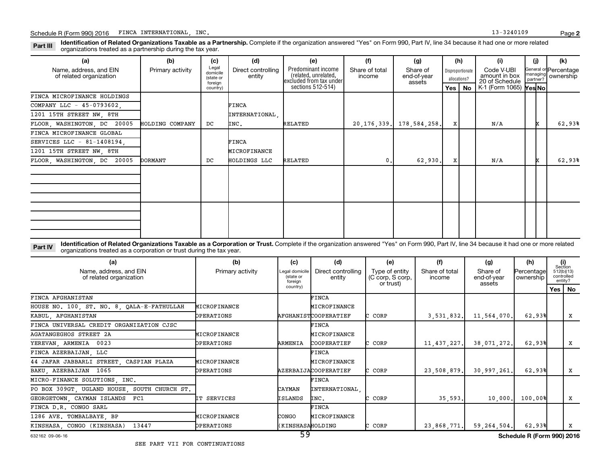Part III Identification of Related Organizations Taxable as a Partnership. Complete if the organization answered "Yes" on Form 990, Part IV, line 34 because it had one or more related<br>Read to the organizations tracted as a organizations treated as a partnership during the tax year.

| (a)                                               | (b)              | (c)                                       | (d)                          | (e)                                                                   | (f)                      | (g)                               |         | (h)                              | (i)                                           | (i) | (k)                                         |
|---------------------------------------------------|------------------|-------------------------------------------|------------------------------|-----------------------------------------------------------------------|--------------------------|-----------------------------------|---------|----------------------------------|-----------------------------------------------|-----|---------------------------------------------|
| Name, address, and EIN<br>of related organization | Primary activity | Legal<br>domicile<br>(state or<br>foreign | Direct controlling<br>entity | Predominant income<br>(related, unrelated,<br>excluded from tax under | Share of total<br>income | Share of<br>end-of-year<br>assets |         | Disproportionate<br>allocations? | Code V-UBI<br>amount in box<br>20 of Schedule |     | General or Percentage<br>managing ownership |
|                                                   |                  | country)                                  |                              | sections 512-514)                                                     |                          |                                   | Yes $ $ | No                               | K-1 (Form 1065) Yes No                        |     |                                             |
| FINCA MICROFINANCE HOLDINGS                       |                  |                                           |                              |                                                                       |                          |                                   |         |                                  |                                               |     |                                             |
| COMPANY LLC - 45-0793602,                         |                  |                                           | FINCA                        |                                                                       |                          |                                   |         |                                  |                                               |     |                                             |
| 1201 15TH STREET NW, 8TH                          |                  |                                           | INTERNATIONAL.               |                                                                       |                          |                                   |         |                                  |                                               |     |                                             |
| FLOOR, WASHINGTON, DC 20005                       | HOLDING COMPANY  | DC                                        | INC.                         | RELATED                                                               | 20, 176, 339.            | 178, 584, 258.                    | х       |                                  | N/A                                           | x   | 62.93%                                      |
| FINCA MICROFINANCE GLOBAL                         |                  |                                           |                              |                                                                       |                          |                                   |         |                                  |                                               |     |                                             |
| SERVICES LLC - 81-1408194.                        |                  |                                           | FINCA                        |                                                                       |                          |                                   |         |                                  |                                               |     |                                             |
| 1201 15TH STREET NW. 8TH                          |                  |                                           | MICROFINANCE                 |                                                                       |                          |                                   |         |                                  |                                               |     |                                             |
| FLOOR, WASHINGTON, DC 20005                       | <b>DORMANT</b>   | DC                                        | HOLDINGS LLC                 | RELATED                                                               | $\mathbf 0$ .            | 62,930.                           |         |                                  | N/A                                           |     | 62.93%                                      |
|                                                   |                  |                                           |                              |                                                                       |                          |                                   |         |                                  |                                               |     |                                             |
|                                                   |                  |                                           |                              |                                                                       |                          |                                   |         |                                  |                                               |     |                                             |
|                                                   |                  |                                           |                              |                                                                       |                          |                                   |         |                                  |                                               |     |                                             |
|                                                   |                  |                                           |                              |                                                                       |                          |                                   |         |                                  |                                               |     |                                             |
|                                                   |                  |                                           |                              |                                                                       |                          |                                   |         |                                  |                                               |     |                                             |
|                                                   |                  |                                           |                              |                                                                       |                          |                                   |         |                                  |                                               |     |                                             |
|                                                   |                  |                                           |                              |                                                                       |                          |                                   |         |                                  |                                               |     |                                             |
|                                                   |                  |                                           |                              |                                                                       |                          |                                   |         |                                  |                                               |     |                                             |

Part IV Identification of Related Organizations Taxable as a Corporation or Trust. Complete if the organization answered "Yes" on Form 990, Part IV, line 34 because it had one or more related<br>Complete intervals are accompa organizations treated as a corporation or trust during the tax year.

| (a)<br>Name, address, and EIN<br>of related organization | (b)<br>Primary activity | (c)<br>Legal domicile<br>(state or<br>foreian | (d)<br>Direct controlling<br>entity | (e)<br>Type of entity<br>(C corp, S corp,<br>or trust) | (f)<br>Share of total<br>income | (g)<br>Share of<br>end-of-year | (h)<br>Percentage<br>ownership | (i)<br>Section<br>512(b)(13)<br>controlled | entity?  |
|----------------------------------------------------------|-------------------------|-----------------------------------------------|-------------------------------------|--------------------------------------------------------|---------------------------------|--------------------------------|--------------------------------|--------------------------------------------|----------|
|                                                          |                         | country)                                      |                                     |                                                        |                                 | assets                         |                                |                                            | Yes   No |
| FINCA AFGHANISTAN                                        |                         |                                               | <b>FINCA</b>                        |                                                        |                                 |                                |                                |                                            |          |
| HOUSE NO. 100, ST. NO. 8, QALA-E-FATHULLAH               | MICROFINANCE            |                                               | MICROFINANCE                        |                                                        |                                 |                                |                                |                                            |          |
| KABUL, AFGHANISTAN                                       | OPERATIONS              |                                               | AFGHANISTCOOPERATIEF                | CORP                                                   | 3,531,832.                      | 11,564,070.                    | 62.93%                         |                                            | x        |
| FINCA UNIVERSAL CREDIT ORGANIZATION CJSC                 |                         |                                               | FINCA                               |                                                        |                                 |                                |                                |                                            |          |
| AGATANGEGHOS STREET 2A                                   | MICROFINANCE            |                                               | MICROFINANCE                        |                                                        |                                 |                                |                                |                                            |          |
| YEREVAN, ARMENIA<br>0023                                 | OPERATIONS              | ARMENIA                                       | COOPERATIEF                         | CORP                                                   | 11, 437, 227.                   | 38,071,272.                    | 62.93%                         |                                            | х        |
| FINCA AZERBAIJAN, LLC                                    |                         |                                               | FINCA                               |                                                        |                                 |                                |                                |                                            |          |
| 44 JAFAR JABBARLI STREET, CASPIAN PLAZA                  | MICROFINANCE            |                                               | MICROFINANCE                        |                                                        |                                 |                                |                                |                                            |          |
| BAKU, AZERBAIJAN 1065                                    | <b>DPERATIONS</b>       |                                               | AZERBAIJACOOPERATIEF                | CORP                                                   | 23,508,879.                     | 30,997,261.                    | 62.93%                         |                                            | x        |
| MICRO-FINANCE SOLUTIONS, INC.                            |                         |                                               | FINCA                               |                                                        |                                 |                                |                                |                                            |          |
| PO BOX 309GT, UGLAND HOUSE, SOUTH CHURCH ST.             |                         | CAYMAN                                        | INTERNATIONAL.                      |                                                        |                                 |                                |                                |                                            |          |
| GEORGETOWN, CAYMAN ISLANDS FC1                           | IT SERVICES             | ISLANDS                                       | INC.                                | CORP                                                   | 35, 593.                        | 10,000.                        | 100,00원                        |                                            | x        |
| FINCA D.R. CONGO SARL                                    |                         |                                               | FINCA                               |                                                        |                                 |                                |                                |                                            |          |
| 1286 AVE. TOMBALBAYE, BP                                 | MICROFINANCE            | CONGO                                         | MICROFINANCE                        |                                                        |                                 |                                |                                |                                            |          |
| KINSHASA, CONGO (KINSHASA)<br>13447                      | OPERATIONS              | (KINSHASAHOLDING<br>$-$                       |                                     | CORP                                                   | 23,868,771.                     | 59, 264, 504.                  | 62.93%                         |                                            | X        |

632162 09-06-16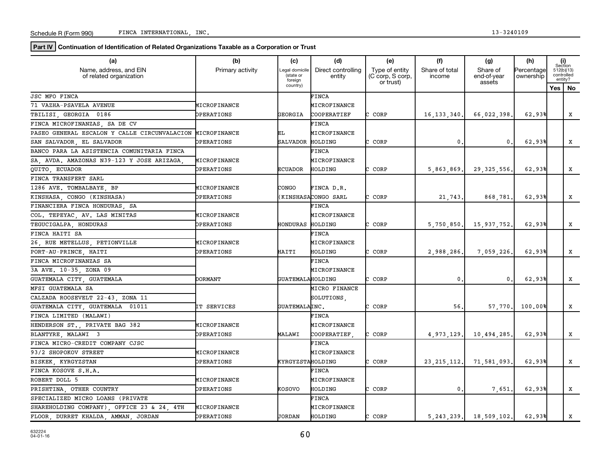**Part IV** Continuation of Identification of Related Organizations Taxable as a Corporation or Trust

| (a)                                               | (b)               | (c)                                    | (d)                          | (e)                                             | (f)                      | (g)                               | (h)                     | (i)<br>Section                      |
|---------------------------------------------------|-------------------|----------------------------------------|------------------------------|-------------------------------------------------|--------------------------|-----------------------------------|-------------------------|-------------------------------------|
| Name, address, and EIN<br>of related organization | Primary activity  | Legal domicile<br>(state or<br>foreign | Direct controlling<br>entity | Type of entity<br>(C corp, S corp,<br>or trust) | Share of total<br>income | Share of<br>end-of-year<br>assets | Percentage<br>ownership | 512(b)(13)<br>controlled<br>entity? |
|                                                   |                   | country)                               |                              |                                                 |                          |                                   |                         | Yes   No                            |
| <b>JSC MFO FINCA</b>                              |                   |                                        | FINCA                        |                                                 |                          |                                   |                         |                                     |
| 71 VAZHA-PSAVELA AVENUE                           | MICROFINANCE      |                                        | MICROFINANCE                 |                                                 |                          |                                   |                         |                                     |
| TBILISI GEORGIA 0186                              | <b>DPERATIONS</b> | GEORGIA                                | COOPERATIEF                  | CORP                                            | 16, 133, 340.            | 66,022,398.                       | 62.93%                  | X                                   |
| FINCA MICROFINANZAS, SA DE CV                     |                   |                                        | FINCA                        |                                                 |                          |                                   |                         |                                     |
| PASEO GENERAL ESCALON Y CALLE CIRCUNVALACION      | MICROFINANCE      | ЕL                                     | MICROFINANCE                 |                                                 |                          |                                   |                         |                                     |
| SAN SALVADOR, EL SALVADOR                         | <b>DPERATIONS</b> | <b>SALVADOR</b>                        | HOLDING                      | CORP                                            | $\mathbf{0}$             | 0.                                | 62.93%                  | x                                   |
| BANCO PARA LA ASISTENCIA COMUNITARIA FINCA        |                   |                                        | FINCA                        |                                                 |                          |                                   |                         |                                     |
| SA, AVDA. AMAZONAS N39-123 Y JOSE ARIZAGA         | MICROFINANCE      |                                        | MICROFINANCE                 |                                                 |                          |                                   |                         |                                     |
| QUITO, ECUADOR                                    | <b>DPERATIONS</b> | <b>ECUADOR</b>                         | HOLDING                      | C CORP                                          | 5,863,869.               | 29, 325, 556.                     | 62.93%                  | x                                   |
| FINCA TRANSFERT SARL                              |                   |                                        |                              |                                                 |                          |                                   |                         |                                     |
| 1286 AVE. TOMBALBAYE, BP                          | MICROFINANCE      | CONGO                                  | FINCA D.R.                   |                                                 |                          |                                   |                         |                                     |
| KINSHASA, CONGO (KINSHASA)                        | <b>DPERATIONS</b> |                                        | KINSHASACONGO SARL)          | CORP<br>C.                                      | 21,743.                  | 868,781.                          | 62.93%                  | x                                   |
| FINANCIERA FINCA HONDURAS, SA                     |                   |                                        | FINCA                        |                                                 |                          |                                   |                         |                                     |
| COL. TEPEYAC, AV. LAS MINITAS                     | MICROFINANCE      |                                        | MICROFINANCE                 |                                                 |                          |                                   |                         |                                     |
| TEGUCIGALPA HONDURAS                              | <b>DPERATIONS</b> | HONDURAS HOLDING                       |                              | CORP                                            | 5,750,850.               | 15,937,752.                       | 62.93%                  | x                                   |
| FINCA HAITI SA                                    |                   |                                        | FINCA                        |                                                 |                          |                                   |                         |                                     |
| 26, RUE METELLUS, PETIONVILLE                     | MICROFINANCE      |                                        | MICROFINANCE                 |                                                 |                          |                                   |                         |                                     |
| PORT-AU-PRINCE, HAITI                             | <b>DPERATIONS</b> | HAITI                                  | HOLDING                      | CORP                                            | 2,988,286.               | 7,059,226                         | 62.93%                  | X                                   |
| FINCA MICROFINANZAS SA                            |                   |                                        | FINCA                        |                                                 |                          |                                   |                         |                                     |
| 3A AVE. 10-35, ZONA 09                            |                   |                                        | MICROFINANCE                 |                                                 |                          |                                   |                         |                                     |
| GUATEMALA CITY, GUATEMALA                         | <b>DORMANT</b>    | GUATEMALAHOLDING                       |                              | CORP                                            | $\mathbf{0}$ .           | $\mathbf 0$ .                     | 62.93%                  | x                                   |
| MFSI GUATEMALA SA                                 |                   |                                        | MICRO FINANCE                |                                                 |                          |                                   |                         |                                     |
| CALZADA ROOSEVELT 22-43, ZONA 11                  |                   |                                        | SOLUTIONS.                   |                                                 |                          |                                   |                         |                                     |
| GUATEMALA CITY, GUATEMALA 01011                   | IT SERVICES       | GUATEMALAINC.                          |                              | C CORP                                          | 56.                      | 57,770.                           | 100,00%                 | x                                   |
| FINCA LIMITED (MALAWI)                            |                   |                                        | FINCA                        |                                                 |                          |                                   |                         |                                     |
| HENDERSON ST., PRIVATE BAG 382                    | MICROFINANCE      |                                        | MICROFINANCE                 |                                                 |                          |                                   |                         |                                     |
| BLANTYRE, MALAWI 3                                | <b>DPERATIONS</b> | MALAWI                                 | COOPERATIEF                  | CORP                                            | 4,973,129.               | 10,494,285.                       | 62.93%                  | х                                   |
| FINCA MICRO-CREDIT COMPANY CJSC                   |                   |                                        | FINCA                        |                                                 |                          |                                   |                         |                                     |
| 93/2 SHOPOKOV STREET                              | MICROFINANCE      |                                        | MICROFINANCE                 |                                                 |                          |                                   |                         |                                     |
| BISKEK KYRGYZSTAN                                 | <b>DPERATIONS</b> | KYRGYZSTAHOLDING                       |                              | C CORP                                          | 23, 215, 112.            | 71,581,093                        | 62.93%                  | X                                   |
| FINCA KOSOVE S.H.A.                               |                   |                                        | FINCA                        |                                                 |                          |                                   |                         |                                     |
| ROBERT DOLL 5                                     | MICROFINANCE      |                                        | MICROFINANCE                 |                                                 |                          |                                   |                         |                                     |
| PRISHTINA, OTHER COUNTRY                          | <b>DPERATIONS</b> | KOSOVO                                 | HOLDING                      | CORP                                            | $\mathbf{0}$ .           | 7,651                             | 62.93%                  | x                                   |
| SPECIALIZED MICRO LOANS (PRIVATE                  |                   |                                        | <b>FINCA</b>                 |                                                 |                          |                                   |                         |                                     |
| SHAREHOLDING COMPANY), OFFICE 23 & 24, 4TH        | MICROFINANCE      |                                        | MICROFINANCE                 |                                                 |                          |                                   |                         |                                     |
| FLOOR, DURRET KHALDA, AMMAN, JORDAN               | OPERATIONS        | JORDAN                                 | HOLDING                      | CORP                                            |                          | $5, 243, 239$ . 18, 509, 102.     | 62.93%                  | x                                   |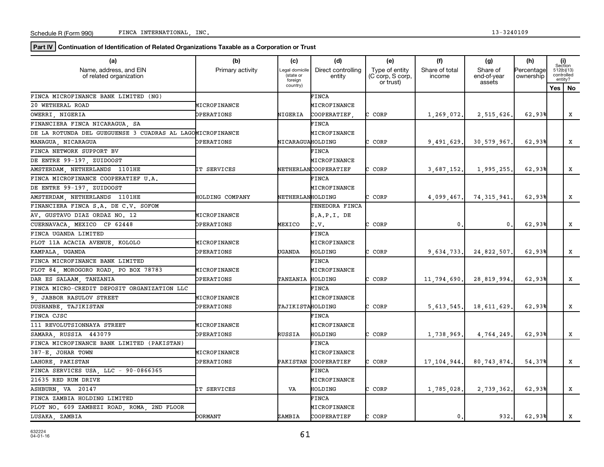**Part IV** Continuation of Identification of Related Organizations Taxable as a Corporation or Trust

| (a)                                                       | (b)                    | (c)                                    | (d)                          | (e)                                             | (f)                      | (g)                               | (h)                     | (i)<br>Section           |         |
|-----------------------------------------------------------|------------------------|----------------------------------------|------------------------------|-------------------------------------------------|--------------------------|-----------------------------------|-------------------------|--------------------------|---------|
| Name, address, and EIN<br>of related organization         | Primary activity       | Legal domicile<br>(state or<br>foreign | Direct controlling<br>entity | Type of entity<br>(C corp, S corp,<br>or trust) | Share of total<br>income | Share of<br>end-of-year<br>assets | Percentage<br>ownership | 512(b)(13)<br>controlled | entity? |
|                                                           |                        | country)                               |                              |                                                 |                          |                                   |                         | Yes   No                 |         |
| FINCA MICROFINANCE BANK LIMITED (NG)                      |                        |                                        | FINCA                        |                                                 |                          |                                   |                         |                          |         |
| 20 WETHERAL ROAD                                          | MICROFINANCE           |                                        | MICROFINANCE                 |                                                 |                          |                                   |                         |                          |         |
| OWERRI, NIGERIA                                           | <b>DPERATIONS</b>      | NIGERIA                                | COOPERATIEF                  | CORP                                            | 1,269,072.               | 2,515,626.                        | 62.93%                  |                          | X       |
| FINANCIERA FINCA NICARAGUA, SA                            |                        |                                        | <b>FINCA</b>                 |                                                 |                          |                                   |                         |                          |         |
| DE LA ROTUNDA DEL GUEGUENSE 3 CUADRAS AL LAGOMICROFINANCE |                        |                                        | MICROFINANCE                 |                                                 |                          |                                   |                         |                          |         |
| MANAGUA, NICARAGUA                                        | OPERATIONS             | NICARAGUAHOLDING                       |                              | CORP                                            | 9,491,629.               | 30,579,967.                       | 62.93%                  |                          | x       |
| FINCA NETWORK SUPPORT BV                                  |                        |                                        | FINCA                        |                                                 |                          |                                   |                         |                          |         |
| DE ENTRE 99-197, ZUIDOOST                                 |                        |                                        | MICROFINANCE                 |                                                 |                          |                                   |                         |                          |         |
| AMSTERDAM NETHERLANDS 1101HE                              | <b>IT SERVICES</b>     |                                        | NETHERLANCOOPERATIEF         | C CORP                                          | 3,687,152.               | 1,995,255.                        | 62.93%                  |                          | x       |
| FINCA MICROFINANCE COOPERATIEF U.A.                       |                        |                                        | FINCA                        |                                                 |                          |                                   |                         |                          |         |
| DE ENTRE 99-197, ZUIDOOST                                 |                        |                                        | MICROFINANCE                 |                                                 |                          |                                   |                         |                          |         |
| AMSTERDAM, NETHERLANDS 1101HE                             | <b>HOLDING COMPANY</b> | NETHERLANHOLDING                       |                              | CORP                                            | 4,099,467.               | 74, 315, 941.                     | 62.93%                  |                          | X       |
| FINANCIERA FINCA S.A. DE C.V. SOFOM                       |                        |                                        | TENEDORA FINCA               |                                                 |                          |                                   |                         |                          |         |
| AV. GUSTAVO DIAZ ORDAZ NO. 12                             | MICROFINANCE           |                                        | S.A.P.I. DE                  |                                                 |                          |                                   |                         |                          |         |
| CUERNAVACA, MEXICO CP 62448                               | <b>DPERATIONS</b>      | MEXICO                                 | c.v.                         | CORP                                            | $\mathbf{0}$             | $\mathbf{0}$ .                    | 62.93%                  |                          | x       |
| FINCA UGANDA LIMITED                                      |                        |                                        | FINCA                        |                                                 |                          |                                   |                         |                          |         |
| PLOT 11A ACACIA AVENUE, KOLOLO                            | MICROFINANCE           |                                        | MICROFINANCE                 |                                                 |                          |                                   |                         |                          |         |
| KAMPALA, UGANDA                                           | <b>DPERATIONS</b>      | UGANDA                                 | HOLDING                      | CORP                                            | 9,634,733.               | 24,822,507.                       | 62.93%                  |                          | X       |
| FINCA MICROFINANCE BANK LIMITED                           |                        |                                        | <b>FINCA</b>                 |                                                 |                          |                                   |                         |                          |         |
| PLOT 84 MOROGORO ROAD, PO BOX 78783                       | MICROFINANCE           |                                        | MICROFINANCE                 |                                                 |                          |                                   |                         |                          |         |
| DAR ES SALAAM, TANZANIA                                   | <b>DPERATIONS</b>      | TANZANIA HOLDING                       |                              | CORP                                            | 11,794,690.              | 28,819,994.                       | 62.93%                  |                          | x       |
| FINCA MICRO-CREDIT DEPOSIT ORGANIZATION LLC               |                        |                                        | FINCA                        |                                                 |                          |                                   |                         |                          |         |
| 9. JABBOR RASULOV STREET                                  | MICROFINANCE           |                                        | MICROFINANCE                 |                                                 |                          |                                   |                         |                          |         |
| DUSHANBE, TAJIKISTAN                                      | <b>DPERATIONS</b>      | TAJIKISTAHOLDING                       |                              | C CORP                                          | 5,613,545.               | 18,611,629                        | 62.93%                  |                          | x       |
| FINCA CJSC                                                |                        |                                        | <b>FINCA</b>                 |                                                 |                          |                                   |                         |                          |         |
| 111 REVOLUTSIONNAYA STREET                                | MICROFINANCE           |                                        | MICROFINANCE                 |                                                 |                          |                                   |                         |                          |         |
| SAMARA, RUSSIA 443079                                     | OPERATIONS             | RUSSIA                                 | HOLDING                      | CORP                                            | 1,738,969.               | 4,764,249                         | 62.93%                  |                          | x       |
| FINCA MICROFINANCE BANK LIMITED (PAKISTAN)                |                        |                                        | FINCA                        |                                                 |                          |                                   |                         |                          |         |
| 387-E JOHAR TOWN                                          | MICROFINANCE           |                                        | MICROFINANCE                 |                                                 |                          |                                   |                         |                          |         |
| LAHORE, PAKISTAN                                          | OPERATIONS             |                                        | PAKISTAN COOPERATIEF         | CORP                                            | 17, 104, 944.            | 80,743,874                        | 54.37%                  |                          | x       |
| FINCA SERVICES USA, LLC - 90-0866365                      |                        |                                        | <b>FINCA</b>                 |                                                 |                          |                                   |                         |                          |         |
| 21635 RED RUM DRIVE                                       |                        |                                        | MICROFINANCE                 |                                                 |                          |                                   |                         |                          |         |
| ASHBURN VA 20147                                          | <b>IT SERVICES</b>     | VA                                     | HOLDING                      | C CORP                                          | 1,785,028.               | 2,739,362.                        | 62.93%                  |                          | x       |
| FINCA ZAMBIA HOLDING LIMITED                              |                        |                                        | <b>FINCA</b>                 |                                                 |                          |                                   |                         |                          |         |
| 2ND FLOOR<br>PLOT NO. 609 ZAMBEZI ROAD, ROMA,             |                        |                                        | MICROFINANCE                 |                                                 |                          |                                   |                         |                          |         |
| LUSAKA, ZAMBIA                                            | <b>DORMANT</b>         | ZAMBIA                                 | COOPERATIEF                  | CORP                                            | 0.                       | 932.                              | 62.93%                  |                          | x       |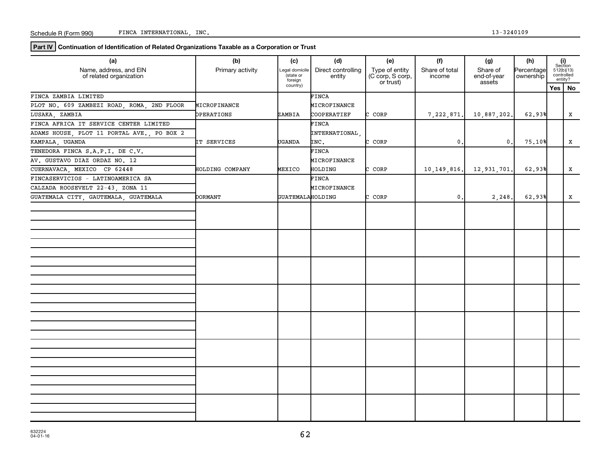**Part IV Continuation of Identification of Related Organizations Taxable as a Corporation or Trust**

| (a)<br>Name, address, and EIN<br>of related organization | (b)<br>Primary activity | (c)<br>Legal domicile<br>(state or<br>foreign | (d)<br>Direct controlling<br>entity | (e)<br>Type of entity<br>(C corp, S corp,<br>or trust) | (f)<br>Share of total<br>income | (g)<br>Share of<br>end-of-year<br>assets | (h)<br>Percentage<br>ownership | $\begin{array}{c} \textbf{(i)}\\ \text{Section}\\ 512 \text{(b)} \text{(13)}\\ \text{controlled}\end{array}$<br>entity? |
|----------------------------------------------------------|-------------------------|-----------------------------------------------|-------------------------------------|--------------------------------------------------------|---------------------------------|------------------------------------------|--------------------------------|-------------------------------------------------------------------------------------------------------------------------|
|                                                          |                         | country)                                      |                                     |                                                        |                                 |                                          |                                | Yes   No                                                                                                                |
| FINCA ZAMBIA LIMITED                                     |                         |                                               | FINCA                               |                                                        |                                 |                                          |                                |                                                                                                                         |
| PLOT NO. 609 ZAMBEZI ROAD, ROMA, 2ND FLOOR               | MICROFINANCE            |                                               | MICROFINANCE                        |                                                        |                                 |                                          |                                |                                                                                                                         |
| LUSAKA, ZAMBIA                                           | <b>OPERATIONS</b>       | ZAMBIA                                        | COOPERATIEF                         | CORP                                                   | 7,222,871.                      | 10,887,202.                              | 62.93%                         | X                                                                                                                       |
| FINCA AFRICA IT SERVICE CENTER LIMITED                   |                         |                                               | FINCA                               |                                                        |                                 |                                          |                                |                                                                                                                         |
| ADAMS HOUSE, PLOT 11 PORTAL AVE., PO BOX 2               |                         |                                               | INTERNATIONAL                       |                                                        |                                 |                                          |                                |                                                                                                                         |
| KAMPALA, UGANDA                                          | IT SERVICES             | UGANDA                                        | INC.                                | CORP<br>C.                                             | $\mathbf 0$ .                   | $\mathbf{0}$ .                           | 75.10%                         | X                                                                                                                       |
| TENEDORA FINCA S.A.P.I. DE C.V.                          |                         |                                               | FINCA                               |                                                        |                                 |                                          |                                |                                                                                                                         |
| AV. GUSTAVO DIAZ ORDAZ NO. 12                            |                         |                                               | MICROFINANCE                        |                                                        |                                 |                                          |                                |                                                                                                                         |
| CUERNAVACA, MEXICO CP 62448                              | HOLDING COMPANY         | MEXICO                                        | HOLDING                             | CORP<br>r.                                             | 10, 149, 816.                   | 12,931,701                               | 62.93%                         | X                                                                                                                       |
| FINCASERVICIOS - LATINOAMERICA SA                        |                         |                                               | FINCA                               |                                                        |                                 |                                          |                                |                                                                                                                         |
| CALZADA ROOSEVELT 22-43, ZONA 11                         |                         |                                               | MICROFINANCE                        |                                                        |                                 |                                          |                                |                                                                                                                         |
| GUATEMALA CITY, GAUTEMALA, GUATEMALA                     | <b>DORMANT</b>          | GUATEMALAHOLDING                              |                                     | CORP                                                   | $\mathbf 0$ .                   | 2,248                                    | 62.93%                         | x                                                                                                                       |
|                                                          |                         |                                               |                                     |                                                        |                                 |                                          |                                |                                                                                                                         |
|                                                          |                         |                                               |                                     |                                                        |                                 |                                          |                                |                                                                                                                         |
|                                                          |                         |                                               |                                     |                                                        |                                 |                                          |                                |                                                                                                                         |
|                                                          |                         |                                               |                                     |                                                        |                                 |                                          |                                |                                                                                                                         |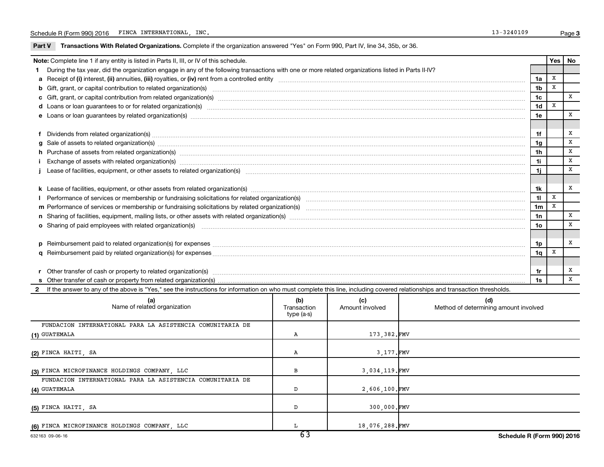Part V Transactions With Related Organizations. Complete if the organization answered "Yes" on Form 990, Part IV, line 34, 35b, or 36.

| Note: Complete line 1 if any entity is listed in Parts II, III, or IV of this schedule.                                                                                                                                        |                | Yes   No |   |
|--------------------------------------------------------------------------------------------------------------------------------------------------------------------------------------------------------------------------------|----------------|----------|---|
| During the tax year, did the organization engage in any of the following transactions with one or more related organizations listed in Parts II-IV?                                                                            |                |          |   |
|                                                                                                                                                                                                                                | 1a             | X        |   |
| b Gift, grant, or capital contribution to related organization(s) manufaction content to content the contribution to related organization(s) manufactured content to content to content to content of the content of content o | 1 <sub>b</sub> | X        |   |
|                                                                                                                                                                                                                                | 1c             |          | X |
| d Loans or loan guarantees to or for related organization(s) www.communically.com/www.communically.com/www.communically.com/www.communically.com/www.communically.com/www.communically.com/www.communically.com/www.communical | 1 <sub>d</sub> | X        |   |
| e Loans or loan guarantees by related organization(s) www.assess.com/minimum/minimum/minimum/minimum/minimum/minimum/minimum/minimum/minimum/minimum/minimum/minimum/minimum/minimum/minimum/minimum/minimum/minimum/minimum/m | 1e             |          | X |
|                                                                                                                                                                                                                                |                |          |   |
|                                                                                                                                                                                                                                | 1f             |          | X |
|                                                                                                                                                                                                                                | 1g             |          | X |
| h Purchase of assets from related organization(s) manufactured manufactured manufactured manufactured manufactured manufactured manufactured manufactured manufactured manufactured manufactured manufactured manufactured man | 1 <sub>h</sub> |          | X |
| Exchange of assets with related organization(s) www.assettion.com/www.assettion.com/www.assettion.com/www.assettion.com/www.assettion.com/www.assettion.com/www.assettion.com/www.assettion.com/www.assettion.com/www.assettio | 1i             |          | X |
|                                                                                                                                                                                                                                | 1j             |          | X |
|                                                                                                                                                                                                                                |                |          |   |
|                                                                                                                                                                                                                                | 1k             |          | X |
|                                                                                                                                                                                                                                | 11             | X        |   |
|                                                                                                                                                                                                                                | 1 <sub>m</sub> | X        |   |
|                                                                                                                                                                                                                                | 1n             |          | x |
| o Sharing of paid employees with related organization(s) manufactured content to the content of the content of the content of the content of the content of the content of the content of the content of the content of the co | 10             |          | X |
|                                                                                                                                                                                                                                |                |          |   |
|                                                                                                                                                                                                                                | 1p             |          | X |
|                                                                                                                                                                                                                                | 1q             | х        |   |
|                                                                                                                                                                                                                                |                |          |   |
|                                                                                                                                                                                                                                | 1r             |          | X |
|                                                                                                                                                                                                                                | 1s             |          | X |
| 2 If the answer to any of the above is "Yes," see the instructions for information on who must complete this line, including covered relationships and transaction thresholds.                                                 |                |          |   |

| (a)<br>Name of related organization                       | (b)<br>Transaction<br>type (a-s) | (c)<br>Amount involved | (d)<br>Method of determining amount involved |
|-----------------------------------------------------------|----------------------------------|------------------------|----------------------------------------------|
| FUNDACION INTERNATIONAL PARA LA ASISTENCIA COMUNITARIA DE |                                  |                        |                                              |
| (1) GUATEMALA                                             | А                                | 173,382.FMV            |                                              |
|                                                           |                                  |                        |                                              |
| (2) FINCA HAITI, SA                                       | А                                | 3,177.FMV              |                                              |
|                                                           |                                  |                        |                                              |
| (3) FINCA MICROFINANCE HOLDINGS COMPANY, LLC              | в                                | 3,034,119.FMV          |                                              |
| FUNDACION INTERNATIONAL PARA LA ASISTENCIA COMUNITARIA DE |                                  |                        |                                              |
| (4) GUATEMALA                                             | D                                | 2,606,100.FMV          |                                              |
|                                                           |                                  |                        |                                              |
| (5) FINCA HAITI, SA                                       | D                                | 300,000.FMV            |                                              |
| (6) FINCA MICROFINANCE HOLDINGS COMPANY, LLC              |                                  | 18,076,288.FMV         |                                              |
|                                                           | $\overline{\phantom{a}}$         |                        |                                              |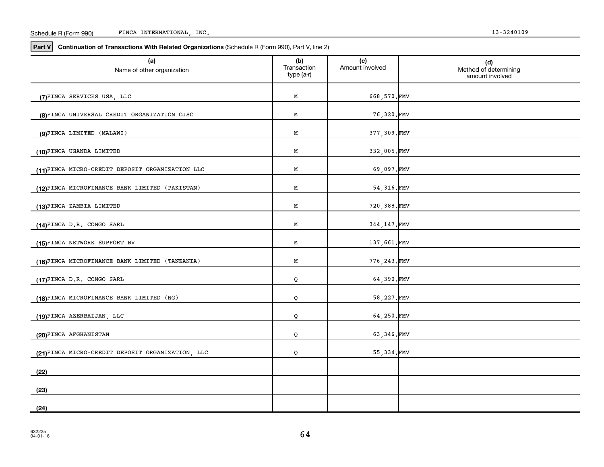| Schedule<br>990<br>R (Form | INC.<br>INTERNATIONAL<br><b>FINCA</b> | 3240109 |
|----------------------------|---------------------------------------|---------|
|----------------------------|---------------------------------------|---------|

| (a)<br>Name of other organization                | (b)<br>Transaction<br>type (a-r) | (c)<br>Amount involved | (d)<br>Method of determining<br>amount involved |
|--------------------------------------------------|----------------------------------|------------------------|-------------------------------------------------|
| (7)FINCA SERVICES USA, LLC                       | Μ                                | 668,570.FMV            |                                                 |
| (8)FINCA UNIVERSAL CREDIT ORGANIZATION CJSC      | M                                | 76,320.FMV             |                                                 |
| (9)FINCA LIMITED (MALAWI)                        | M                                | 377,309.FMV            |                                                 |
| (10)FINCA UGANDA LIMITED                         | M                                | 332,005.FMV            |                                                 |
| (11)FINCA MICRO-CREDIT DEPOSIT ORGANIZATION LLC  | M                                | 69,097.FMV             |                                                 |
| (12)FINCA MICROFINANCE BANK LIMITED (PAKISTAN)   | М                                | 54,316.FMV             |                                                 |
| (13)FINCA ZAMBIA LIMITED                         | Μ                                | 720,388.FMV            |                                                 |
| (14)FINCA D.R. CONGO SARL                        | Μ                                | 344, 147. FMV          |                                                 |
| (15)FINCA NETWORK SUPPORT BV                     | М                                | 137,661.FMV            |                                                 |
| (16)FINCA MICROFINANCE BANK LIMITED (TANZANIA)   | Μ                                | 776, 243.FMV           |                                                 |
| (17)FINCA D.R. CONGO SARL                        | Q                                | 64,390.FMV             |                                                 |
| (18)FINCA MICROFINANCE BANK LIMITED (NG)         | Q                                | 58, 227. FMV           |                                                 |
| (19)FINCA AZERBAIJAN, LLC                        | Q                                | 64,250.FMV             |                                                 |
| (20)FINCA AFGHANISTAN                            | Q                                | 63,346.FMV             |                                                 |
| (21)FINCA MICRO-CREDIT DEPOSIT ORGANIZATION, LLC | Q                                | 55,334.FMV             |                                                 |
| (22)                                             |                                  |                        |                                                 |
| (23)                                             |                                  |                        |                                                 |
| (24)                                             |                                  |                        |                                                 |

**Part V** Continuation of Transactions With Related Organizations (Schedule R (Form 990), Part V, line 2)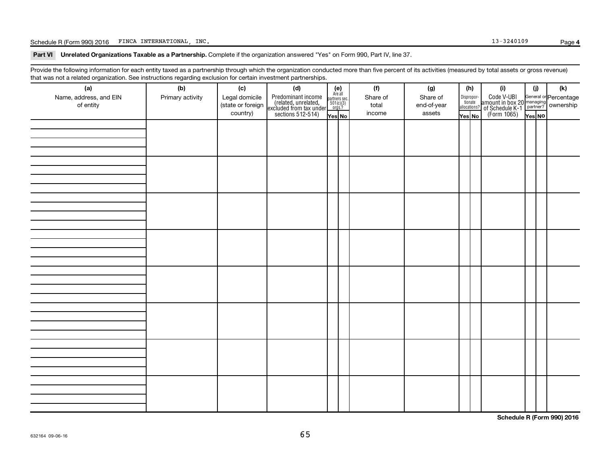Schedule R (Form 990) 2016 FINCA INTERNATIONAL, INC. Page 13-3240109 Page

Part VI Unrelated Organizations Taxable as a Partnership. Complete if the organization answered "Yes" on Form 990, Part IV, line 37.

Provide the following information for each entity taxed as a partnership through which the organization conducted more than five percent of its activities (measured by total assets or gross revenue) that was not a related organization. See instructions regarding exclusion for certain investment partnerships.

| hat neo hot a rolatod organization. Ooo inotraotiono rogaranty oxolaolon for oortain invootmont partnolompo.<br>(a) | (b)              | (c)                           | (d)                                                                                        |                                                          | (f)             | (g)                   | (h)    |                                                                                         | (i)                                                                                                         | (j)    | (k) |
|---------------------------------------------------------------------------------------------------------------------|------------------|-------------------------------|--------------------------------------------------------------------------------------------|----------------------------------------------------------|-----------------|-----------------------|--------|-----------------------------------------------------------------------------------------|-------------------------------------------------------------------------------------------------------------|--------|-----|
| Name, address, and EIN                                                                                              | Primary activity | Legal domicile                | Predominant income<br>(related, unrelated,<br>excluded from tax under<br>sections 512-514) | (e)<br>Are all<br>partners sec.<br>$501(c)(3)$<br>orgs.? | Share of        | Share of              |        | $\begin{tabular}{c} Dispropor- \textbf{tionate} \\ \textbf{allocations?} \end{tabular}$ | Code V-UBI<br>amount in box 20 managing<br>of Schedule K-1<br>(Form 1065)<br>$\overline{Y}_{\text{res}}$ No |        |     |
| of entity                                                                                                           |                  | (state or foreign<br>country) |                                                                                            | Yes No                                                   | total<br>income | end-of-year<br>assets | Yes No |                                                                                         |                                                                                                             | Yes NO |     |
|                                                                                                                     |                  |                               |                                                                                            |                                                          |                 |                       |        |                                                                                         |                                                                                                             |        |     |
|                                                                                                                     |                  |                               |                                                                                            |                                                          |                 |                       |        |                                                                                         |                                                                                                             |        |     |
|                                                                                                                     |                  |                               |                                                                                            |                                                          |                 |                       |        |                                                                                         |                                                                                                             |        |     |
|                                                                                                                     |                  |                               |                                                                                            |                                                          |                 |                       |        |                                                                                         |                                                                                                             |        |     |
|                                                                                                                     |                  |                               |                                                                                            |                                                          |                 |                       |        |                                                                                         |                                                                                                             |        |     |
|                                                                                                                     |                  |                               |                                                                                            |                                                          |                 |                       |        |                                                                                         |                                                                                                             |        |     |
|                                                                                                                     |                  |                               |                                                                                            |                                                          |                 |                       |        |                                                                                         |                                                                                                             |        |     |
|                                                                                                                     |                  |                               |                                                                                            |                                                          |                 |                       |        |                                                                                         |                                                                                                             |        |     |
|                                                                                                                     |                  |                               |                                                                                            |                                                          |                 |                       |        |                                                                                         |                                                                                                             |        |     |
|                                                                                                                     |                  |                               |                                                                                            |                                                          |                 |                       |        |                                                                                         |                                                                                                             |        |     |
|                                                                                                                     |                  |                               |                                                                                            |                                                          |                 |                       |        |                                                                                         |                                                                                                             |        |     |
|                                                                                                                     |                  |                               |                                                                                            |                                                          |                 |                       |        |                                                                                         |                                                                                                             |        |     |
|                                                                                                                     |                  |                               |                                                                                            |                                                          |                 |                       |        |                                                                                         |                                                                                                             |        |     |
|                                                                                                                     |                  |                               |                                                                                            |                                                          |                 |                       |        |                                                                                         |                                                                                                             |        |     |
|                                                                                                                     |                  |                               |                                                                                            |                                                          |                 |                       |        |                                                                                         |                                                                                                             |        |     |
|                                                                                                                     |                  |                               |                                                                                            |                                                          |                 |                       |        |                                                                                         |                                                                                                             |        |     |
|                                                                                                                     |                  |                               |                                                                                            |                                                          |                 |                       |        |                                                                                         |                                                                                                             |        |     |
|                                                                                                                     |                  |                               |                                                                                            |                                                          |                 |                       |        |                                                                                         |                                                                                                             |        |     |
|                                                                                                                     |                  |                               |                                                                                            |                                                          |                 |                       |        |                                                                                         |                                                                                                             |        |     |
|                                                                                                                     |                  |                               |                                                                                            |                                                          |                 |                       |        |                                                                                         |                                                                                                             |        |     |
|                                                                                                                     |                  |                               |                                                                                            |                                                          |                 |                       |        |                                                                                         |                                                                                                             |        |     |
|                                                                                                                     |                  |                               |                                                                                            |                                                          |                 |                       |        |                                                                                         |                                                                                                             |        |     |
|                                                                                                                     |                  |                               |                                                                                            |                                                          |                 |                       |        |                                                                                         |                                                                                                             |        |     |
|                                                                                                                     |                  |                               |                                                                                            |                                                          |                 |                       |        |                                                                                         |                                                                                                             |        |     |
|                                                                                                                     |                  |                               |                                                                                            |                                                          |                 |                       |        |                                                                                         |                                                                                                             |        |     |
|                                                                                                                     |                  |                               |                                                                                            |                                                          |                 |                       |        |                                                                                         |                                                                                                             |        |     |
|                                                                                                                     |                  |                               |                                                                                            |                                                          |                 |                       |        |                                                                                         |                                                                                                             |        |     |

**Schedule R (Form 990) 2016**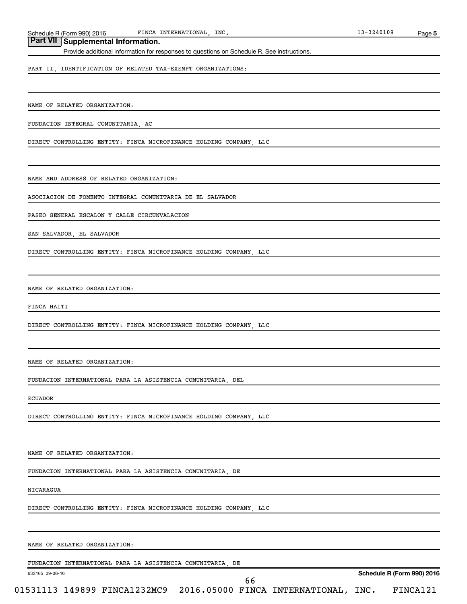Schedule R (Form 990) 2016 FINCA INTERNATIONAL, INC. 13-3240109 FINCA INTERNATIONAL,

# **Part VII Supplemental Information.**

Provide additional information for responses to questions on Schedule R. See instructions.

PART II, IDENTIFICATION OF RELATED TAX-EXEMPT ORGANIZATIONS:

NAME OF RELATED ORGANIZATION:

FUNDACION INTEGRAL COMUNITARIA, AC

DIRECT CONTROLLING ENTITY: FINCA MICROFINANCE HOLDING COMPANY, LLC

NAME AND ADDRESS OF RELATED ORGANIZATION:

ASOCIACION DE FOMENTO INTEGRAL COMUNITARIA DE EL SALVADOR

PASEO GENERAL ESCALON Y CALLE CIRCUNVALACION

SAN SALVADOR, EL SALVADOR

DIRECT CONTROLLING ENTITY: FINCA MICROFINANCE HOLDING COMPANY, LLC

NAME OF RELATED ORGANIZATION:

FINCA HAITI

DIRECT CONTROLLING ENTITY: FINCA MICROFINANCE HOLDING COMPANY, LLC

NAME OF RELATED ORGANIZATION:

FUNDACION INTERNATIONAL PARA LA ASISTENCIA COMUNITARIA, DEL

ECUADOR

DIRECT CONTROLLING ENTITY: FINCA MICROFINANCE HOLDING COMPANY, LLC

NAME OF RELATED ORGANIZATION:

FUNDACION INTERNATIONAL PARA LA ASISTENCIA COMUNITARIA, DE

NICARAGUA

DIRECT CONTROLLING ENTITY: FINCA MICROFINANCE HOLDING COMPANY, LLC

NAME OF RELATED ORGANIZATION:

FUNDACION INTERNATIONAL PARA LA ASISTENCIA COMUNITARIA, DE

632165 09-06-16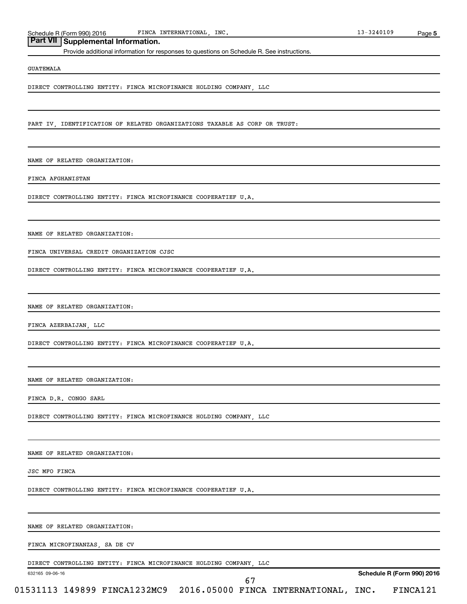Schedule R (Form 990) 2016 FINCA INTERNATIONAL, INC. 13-3240109 FINCA INTERNATIONAL,

**5**

# **Part VII Supplemental Information.**

Provide additional information for responses to questions on Schedule R. See instructions.

#### GUATEMALA

DIRECT CONTROLLING ENTITY: FINCA MICROFINANCE HOLDING COMPANY, LLC

PART IV, IDENTIFICATION OF RELATED ORGANIZATIONS TAXABLE AS CORP OR TRUST:

NAME OF RELATED ORGANIZATION:

FINCA AFGHANISTAN

DIRECT CONTROLLING ENTITY: FINCA MICROFINANCE COOPERATIEF U.A.

NAME OF RELATED ORGANIZATION:

FINCA UNIVERSAL CREDIT ORGANIZATION CJSC

DIRECT CONTROLLING ENTITY: FINCA MICROFINANCE COOPERATIEF U.A.

NAME OF RELATED ORGANIZATION:

FINCA AZERBAIJAN, LLC

DIRECT CONTROLLING ENTITY: FINCA MICROFINANCE COOPERATIEF U.A.

NAME OF RELATED ORGANIZATION:

FINCA D.R. CONGO SARL

DIRECT CONTROLLING ENTITY: FINCA MICROFINANCE HOLDING COMPANY, LLC

NAME OF RELATED ORGANIZATION:

JSC MFO FINCA

DIRECT CONTROLLING ENTITY: FINCA MICROFINANCE COOPERATIEF U.A.

NAME OF RELATED ORGANIZATION:

FINCA MICROFINANZAS, SA DE CV

DIRECT CONTROLLING ENTITY: FINCA MICROFINANCE HOLDING COMPANY, LLC

632165 09-06-16

**Schedule R (Form 990) 2016**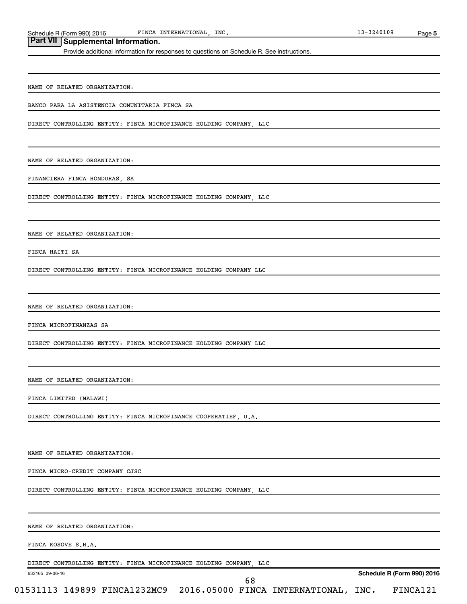Schedule R (Form 990) 2016 FINCA INTERNATIONAL, INC. 13-3240109 FINCA INTERNATIONAL,

**Part VII Supplemental Information.**

Provide additional information for responses to questions on Schedule R. See instructions.

NAME OF RELATED ORGANIZATION:

BANCO PARA LA ASISTENCIA COMUNITARIA FINCA SA

DIRECT CONTROLLING ENTITY: FINCA MICROFINANCE HOLDING COMPANY, LLC

NAME OF RELATED ORGANIZATION:

FINANCIERA FINCA HONDURAS, SA

DIRECT CONTROLLING ENTITY: FINCA MICROFINANCE HOLDING COMPANY, LLC

NAME OF RELATED ORGANIZATION:

FINCA HAITI SA

DIRECT CONTROLLING ENTITY: FINCA MICROFINANCE HOLDING COMPANY LLC

NAME OF RELATED ORGANIZATION:

FINCA MICROFINANZAS SA

DIRECT CONTROLLING ENTITY: FINCA MICROFINANCE HOLDING COMPANY LLC

NAME OF RELATED ORGANIZATION:

FINCA LIMITED (MALAWI)

DIRECT CONTROLLING ENTITY: FINCA MICROFINANCE COOPERATIEF, U.A.

NAME OF RELATED ORGANIZATION:

FINCA MICRO-CREDIT COMPANY CJSC

DIRECT CONTROLLING ENTITY: FINCA MICROFINANCE HOLDING COMPANY, LLC

NAME OF RELATED ORGANIZATION:

FINCA KOSOVE S.H.A.

DIRECT CONTROLLING ENTITY: FINCA MICROFINANCE HOLDING COMPANY, LLC

632165 09-06-16

**Schedule R (Form 990) 2016**

| -<br>09<br>L<br>. . | י י |
|---------------------|-----|
|                     |     |

| $01531113$ 149899 FINCA1232MC9 2016.05000 FINCA INTERNATIONAL, INC. |  |  |  | FINCA121 |
|---------------------------------------------------------------------|--|--|--|----------|
|---------------------------------------------------------------------|--|--|--|----------|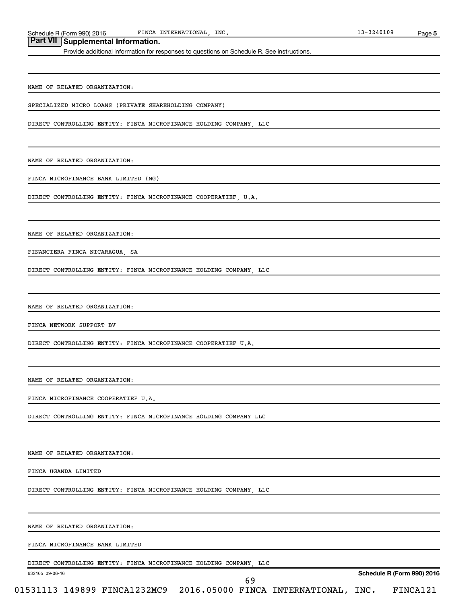Schedule R (Form 990) 2016 FINCA INTERNATIONAL, INC. 13-3240109 FINCA INTERNATIONAL, INC.

Provide additional information for responses to questions on Schedule R. See instructions.

NAME OF RELATED ORGANIZATION:

SPECIALIZED MICRO LOANS (PRIVATE SHAREHOLDING COMPANY)

DIRECT CONTROLLING ENTITY: FINCA MICROFINANCE HOLDING COMPANY, LLC

NAME OF RELATED ORGANIZATION:

FINCA MICROFINANCE BANK LIMITED (NG)

DIRECT CONTROLLING ENTITY: FINCA MICROFINANCE COOPERATIEF, U.A.

NAME OF RELATED ORGANIZATION:

FINANCIERA FINCA NICARAGUA, SA

DIRECT CONTROLLING ENTITY: FINCA MICROFINANCE HOLDING COMPANY, LLC

NAME OF RELATED ORGANIZATION:

FINCA NETWORK SUPPORT BV

DIRECT CONTROLLING ENTITY: FINCA MICROFINANCE COOPERATIEF U.A.

NAME OF RELATED ORGANIZATION:

FINCA MICROFINANCE COOPERATIEF U.A.

DIRECT CONTROLLING ENTITY: FINCA MICROFINANCE HOLDING COMPANY LLC

NAME OF RELATED ORGANIZATION:

FINCA UGANDA LIMITED

DIRECT CONTROLLING ENTITY: FINCA MICROFINANCE HOLDING COMPANY, LLC

NAME OF RELATED ORGANIZATION:

FINCA MICROFINANCE BANK LIMITED

DIRECT CONTROLLING ENTITY: FINCA MICROFINANCE HOLDING COMPANY, LLC

632165 09-06-16

**Schedule R (Form 990) 2016**

**5**

| ___ |
|-----|
|-----|

01531113 149899 FINCA1232MC9 2016.05000 FINCA INTERNATIONAL, INC. FINCA121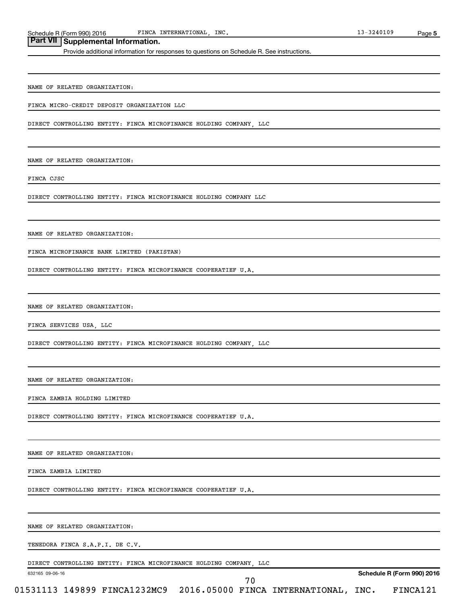Schedule R (Form 990) 2016 FINCA INTERNATIONAL, INC. 13-3240109 FINCA INTERNATIONAL, INC.

# **Part VII Supplemental Information.**

Provide additional information for responses to questions on Schedule R. See instructions.

NAME OF RELATED ORGANIZATION:

FINCA MICRO-CREDIT DEPOSIT ORGANIZATION LLC

DIRECT CONTROLLING ENTITY: FINCA MICROFINANCE HOLDING COMPANY, LLC

NAME OF RELATED ORGANIZATION:

FINCA CJSC

DIRECT CONTROLLING ENTITY: FINCA MICROFINANCE HOLDING COMPANY LLC

NAME OF RELATED ORGANIZATION:

FINCA MICROFINANCE BANK LIMITED (PAKISTAN)

DIRECT CONTROLLING ENTITY: FINCA MICROFINANCE COOPERATIEF U.A.

NAME OF RELATED ORGANIZATION:

FINCA SERVICES USA, LLC

DIRECT CONTROLLING ENTITY: FINCA MICROFINANCE HOLDING COMPANY, LLC

NAME OF RELATED ORGANIZATION:

FINCA ZAMBIA HOLDING LIMITED

DIRECT CONTROLLING ENTITY: FINCA MICROFINANCE COOPERATIEF U.A.

NAME OF RELATED ORGANIZATION:

FINCA ZAMBIA LIMITED

DIRECT CONTROLLING ENTITY: FINCA MICROFINANCE COOPERATIEF U.A.

NAME OF RELATED ORGANIZATION:

TENEDORA FINCA S.A.P.I. DE C.V.

DIRECT CONTROLLING ENTITY: FINCA MICROFINANCE HOLDING COMPANY, LLC

632165 09-06-16

**Schedule R (Form 990) 2016**

| $13 - 3240109$ | Page 5 |
|----------------|--------|
|                |        |

| $01531113$ 149899 FINCA1232MC9 2016.05000 FINCA INTERNATIONAL, INC. |  |  |  |  |  | FINCA121 |
|---------------------------------------------------------------------|--|--|--|--|--|----------|
|---------------------------------------------------------------------|--|--|--|--|--|----------|